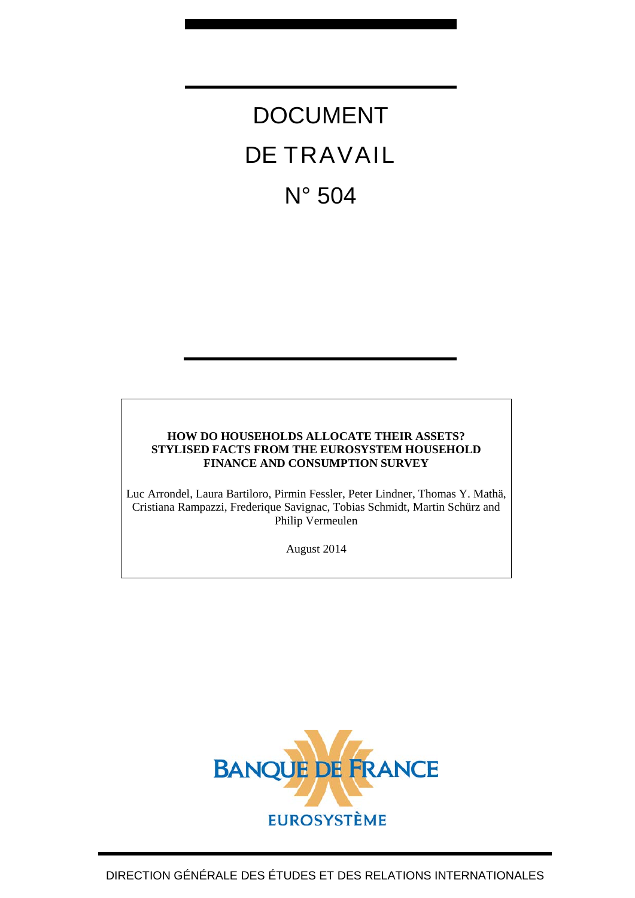# DOCUMENT DE TRAVAIL N° 504

#### **HOW DO HOUSEHOLDS ALLOCATE THEIR ASSETS? STYLISED FACTS FROM THE EUROSYSTEM HOUSEHOLD FINANCE AND CONSUMPTION SURVEY**

Luc Arrondel, Laura Bartiloro, Pirmin Fessler, Peter Lindner, Thomas Y. Mathä, Cristiana Rampazzi, Frederique Savignac, Tobias Schmidt, Martin Schürz and Philip Vermeulen

August 2014

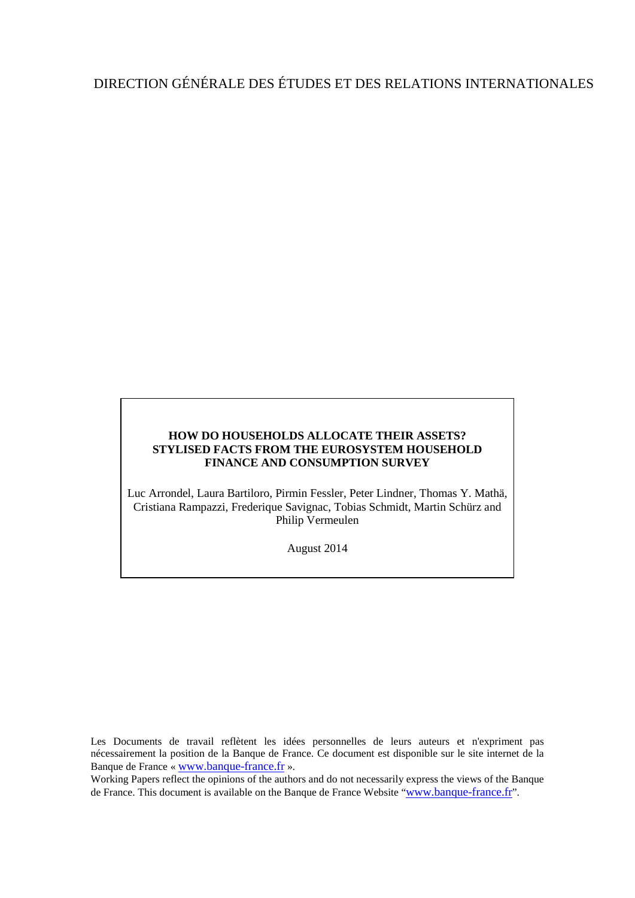# DIRECTION GÉNÉRALE DES ÉTUDES ET DES RELATIONS INTERNATIONALES

#### **HOW DO HOUSEHOLDS ALLOCATE THEIR ASSETS? STYLISED FACTS FROM THE EUROSYSTEM HOUSEHOLD FINANCE AND CONSUMPTION SURVEY**

Luc Arrondel, Laura Bartiloro, Pirmin Fessler, Peter Lindner, Thomas Y. Mathä, Cristiana Rampazzi, Frederique Savignac, Tobias Schmidt, Martin Schürz and Philip Vermeulen

August 2014

Les Documents de travail reflètent les idées personnelles de leurs auteurs et n'expriment pas nécessairement la position de la Banque de France. Ce document est disponible sur le site internet de la Banque de France « [www.banque-france.fr](http://www.banque-france.fr/) ».

Working Papers reflect the opinions of the authors and do not necessarily express the views of the Banque de France. This document is available on the Banque de France Website ["www.banque-france.fr"](http://www.banque-france.fr/).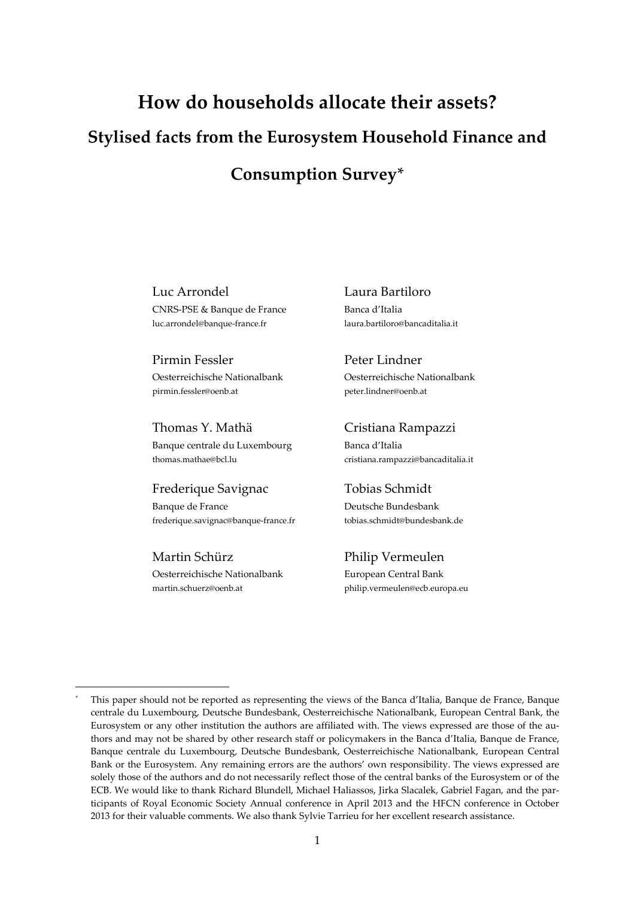# **How do households allocate their assets? Stylised facts from the Eurosystem Household Finance and Consumption Survey**[\\*](#page-2-0)

Luc Arrondel Laura Bartiloro CNRS-PSE & Banque de France Banca d'Italia [luc.arrondel@banque-france.fr](mailto:luc.arrondel@banque-france.fr) [laura.bartiloro@bancaditalia.it](mailto:laura.bartiloro@bancaditalia.it)

#### Pirmin Fessler **Peter Lindner**

Oesterreichische Nationalbank Oesterreichische Nationalbank [pirmin.fessler@oenb.at](mailto:Pirmin.Fessler@oenb.at) [peter.lindner@oenb.at](mailto:peter.lindner@oenb.at)

Thomas Y. Mathä Cristiana Rampazzi

Banque centrale du Luxembourg Banca d'Italia [thomas.mathae@bcl.lu](mailto:thomas.mathae@bcl.lu) [cristiana.rampazzi@bancaditalia.it](mailto:cristiana.rampazzi@bancaditalia.it)

#### Frederique Savignac Tobias Schmidt

Banque de France Deutsche Bundesbank [frederique.savignac@banque-france.fr](mailto:frederique.savignac@banque-france.fr) [tobias.schmidt@bundesbank.de](mailto:tobias.schmidt@bundesbank.de)

Martin Schürz **Philip Vermeulen** 

Oesterreichische Nationalbank European Central Bank [martin.schuerz@oenb.at](mailto:martin.schuerz@oenb.at) [philip.vermeulen@ecb.europa.eu](mailto:philip.vermeulen@ecb.europa.eu)

<span id="page-2-0"></span><sup>\*</sup> This paper should not be reported as representing the views of the Banca d'Italia, Banque de France, Banque centrale du Luxembourg, Deutsche Bundesbank, Oesterreichische Nationalbank, European Central Bank, the Eurosystem or any other institution the authors are affiliated with. The views expressed are those of the authors and may not be shared by other research staff or policymakers in the Banca d'Italia, Banque de France, Banque centrale du Luxembourg, Deutsche Bundesbank, Oesterreichische Nationalbank, European Central Bank or the Eurosystem. Any remaining errors are the authors' own responsibility. The views expressed are solely those of the authors and do not necessarily reflect those of the central banks of the Eurosystem or of the ECB. We would like to thank Richard Blundell, Michael Haliassos, Jirka Slacalek, Gabriel Fagan, and the participants of Royal Economic Society Annual conference in April 2013 and the HFCN conference in October 2013 for their valuable comments. We also thank Sylvie Tarrieu for her excellent research assistance.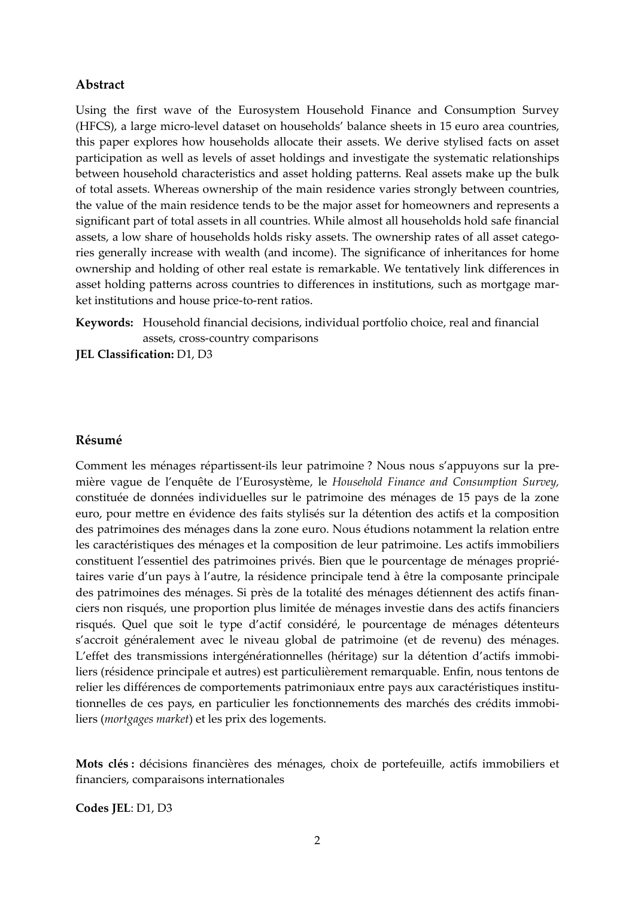#### **Abstract**

Using the first wave of the Eurosystem Household Finance and Consumption Survey (HFCS), a large micro-level dataset on households' balance sheets in 15 euro area countries, this paper explores how households allocate their assets. We derive stylised facts on asset participation as well as levels of asset holdings and investigate the systematic relationships between household characteristics and asset holding patterns. Real assets make up the bulk of total assets. Whereas ownership of the main residence varies strongly between countries, the value of the main residence tends to be the major asset for homeowners and represents a significant part of total assets in all countries. While almost all households hold safe financial assets, a low share of households holds risky assets. The ownership rates of all asset categories generally increase with wealth (and income). The significance of inheritances for home ownership and holding of other real estate is remarkable. We tentatively link differences in asset holding patterns across countries to differences in institutions, such as mortgage market institutions and house price-to-rent ratios.

**Keywords:** Household financial decisions, individual portfolio choice, real and financial assets, cross-country comparisons

**JEL Classification:** D1, D3

#### **Résumé**

Comment les ménages répartissent-ils leur patrimoine ? Nous nous s'appuyons sur la première vague de l'enquête de l'Eurosystème, le *Household Finance and Consumption Survey,* constituée de données individuelles sur le patrimoine des ménages de 15 pays de la zone euro, pour mettre en évidence des faits stylisés sur la détention des actifs et la composition des patrimoines des ménages dans la zone euro. Nous étudions notamment la relation entre les caractéristiques des ménages et la composition de leur patrimoine. Les actifs immobiliers constituent l'essentiel des patrimoines privés. Bien que le pourcentage de ménages propriétaires varie d'un pays à l'autre, la résidence principale tend à être la composante principale des patrimoines des ménages. Si près de la totalité des ménages détiennent des actifs financiers non risqués, une proportion plus limitée de ménages investie dans des actifs financiers risqués. Quel que soit le type d'actif considéré, le pourcentage de ménages détenteurs s'accroit généralement avec le niveau global de patrimoine (et de revenu) des ménages. L'effet des transmissions intergénérationnelles (héritage) sur la détention d'actifs immobiliers (résidence principale et autres) est particulièrement remarquable. Enfin, nous tentons de relier les différences de comportements patrimoniaux entre pays aux caractéristiques institutionnelles de ces pays, en particulier les fonctionnements des marchés des crédits immobiliers (*mortgages market*) et les prix des logements.

**Mots clés :** décisions financières des ménages, choix de portefeuille, actifs immobiliers et financiers, comparaisons internationales

**Codes JEL**: D1, D3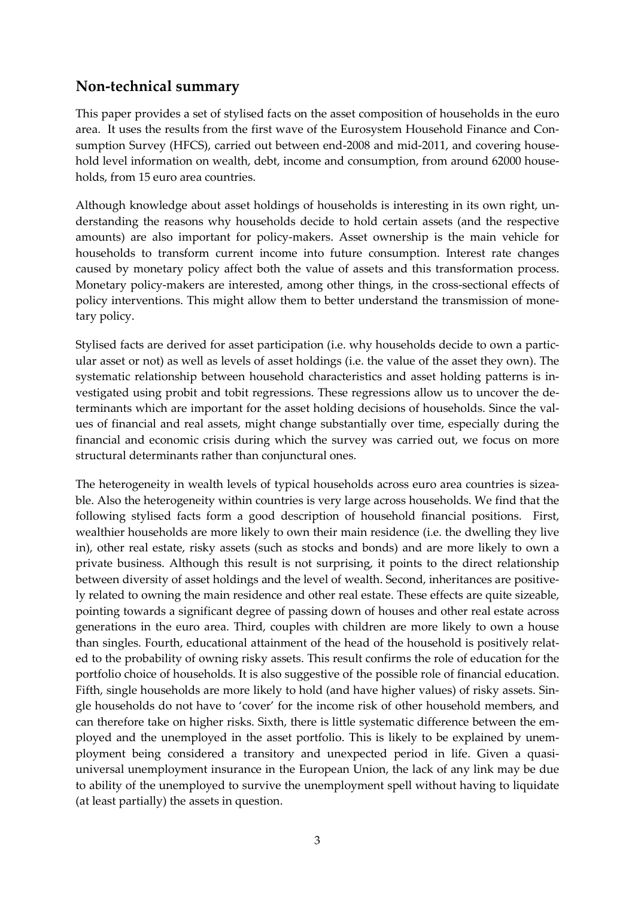# **Non-technical summary**

This paper provides a set of stylised facts on the asset composition of households in the euro area. It uses the results from the first wave of the Eurosystem Household Finance and Consumption Survey (HFCS), carried out between end-2008 and mid-2011, and covering household level information on wealth, debt, income and consumption, from around 62000 households, from 15 euro area countries.

Although knowledge about asset holdings of households is interesting in its own right, understanding the reasons why households decide to hold certain assets (and the respective amounts) are also important for policy-makers. Asset ownership is the main vehicle for households to transform current income into future consumption. Interest rate changes caused by monetary policy affect both the value of assets and this transformation process. Monetary policy-makers are interested, among other things, in the cross-sectional effects of policy interventions. This might allow them to better understand the transmission of monetary policy.

Stylised facts are derived for asset participation (i.e. why households decide to own a particular asset or not) as well as levels of asset holdings (i.e. the value of the asset they own). The systematic relationship between household characteristics and asset holding patterns is investigated using probit and tobit regressions. These regressions allow us to uncover the determinants which are important for the asset holding decisions of households. Since the values of financial and real assets, might change substantially over time, especially during the financial and economic crisis during which the survey was carried out, we focus on more structural determinants rather than conjunctural ones.

The heterogeneity in wealth levels of typical households across euro area countries is sizeable. Also the heterogeneity within countries is very large across households. We find that the following stylised facts form a good description of household financial positions. First, wealthier households are more likely to own their main residence (i.e. the dwelling they live in), other real estate, risky assets (such as stocks and bonds) and are more likely to own a private business. Although this result is not surprising, it points to the direct relationship between diversity of asset holdings and the level of wealth. Second, inheritances are positively related to owning the main residence and other real estate. These effects are quite sizeable, pointing towards a significant degree of passing down of houses and other real estate across generations in the euro area. Third, couples with children are more likely to own a house than singles. Fourth, educational attainment of the head of the household is positively related to the probability of owning risky assets. This result confirms the role of education for the portfolio choice of households. It is also suggestive of the possible role of financial education. Fifth, single households are more likely to hold (and have higher values) of risky assets. Single households do not have to 'cover' for the income risk of other household members, and can therefore take on higher risks. Sixth, there is little systematic difference between the employed and the unemployed in the asset portfolio. This is likely to be explained by unemployment being considered a transitory and unexpected period in life. Given a quasiuniversal unemployment insurance in the European Union, the lack of any link may be due to ability of the unemployed to survive the unemployment spell without having to liquidate (at least partially) the assets in question.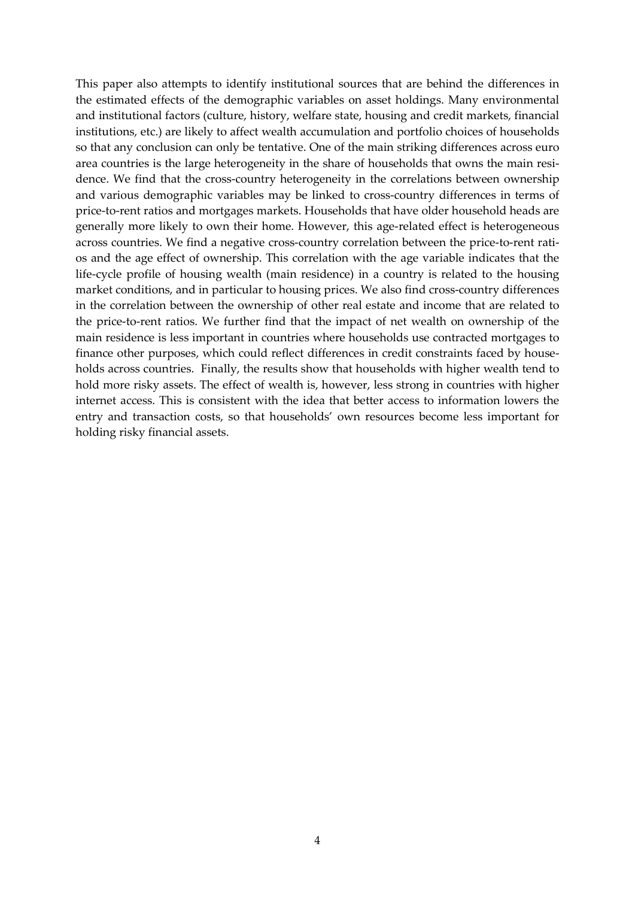This paper also attempts to identify institutional sources that are behind the differences in the estimated effects of the demographic variables on asset holdings. Many environmental and institutional factors (culture, history, welfare state, housing and credit markets, financial institutions, etc.) are likely to affect wealth accumulation and portfolio choices of households so that any conclusion can only be tentative. One of the main striking differences across euro area countries is the large heterogeneity in the share of households that owns the main residence. We find that the cross-country heterogeneity in the correlations between ownership and various demographic variables may be linked to cross-country differences in terms of price-to-rent ratios and mortgages markets. Households that have older household heads are generally more likely to own their home. However, this age-related effect is heterogeneous across countries. We find a negative cross-country correlation between the price-to-rent ratios and the age effect of ownership. This correlation with the age variable indicates that the life-cycle profile of housing wealth (main residence) in a country is related to the housing market conditions, and in particular to housing prices. We also find cross-country differences in the correlation between the ownership of other real estate and income that are related to the price-to-rent ratios. We further find that the impact of net wealth on ownership of the main residence is less important in countries where households use contracted mortgages to finance other purposes, which could reflect differences in credit constraints faced by households across countries. Finally, the results show that households with higher wealth tend to hold more risky assets. The effect of wealth is, however, less strong in countries with higher internet access. This is consistent with the idea that better access to information lowers the entry and transaction costs, so that households' own resources become less important for holding risky financial assets.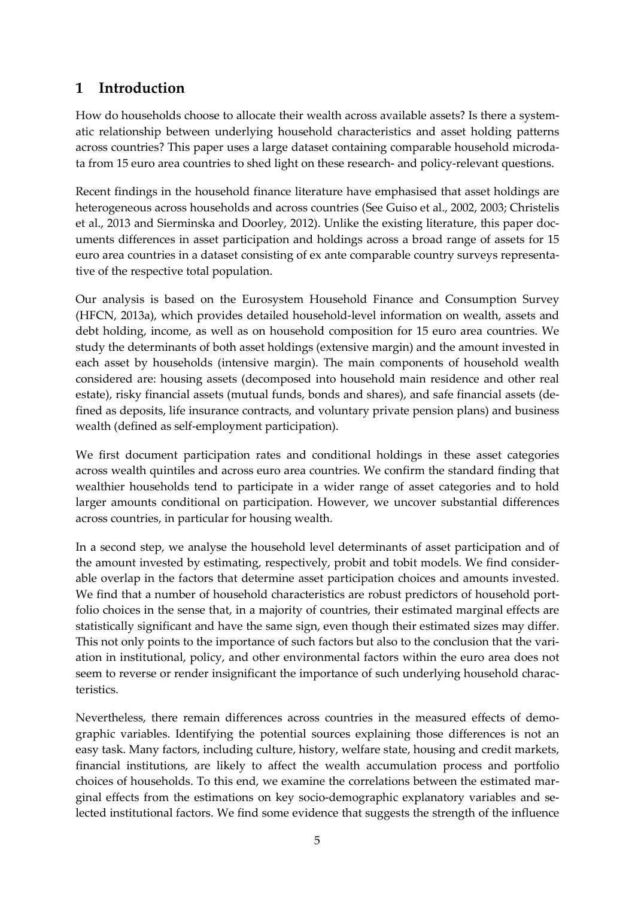# **1 Introduction**

How do households choose to allocate their wealth across available assets? Is there a systematic relationship between underlying household characteristics and asset holding patterns across countries? This paper uses a large dataset containing comparable household microdata from 15 euro area countries to shed light on these research- and policy-relevant questions.

Recent findings in the household finance literature have emphasised that asset holdings are heterogeneous across households and across countries (See Guiso et al., 2002, 2003; Christelis et al., 2013 and Sierminska and Doorley, 2012). Unlike the existing literature, this paper documents differences in asset participation and holdings across a broad range of assets for 15 euro area countries in a dataset consisting of ex ante comparable country surveys representative of the respective total population.

Our analysis is based on the Eurosystem Household Finance and Consumption Survey (HFCN, 2013a), which provides detailed household-level information on wealth, assets and debt holding, income, as well as on household composition for 15 euro area countries. We study the determinants of both asset holdings (extensive margin) and the amount invested in each asset by households (intensive margin). The main components of household wealth considered are: housing assets (decomposed into household main residence and other real estate), risky financial assets (mutual funds, bonds and shares), and safe financial assets (defined as deposits, life insurance contracts, and voluntary private pension plans) and business wealth (defined as self-employment participation).

We first document participation rates and conditional holdings in these asset categories across wealth quintiles and across euro area countries. We confirm the standard finding that wealthier households tend to participate in a wider range of asset categories and to hold larger amounts conditional on participation. However, we uncover substantial differences across countries, in particular for housing wealth.

In a second step, we analyse the household level determinants of asset participation and of the amount invested by estimating, respectively, probit and tobit models. We find considerable overlap in the factors that determine asset participation choices and amounts invested. We find that a number of household characteristics are robust predictors of household portfolio choices in the sense that, in a majority of countries, their estimated marginal effects are statistically significant and have the same sign, even though their estimated sizes may differ. This not only points to the importance of such factors but also to the conclusion that the variation in institutional, policy, and other environmental factors within the euro area does not seem to reverse or render insignificant the importance of such underlying household characteristics.

Nevertheless, there remain differences across countries in the measured effects of demographic variables. Identifying the potential sources explaining those differences is not an easy task. Many factors, including culture, history, welfare state, housing and credit markets, financial institutions, are likely to affect the wealth accumulation process and portfolio choices of households. To this end, we examine the correlations between the estimated marginal effects from the estimations on key socio-demographic explanatory variables and selected institutional factors. We find some evidence that suggests the strength of the influence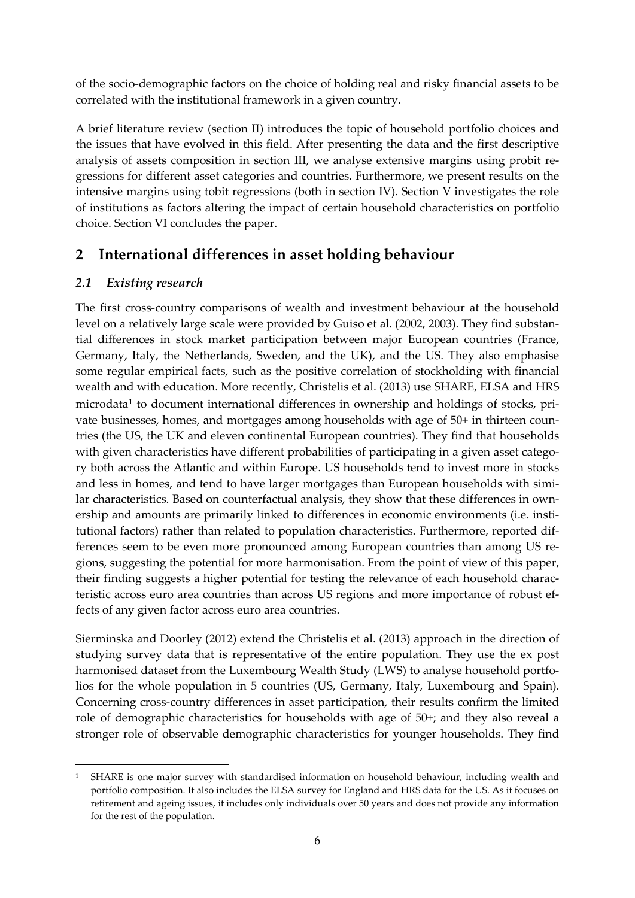of the socio-demographic factors on the choice of holding real and risky financial assets to be correlated with the institutional framework in a given country.

A brief literature review (section II) introduces the topic of household portfolio choices and the issues that have evolved in this field. After presenting the data and the first descriptive analysis of assets composition in section III, we analyse extensive margins using probit regressions for different asset categories and countries. Furthermore, we present results on the intensive margins using tobit regressions (both in section IV). Section V investigates the role of institutions as factors altering the impact of certain household characteristics on portfolio choice. Section VI concludes the paper.

# **2 International differences in asset holding behaviour**

## *2.1 Existing research*

**.** 

The first cross-country comparisons of wealth and investment behaviour at the household level on a relatively large scale were provided by Guiso et al. (2002, 2003). They find substantial differences in stock market participation between major European countries (France, Germany, Italy, the Netherlands, Sweden, and the UK), and the US. They also emphasise some regular empirical facts, such as the positive correlation of stockholding with financial wealth and with education. More recently, Christelis et al. (2013) use SHARE, ELSA and HRS microdata<sup>[1](#page-7-0)</sup> to document international differences in ownership and holdings of stocks, private businesses, homes, and mortgages among households with age of 50+ in thirteen countries (the US, the UK and eleven continental European countries). They find that households with given characteristics have different probabilities of participating in a given asset category both across the Atlantic and within Europe. US households tend to invest more in stocks and less in homes, and tend to have larger mortgages than European households with similar characteristics. Based on counterfactual analysis, they show that these differences in ownership and amounts are primarily linked to differences in economic environments (i.e. institutional factors) rather than related to population characteristics. Furthermore, reported differences seem to be even more pronounced among European countries than among US regions, suggesting the potential for more harmonisation. From the point of view of this paper, their finding suggests a higher potential for testing the relevance of each household characteristic across euro area countries than across US regions and more importance of robust effects of any given factor across euro area countries.

Sierminska and Doorley (2012) extend the Christelis et al. (2013) approach in the direction of studying survey data that is representative of the entire population. They use the ex post harmonised dataset from the Luxembourg Wealth Study (LWS) to analyse household portfolios for the whole population in 5 countries (US, Germany, Italy, Luxembourg and Spain). Concerning cross-country differences in asset participation, their results confirm the limited role of demographic characteristics for households with age of 50+; and they also reveal a stronger role of observable demographic characteristics for younger households. They find

<span id="page-7-0"></span><sup>1</sup> SHARE is one major survey with standardised information on household behaviour, including wealth and portfolio composition. It also includes the ELSA survey for England and HRS data for the US. As it focuses on retirement and ageing issues, it includes only individuals over 50 years and does not provide any information for the rest of the population.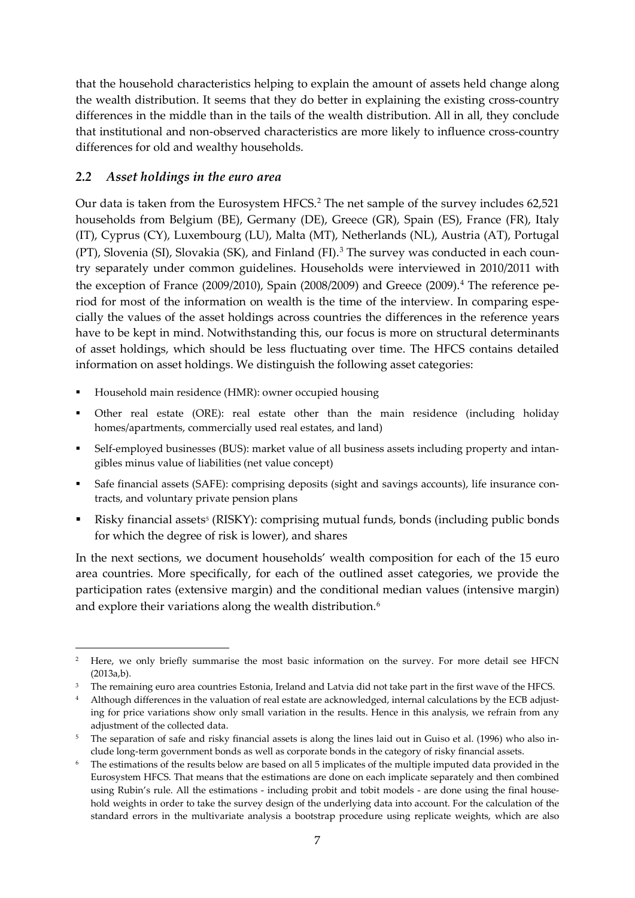that the household characteristics helping to explain the amount of assets held change along the wealth distribution. It seems that they do better in explaining the existing cross-country differences in the middle than in the tails of the wealth distribution. All in all, they conclude that institutional and non-observed characteristics are more likely to influence cross-country differences for old and wealthy households.

#### *2.2 Asset holdings in the euro area*

**.** 

Our data is taken from the Eurosystem HFCS.<sup>[2](#page-8-0)</sup> The net sample of the survey includes 62,521 households from Belgium (BE), Germany (DE), Greece (GR), Spain (ES), France (FR), Italy (IT), Cyprus (CY), Luxembourg (LU), Malta (MT), Netherlands (NL), Austria (AT), Portugal (PT), Slovenia (SI), Slovakia (SK), and Finland (FI).<sup>[3](#page-8-1)</sup> The survey was conducted in each country separately under common guidelines. Households were interviewed in 2010/2011 with the exception of France (2009/2010), Spain (2008/2009) and Greece (2009). $4$  The reference period for most of the information on wealth is the time of the interview. In comparing especially the values of the asset holdings across countries the differences in the reference years have to be kept in mind. Notwithstanding this, our focus is more on structural determinants of asset holdings, which should be less fluctuating over time. The HFCS contains detailed information on asset holdings. We distinguish the following asset categories:

- Household main residence (HMR): owner occupied housing
- Other real estate (ORE): real estate other than the main residence (including holiday homes/apartments, commercially used real estates, and land)
- Self-employed businesses (BUS): market value of all business assets including property and intangibles minus value of liabilities (net value concept)
- Safe financial assets (SAFE): comprising deposits (sight and savings accounts), life insurance contracts, and voluntary private pension plans
- Risky financial assets<sup>[5](#page-8-3)</sup> (RISKY): comprising mutual funds, bonds (including public bonds for which the degree of risk is lower), and shares

In the next sections, we document households' wealth composition for each of the 15 euro area countries. More specifically, for each of the outlined asset categories, we provide the participation rates (extensive margin) and the conditional median values (intensive margin) and explore their variations along the wealth distribution.<sup>[6](#page-8-4)</sup>

<span id="page-8-0"></span><sup>&</sup>lt;sup>2</sup> Here, we only briefly summarise the most basic information on the survey. For more detail see HFCN (2013a,b).

<span id="page-8-1"></span><sup>&</sup>lt;sup>3</sup> The remaining euro area countries Estonia, Ireland and Latvia did not take part in the first wave of the HFCS.

<span id="page-8-2"></span><sup>4</sup> Although differences in the valuation of real estate are acknowledged, internal calculations by the ECB adjusting for price variations show only small variation in the results. Hence in this analysis, we refrain from any adjustment of the collected data.

<span id="page-8-3"></span><sup>5</sup> The separation of safe and risky financial assets is along the lines laid out in Guiso et al. (1996) who also include long-term government bonds as well as corporate bonds in the category of risky financial assets.

<span id="page-8-4"></span>The estimations of the results below are based on all 5 implicates of the multiple imputed data provided in the Eurosystem HFCS. That means that the estimations are done on each implicate separately and then combined using Rubin's rule. All the estimations - including probit and tobit models - are done using the final household weights in order to take the survey design of the underlying data into account. For the calculation of the standard errors in the multivariate analysis a bootstrap procedure using replicate weights, which are also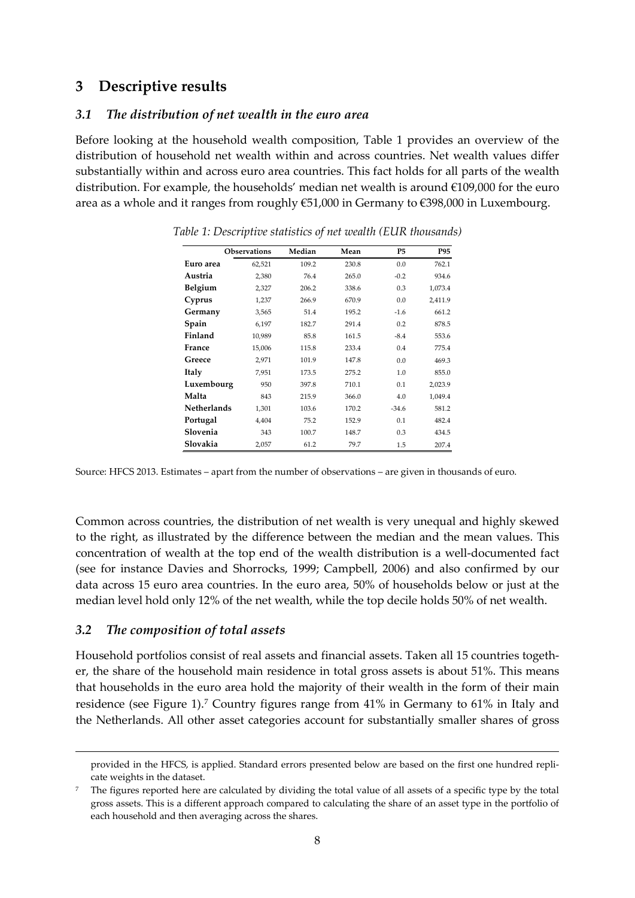### **3 Descriptive results**

#### *3.1 The distribution of net wealth in the euro area*

Before looking at the household wealth composition, Table 1 provides an overview of the distribution of household net wealth within and across countries. Net wealth values differ substantially within and across euro area countries. This fact holds for all parts of the wealth distribution. For example, the households' median net wealth is around €109,000 for the euro area as a whole and it ranges from roughly €51,000 in Germany to €398,000 in Luxembourg.

|                    | <b>Observations</b> | Median | Mean  | P <sub>5</sub> | P95     |
|--------------------|---------------------|--------|-------|----------------|---------|
| Euro area          | 62,521              | 109.2  | 230.8 | 0.0            | 762.1   |
| Austria            | 2,380               | 76.4   | 265.0 | $-0.2$         | 934.6   |
| Belgium            | 2,327               | 206.2  | 338.6 | 0.3            | 1,073.4 |
| Cyprus             | 1,237               | 266.9  | 670.9 | 0.0            | 2,411.9 |
| Germany            | 3,565               | 51.4   | 195.2 | $-1.6$         | 661.2   |
| Spain              | 6,197               | 182.7  | 291.4 | 0.2            | 878.5   |
| Finland            | 10,989              | 85.8   | 161.5 | $-8.4$         | 553.6   |
| France             | 15,006              | 115.8  | 233.4 | 0.4            | 775.4   |
| Greece             | 2,971               | 101.9  | 147.8 | 0.0            | 469.3   |
| Italy              | 7,951               | 173.5  | 275.2 | 1.0            | 855.0   |
| Luxembourg         | 950                 | 397.8  | 710.1 | 0.1            | 2,023.9 |
| Malta              | 843                 | 215.9  | 366.0 | 4.0            | 1,049.4 |
| <b>Netherlands</b> | 1,301               | 103.6  | 170.2 | $-34.6$        | 581.2   |
| Portugal           | 4,404               | 75.2   | 152.9 | 0.1            | 482.4   |
| Slovenia           | 343                 | 100.7  | 148.7 | 0.3            | 434.5   |
| Slovakia           | 2,057               | 61.2   | 79.7  | 1.5            | 207.4   |

*Table 1: Descriptive statistics of net wealth (EUR thousands)*

Source: HFCS 2013. Estimates – apart from the number of observations – are given in thousands of euro.

Common across countries, the distribution of net wealth is very unequal and highly skewed to the right, as illustrated by the difference between the median and the mean values. This concentration of wealth at the top end of the wealth distribution is a well-documented fact (see for instance Davies and Shorrocks, 1999; Campbell, 2006) and also confirmed by our data across 15 euro area countries. In the euro area, 50% of households below or just at the median level hold only 12% of the net wealth, while the top decile holds 50% of net wealth.

#### *3.2 The composition of total assets*

**.** 

Household portfolios consist of real assets and financial assets. Taken all 15 countries together, the share of the household main residence in total gross assets is about 51%. This means that households in the euro area hold the majority of their wealth in the form of their main residence (see Figure 1).<sup>[7](#page-9-0)</sup> Country figures range from 41% in Germany to 61% in Italy and the Netherlands. All other asset categories account for substantially smaller shares of gross

provided in the HFCS, is applied. Standard errors presented below are based on the first one hundred replicate weights in the dataset.

<span id="page-9-0"></span><sup>7</sup> The figures reported here are calculated by dividing the total value of all assets of a specific type by the total gross assets. This is a different approach compared to calculating the share of an asset type in the portfolio of each household and then averaging across the shares.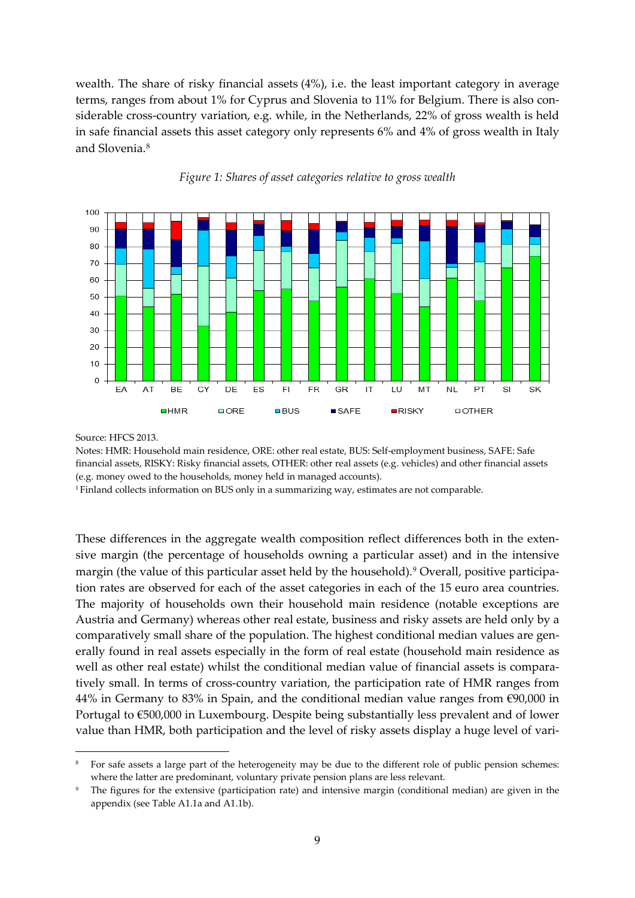wealth. The share of risky financial assets (4%), i.e. the least important category in average terms, ranges from about 1% for Cyprus and Slovenia to 11% for Belgium. There is also considerable cross-country variation, e.g. while, in the Netherlands, 22% of gross wealth is held in safe financial assets this asset category only represents 6% and 4% of gross wealth in Italy and Slovenia.[8](#page-10-0)



#### *Figure 1: Shares of asset categories relative to gross wealth*

Source: HFCS 2013.

**.** 

Notes: HMR: Household main residence, ORE: other real estate, BUS: Self-employment business, SAFE: Safe financial assets, RISKY: Risky financial assets, OTHER: other real assets (e.g. vehicles) and other financial assets (e.g. money owed to the households, money held in managed accounts).

<sup>1</sup> Finland collects information on BUS only in a summarizing way, estimates are not comparable.

These differences in the aggregate wealth composition reflect differences both in the extensive margin (the percentage of households owning a particular asset) and in the intensive margin (the value of this particular asset held by the household).<sup>[9](#page-10-1)</sup> Overall, positive participation rates are observed for each of the asset categories in each of the 15 euro area countries. The majority of households own their household main residence (notable exceptions are Austria and Germany) whereas other real estate, business and risky assets are held only by a comparatively small share of the population. The highest conditional median values are generally found in real assets especially in the form of real estate (household main residence as well as other real estate) whilst the conditional median value of financial assets is comparatively small. In terms of cross-country variation, the participation rate of HMR ranges from 44% in Germany to 83% in Spain, and the conditional median value ranges from  $\epsilon$ 90,000 in Portugal to €500,000 in Luxembourg. Despite being substantially less prevalent and of lower value than HMR, both participation and the level of risky assets display a huge level of vari-

<span id="page-10-0"></span><sup>8</sup> For safe assets a large part of the heterogeneity may be due to the different role of public pension schemes: where the latter are predominant, voluntary private pension plans are less relevant.

<span id="page-10-1"></span><sup>9</sup> The figures for the extensive (participation rate) and intensive margin (conditional median) are given in the appendix (see Table A1.1a and A1.1b).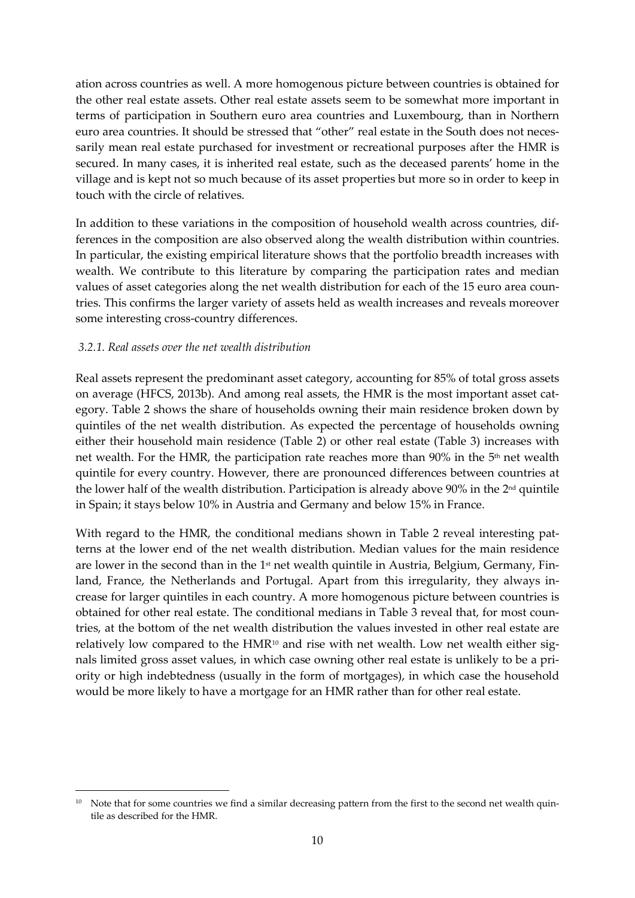ation across countries as well. A more homogenous picture between countries is obtained for the other real estate assets. Other real estate assets seem to be somewhat more important in terms of participation in Southern euro area countries and Luxembourg, than in Northern euro area countries. It should be stressed that "other" real estate in the South does not necessarily mean real estate purchased for investment or recreational purposes after the HMR is secured. In many cases, it is inherited real estate, such as the deceased parents' home in the village and is kept not so much because of its asset properties but more so in order to keep in touch with the circle of relatives.

In addition to these variations in the composition of household wealth across countries, differences in the composition are also observed along the wealth distribution within countries. In particular, the existing empirical literature shows that the portfolio breadth increases with wealth. We contribute to this literature by comparing the participation rates and median values of asset categories along the net wealth distribution for each of the 15 euro area countries. This confirms the larger variety of assets held as wealth increases and reveals moreover some interesting cross-country differences.

#### *3.2.1. Real assets over the net wealth distribution*

**.** 

Real assets represent the predominant asset category, accounting for 85% of total gross assets on average (HFCS, 2013b). And among real assets, the HMR is the most important asset category. Table 2 shows the share of households owning their main residence broken down by quintiles of the net wealth distribution. As expected the percentage of households owning either their household main residence (Table 2) or other real estate (Table 3) increases with net wealth. For the HMR, the participation rate reaches more than 90% in the 5th net wealth quintile for every country. However, there are pronounced differences between countries at the lower half of the wealth distribution. Participation is already above 90% in the 2nd quintile in Spain; it stays below 10% in Austria and Germany and below 15% in France.

With regard to the HMR, the conditional medians shown in Table 2 reveal interesting patterns at the lower end of the net wealth distribution. Median values for the main residence are lower in the second than in the 1<sup>st</sup> net wealth quintile in Austria, Belgium, Germany, Finland, France, the Netherlands and Portugal. Apart from this irregularity, they always increase for larger quintiles in each country. A more homogenous picture between countries is obtained for other real estate. The conditional medians in Table 3 reveal that, for most countries, at the bottom of the net wealth distribution the values invested in other real estate are relatively low compared to the HMR<sup>[10](#page-11-0)</sup> and rise with net wealth. Low net wealth either signals limited gross asset values, in which case owning other real estate is unlikely to be a priority or high indebtedness (usually in the form of mortgages), in which case the household would be more likely to have a mortgage for an HMR rather than for other real estate.

<span id="page-11-0"></span><sup>&</sup>lt;sup>10</sup> Note that for some countries we find a similar decreasing pattern from the first to the second net wealth quintile as described for the HMR.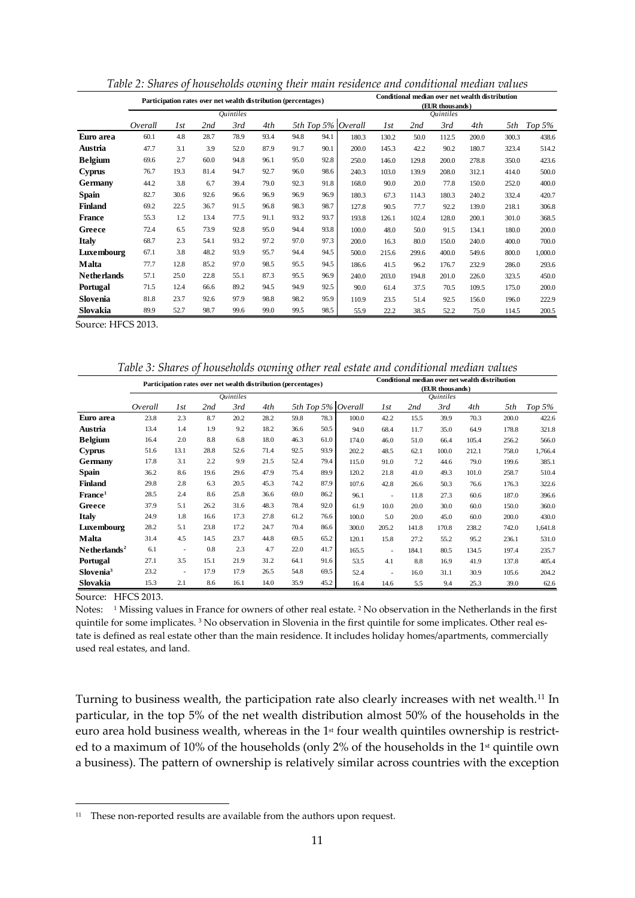|                    |         |      |      |                                |      | Participation rates over net wealth distribution (percentages) |      |                    |       |       | (EUR thousands)                | Conditional median over net wealth distribution |       |         |
|--------------------|---------|------|------|--------------------------------|------|----------------------------------------------------------------|------|--------------------|-------|-------|--------------------------------|-------------------------------------------------|-------|---------|
|                    |         |      |      | <i><u><b>Ouintiles</b></u></i> |      |                                                                |      |                    |       |       | <i><u><b>Ouintiles</b></u></i> |                                                 |       |         |
|                    | Overall | 1st  | 2nd  | 3rd                            | 4th  |                                                                |      | 5th Top 5% Overall | 1st   | 2nd   | 3rd                            | 4th                                             | 5th   | Top~5%  |
| Euro area          | 60.1    | 4.8  | 28.7 | 78.9                           | 93.4 | 94.8                                                           | 94.1 | 180.3              | 130.2 | 50.0  | 112.5                          | 200.0                                           | 300.3 | 438.6   |
| Austria            | 47.7    | 3.1  | 3.9  | 52.0                           | 87.9 | 91.7                                                           | 90.1 | 200.0              | 145.3 | 42.2  | 90.2                           | 180.7                                           | 323.4 | 514.2   |
| <b>Belgium</b>     | 69.6    | 2.7  | 60.0 | 94.8                           | 96.1 | 95.0                                                           | 92.8 | 250.0              | 146.0 | 129.8 | 200.0                          | 278.8                                           | 350.0 | 423.6   |
| Cyprus             | 76.7    | 19.3 | 81.4 | 94.7                           | 92.7 | 96.0                                                           | 98.6 | 240.3              | 103.0 | 139.9 | 208.0                          | 312.1                                           | 414.0 | 500.0   |
| Germany            | 44.2    | 3.8  | 6.7  | 39.4                           | 79.0 | 92.3                                                           | 91.8 | 168.0              | 90.0  | 20.0  | 77.8                           | 150.0                                           | 252.0 | 400.0   |
| Spain              | 82.7    | 30.6 | 92.6 | 96.6                           | 96.9 | 96.9                                                           | 96.9 | 180.3              | 67.3  | 114.3 | 180.3                          | 240.2                                           | 332.4 | 420.7   |
| Finland            | 69.2    | 22.5 | 36.7 | 91.5                           | 96.8 | 98.3                                                           | 98.7 | 127.8              | 90.5  | 77.7  | 92.2                           | 139.0                                           | 218.1 | 306.8   |
| <b>France</b>      | 55.3    | 1.2  | 13.4 | 77.5                           | 91.1 | 93.2                                                           | 93.7 | 193.8              | 126.1 | 102.4 | 128.0                          | 200.1                                           | 301.0 | 368.5   |
| Greece             | 72.4    | 6.5  | 73.9 | 92.8                           | 95.0 | 94.4                                                           | 93.8 | 100.0              | 48.0  | 50.0  | 91.5                           | 134.1                                           | 180.0 | 200.0   |
| Italy              | 68.7    | 2.3  | 54.1 | 93.2                           | 97.2 | 97.0                                                           | 97.3 | 200.0              | 16.3  | 80.0  | 150.0                          | 240.0                                           | 400.0 | 700.0   |
| Luxembourg         | 67.1    | 3.8  | 48.2 | 93.9                           | 95.7 | 94.4                                                           | 94.5 | 500.0              | 215.6 | 299.6 | 400.0                          | 549.6                                           | 800.0 | 1,000.0 |
| Malta              | 77.7    | 12.8 | 85.2 | 97.0                           | 98.5 | 95.5                                                           | 94.5 | 186.6              | 41.5  | 96.2  | 176.7                          | 232.9                                           | 286.0 | 293.6   |
| <b>Netherlands</b> | 57.1    | 25.0 | 22.8 | 55.1                           | 87.3 | 95.5                                                           | 96.9 | 240.0              | 203.0 | 194.8 | 201.0                          | 226.0                                           | 323.5 | 450.0   |
| Portugal           | 71.5    | 12.4 | 66.6 | 89.2                           | 94.5 | 94.9                                                           | 92.5 | 90.0               | 61.4  | 37.5  | 70.5                           | 109.5                                           | 175.0 | 200.0   |
| Slovenia           | 81.8    | 23.7 | 92.6 | 97.9                           | 98.8 | 98.2                                                           | 95.9 | 110.9              | 23.5  | 51.4  | 92.5                           | 156.0                                           | 196.0 | 222.9   |
| Slovakia           | 89.9    | 52.7 | 98.7 | 99.6                           | 99.0 | 99.5                                                           | 98.5 | 55.9               | 22.2  | 38.5  | 52.2                           | 75.0                                            | 114.5 | 200.5   |

*Table 2: Shares of households owning their main residence and conditional median values*

Source: HFCS 2013

*Table 3: Shares of households owning other real estate and conditional median values*

|                          |         |                          | Participation rates over net wealth distribution (percentages) |                                |      |      |      |                    |       |       | (EUR thousands)  | Conditional median over net wealth distribution |       |          |
|--------------------------|---------|--------------------------|----------------------------------------------------------------|--------------------------------|------|------|------|--------------------|-------|-------|------------------|-------------------------------------------------|-------|----------|
|                          |         |                          |                                                                | <i><u><b>Ouintiles</b></u></i> |      |      |      |                    |       |       | <b>Ouintiles</b> |                                                 |       |          |
|                          | Overall | I <sub>st</sub>          | 2nd                                                            | 3rd                            | 4th  |      |      | 5th Top 5% Overall | 1st   | 2nd   | 3rd              | 4th                                             | 5th   | Top $5%$ |
| Euro area                | 23.8    | 2.3                      | 8.7                                                            | 20.2                           | 28.2 | 59.8 | 78.3 | 100.0              | 42.2  | 15.5  | 39.9             | 70.3                                            | 200.0 | 422.6    |
| Austria                  | 13.4    | 1.4                      | 1.9                                                            | 9.2                            | 18.2 | 36.6 | 50.5 | 94.0               | 68.4  | 11.7  | 35.0             | 64.9                                            | 178.8 | 321.8    |
| <b>Belgium</b>           | 16.4    | 2.0                      | 8.8                                                            | 6.8                            | 18.0 | 46.3 | 61.0 | 174.0              | 46.0  | 51.0  | 66.4             | 105.4                                           | 256.2 | 566.0    |
| Cyprus                   | 51.6    | 13.1                     | 28.8                                                           | 52.6                           | 71.4 | 92.5 | 93.9 | 202.2              | 48.5  | 62.1  | 100.0            | 212.1                                           | 758.0 | 1,766.4  |
| Germany                  | 17.8    | 3.1                      | 2.2                                                            | 9.9                            | 21.5 | 52.4 | 79.4 | 115.0              | 91.0  | 7.2   | 44.6             | 79.0                                            | 199.6 | 385.1    |
| Spain                    | 36.2    | 8.6                      | 19.6                                                           | 29.6                           | 47.9 | 75.4 | 89.9 | 120.2              | 21.8  | 41.0  | 49.3             | 101.0                                           | 258.7 | 510.4    |
| <b>Finland</b>           | 29.8    | 2.8                      | 6.3                                                            | 20.5                           | 45.3 | 74.2 | 87.9 | 107.6              | 42.8  | 26.6  | 50.3             | 76.6                                            | 176.3 | 322.6    |
| France <sup>1</sup>      | 28.5    | 2.4                      | 8.6                                                            | 25.8                           | 36.6 | 69.0 | 86.2 | 96.1               | ٠     | 11.8  | 27.3             | 60.6                                            | 187.0 | 396.6    |
| Greece                   | 37.9    | 5.1                      | 26.2                                                           | 31.6                           | 48.3 | 78.4 | 92.0 | 61.9               | 10.0  | 20.0  | 30.0             | 60.0                                            | 150.0 | 360.0    |
| <b>Italy</b>             | 24.9    | 1.8                      | 16.6                                                           | 17.3                           | 27.8 | 61.2 | 76.6 | 100.0              | 5.0   | 20.0  | 45.0             | 60.0                                            | 200.0 | 430.0    |
| Luxembourg               | 28.2    | 5.1                      | 23.8                                                           | 17.2                           | 24.7 | 70.4 | 86.6 | 300.0              | 205.2 | 141.8 | 170.8            | 238.2                                           | 742.0 | 1,641.8  |
| Malta                    | 31.4    | 4.5                      | 14.5                                                           | 23.7                           | 44.8 | 69.5 | 65.2 | 120.1              | 15.8  | 27.2  | 55.2             | 95.2                                            | 236.1 | 531.0    |
| Netherlands <sup>2</sup> | 6.1     | $\overline{\phantom{a}}$ | 0.8                                                            | 2.3                            | 4.7  | 22.0 | 41.7 | 165.5              | ٠     | 184.1 | 80.5             | 134.5                                           | 197.4 | 235.7    |
| Portugal                 | 27.1    | 3.5                      | 15.1                                                           | 21.9                           | 31.2 | 64.1 | 91.6 | 53.5               | 4.1   | 8.8   | 16.9             | 41.9                                            | 137.8 | 405.4    |
| Slovenia <sup>3</sup>    | 23.2    | $\overline{\phantom{a}}$ | 17.9                                                           | 17.9                           | 26.5 | 54.8 | 69.5 | 52.4               |       | 16.0  | 31.1             | 30.9                                            | 105.6 | 204.2    |
| Slovakia                 | 15.3    | 2.1                      | 8.6                                                            | 16.1                           | 14.0 | 35.9 | 45.2 | 16.4               | 14.6  | 5.5   | 9.4              | 25.3                                            | 39.0  | 62.6     |

Source: HFCS 2013.

 $\overline{\phantom{a}}$ 

Notes: <sup>1</sup> Missing values in France for owners of other real estate. <sup>2</sup> No observation in the Netherlands in the first quintile for some implicates. <sup>3</sup> No observation in Slovenia in the first quintile for some implicates. Other real estate is defined as real estate other than the main residence. It includes holiday homes/apartments, commercially used real estates, and land.

Turning to business wealth, the participation rate also clearly increases with net wealth.<sup>[11](#page-12-0)</sup> In particular, in the top 5% of the net wealth distribution almost 50% of the households in the euro area hold business wealth, whereas in the 1<sup>st</sup> four wealth quintiles ownership is restricted to a maximum of 10% of the households (only 2% of the households in the 1<sup>st</sup> quintile own a business). The pattern of ownership is relatively similar across countries with the exception

<span id="page-12-0"></span><sup>&</sup>lt;sup>11</sup> These non-reported results are available from the authors upon request.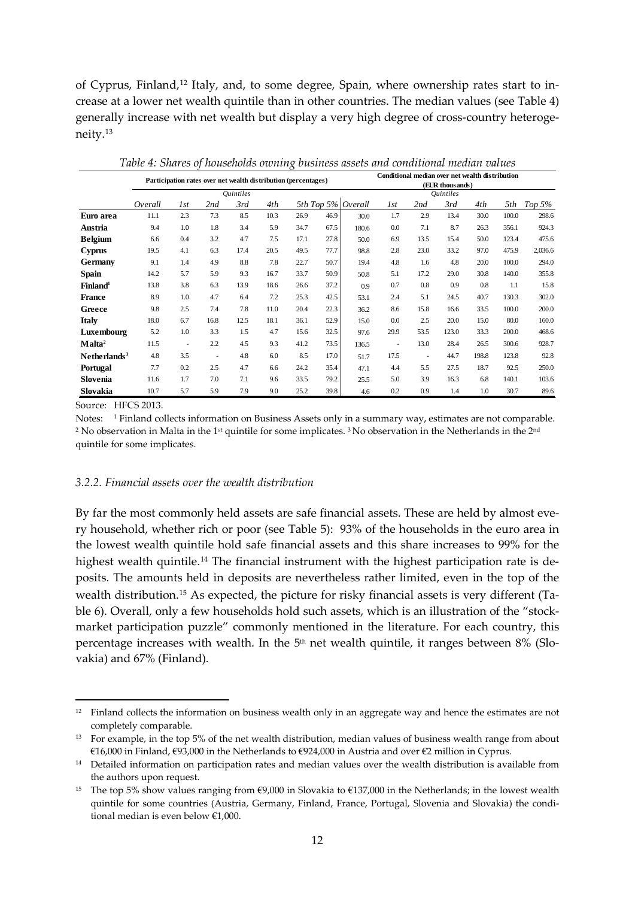of Cyprus, Finland,[12](#page-13-0) Italy, and, to some degree, Spain, where ownership rates start to increase at a lower net wealth quintile than in other countries. The median values (see Table 4) generally increase with net wealth but display a very high degree of cross-country heterogeneity.[13](#page-13-1)

|                             |         |     |                          | Participation rates over net wealth distribution (percentages) |      |      |      |                    |                | Conditional median over net wealth distribution | (EUR thousands) |       |       |            |
|-----------------------------|---------|-----|--------------------------|----------------------------------------------------------------|------|------|------|--------------------|----------------|-------------------------------------------------|-----------------|-------|-------|------------|
|                             |         |     |                          | Quintiles                                                      |      |      |      |                    |                |                                                 | Quintiles       |       |       |            |
|                             | Overall | 1st | 2nd                      | 3rd                                                            | 4th  |      |      | 5th Top 5% Overall | $I_{st}$       | 2nd                                             | 3rd             | 4th   | 5th   | $Top\,5\%$ |
| Euro area                   | 11.1    | 2.3 | 7.3                      | 8.5                                                            | 10.3 | 26.9 | 46.9 | 30.0               | 1.7            | 2.9                                             | 13.4            | 30.0  | 100.0 | 298.6      |
| Austria                     | 9.4     | 1.0 | 1.8                      | 3.4                                                            | 5.9  | 34.7 | 67.5 | 180.6              | 0.0            | 7.1                                             | 8.7             | 26.3  | 356.1 | 924.3      |
| <b>Belgium</b>              | 6.6     | 0.4 | 3.2                      | 4.7                                                            | 7.5  | 17.1 | 27.8 | 50.0               | 6.9            | 13.5                                            | 15.4            | 50.0  | 123.4 | 475.6      |
| <b>Cyprus</b>               | 19.5    | 4.1 | 6.3                      | 17.4                                                           | 20.5 | 49.5 | 77.7 | 98.8               | 2.8            | 23.0                                            | 33.2            | 97.0  | 475.9 | 2,036.6    |
| Germany                     | 9.1     | 1.4 | 4.9                      | 8.8                                                            | 7.8  | 22.7 | 50.7 | 19.4               | 4.8            | 1.6                                             | 4.8             | 20.0  | 100.0 | 294.0      |
| Spain                       | 14.2    | 5.7 | 5.9                      | 9.3                                                            | 16.7 | 33.7 | 50.9 | 50.8               | 5.1            | 17.2                                            | 29.0            | 30.8  | 140.0 | 355.8      |
| Finland <sup>1</sup>        | 13.8    | 3.8 | 6.3                      | 13.9                                                           | 18.6 | 26.6 | 37.2 | 0.9                | 0.7            | 0.8                                             | 0.9             | 0.8   | 1.1   | 15.8       |
| <b>France</b>               | 8.9     | 1.0 | 4.7                      | 6.4                                                            | 7.2  | 25.3 | 42.5 | 53.1               | 2.4            | 5.1                                             | 24.5            | 40.7  | 130.3 | 302.0      |
| Greece                      | 9.8     | 2.5 | 7.4                      | 7.8                                                            | 11.0 | 20.4 | 22.3 | 36.2               | 8.6            | 15.8                                            | 16.6            | 33.5  | 100.0 | 200.0      |
| <b>Italy</b>                | 18.0    | 6.7 | 16.8                     | 12.5                                                           | 18.1 | 36.1 | 52.9 | 15.0               | 0.0            | 2.5                                             | 20.0            | 15.0  | 80.0  | 160.0      |
| Luxembourg                  | 5.2     | 1.0 | 3.3                      | 1.5                                                            | 4.7  | 15.6 | 32.5 | 97.6               | 29.9           | 53.5                                            | 123.0           | 33.3  | 200.0 | 468.6      |
| $M$ alta <sup>2</sup>       | 11.5    | ÷   | 2.2                      | 4.5                                                            | 9.3  | 41.2 | 73.5 | 136.5              | $\blacksquare$ | 13.0                                            | 28.4            | 26.5  | 300.6 | 928.7      |
| $N$ etherlands <sup>3</sup> | 4.8     | 3.5 | $\overline{\phantom{a}}$ | 4.8                                                            | 6.0  | 8.5  | 17.0 | 51.7               | 17.5           | ٠                                               | 44.7            | 198.8 | 123.8 | 92.8       |
| Portugal                    | 7.7     | 0.2 | 2.5                      | 4.7                                                            | 6.6  | 24.2 | 35.4 | 47.1               | 4.4            | 5.5                                             | 27.5            | 18.7  | 92.5  | 250.0      |
| Slovenia                    | 11.6    | 1.7 | 7.0                      | 7.1                                                            | 9.6  | 33.5 | 79.2 | 25.5               | 5.0            | 3.9                                             | 16.3            | 6.8   | 140.1 | 103.6      |
| Slovakia                    | 10.7    | 5.7 | 5.9                      | 7.9                                                            | 9.0  | 25.2 | 39.8 | 4.6                | 0.2            | 0.9                                             | 1.4             | 1.0   | 30.7  | 89.6       |

*Table 4: Shares of households owning business assets and conditional median values*

Source: HFCS 2013.

1

Notes: <sup>1</sup> Finland collects information on Business Assets only in a summary way, estimates are not comparable. <sup>2</sup> No observation in Malta in the 1<sup>st</sup> quintile for some implicates.<sup>3</sup> No observation in the Netherlands in the  $2<sup>nd</sup>$ quintile for some implicates.

#### *3.2.2. Financial assets over the wealth distribution*

By far the most commonly held assets are safe financial assets. These are held by almost every household, whether rich or poor (see Table 5): 93% of the households in the euro area in the lowest wealth quintile hold safe financial assets and this share increases to 99% for the highest wealth quintile.<sup>[14](#page-13-2)</sup> The financial instrument with the highest participation rate is deposits. The amounts held in deposits are nevertheless rather limited, even in the top of the wealth distribution.[15](#page-13-3) As expected, the picture for risky financial assets is very different (Table 6). Overall, only a few households hold such assets, which is an illustration of the "stockmarket participation puzzle" commonly mentioned in the literature. For each country, this percentage increases with wealth. In the 5<sup>th</sup> net wealth quintile, it ranges between 8% (Slovakia) and 67% (Finland).

<span id="page-13-0"></span><sup>&</sup>lt;sup>12</sup> Finland collects the information on business wealth only in an aggregate way and hence the estimates are not completely comparable.

<span id="page-13-1"></span><sup>&</sup>lt;sup>13</sup> For example, in the top 5% of the net wealth distribution, median values of business wealth range from about €16,000 in Finland, €93,000 in the Netherlands to €924,000 in Austria and over €2 million in Cyprus.

<span id="page-13-2"></span><sup>&</sup>lt;sup>14</sup> Detailed information on participation rates and median values over the wealth distribution is available from the authors upon request.

<span id="page-13-3"></span><sup>&</sup>lt;sup>15</sup> The top 5% show values ranging from  $\epsilon$ 9,000 in Slovakia to  $\epsilon$ 137,000 in the Netherlands; in the lowest wealth quintile for some countries (Austria, Germany, Finland, France, Portugal, Slovenia and Slovakia) the conditional median is even below €1,000.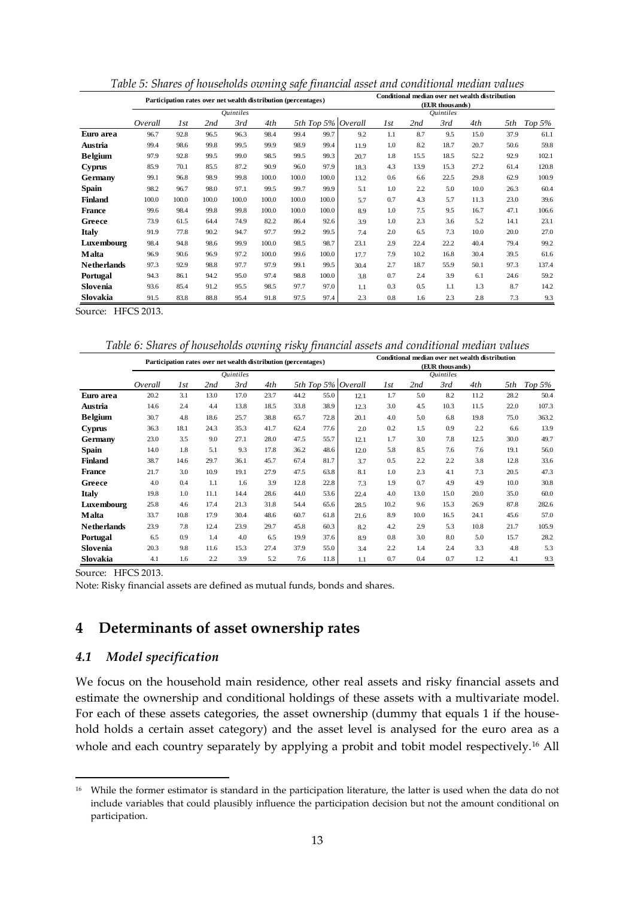|                    |         |                 | Participation rates over net wealth distribution (percentages) |                                |       |       |       |                    |     |      | (EUR thousands)                | Conditional median over net wealth distribution |      |            |
|--------------------|---------|-----------------|----------------------------------------------------------------|--------------------------------|-------|-------|-------|--------------------|-----|------|--------------------------------|-------------------------------------------------|------|------------|
|                    |         |                 |                                                                | <i><u><b>Ouintiles</b></u></i> |       |       |       |                    |     |      | <i><u><b>Ouintiles</b></u></i> |                                                 |      |            |
|                    | Overall | I <sub>st</sub> | 2nd                                                            | 3rd                            | 4th   |       |       | 5th Top 5% Overall | 1st | 2nd  | 3rd                            | 4th                                             | 5th  | $Top\,5\%$ |
| Euro area          | 96.7    | 92.8            | 96.5                                                           | 96.3                           | 98.4  | 99.4  | 99.7  | 9.2                | 1.1 | 8.7  | 9.5                            | 15.0                                            | 37.9 | 61.1       |
| Austria            | 99.4    | 98.6            | 99.8                                                           | 99.5                           | 99.9  | 98.9  | 99.4  | 11.9               | 1.0 | 8.2  | 18.7                           | 20.7                                            | 50.6 | 59.8       |
| <b>Belgium</b>     | 97.9    | 92.8            | 99.5                                                           | 99.0                           | 98.5  | 99.5  | 99.3  | 20.7               | 1.8 | 15.5 | 18.5                           | 52.2                                            | 92.9 | 102.1      |
| <b>Cyprus</b>      | 85.9    | 70.1            | 85.5                                                           | 87.2                           | 90.9  | 96.0  | 97.9  | 18.3               | 4.3 | 13.9 | 15.3                           | 27.2                                            | 61.4 | 120.8      |
| Germany            | 99.1    | 96.8            | 98.9                                                           | 99.8                           | 100.0 | 100.0 | 100.0 | 13.2               | 0.6 | 6.6  | 22.5                           | 29.8                                            | 62.9 | 100.9      |
| Spain              | 98.2    | 96.7            | 98.0                                                           | 97.1                           | 99.5  | 99.7  | 99.9  | 5.1                | 1.0 | 2.2  | 5.0                            | 10.0                                            | 26.3 | 60.4       |
| <b>Finland</b>     | 100.0   | 100.0           | 100.0                                                          | 100.0                          | 100.0 | 100.0 | 100.0 | 5.7                | 0.7 | 4.3  | 5.7                            | 11.3                                            | 23.0 | 39.6       |
| <b>France</b>      | 99.6    | 98.4            | 99.8                                                           | 99.8                           | 100.0 | 100.0 | 100.0 | 8.9                | 1.0 | 7.5  | 9.5                            | 16.7                                            | 47.1 | 106.6      |
| Greece             | 73.9    | 61.5            | 64.4                                                           | 74.9                           | 82.2  | 86.4  | 92.6  | 3.9                | 1.0 | 2.3  | 3.6                            | 5.2                                             | 14.1 | 23.1       |
| <b>Italy</b>       | 91.9    | 77.8            | 90.2                                                           | 94.7                           | 97.7  | 99.2  | 99.5  | 7.4                | 2.0 | 6.5  | 7.3                            | 10.0                                            | 20.0 | 27.0       |
| Luxembourg         | 98.4    | 94.8            | 98.6                                                           | 99.9                           | 100.0 | 98.5  | 98.7  | 23.1               | 2.9 | 22.4 | 22.2                           | 40.4                                            | 79.4 | 99.2       |
| Malta              | 96.9    | 90.6            | 96.9                                                           | 97.2                           | 100.0 | 99.6  | 100.0 | 17.7               | 7.9 | 10.2 | 16.8                           | 30.4                                            | 39.5 | 61.6       |
| <b>Netherlands</b> | 97.3    | 92.9            | 98.8                                                           | 97.7                           | 97.9  | 99.1  | 99.5  | 30.4               | 2.7 | 18.7 | 55.9                           | 50.1                                            | 97.3 | 137.4      |
| Portugal           | 94.3    | 86.1            | 94.2                                                           | 95.0                           | 97.4  | 98.8  | 100.0 | 3.8                | 0.7 | 2.4  | 3.9                            | 6.1                                             | 24.6 | 59.2       |
| Slovenia           | 93.6    | 85.4            | 91.2                                                           | 95.5                           | 98.5  | 97.7  | 97.0  | 1.1                | 0.3 | 0.5  | 1.1                            | 1.3                                             | 8.7  | 14.2       |
| Slovakia           | 91.5    | 83.8            | 88.8                                                           | 95.4                           | 91.8  | 97.5  | 97.4  | 2.3                | 0.8 | 1.6  | 2.3                            | 2.8                                             | 7.3  | 9.3        |

*Table 5: Shares of households owning safe financial asset and conditional median values*

Source: HFCS 2013.

*Table 6: Shares of households owning risky financial assets and conditional median values*

|                    |         |      | Participation rates over net wealth distribution (percentages) |                                |      |      |      |                    |      |      | (EUR thousands)                | Conditional median over net wealth distribution |      |            |
|--------------------|---------|------|----------------------------------------------------------------|--------------------------------|------|------|------|--------------------|------|------|--------------------------------|-------------------------------------------------|------|------------|
|                    |         |      |                                                                | <i><u><b>Ouintiles</b></u></i> |      |      |      |                    |      |      | <i><u><b>Ouintiles</b></u></i> |                                                 |      |            |
|                    | Overall | 1st  | 2nd                                                            | 3rd                            | 4th  |      |      | 5th Top 5% Overall | 1st  | 2nd  | 3rd                            | 4th                                             | 5th  | $Top\,5\%$ |
| Euro area          | 20.2    | 3.1  | 13.0                                                           | 17.0                           | 23.7 | 44.2 | 55.0 | 12.1               | 1.7  | 5.0  | 8.2                            | 11.2                                            | 28.2 | 50.4       |
| Austria            | 14.6    | 2.4  | 4.4                                                            | 13.8                           | 18.5 | 33.8 | 38.9 | 12.3               | 3.0  | 4.5  | 10.3                           | 11.5                                            | 22.0 | 107.3      |
| <b>Belgium</b>     | 30.7    | 4.8  | 18.6                                                           | 25.7                           | 38.8 | 65.7 | 72.8 | 20.1               | 4.0  | 5.0  | 6.8                            | 19.8                                            | 75.0 | 363.2      |
| <b>Cyprus</b>      | 36.3    | 18.1 | 24.3                                                           | 35.3                           | 41.7 | 62.4 | 77.6 | 2.0                | 0.2  | 1.5  | 0.9                            | 2.2                                             | 6.6  | 13.9       |
| Germany            | 23.0    | 3.5  | 9.0                                                            | 27.1                           | 28.0 | 47.5 | 55.7 | 12.1               | 1.7  | 3.0  | 7.8                            | 12.5                                            | 30.0 | 49.7       |
| Spain              | 14.0    | 1.8  | 5.1                                                            | 9.3                            | 17.8 | 36.2 | 48.6 | 12.0               | 5.8  | 8.5  | 7.6                            | 7.6                                             | 19.1 | 56.0       |
| <b>Finland</b>     | 38.7    | 14.6 | 29.7                                                           | 36.1                           | 45.7 | 67.4 | 81.7 | 3.7                | 0.5  | 2.2  | 2.2                            | 3.8                                             | 12.8 | 33.6       |
| <b>France</b>      | 21.7    | 3.0  | 10.9                                                           | 19.1                           | 27.9 | 47.5 | 63.8 | 8.1                | 1.0  | 2.3  | 4.1                            | 7.3                                             | 20.5 | 47.3       |
| Greece             | 4.0     | 0.4  | 1.1                                                            | 1.6                            | 3.9  | 12.8 | 22.8 | 7.3                | 1.9  | 0.7  | 4.9                            | 4.9                                             | 10.0 | 30.8       |
| <b>Italy</b>       | 19.8    | 1.0  | 11.1                                                           | 14.4                           | 28.6 | 44.0 | 53.6 | 22.4               | 4.0  | 13.0 | 15.0                           | 20.0                                            | 35.0 | 60.0       |
| Luxembourg         | 25.8    | 4.6  | 17.4                                                           | 21.3                           | 31.8 | 54.4 | 65.6 | 28.5               | 10.2 | 9.6  | 15.3                           | 26.9                                            | 87.8 | 282.6      |
| Malta              | 33.7    | 10.8 | 17.9                                                           | 30.4                           | 48.6 | 60.7 | 61.8 | 21.6               | 8.9  | 10.0 | 16.5                           | 24.1                                            | 45.6 | 57.0       |
| <b>Netherlands</b> | 23.9    | 7.8  | 12.4                                                           | 23.9                           | 29.7 | 45.8 | 60.3 | 8.2                | 4.2  | 2.9  | 5.3                            | 10.8                                            | 21.7 | 105.9      |
| Portugal           | 6.5     | 0.9  | 1.4                                                            | 4.0                            | 6.5  | 19.9 | 37.6 | 8.9                | 0.8  | 3.0  | 8.0                            | 5.0                                             | 15.7 | 28.2       |
| Slovenia           | 20.3    | 9.8  | 11.6                                                           | 15.3                           | 27.4 | 37.9 | 55.0 | 3.4                | 2.2  | 1.4  | 2.4                            | 3.3                                             | 4.8  | 5.3        |
| Slovakia           | 4.1     | 1.6  | 2.2                                                            | 3.9                            | 5.2  | 7.6  | 11.8 | 1.1                | 0.7  | 0.4  | 0.7                            | 1.2                                             | 4.1  | 9.3        |

Source: HFCS 2013.

**.** 

Note: Risky financial assets are defined as mutual funds, bonds and shares.

#### **4 Determinants of asset ownership rates**

#### *4.1 Model specification*

We focus on the household main residence, other real assets and risky financial assets and estimate the ownership and conditional holdings of these assets with a multivariate model. For each of these assets categories, the asset ownership (dummy that equals 1 if the household holds a certain asset category) and the asset level is analysed for the euro area as a whole and each country separately by applying a probit and tobit model respectively.<sup>[16](#page-14-0)</sup> All

<span id="page-14-0"></span><sup>&</sup>lt;sup>16</sup> While the former estimator is standard in the participation literature, the latter is used when the data do not include variables that could plausibly influence the participation decision but not the amount conditional on participation.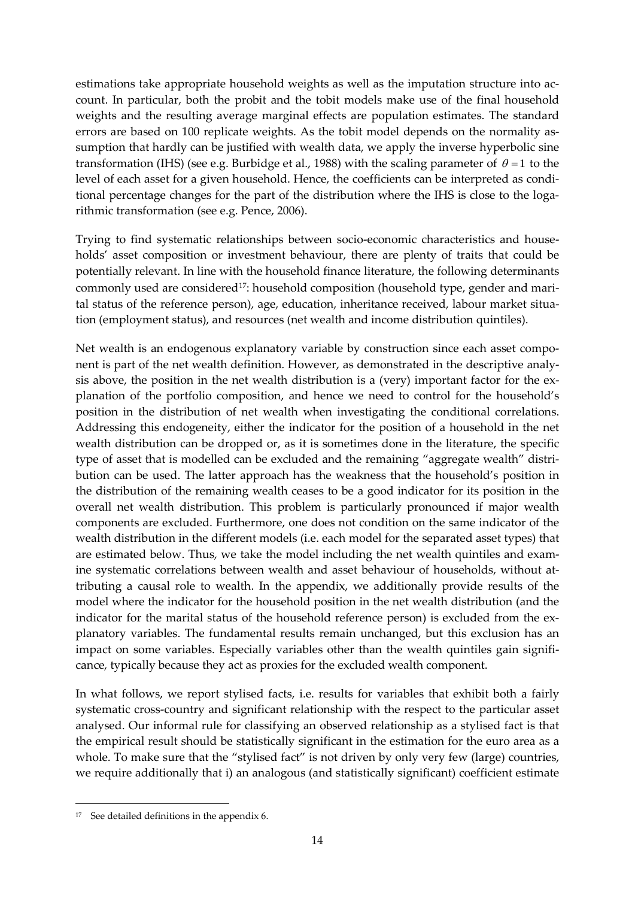estimations take appropriate household weights as well as the imputation structure into account. In particular, both the probit and the tobit models make use of the final household weights and the resulting average marginal effects are population estimates. The standard errors are based on 100 replicate weights. As the tobit model depends on the normality assumption that hardly can be justified with wealth data, we apply the inverse hyperbolic sine transformation (IHS) (see e.g. Burbidge et al., 1988) with the scaling parameter of  $\theta = 1$  to the level of each asset for a given household. Hence, the coefficients can be interpreted as conditional percentage changes for the part of the distribution where the IHS is close to the logarithmic transformation (see e.g. Pence, 2006).

Trying to find systematic relationships between socio-economic characteristics and households' asset composition or investment behaviour, there are plenty of traits that could be potentially relevant. In line with the household finance literature, the following determinants commonly used are considered<sup>[17](#page-15-0)</sup>: household composition (household type, gender and marital status of the reference person), age, education, inheritance received, labour market situation (employment status), and resources (net wealth and income distribution quintiles).

Net wealth is an endogenous explanatory variable by construction since each asset component is part of the net wealth definition. However, as demonstrated in the descriptive analysis above, the position in the net wealth distribution is a (very) important factor for the explanation of the portfolio composition, and hence we need to control for the household's position in the distribution of net wealth when investigating the conditional correlations. Addressing this endogeneity, either the indicator for the position of a household in the net wealth distribution can be dropped or, as it is sometimes done in the literature, the specific type of asset that is modelled can be excluded and the remaining "aggregate wealth" distribution can be used. The latter approach has the weakness that the household's position in the distribution of the remaining wealth ceases to be a good indicator for its position in the overall net wealth distribution. This problem is particularly pronounced if major wealth components are excluded. Furthermore, one does not condition on the same indicator of the wealth distribution in the different models (i.e. each model for the separated asset types) that are estimated below. Thus, we take the model including the net wealth quintiles and examine systematic correlations between wealth and asset behaviour of households, without attributing a causal role to wealth. In the appendix, we additionally provide results of the model where the indicator for the household position in the net wealth distribution (and the indicator for the marital status of the household reference person) is excluded from the explanatory variables. The fundamental results remain unchanged, but this exclusion has an impact on some variables. Especially variables other than the wealth quintiles gain significance, typically because they act as proxies for the excluded wealth component.

In what follows, we report stylised facts, i.e. results for variables that exhibit both a fairly systematic cross-country and significant relationship with the respect to the particular asset analysed. Our informal rule for classifying an observed relationship as a stylised fact is that the empirical result should be statistically significant in the estimation for the euro area as a whole. To make sure that the "stylised fact" is not driven by only very few (large) countries, we require additionally that i) an analogous (and statistically significant) coefficient estimate

 $\overline{\phantom{a}}$ 

<span id="page-15-0"></span><sup>&</sup>lt;sup>17</sup> See detailed definitions in the appendix 6.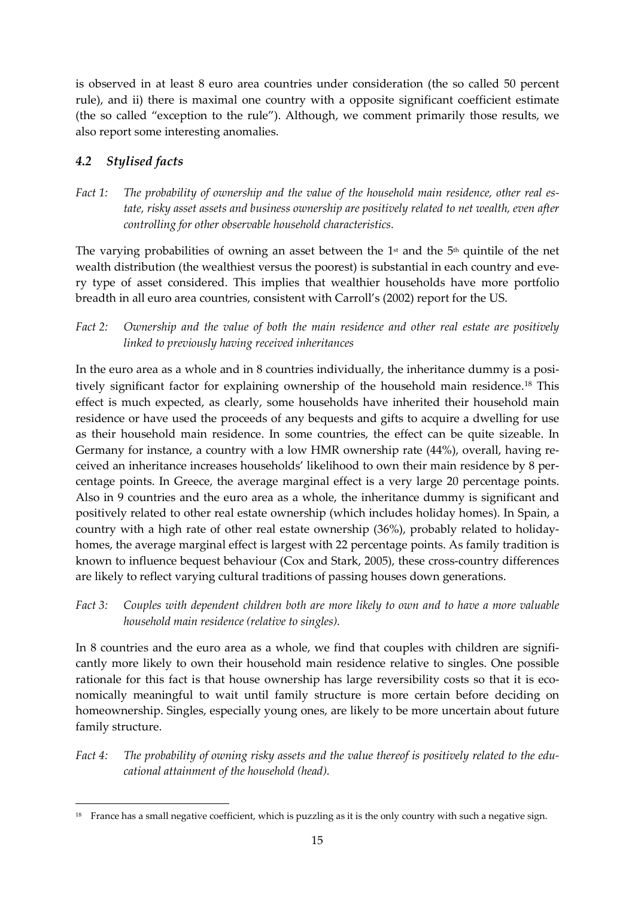is observed in at least 8 euro area countries under consideration (the so called 50 percent rule), and ii) there is maximal one country with a opposite significant coefficient estimate (the so called "exception to the rule"). Although, we comment primarily those results, we also report some interesting anomalies.

#### *4.2 Stylised facts*

 $\overline{\phantom{a}}$ 

*Fact 1: The probability of ownership and the value of the household main residence, other real estate, risky asset assets and business ownership are positively related to net wealth, even after controlling for other observable household characteristics.* 

The varying probabilities of owning an asset between the  $1<sup>st</sup>$  and the  $5<sup>th</sup>$  quintile of the net wealth distribution (the wealthiest versus the poorest) is substantial in each country and every type of asset considered. This implies that wealthier households have more portfolio breadth in all euro area countries, consistent with Carroll's (2002) report for the US.

*Fact 2: Ownership and the value of both the main residence and other real estate are positively linked to previously having received inheritances* 

In the euro area as a whole and in 8 countries individually, the inheritance dummy is a positively significant factor for explaining ownership of the household main residence. [18](#page-16-0) This effect is much expected, as clearly, some households have inherited their household main residence or have used the proceeds of any bequests and gifts to acquire a dwelling for use as their household main residence. In some countries, the effect can be quite sizeable. In Germany for instance, a country with a low HMR ownership rate (44%), overall, having received an inheritance increases households' likelihood to own their main residence by 8 percentage points. In Greece, the average marginal effect is a very large 20 percentage points. Also in 9 countries and the euro area as a whole, the inheritance dummy is significant and positively related to other real estate ownership (which includes holiday homes). In Spain, a country with a high rate of other real estate ownership (36%), probably related to holidayhomes, the average marginal effect is largest with 22 percentage points. As family tradition is known to influence bequest behaviour (Cox and Stark, 2005), these cross-country differences are likely to reflect varying cultural traditions of passing houses down generations.

*Fact 3: Couples with dependent children both are more likely to own and to have a more valuable household main residence (relative to singles).* 

In 8 countries and the euro area as a whole, we find that couples with children are significantly more likely to own their household main residence relative to singles. One possible rationale for this fact is that house ownership has large reversibility costs so that it is economically meaningful to wait until family structure is more certain before deciding on homeownership. Singles, especially young ones, are likely to be more uncertain about future family structure.

*Fact 4: The probability of owning risky assets and the value thereof is positively related to the educational attainment of the household (head).*

<span id="page-16-0"></span><sup>&</sup>lt;sup>18</sup> France has a small negative coefficient, which is puzzling as it is the only country with such a negative sign.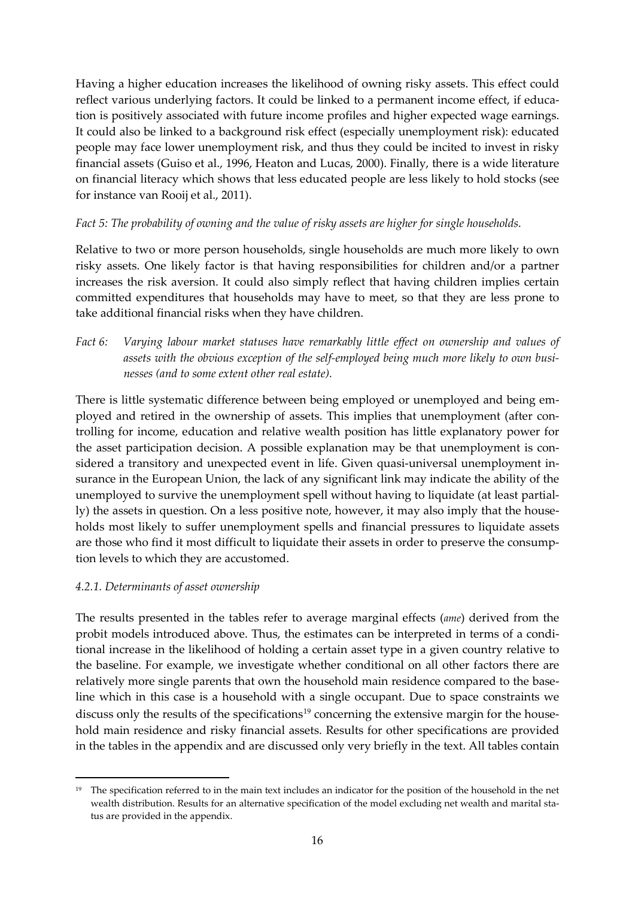Having a higher education increases the likelihood of owning risky assets. This effect could reflect various underlying factors. It could be linked to a permanent income effect, if education is positively associated with future income profiles and higher expected wage earnings. It could also be linked to a background risk effect (especially unemployment risk): educated people may face lower unemployment risk, and thus they could be incited to invest in risky financial assets (Guiso et al., 1996, Heaton and Lucas, 2000). Finally, there is a wide literature on financial literacy which shows that less educated people are less likely to hold stocks (see for instance van Rooij et al., 2011).

#### *Fact 5: The probability of owning and the value of risky assets are higher for single households.*

Relative to two or more person households, single households are much more likely to own risky assets. One likely factor is that having responsibilities for children and/or a partner increases the risk aversion. It could also simply reflect that having children implies certain committed expenditures that households may have to meet, so that they are less prone to take additional financial risks when they have children.

*Fact 6: Varying labour market statuses have remarkably little effect on ownership and values of assets with the obvious exception of the self-employed being much more likely to own businesses (and to some extent other real estate).*

There is little systematic difference between being employed or unemployed and being employed and retired in the ownership of assets. This implies that unemployment (after controlling for income, education and relative wealth position has little explanatory power for the asset participation decision. A possible explanation may be that unemployment is considered a transitory and unexpected event in life. Given quasi-universal unemployment insurance in the European Union, the lack of any significant link may indicate the ability of the unemployed to survive the unemployment spell without having to liquidate (at least partially) the assets in question. On a less positive note, however, it may also imply that the households most likely to suffer unemployment spells and financial pressures to liquidate assets are those who find it most difficult to liquidate their assets in order to preserve the consumption levels to which they are accustomed.

#### *4.2.1. Determinants of asset ownership*

**.** 

The results presented in the tables refer to average marginal effects (*ame*) derived from the probit models introduced above. Thus, the estimates can be interpreted in terms of a conditional increase in the likelihood of holding a certain asset type in a given country relative to the baseline. For example, we investigate whether conditional on all other factors there are relatively more single parents that own the household main residence compared to the baseline which in this case is a household with a single occupant. Due to space constraints we discuss only the results of the specifications<sup>[19](#page-17-0)</sup> concerning the extensive margin for the household main residence and risky financial assets. Results for other specifications are provided in the tables in the appendix and are discussed only very briefly in the text. All tables contain

<span id="page-17-0"></span><sup>&</sup>lt;sup>19</sup> The specification referred to in the main text includes an indicator for the position of the household in the net wealth distribution. Results for an alternative specification of the model excluding net wealth and marital status are provided in the appendix.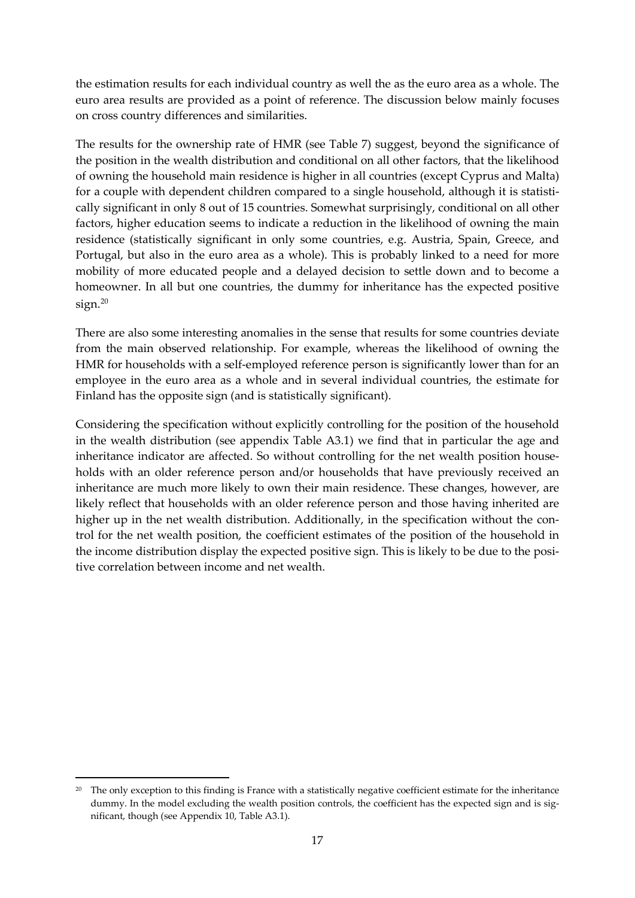the estimation results for each individual country as well the as the euro area as a whole. The euro area results are provided as a point of reference. The discussion below mainly focuses on cross country differences and similarities.

The results for the ownership rate of HMR (see Table 7) suggest, beyond the significance of the position in the wealth distribution and conditional on all other factors, that the likelihood of owning the household main residence is higher in all countries (except Cyprus and Malta) for a couple with dependent children compared to a single household, although it is statistically significant in only 8 out of 15 countries. Somewhat surprisingly, conditional on all other factors, higher education seems to indicate a reduction in the likelihood of owning the main residence (statistically significant in only some countries, e.g. Austria, Spain, Greece, and Portugal, but also in the euro area as a whole). This is probably linked to a need for more mobility of more educated people and a delayed decision to settle down and to become a homeowner. In all but one countries, the dummy for inheritance has the expected positive  $sign.<sup>20</sup>$  $sign.<sup>20</sup>$  $sign.<sup>20</sup>$ 

There are also some interesting anomalies in the sense that results for some countries deviate from the main observed relationship. For example, whereas the likelihood of owning the HMR for households with a self-employed reference person is significantly lower than for an employee in the euro area as a whole and in several individual countries, the estimate for Finland has the opposite sign (and is statistically significant).

Considering the specification without explicitly controlling for the position of the household in the wealth distribution (see appendix Table A3.1) we find that in particular the age and inheritance indicator are affected. So without controlling for the net wealth position households with an older reference person and/or households that have previously received an inheritance are much more likely to own their main residence. These changes, however, are likely reflect that households with an older reference person and those having inherited are higher up in the net wealth distribution. Additionally, in the specification without the control for the net wealth position, the coefficient estimates of the position of the household in the income distribution display the expected positive sign. This is likely to be due to the positive correlation between income and net wealth.

**.** 

<span id="page-18-0"></span><sup>&</sup>lt;sup>20</sup> The only exception to this finding is France with a statistically negative coefficient estimate for the inheritance dummy. In the model excluding the wealth position controls, the coefficient has the expected sign and is significant, though (see Appendix 10, Table A3.1).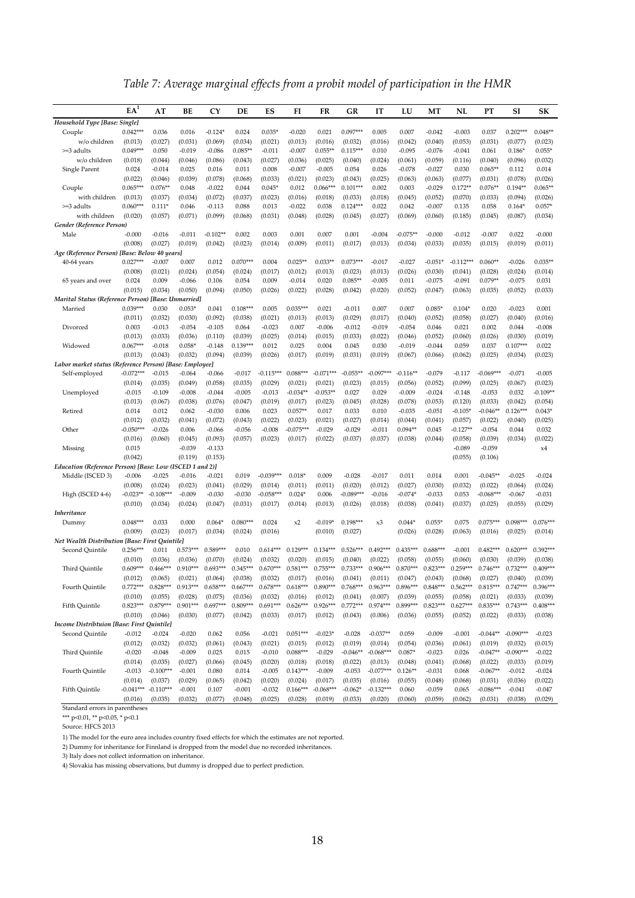*Table 7: Average marginal effects from a probit model of participation in the HMR*

|                                                          | $EA^1$                | AT                   | ВE                    | CY                    | DE                    | ES                    | FI                    | FR                    | GR                    | IT                    | LU                    | MТ                    | NL                    | PT                    | SI                    | SK                    |
|----------------------------------------------------------|-----------------------|----------------------|-----------------------|-----------------------|-----------------------|-----------------------|-----------------------|-----------------------|-----------------------|-----------------------|-----------------------|-----------------------|-----------------------|-----------------------|-----------------------|-----------------------|
|                                                          |                       |                      |                       |                       |                       |                       |                       |                       |                       |                       |                       |                       |                       |                       |                       |                       |
| Household Type [Base: Single]                            |                       |                      |                       |                       |                       |                       |                       |                       |                       |                       |                       |                       |                       |                       |                       |                       |
| Couple                                                   | $0.042***$            | 0.036                | 0.016                 | $-0.124*$             | 0.024                 | $0.035*$              | $-0.020$              | 0.021                 | $0.097***$            | 0.005                 | 0.007                 | $-0.042$              | $-0.003$              | 0.037                 | $0.202***$            | $0.048**$             |
| w/o children                                             | (0.013)<br>$0.049***$ | (0.027)              | (0.031)               | (0.069)               | (0.034)               | (0.021)               | (0.013)               | (0.016)               | (0.032)               | (0.016)               | (0.042)               | (0.040)               | (0.053)               | (0.031)               | (0.077)               | (0.023)               |
| >=3 adults                                               |                       | 0.050                | $-0.019$              | $-0.086$              | $0.085**$             | $-0.011$              | $-0.007$              | $0.055**$             | $0.115***$            | 0.010                 | $-0.095$              | $-0.076$              | $-0.041$              | 0.061                 | $0.186*$              | $0.055*$              |
| w/o children                                             | (0.018)               | (0.044)              | (0.046)               | (0.086)               | (0.043)               | (0.027)               | (0.036)               | (0.025)               | (0.040)               | (0.024)               | (0.061)               | (0.059)               | (0.116)               | (0.040)               | (0.096)               | (0.032)               |
| Single Parent                                            | 0.024                 | $-0.014$             | 0.025                 | 0.016                 | 0.011                 | 0.008                 | $-0.007$              | $-0.005$              | 0.054                 | 0.026                 | $-0.078$              | $-0.027$              | 0.030                 | $0.065**$             | 0.112                 | 0.014                 |
|                                                          | (0.022)<br>$0.065***$ | (0.046)<br>$0.076**$ | (0.039)               | (0.078)               | (0.068)               | (0.033)               | (0.021)               | (0.023)<br>$0.066***$ | (0.043)<br>$0.101***$ | (0.025)               | (0.063)               | (0.063)               | (0.077)<br>$0.172**$  | (0.031)<br>$0.076**$  | (0.078)<br>$0.194**$  | (0.026)<br>$0.065**$  |
| Couple<br>with children                                  |                       |                      | 0.048                 | $-0.022$<br>(0.072)   | 0.044<br>(0.037)      | $0.045*$<br>(0.023)   | 0.012<br>(0.016)      |                       |                       | 0.002                 | 0.003                 | $-0.029$              |                       |                       |                       |                       |
| >=3 adults                                               | (0.013)<br>$0.060***$ | (0.037)<br>$0.111*$  | (0.034)<br>0.046      | $-0.113$              | 0.088                 | 0.013                 | $-0.022$              | (0.018)<br>0.038      | (0.033)<br>$0.124***$ | (0.018)<br>0.022      | (0.045)<br>0.042      | (0.052)<br>$-0.007$   | (0.070)<br>0.135      | (0.033)<br>0.058      | (0.094)<br>$0.164*$   | (0.026)<br>$0.057*$   |
| with children                                            | (0.020)               | (0.057)              | (0.071)               | (0.099)               | (0.068)               | (0.031)               | (0.048)               | (0.028)               | (0.045)               | (0.027)               | (0.069)               | (0.060)               | (0.185)               | (0.045)               | (0.087)               | (0.034)               |
| Gender (Reference Person)                                |                       |                      |                       |                       |                       |                       |                       |                       |                       |                       |                       |                       |                       |                       |                       |                       |
| Male                                                     | $-0.000$              | $-0.016$             | $-0.011$              | $-0.102**$            | 0.002                 | 0.003                 | 0.001                 | 0.007                 | 0.001                 | $-0.004$              | $-0.075**$            | $-0.000$              | $-0.012$              | $-0.007$              | 0.022                 | $-0.000$              |
|                                                          | (0.008)               | (0.027)              | (0.019)               | (0.042)               | (0.023)               | (0.014)               | (0.009)               | (0.011)               | (0.017)               | (0.013)               | (0.034)               | (0.033)               | (0.035)               | (0.015)               | (0.019)               | (0.011)               |
| Age (Reference Person) [Base: Below 40 years]            |                       |                      |                       |                       |                       |                       |                       |                       |                       |                       |                       |                       |                       |                       |                       |                       |
| 40-64 years                                              | $0.027***$            | $-0.007$             | 0.007                 | 0.012                 | $0.070***$            | 0.004                 | $0.025**$             | $0.033**$             | $0.073***$            | $-0.017$              | $-0.027$              | $-0.051*$             | $-0.112***$           | $0.060**$             | $-0.026$              | $0.035**$             |
|                                                          |                       | (0.021)              | (0.024)               | (0.054)               | (0.024)               | (0.017)               | (0.012)               | (0.013)               | (0.023)               | (0.013)               | (0.026)               | (0.030)               | (0.041)               | (0.028)               | (0.024)               | (0.014)               |
|                                                          | (0.008)<br>0.024      | 0.009                | $-0.066$              |                       | 0.054                 | 0.009                 | $-0.014$              | 0.020                 | $0.085**$             |                       |                       | $-0.075$              | $-0.091$              | $0.079**$             | $-0.075$              |                       |
| 65 years and over                                        |                       |                      | (0.050)               | 0.106                 |                       |                       |                       |                       |                       | $-0.005$              | 0.011                 |                       |                       |                       |                       | 0.031                 |
|                                                          | (0.015)               | (0.034)              |                       | (0.094)               | (0.050)               | (0.026)               | (0.022)               | (0.028)               | (0.042)               | (0.020)               | (0.052)               | (0.047)               | (0.063)               | (0.035)               | (0.052)               | (0.033)               |
| Marital Status (Reference Person)                        |                       |                      | [Base: Unmarried]     |                       |                       |                       |                       |                       |                       |                       |                       |                       |                       |                       |                       |                       |
| Married                                                  | $0.039***$            | 0.030                | $0.053*$              | 0.041                 | $0.108***$            | 0.005                 | $0.035***$            | 0.021                 | $-0.011$              | 0.007                 | 0.007                 | $0.085*$              | $0.104*$              | 0.020                 | $-0.023$              | 0.001                 |
|                                                          | (0.011)               | (0.032)              | (0.030)               | (0.092)               | (0.038)               | (0.021)               | (0.013)               | (0.013)               | (0.029)               | (0.017)               | (0.040)               | (0.052)               | (0.058)               | (0.027)               | (0.040)               | (0.016)               |
| Divorced                                                 | 0.003                 | $-0.013$             | $-0.054$              | $-0.105$              | 0.064                 | $-0.023$              | 0.007                 | $-0.006$              | $-0.012$              | $-0.019$              | $-0.054$              | 0.046                 | 0.021                 | 0.002                 | 0.044                 | $-0.008$              |
|                                                          | (0.013)               | (0.033)              | (0.036)               | (0.110)               | (0.039)               | (0.025)               | (0.014)               | (0.015)               | (0.033)               | (0.022)               | (0.046)               | (0.052)               | (0.060)               | (0.026)               | (0.030)               | (0.019)               |
| Widowed                                                  | $0.067***$            | $-0.018$             | $0.058*$              | $-0.148$              | $0.139***$            | 0.012                 | 0.025                 | 0.004                 | 0.045                 | 0.030                 | $-0.019$              | $-0.044$              | 0.059                 | 0.037                 | $0.107***$            | 0.022                 |
|                                                          | (0.013)               | (0.043)              | (0.032)               | (0.094)               | (0.039)               | (0.026)               | (0.017)               | (0.019)               | (0.031)               | (0.019)               | (0.067)               | (0.066)               | (0.062)               | (0.025)               | (0.034)               | (0.023)               |
| Labor market status (Reference Person) [Base: Employee]  |                       |                      |                       |                       |                       |                       |                       | $-0.071***$           |                       | $-0.097***$           |                       |                       |                       |                       |                       |                       |
| Self-employed                                            | $-0.072***$           | $-0.015$             | $-0.064$              | $-0.066$              | $-0.017$              | $-0.115***$           | $0.088***$            |                       | $-0.055**$            |                       | $-0.116**$            | $-0.079$              | $-0.117$              | $-0.069***$           | $-0.071$              | $-0.005$              |
|                                                          | (0.014)               | (0.035)              | (0.049)               | (0.058)               | (0.035)               | (0.029)               | (0.021)               | (0.021)               | (0.023)               | (0.015)               | (0.056)               | (0.052)               | (0.099)               | (0.025)               | (0.067)               | (0.023)               |
| Unemployed                                               | $-0.015$              | $-0.109$             | $-0.008$              | $-0.044$              | $-0.005$              | $-0.013$              | $-0.034**$            | $-0.053**$            | 0.027                 | 0.029                 | $-0.009$              | $-0.024$              | $-0.148$              | $-0.053$              | 0.032                 | $-0.109**$            |
|                                                          | (0.013)               | (0.067)              | (0.038)               | (0.076)               | (0.047)               | (0.019)               | (0.017)               | (0.023)               | (0.045)               | (0.028)               | (0.078)               | (0.053)               | (0.120)               | (0.033)               | (0.042)               | (0.054)               |
| Retired                                                  | 0.014                 | 0.012                | 0.062                 | $-0.030$              | 0.006                 | 0.023                 | $0.057**$             | 0.017                 | 0.033                 | 0.010                 | $-0.035$              | $-0.051$              | $-0.105*$             | $-0.046**$            | $0.126***$            | $0.043*$              |
|                                                          | (0.012)               | (0.032)              | (0.041)               | (0.072)               | (0.043)               | (0.022)               | (0.023)               | (0.021)               | (0.027)               | (0.014)               | (0.044)               | (0.041)               | (0.057)               | (0.022)               | (0.040)               | (0.025)               |
| Other                                                    | $-0.050***$           | $-0.026$             | 0.006                 | $-0.066$              | $-0.056$              | $-0.008$              | $-0.075***$           | $-0.029$              | $-0.029$              | $-0.011$              | $0.094**$             | 0.045                 | $-0.127**$            | $-0.054$              | 0.044                 | 0.032                 |
|                                                          | (0.016)               | (0.060)              | (0.045)               | (0.093)               | (0.057)               | (0.023)               | (0.017)               | (0.022)               | (0.037)               | (0.037)               | (0.038)               | (0.044)               | (0.058)               | (0.039)               | (0.034)               | (0.022)               |
| Missing                                                  | 0.015                 |                      | $-0.039$              | $-0.133$              |                       |                       |                       |                       |                       |                       |                       |                       | $-0.089$              | $-0.059$              |                       | x4                    |
|                                                          | (0.042)               |                      | (0.119)               | (0.153)               |                       |                       |                       |                       |                       |                       |                       |                       | (0.055)               | (0.106)               |                       |                       |
| Education (Reference Person) [Base: Low (ISCED 1 and 2)] |                       |                      |                       |                       |                       |                       |                       |                       |                       |                       |                       |                       |                       |                       |                       |                       |
| Middle (ISCED 3)                                         | $-0.006$              | $-0.025$             | $-0.016$              | $-0.021$              | 0.019                 | $-0.039***$           | $0.018*$              | 0.009                 | $-0.028$              | $-0.017$              | 0.011                 | 0.014                 | 0.001                 | $-0.045**$            | $-0.025$              | $-0.024$              |
|                                                          | (0.008)               | (0.024)              | (0.023)               | (0.041)               | (0.029)               | (0.014)               | (0.011)               | (0.011)               | (0.020)               | (0.012)               | (0.027)               | (0.030)               | (0.032)               | (0.022)               | (0.064)               | (0.024)               |
| High (ISCED 4-6)                                         | $-0.023**$            | $-0.108***$          | $-0.009$              | $-0.030$              | $-0.030$              | $-0.058***$           | $0.024*$              | 0.006                 | $-0.089***$           | $-0.016$              | $-0.074*$             | $-0.033$              | 0.053                 | $-0.068***$           | $-0.067$              | $-0.031$              |
|                                                          | (0.010)               | (0.034)              | (0.024)               | (0.047)               | (0.031)               | (0.017)               | (0.014)               | (0.013)               | (0.026)               | (0.018)               | (0.038)               | (0.041)               | (0.037)               | (0.025)               | (0.055)               | (0.029)               |
| Inheritance                                              |                       |                      |                       |                       |                       |                       |                       |                       |                       |                       |                       |                       |                       |                       |                       |                       |
| Dummy                                                    | $0.048***$            | 0.033                | 0.000                 | $0.064*$              | $0.080***$            | 0.024                 | x2                    | $-0.019*$             | $0.198***$            | x3                    | $0.044*$              | $0.055*$              | 0.075                 | $0.075***$            | $0.098***$            | $0.076***$            |
|                                                          | (0.009)               | (0.023)              | (0.017)               | (0.034)               | (0.024)               | (0.016)               |                       | (0.010)               | (0.027)               |                       | (0.026)               | (0.028)               | (0.063)               | (0.016)               | (0.025)               | (0.014)               |
| Net Wealth Distribution [Base: First Quintile]           |                       |                      |                       |                       |                       |                       |                       |                       |                       |                       |                       |                       |                       |                       |                       |                       |
| Second Quintile                                          | $0.256***$            | 0.011                | $0.573***$            | $0.589***$            | 0.010                 | $0.614***$            | $0.129***$            | $0.134***$            | $0.526***$            | $0.492***$            | $0.435***$            | $0.688***$            | $-0.001$              | $0.482***$            | $0.620***$            | $0.392***$            |
|                                                          | (0.010)               | (0.036)              | (0.036)<br>$0.910***$ | (0.070)<br>$0.693***$ | (0.024)               | (0.032)<br>$0.670***$ | (0.020)               | (0.015)               | (0.040)               | (0.022)<br>$0.906***$ | (0.058)               | (0.055)               | (0.060)<br>$0.259***$ | (0.030)<br>$0.746***$ | (0.039)               | (0.038)<br>$0.409***$ |
| Third Quintile                                           | $0.609***$            | $0.466***$           |                       | (0.064)               | $0.345***$<br>(0.038) | (0.032)               | $0.581***$<br>(0.017) | $0.755***$<br>(0.016) | $0.733***$<br>(0.041) | (0.011)               | $0.870***$<br>(0.047) | $0.823***$<br>(0.043) | (0.068)               | (0.027)               | $0.732***$<br>(0.040) | (0.039)               |
|                                                          | (0.012)               | (0.065)              | (0.021)               |                       |                       |                       |                       |                       |                       |                       |                       |                       |                       |                       |                       |                       |
| Fourth Quintile                                          | $0.772***$            | $0.828***$           | $0.913***$            | $0.658***$            | $0.667***$            | $0.678***$            | $0.618***$            | $0.890***$            | $0.768***$            | $0.963***$            | $0.896***$            | $0.848***$            | $0.562***$            | $0.815***$            | $0.747***$            | $0.396***$            |
|                                                          | (0.010)               | (0.055)              | (0.028)               | (0.075)               | (0.036)               | (0.032)               | (0.016)               | (0.012)               | (0.041)               | (0.007)               | (0.039)               | (0.055)               | (0.058)               | (0.021)               | (0.033)               | (0.039)               |
| Fifth Quintile                                           | $0.823***$            | $0.879***$           | $0.901***$            | $0.697***$            | $0.809***$            | $0.691***$            | $0.626***$            | $0.926***$            | $0.772***$            | $0.974***$            | $0.899***$            | $0.823***$            | $0.627***$            | $0.835***$            | $0.743***$            | $0.408***$            |
|                                                          | (0.010)               | (0.046)              | (0.030)               | (0.077)               | (0.042)               | (0.033)               | (0.017)               | (0.012)               | (0.043)               | (0.006)               | (0.036)               | (0.055)               | (0.052)               | (0.022)               | (0.033)               | (0.038)               |
| Income Distribtuion [Base: First Quintile]               |                       |                      |                       |                       |                       |                       |                       |                       |                       |                       |                       |                       |                       |                       |                       |                       |
| Second Ouintile                                          | $-0.012$              | $-0.024$             | $-0.020$              | 0.062                 | 0.056                 | $-0.021$              | $0.051***$            | $-0.023*$             | $-0.028$              | $-0.037**$            | 0.059                 | $-0.009$              | $-0.001$              | $-0.044**$            | $-0.090***$           | $-0.023$              |
|                                                          | (0.012)               | (0.032)              | (0.032)               | (0.061)               | (0.043)               | (0.021)               | (0.015)               | (0.012)               | (0.019)               | (0.014)               | (0.054)               | (0.036)               | (0.061)               | (0.019)               | (0.032)               | (0.015)               |
| Third Quintile                                           | $-0.020$              | $-0.048$             | $-0.009$              | 0.025                 | 0.015                 | $-0.010$              | $0.088***$            | $-0.029$              | $-0.046**$            | $-0.068***$           | $0.087*$              | $-0.023$              | 0.026                 | $-0.047**$            | $-0.090***$           | $-0.022$              |
|                                                          | (0.014)               | (0.035)              | (0.027)               | (0.066)               | (0.045)               | (0.020)               | (0.018)               | (0.018)               | (0.022)               | (0.013)               | (0.048)               | (0.041)               | (0.068)               | (0.022)               | (0.033)               | (0.019)               |
| Fourth Quintile                                          | $-0.013$              | $-0.100***$          | $-0.001$              | 0.080                 | 0.014                 | $-0.005$              | $0.143***$            | $-0.009$              | $-0.053$              | $-0.077***$           | $0.126**$             | $-0.031$              | 0.068                 | $-0.067**$            | $-0.012$              | $-0.024$              |
|                                                          | (0.014)               | (0.037)              | (0.029)               | (0.065)               | (0.042)               | (0.020)               | (0.024)               | (0.017)               | (0.035)               | (0.016)               | (0.055)               | (0.048)               | (0.068)               | (0.031)               | (0.036)               | (0.022)               |
| Fifth Quintile                                           | $-0.041***$           | $-0.110***$          | $-0.001$              | 0.107                 | $-0.001$              | $-0.032$              | $0.166***$            | $-0.068***$           | $-0.062*$             | $-0.132***$           | 0.060                 | $-0.059$              | 0.065                 | $-0.086***$           | $-0.041$              | $-0.047$              |
|                                                          | (0.016)               | (0.035)              | (0.032)               | (0.077)               | (0.048)               | (0.025)               | (0.028)               | (0.019)               | (0.033)               | (0.020)               | (0.060)               | (0.059)               | (0.062)               | (0.031)               | (0.038)               | (0.029)               |

Standard errors in parentheses \*\*\* p<0.01, \*\* p<0.05, \* p<0.1

Source: HFCS 2013

1) The model for the euro area includes country fixed effects for which the estimates are not reported.

2) Dummy for inheritance for Finnland is dropped from the model due no recorded inheritances.

3) Italy does not collect information on inheritance.

4) Slovakia has missing observations, but dummy is dropped due to perfect prediction.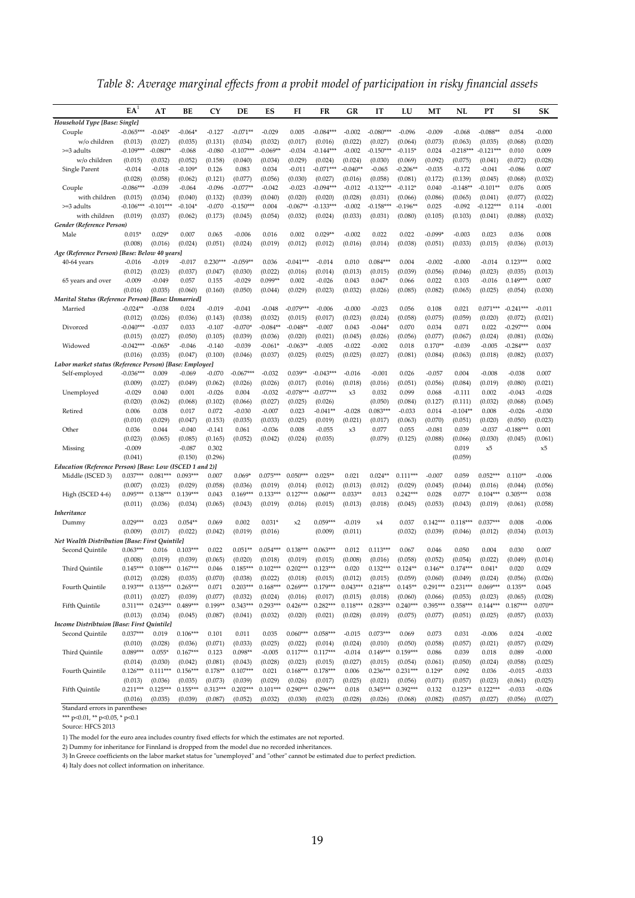*Table 8: Average marginal effects from a probit model of participation in risky financial assets*

|                                                          | EA                     |                       |                       |                  |                        |                       |                     |                        |                     |                        |                      |                  |                        |                        |                  |                  |
|----------------------------------------------------------|------------------------|-----------------------|-----------------------|------------------|------------------------|-----------------------|---------------------|------------------------|---------------------|------------------------|----------------------|------------------|------------------------|------------------------|------------------|------------------|
|                                                          |                        | AT                    | BE                    | CY               | DE                     | ES                    | FI                  | FR                     | GR                  | IT                     | LU                   | MТ               | NL                     | PT                     | SI               | SК               |
| Household Type [Base: Single]                            |                        |                       |                       |                  |                        |                       |                     |                        |                     |                        |                      |                  |                        |                        |                  |                  |
| Couple                                                   | $-0.065***$            | $-0.045*$             | $-0.064*$             | $-0.127$         | $-0.071**$             | $-0.029$              | 0.005               | $-0.084***$            | $-0.002$            | $-0.080***$            | $-0.096$             | $-0.009$         | $-0.068$               | $-0.088**$             | 0.054            | $-0.000$         |
| w/o children                                             | (0.013)<br>$-0.109***$ | (0.027)<br>$-0.080**$ | (0.035)<br>$-0.068$   | (0.131)          | (0.034)<br>$-0.107***$ | (0.032)               | (0.017)             | (0.016)<br>$-0.144***$ | (0.022)             | (0.027)<br>$-0.150***$ | (0.064)              | (0.073)<br>0.024 | (0.063)<br>$-0.218***$ | (0.035)<br>$-0.121***$ | (0.068)          | (0.020)<br>0.009 |
| >=3 adults<br>w/o children                               |                        |                       |                       | $-0.080$         | (0.040)                | $-0.069**$            | $-0.034$            | (0.024)                | $-0.002$<br>(0.024) | (0.030)                | $-0.115*$<br>(0.069) | (0.092)          |                        | (0.041)                | 0.010<br>(0.072) |                  |
| Single Parent                                            | (0.015)<br>$-0.014$    | (0.032)<br>$-0.018$   | (0.052)<br>$-0.109*$  | (0.158)<br>0.126 | 0.083                  | (0.034)<br>0.034      | (0.029)<br>$-0.011$ | $-0.071***$            | $-0.040**$          | $-0.065$               | $-0.206**$           | $-0.035$         | (0.075)<br>$-0.172$    | $-0.041$               | $-0.086$         | (0.028)<br>0.007 |
|                                                          | (0.028)                | (0.058)               | (0.062)               | (0.121)          | (0.077)                | (0.056)               | (0.030)             | (0.027)                | (0.016)             | (0.058)                | (0.081)              | (0.172)          | (0.139)                | (0.045)                | (0.068)          | (0.032)          |
| Couple                                                   | $-0.086***$            | $-0.039$              | $-0.064$              | $-0.096$         | $-0.077**$             | $-0.042$              | $-0.023$            | $-0.094***$            | $-0.012$            | $-0.132***$            | $-0.112*$            | 0.040            | $-0.148**$             | $-0.101**$             | 0.076            | 0.005            |
| with children                                            | (0.015)                | (0.034)               | (0.040)               | (0.132)          | (0.039)                | (0.040)               | (0.020)             | (0.020)                | (0.028)             | (0.031)                | (0.066)              | (0.086)          | (0.065)                | (0.041)                | (0.077)          | (0.022)          |
| >=3 adults                                               | $-0.106***$            | $-0.101***$           | $-0.104*$             | $-0.070$         | $-0.150***$            | 0.004                 | $-0.067**$          | $-0.133***$            | $-0.002$            | $-0.158***$            | $-0.196**$           | 0.025            | $-0.092$               | $-0.122***$            | 0.114            | $-0.001$         |
| with children                                            | (0.019)                | (0.037)               | (0.062)               | (0.173)          | (0.045)                | (0.054)               | (0.032)             | (0.024)                | (0.033)             | (0.031)                | (0.080)              | (0.105)          | (0.103)                | (0.041)                | (0.088)          | (0.032)          |
| Gender (Reference Person)                                |                        |                       |                       |                  |                        |                       |                     |                        |                     |                        |                      |                  |                        |                        |                  |                  |
| Male                                                     | $0.015*$               | $0.029*$              | 0.007                 | 0.065            | $-0.006$               | 0.016                 | 0.002               | $0.029**$              | $-0.002$            | 0.022                  | 0.022                | $-0.099*$        | $-0.003$               | 0.023                  | 0.036            | 0.008            |
|                                                          | (0.008)                | (0.016)               | (0.024)               | (0.051)          | (0.024)                | (0.019)               | (0.012)             | (0.012)                | (0.016)             | (0.014)                | (0.038)              | (0.051)          | (0.033)                | (0.015)                | (0.036)          | (0.013)          |
| Age (Reference Person) [Base: Below 40 years]            |                        |                       |                       |                  |                        |                       |                     |                        |                     |                        |                      |                  |                        |                        |                  |                  |
| 40-64 years                                              | $-0.016$               | $-0.019$              | $-0.017$              | $0.230***$       | $-0.059**$             | 0.036                 | $-0.041***$         | $-0.014$               | 0.010               | $0.084***$             | 0.004                | $-0.002$         | $-0.000$               | $-0.014$               | $0.123***$       | 0.002            |
|                                                          | (0.012)                | (0.023)               | (0.037)               | (0.047)          | (0.030)                | (0.022)               | (0.016)             | (0.014)                | (0.013)             | (0.015)                | (0.039)              | (0.056)          | (0.046)                | (0.023)                | (0.035)          | (0.013)          |
| 65 years and over                                        | $-0.009$               | $-0.049$              | 0.057                 | 0.155            | $-0.029$               | $0.099**$             | 0.002               | $-0.026$               | 0.043               | $0.047*$               | 0.066                | 0.022            | 0.103                  | $-0.016$               | $0.149***$       | 0.007            |
|                                                          | (0.016)                | (0.035)               | (0.060)               | (0.160)          | (0.050)                | (0.044)               | (0.029)             | (0.023)                | (0.032)             | (0.026)                | (0.085)              | (0.082)          | (0.065)                | (0.025)                | (0.054)          | (0.030)          |
| Marital Status (Reference Person) [Base: Unmarried]      |                        |                       |                       |                  |                        |                       |                     |                        |                     |                        |                      |                  |                        |                        |                  |                  |
| Married                                                  | $-0.024**$             | $-0.038$              | 0.024                 | $-0.019$         | $-0.041$               | $-0.048$              | $-0.079***$         | $-0.006$               | $-0.000$            | $-0.023$               | 0.056                | 0.108            | 0.021                  | $0.071***$             | $-0.241***$      | $-0.011$         |
|                                                          | (0.012)                | (0.026)               | (0.036)               | (0.143)          | (0.038)                | (0.032)               | (0.015)             | (0.017)                | (0.023)             | (0.024)                | (0.058)              | (0.075)          | (0.059)                | (0.020)                | (0.072)          | (0.021)          |
| Divorced                                                 | $-0.040***$            | $-0.037$              | 0.033                 | $-0.107$         | $-0.070*$              | $-0.084**$            | $-0.048**$          | $-0.007$               | 0.043               | $-0.044*$              | 0.070                | 0.034            | 0.071                  | 0.022                  | $-0.297***$      | 0.004            |
|                                                          | (0.015)                | (0.027)               | (0.050)               | (0.105)          | (0.039)                | (0.036)               | (0.020)             | (0.021)                | (0.045)             | (0.026)                | (0.056)              | (0.077)          | (0.067)                | (0.024)                | (0.081)          | (0.026)          |
| Widowed                                                  | $-0.042***$            | $-0.065*$             | $-0.046$              | $-0.140$         | $-0.039$               | $-0.061*$             | $-0.063**$          | $-0.005$               | $-0.022$            | $-0.002$               | 0.018                | $0.170**$        | $-0.039$               | $-0.005$               | $-0.284***$      | 0.037            |
|                                                          | (0.016)                | (0.035)               | (0.047)               | (0.100)          | (0.046)                | (0.037)               | (0.025)             | (0.025)                | (0.025)             | (0.027)                | (0.081)              | (0.084)          | (0.063)                | (0.018)                | (0.082)          | (0.037)          |
| Labor market status (Reference Person) [Base: Employee]  |                        |                       |                       |                  |                        |                       |                     |                        |                     |                        |                      |                  |                        |                        |                  |                  |
| Self-employed                                            | $-0.036***$            | 0.009                 | $-0.069$              | $-0.070$         | $-0.067***$            | $-0.032$              | $0.039**$           | $-0.043***$            | $-0.016$            | $-0.001$               | 0.026                | $-0.057$         | 0.004                  | $-0.008$               | $-0.038$         | 0.007            |
|                                                          | (0.009)                | (0.027)               | (0.049)               | (0.062)          | (0.026)                | (0.026)               | (0.017)             | (0.016)                | (0.018)             | (0.016)                | (0.051)              | (0.056)          | (0.084)                | (0.019)                | (0.080)          | (0.021)          |
| Unemployed                                               | $-0.029$               | 0.040                 | 0.001                 | $-0.026$         | 0.004                  | $-0.032$              | $-0.078***$         | $-0.077***$            | x3                  | 0.032                  | 0.099                | 0.068            | $-0.111$               | 0.002                  | $-0.043$         | $-0.028$         |
|                                                          | (0.020)                | (0.062)               | (0.068)               | (0.102)          | (0.066)                | (0.027)               | (0.025)             | (0.026)                |                     | (0.050)                | (0.084)              | (0.127)          | (0.111)                | (0.032)                | (0.068)          | (0.045)          |
| Retired                                                  | 0.006                  | 0.038                 | 0.017                 | 0.072            | $-0.030$               | $-0.007$              | 0.023               | $-0.041**$             | $-0.028$            | $0.083***$             | $-0.033$             | 0.014            | $-0.104**$             | 0.008                  | $-0.026$         | $-0.030$         |
|                                                          | (0.010)                | (0.029)               | (0.047)               | (0.153)          | (0.035)                | (0.033)               | (0.025)             | (0.019)                | (0.021)             | (0.017)                | (0.063)              | (0.070)          | (0.051)                | (0.020)                | (0.050)          | (0.023)          |
| Other                                                    | 0.036                  | 0.044                 | $-0.040$              | $-0.141$         | 0.061                  | $-0.036$              | 0.008               | $-0.055$               | x3                  | 0.077                  | 0.055                | $-0.081$         | 0.039                  | $-0.037$               | $-0.188***$      | 0.001            |
|                                                          | (0.023)                | (0.065)               | (0.085)               | (0.165)          | (0.052)                | (0.042)               | (0.024)             | (0.035)                |                     | (0.079)                | (0.125)              | (0.088)          | (0.066)                | (0.030)                | (0.045)          | (0.061)          |
| Missing                                                  | $-0.009$               |                       | $-0.087$              | 0.302            |                        |                       |                     |                        |                     |                        |                      |                  | 0.019                  | x5                     |                  | x5               |
|                                                          | (0.041)                |                       | (0.150)               | (0.296)          |                        |                       |                     |                        |                     |                        |                      |                  | (0.059)                |                        |                  |                  |
| Education (Reference Person) [Base: Low (ISCED 1 and 2)] |                        |                       |                       |                  |                        |                       |                     |                        |                     |                        |                      |                  |                        |                        |                  |                  |
| Middle (ISCED 3)                                         | $0.037***$             | $0.081***$            | $0.093***$            | 0.007            | $0.069*$               | $0.075***$            | $0.050***$          | $0.025**$              | 0.021               | $0.024**$              | $0.111***$           | $-0.007$         | 0.059                  | $0.052***$             | $0.110**$        | $-0.006$         |
|                                                          | (0.007)                | (0.023)               | (0.029)               | (0.058)          | (0.036)                | (0.019)               | (0.014)             | (0.012)                | (0.013)             | (0.012)                | (0.029)              | (0.045)          | (0.044)                | (0.016)                | (0.044)          | (0.056)          |
| High (ISCED 4-6)                                         | $0.095***$             | $0.138***$            | $0.139***$            | 0.043            | $0.169***$             | $0.133***$            | $0.127***$          | $0.060***$             | $0.033**$           | 0.013                  | $0.242***$           | 0.028            | $0.077*$               | $0.104***$             | $0.305***$       | 0.038            |
|                                                          | (0.011)                | (0.036)               | (0.034)               | (0.065)          | (0.043)                | (0.019)               | (0.016)             | (0.015)                | (0.013)             | (0.018)                | (0.045)              | (0.053)          | (0.043)                | (0.019)                | (0.061)          | (0.058)          |
| Inheritance                                              |                        |                       |                       |                  |                        |                       |                     |                        |                     |                        |                      |                  |                        |                        |                  |                  |
| Dummy                                                    | $0.029***$             | 0.023                 | $0.054**$             | 0.069            | 0.002                  | $0.031*$              | x2                  | $0.059***$             | $-0.019$            | x4                     | 0.037                | $0.142***$       | $0.118***$             | $0.037***$             | 0.008            | $-0.006$         |
|                                                          | (0.009)                | (0.017)               | (0.022)               | (0.042)          | (0.019)                | (0.016)               |                     | (0.009)                | (0.011)             |                        | (0.032)              | (0.039)          | (0.046)                | (0.012)                | (0.034)          | (0.013)          |
| Net Wealth Distribution [Base: First Quintile]           |                        |                       |                       |                  |                        |                       | $0.138***$          | $0.063***$             |                     | $0.113***$             |                      |                  |                        | 0.004                  |                  |                  |
| Second Quintile                                          | $0.063***$<br>(0.008)  | 0.016<br>(0.019)      | $0.103***$<br>(0.039) | 0.022<br>(0.065) | $0.051**$<br>(0.020)   | $0.054***$<br>(0.018) | (0.019)             | (0.015)                | 0.012<br>(0.008)    | (0.016)                | 0.067<br>(0.058)     | 0.046<br>(0.052) | 0.050<br>(0.054)       | (0.022)                | 0.030<br>(0.049) | 0.007<br>(0.014) |
| Third Quintile                                           | $0.145***$             | $0.108***$            | $0.167***$            | 0.046            | $0.185***$             | $0.102***$            | $0.202***$          | $0.123***$             | 0.020               | $0.132***$             | $0.124**$            | $0.146**$        | $0.174***$             | $0.041*$               | 0.020            | 0.029            |
|                                                          | (0.012)                | (0.028)               | (0.035)               | (0.070)          | (0.038)                | (0.022)               | (0.018)             | (0.015)                | (0.012)             | (0.015)                | (0.059)              | (0.060)          | (0.049)                | (0.024)                | (0.056)          | (0.026)          |
| Fourth Quintile                                          | $0.193***$             | $0.135***$            | $0.265***$            | 0.071            | $0.203***$             | $0.168***$            | $0.269***$          | $0.179***$             | $0.043***$          | $0.218***$             | $0.145**$            | $0.291***$       | $0.231***$             | $0.069***$             | $0.135**$        | 0.045            |
|                                                          | (0.011)                | (0.027)               | (0.039)               | (0.077)          | (0.032)                | (0.024)               | (0.016)             | (0.017)                | (0.015)             | (0.018)                | (0.060)              | (0.066)          | (0.053)                | (0.023)                | (0.065)          | (0.028)          |
| Fifth Quintile                                           | $0.311***$             | $0.243***$            | $0.489***$            | $0.199**$        | $0.343***$             | $0.293***$            | $0.426***$          | $0.282***$             | $0.118***$          | $0.283***$             | $0.240***$           | $0.395***$       | $0.358***$             | $0.144***$             | $0.187***$       | $0.070**$        |
|                                                          | (0.013)                | (0.034)               | (0.045)               | (0.087)          | (0.041)                | (0.032)               | (0.020)             | (0.021)                | (0.028)             | (0.019)                | (0.075)              | (0.077)          | (0.051)                | (0.025)                | (0.057)          | (0.033)          |
| Income Distribtuion [Base: First Quintile]               |                        |                       |                       |                  |                        |                       |                     |                        |                     |                        |                      |                  |                        |                        |                  |                  |
| Second Quintile                                          | $0.037***$             | 0.019                 | $0.106***$            | 0.101            | 0.011                  | 0.035                 | $0.060***$          | $0.058***$             | $-0.015$            | $0.073***$             | 0.069                | 0.073            | 0.031                  | $-0.006$               | 0.024            | $-0.002$         |
|                                                          | (0.010)                | (0.028)               | (0.036)               | (0.071)          | (0.033)                | (0.025)               | (0.022)             | (0.014)                | (0.024)             | (0.010)                | (0.050)              | (0.058)          | (0.057)                | (0.021)                | (0.057)          | (0.029)          |
| Third Quintile                                           | $0.089***$             | $0.055*$              | $0.167***$            | 0.123            | $0.098**$              | $-0.005$              | $0.117***$          | $0.117***$             | $-0.014$            | $0.149***$             | $0.159***$           | 0.086            | 0.039                  | 0.018                  | 0.089            | $-0.000$         |
|                                                          | (0.014)                | (0.030)               | (0.042)               | (0.081)          | (0.043)                | (0.028)               | (0.023)             | (0.015)                | (0.027)             | (0.015)                | (0.054)              | (0.061)          | (0.050)                | (0.024)                | (0.058)          | (0.025)          |
| Fourth Quintile                                          | $0.126***$             | $0.111***$            | $0.156***$            | $0.178**$        | $0.107***$             | 0.021                 | $0.168***$          | $0.178***$             | 0.006               | $0.236***$             | $0.231***$           | $0.129*$         | 0.092                  | 0.036                  | $-0.015$         | $-0.033$         |
|                                                          | (0.013)                | (0.036)               | (0.035)               | (0.073)          | (0.039)                | (0.029)               | (0.026)             | (0.017)                | (0.025)             | (0.021)                | (0.056)              | (0.071)          | (0.057)                | (0.023)                | (0.061)          | (0.025)          |
| Fifth Quintile                                           | $0.211***$             | $0.125***$            | $0.155***$            | $0.313***$       | $0.202***$             | $0.101***$            | $0.290***$          | $0.296***$             | 0.018               | $0.345***$             | $0.392***$           | 0.132            | $0.123**$              | $0.122***$             | $-0.033$         | $-0.026$         |
|                                                          | (0.016)                | (0.035)               | (0.039)               | (0.087)          | (0.052)                | (0.032)               | (0.030)             | (0.023)                | (0.028)             | (0.026)                | (0.068)              | (0.082)          | (0.057)                | (0.027)                | (0.056)          | (0.027)          |

Standard errors in parentheses \*\*\* p<0.01, \*\* p<0.05, \* p<0.1

Source: HFCS 2013

1) The model for the euro area includes country fixed effects for which the estimates are not reported.

2) Dummy for inheritance for Finnland is dropped from the model due no recorded inheritances.

3) In Greece coefficients on the labor market status for "unemployed" and "other" cannot be estimated due to perfect prediction.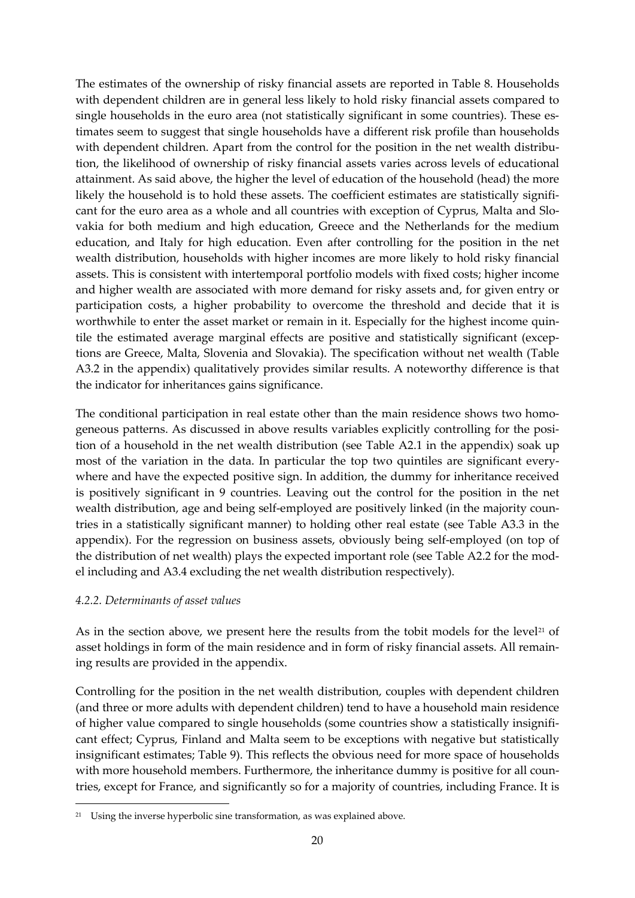The estimates of the ownership of risky financial assets are reported in Table 8. Households with dependent children are in general less likely to hold risky financial assets compared to single households in the euro area (not statistically significant in some countries). These estimates seem to suggest that single households have a different risk profile than households with dependent children. Apart from the control for the position in the net wealth distribution, the likelihood of ownership of risky financial assets varies across levels of educational attainment. As said above, the higher the level of education of the household (head) the more likely the household is to hold these assets. The coefficient estimates are statistically significant for the euro area as a whole and all countries with exception of Cyprus, Malta and Slovakia for both medium and high education, Greece and the Netherlands for the medium education, and Italy for high education. Even after controlling for the position in the net wealth distribution, households with higher incomes are more likely to hold risky financial assets. This is consistent with intertemporal portfolio models with fixed costs; higher income and higher wealth are associated with more demand for risky assets and, for given entry or participation costs, a higher probability to overcome the threshold and decide that it is worthwhile to enter the asset market or remain in it. Especially for the highest income quintile the estimated average marginal effects are positive and statistically significant (exceptions are Greece, Malta, Slovenia and Slovakia). The specification without net wealth (Table A3.2 in the appendix) qualitatively provides similar results. A noteworthy difference is that the indicator for inheritances gains significance.

The conditional participation in real estate other than the main residence shows two homogeneous patterns. As discussed in above results variables explicitly controlling for the position of a household in the net wealth distribution (see Table A2.1 in the appendix) soak up most of the variation in the data. In particular the top two quintiles are significant everywhere and have the expected positive sign. In addition, the dummy for inheritance received is positively significant in 9 countries. Leaving out the control for the position in the net wealth distribution, age and being self-employed are positively linked (in the majority countries in a statistically significant manner) to holding other real estate (see Table A3.3 in the appendix). For the regression on business assets, obviously being self-employed (on top of the distribution of net wealth) plays the expected important role (see Table A2.2 for the model including and A3.4 excluding the net wealth distribution respectively).

#### *4.2.2. Determinants of asset values*

 $\overline{\phantom{a}}$ 

As in the section above, we present here the results from the tobit models for the level<sup>[21](#page-21-0)</sup> of asset holdings in form of the main residence and in form of risky financial assets. All remaining results are provided in the appendix.

Controlling for the position in the net wealth distribution, couples with dependent children (and three or more adults with dependent children) tend to have a household main residence of higher value compared to single households (some countries show a statistically insignificant effect; Cyprus, Finland and Malta seem to be exceptions with negative but statistically insignificant estimates; Table 9). This reflects the obvious need for more space of households with more household members. Furthermore, the inheritance dummy is positive for all countries, except for France, and significantly so for a majority of countries, including France. It is

<span id="page-21-0"></span><sup>&</sup>lt;sup>21</sup> Using the inverse hyperbolic sine transformation, as was explained above.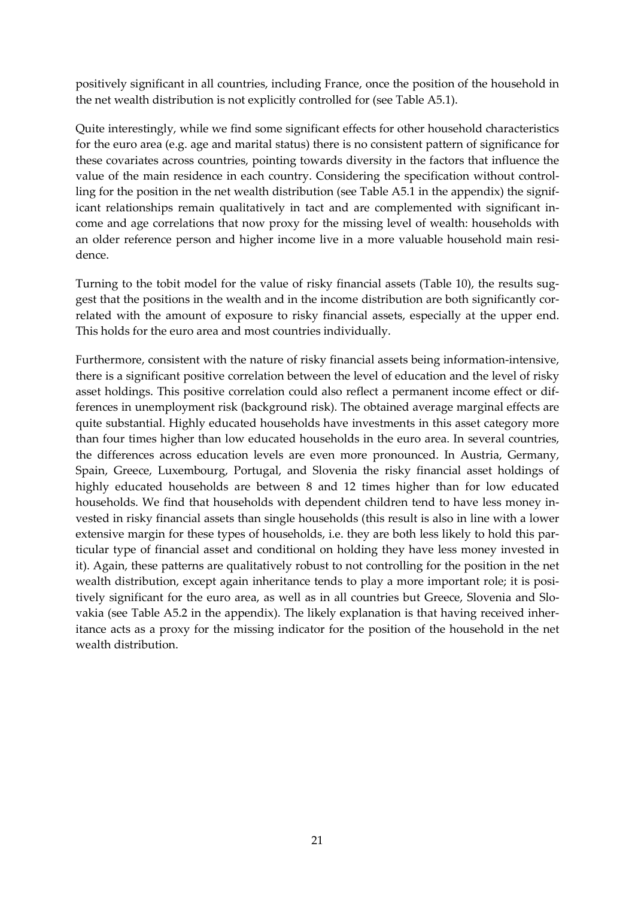positively significant in all countries, including France, once the position of the household in the net wealth distribution is not explicitly controlled for (see Table A5.1).

Quite interestingly, while we find some significant effects for other household characteristics for the euro area (e.g. age and marital status) there is no consistent pattern of significance for these covariates across countries, pointing towards diversity in the factors that influence the value of the main residence in each country. Considering the specification without controlling for the position in the net wealth distribution (see Table A5.1 in the appendix) the significant relationships remain qualitatively in tact and are complemented with significant income and age correlations that now proxy for the missing level of wealth: households with an older reference person and higher income live in a more valuable household main residence.

Turning to the tobit model for the value of risky financial assets (Table 10), the results suggest that the positions in the wealth and in the income distribution are both significantly correlated with the amount of exposure to risky financial assets, especially at the upper end. This holds for the euro area and most countries individually.

Furthermore, consistent with the nature of risky financial assets being information-intensive, there is a significant positive correlation between the level of education and the level of risky asset holdings. This positive correlation could also reflect a permanent income effect or differences in unemployment risk (background risk). The obtained average marginal effects are quite substantial. Highly educated households have investments in this asset category more than four times higher than low educated households in the euro area. In several countries, the differences across education levels are even more pronounced. In Austria, Germany, Spain, Greece, Luxembourg, Portugal, and Slovenia the risky financial asset holdings of highly educated households are between 8 and 12 times higher than for low educated households. We find that households with dependent children tend to have less money invested in risky financial assets than single households (this result is also in line with a lower extensive margin for these types of households, i.e. they are both less likely to hold this particular type of financial asset and conditional on holding they have less money invested in it). Again, these patterns are qualitatively robust to not controlling for the position in the net wealth distribution, except again inheritance tends to play a more important role; it is positively significant for the euro area, as well as in all countries but Greece, Slovenia and Slovakia (see Table A5.2 in the appendix). The likely explanation is that having received inheritance acts as a proxy for the missing indicator for the position of the household in the net wealth distribution.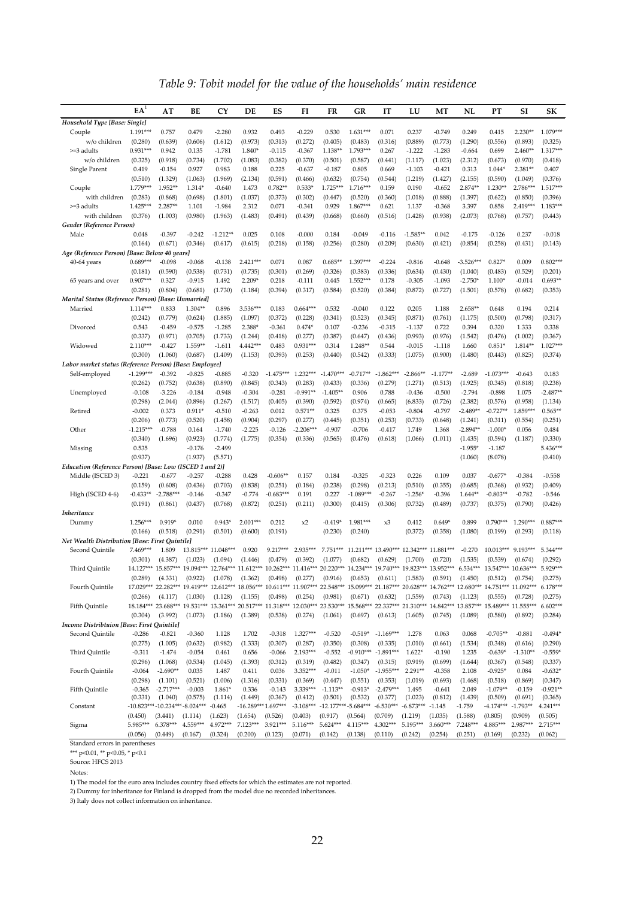*Table 9: Tobit model for the value of the households' main residence*

|                                                               | EA                    | AT                              | BE                   | CY                                                                                        | DE                   | ES                     | FI                    | FR                                                                    | GR                     | IT                  | LU                   | MТ                  | NL                                                                                                                                                    | PT                     | SI                  | SK                    |
|---------------------------------------------------------------|-----------------------|---------------------------------|----------------------|-------------------------------------------------------------------------------------------|----------------------|------------------------|-----------------------|-----------------------------------------------------------------------|------------------------|---------------------|----------------------|---------------------|-------------------------------------------------------------------------------------------------------------------------------------------------------|------------------------|---------------------|-----------------------|
| Household Type [Base: Single]                                 |                       |                                 |                      |                                                                                           |                      |                        |                       |                                                                       |                        |                     |                      |                     |                                                                                                                                                       |                        |                     |                       |
| Couple                                                        | $1.191***$            | 0.757                           | 0.479                | $-2.280$                                                                                  | 0.932                | 0.493                  | $-0.229$              | 0.530                                                                 | $1.631***$             | 0.071               | 0.237                | $-0.749$            | 0.249                                                                                                                                                 | 0.415                  | $2.230**$           | $1.079***$            |
| w/o children                                                  | (0.280)               | (0.639)                         | (0.606)              | (1.612)                                                                                   | (0.973)              | (0.313)                | (0.272)               | (0.405)                                                               | (0.483)                | (0.316)             | (0.889)              | (0.773)             | (1.290)                                                                                                                                               | (0.556)                | (0.893)             | (0.325)               |
| >=3 adults                                                    | $0.931***$            | 0.942                           | 0.135                | $-1.781$                                                                                  | 1.840*               | $-0.115$               | $-0.367$              | $1.138**$                                                             | 1.793***               | 0.267               | $-1.222$             | $-1.283$            | $-0.664$                                                                                                                                              | 0.699                  | 2.460**             | 1.317***              |
| w/o children                                                  | (0.325)               | (0.918)                         | (0.734)              | (1.702)                                                                                   | (1.083)              | (0.382)                | (0.370)               | (0.501)                                                               | (0.587)                | (0.441)             | (1.117)              | (1.023)             | (2.312)                                                                                                                                               | (0.673)                | (0.970)             | (0.418)               |
| Single Parent                                                 | 0.419                 | $-0.154$                        | 0.927                | 0.983                                                                                     | 0.188                | 0.225                  | $-0.637$              | $-0.187$                                                              | 0.805                  | 0.669               | $-1.103$             | $-0.421$            | 0.313                                                                                                                                                 | $1.044*$               | 2.381**             | 0.407                 |
|                                                               | (0.510)               | (1.329)                         | (1.063)              | (1.969)                                                                                   | (2.134)              | (0.591)                | (0.466)               | (0.632)                                                               | (0.754)                | (0.544)             | (1.219)              | (1.427)             | (2.155)                                                                                                                                               | (0.590)                | (1.049)             | (0.376)               |
| Couple<br>with children                                       | 1.779***              | 1.952**                         | 1.314*<br>(0.698)    | $-0.640$                                                                                  | 1.473                | $0.782**$              | $0.533*$              | 1.725***                                                              | 1.716***               | 0.159<br>(0.360)    | 0.190<br>(1.018)     | $-0.652$            | 2.874**                                                                                                                                               | $1.230**$              | 2.786***            | $1.517***$            |
| >=3 adults                                                    | (0.283)<br>1.425***   | (0.868)<br>2.287**              | 1.101                | (1.801)<br>$-1.984$                                                                       | (1.037)<br>2.312     | (0.373)<br>0.071       | (0.302)<br>$-0.341$   | (0.447)<br>0.929                                                      | (0.520)<br>1.867***    | 0.621               | 1.137                | (0.888)<br>$-0.368$ | (1.397)<br>3.397                                                                                                                                      | (0.622)<br>0.858       | (0.850)<br>2.419*** | (0.396)<br>$1.183***$ |
| with children                                                 | (0.376)               | (1.003)                         | (0.980)              | (1.963)                                                                                   | (1.483)              | (0.491)                | (0.439)               | (0.668)                                                               | (0.660)                | (0.516)             | (1.428)              | (0.938)             | (2.073)                                                                                                                                               | (0.768)                | (0.757)             | (0.443)               |
| Gender (Reference Person)                                     |                       |                                 |                      |                                                                                           |                      |                        |                       |                                                                       |                        |                     |                      |                     |                                                                                                                                                       |                        |                     |                       |
| Male                                                          | 0.048                 | $-0.397$                        | $-0.242$             | $-1.212**$                                                                                | 0.025                | 0.108                  | $-0.000$              | 0.184                                                                 | $-0.049$               | $-0.116$            | $-1.585**$           | 0.042               | $-0.175$                                                                                                                                              | $-0.126$               | 0.237               | $-0.018$              |
|                                                               | (0.164)               | (0.671)                         | (0.346)              | (0.617)                                                                                   | (0.615)              | (0.218)                | (0.158)               | (0.256)                                                               | (0.280)                | (0.209)             | (0.630)              | (0.421)             | (0.854)                                                                                                                                               | (0.258)                | (0.431)             | (0.143)               |
| Age (Reference Person) [Base: Below 40 years]                 |                       |                                 |                      |                                                                                           |                      |                        |                       |                                                                       |                        |                     |                      |                     |                                                                                                                                                       |                        |                     |                       |
| 40-64 years                                                   | $0.689***$            | $-0.098$                        | $-0.068$             | $-0.138$                                                                                  | $2.421***$           | 0.071                  | 0.087                 | $0.685**$                                                             | 1.397***               | $-0.224$            | $-0.816$             | $-0.648$            | $-3.526***$                                                                                                                                           | $0.827*$               | 0.009               | $0.802***$            |
|                                                               | (0.181)               | (0.590)                         | (0.538)              | (0.731)                                                                                   | (0.735)              | (0.301)                | (0.269)               | (0.326)                                                               | (0.383)                | (0.336)             | (0.634)              | (0.430)             | (1.040)                                                                                                                                               | (0.483)                | (0.529)             | (0.201)               |
| 65 years and over                                             | $0.907***$            | 0.327                           | $-0.915$             | 1.492                                                                                     | 2.209*               | 0.218                  | $-0.111$              | 0.445                                                                 | $1.552***$             | 0.178               | $-0.305$             | $-1.093$            | $-2.750*$                                                                                                                                             | 1.100*                 | $-0.014$            | $0.693**$             |
|                                                               | (0.281)               | (0.804)                         | (0.681)              | (1.730)                                                                                   | (1.184)              | (0.394)                | (0.317)               | (0.584)                                                               | (0.520)                | (0.384)             | (0.872)              | (0.727)             | (1.501)                                                                                                                                               | (0.578)                | (0.682)             | (0.353)               |
| Marital Status (Reference Person)                             |                       |                                 | [Base: Unmarried]    |                                                                                           |                      |                        |                       |                                                                       |                        |                     |                      |                     |                                                                                                                                                       |                        |                     |                       |
| Married                                                       | $1.114***$            | 0.833                           | $1.304**$            | 0.896                                                                                     | 3.536***             | 0.183                  | $0.664***$            | 0.532                                                                 | $-0.040$               | 0.122               | 0.205                | 1.188               | $2.658**$                                                                                                                                             | 0.648                  | 0.194               | 0.214                 |
|                                                               | (0.242)               | (0.779)                         | (0.624)              | (1.885)                                                                                   | (1.097)              | (0.372)                | (0.228)               | (0.341)                                                               | (0.523)                | (0.345)             | (0.871)              | (0.761)             | (1.175)                                                                                                                                               | (0.500)                | (0.798)             | (0.317)               |
| Divorced                                                      | 0.543                 | $-0.459$                        | $-0.575$             | $-1.285$                                                                                  | 2.388*               | $-0.361$               | $0.474*$              | 0.107                                                                 | $-0.236$               | $-0.315$            | $-1.137$<br>(0.993)  | 0.722               | 0.394                                                                                                                                                 | 0.320                  | 1.333               | 0.338                 |
|                                                               | (0.337)<br>$2.110***$ | (0.971)<br>$-0.427$             | (0.705)<br>$1.559**$ | (1.733)<br>$-1.611$                                                                       | (1.244)<br>4.442***  | (0.418)<br>0.483       | (0.277)<br>$0.931***$ | (0.387)<br>0.314                                                      | (0.647)<br>1.248**     | (0.436)             |                      | (0.976)             | (1.542)                                                                                                                                               | (0.476)                | (1.002)             | (0.367)<br>$1.027***$ |
| Widowed                                                       | (0.300)               | (1.060)                         | (0.687)              | (1.409)                                                                                   | (1.153)              | (0.393)                | (0.253)               | (0.440)                                                               | (0.542)                | 0.544<br>(0.333)    | $-0.015$<br>(1.075)  | $-1.118$<br>(0.900) | 1.660<br>(1.480)                                                                                                                                      | $0.851*$<br>(0.443)    | 1.814**<br>(0.825)  | (0.374)               |
| Labor market status (Reference Person) [Base: Employee]       |                       |                                 |                      |                                                                                           |                      |                        |                       |                                                                       |                        |                     |                      |                     |                                                                                                                                                       |                        |                     |                       |
| Self-employed                                                 | $-1.299***$           | $-0.392$                        | $-0.825$             | $-0.885$                                                                                  | $-0.320$             | $-1.475***$            | 1.232***              | $-1.470***$                                                           | $-0.717**$             | $-1.862***$         | $-2.866**$           | $-1.177**$          | $-2.689$                                                                                                                                              | $-1.073***$            | $-0.643$            | 0.183                 |
|                                                               | (0.262)               | (0.752)                         | (0.638)              | (0.890)                                                                                   | (0.845)              | (0.343)                | (0.283)               | (0.433)                                                               | (0.336)                | (0.279)             | (1.271)              | (0.513)             | (1.925)                                                                                                                                               | (0.345)                | (0.818)             | (0.238)               |
| Unemployed                                                    | $-0.108$              | $-3.226$                        | $-0.184$             | $-0.948$                                                                                  | $-0.304$             | $-0.281$               | $-0.991**$            | $-1.405**$                                                            | 0.906                  | 0.788               | $-0.436$             | $-0.500$            | $-2.794$                                                                                                                                              | $-0.898$               | 1.075               | $-2.487**$            |
|                                                               | (0.298)               | (2.044)                         | (0.896)              | (1.267)                                                                                   | (1.517)              | (0.405)                | (0.390)               | (0.592)                                                               | (0.974)                | (0.665)             | (6.833)              | (0.726)             | (2.382)                                                                                                                                               | (0.576)                | (0.958)             | (1.134)               |
| Retired                                                       | $-0.002$              | 0.373                           | $0.911*$             | $-0.510$                                                                                  | $-0.263$             | 0.012                  | $0.571**$             | 0.325                                                                 | 0.375                  | $-0.053$            | $-0.804$             | $-0.797$            | $-2.489**$                                                                                                                                            | $-0.727**$             | 1.859***            | $0.565**$             |
|                                                               | (0.206)               | (0.773)                         | (0.520)              | (1.458)                                                                                   | (0.904)              | (0.297)                | (0.277)               | (0.445)                                                               | (0.351)                | (0.253)             | (0.733)              | (0.648)             | (1.241)                                                                                                                                               | (0.311)                | (0.554)             | (0.251)               |
| Other                                                         | $-1.215***$           | $-0.788$                        | 0.164                | $-1.740$                                                                                  | $-2.225$             | $-0.126$               | $-2.206***$           | $-0.907$                                                              | $-0.706$               | $-0.417$            | 1.749                | 1.368               | $-2.894**$                                                                                                                                            | $-1.000*$              | 0.056               | 0.484                 |
|                                                               | (0.340)               | (1.696)                         | (0.923)              | (1.774)                                                                                   | (1.775)              | (0.354)                | (0.336)               | (0.565)                                                               | (0.476)                | (0.618)             | (1.066)              | (1.011)             | (1.435)                                                                                                                                               | (0.594)                | (1.187)             | (0.330)               |
| Missing                                                       | 0.535                 |                                 | $-0.176$             | $-2.499$                                                                                  |                      |                        |                       |                                                                       |                        |                     |                      |                     | $-1.955*$                                                                                                                                             | $-1.187$               |                     | 5.436***              |
|                                                               | (0.937)               |                                 | (1.937)              | (5.571)                                                                                   |                      |                        |                       |                                                                       |                        |                     |                      |                     | (1.060)                                                                                                                                               | (8.078)                |                     | (0.410)               |
| Education (Reference Person) [Base: Low (ISCED 1 and 2)]      |                       |                                 |                      |                                                                                           |                      |                        |                       |                                                                       |                        |                     |                      |                     |                                                                                                                                                       |                        |                     |                       |
| Middle (ISCED 3)                                              | $-0.221$              | $-0.677$                        | $-0.257$             | $-0.288$                                                                                  | 0.428                | $-0.606**$             | 0.157                 | 0.184                                                                 | $-0.325$               | $-0.323$            | 0.226                | 0.109               | 0.037                                                                                                                                                 | $-0.677*$              | $-0.384$            | $-0.558$              |
| High (ISCED 4-6)                                              | (0.159)<br>$-0.433**$ | (0.608)<br>$-2.788***$          | (0.436)<br>$-0.146$  | (0.703)<br>$-0.347$                                                                       | (0.838)<br>$-0.774$  | (0.251)<br>$-0.683***$ | (0.184)<br>0.191      | (0.238)<br>0.227                                                      | (0.298)<br>$-1.089***$ | (0.213)<br>$-0.267$ | (0.510)<br>$-1.256*$ | (0.355)<br>$-0.396$ | (0.685)<br>1.644**                                                                                                                                    | (0.368)<br>$-0.803**$  | (0.932)<br>$-0.782$ | (0.409)<br>$-0.546$   |
|                                                               | (0.191)               | (0.861)                         | (0.437)              | (0.768)                                                                                   | (0.872)              | (0.251)                | (0.211)               | (0.300)                                                               | (0.415)                | (0.306)             | (0.732)              | (0.489)             | (0.737)                                                                                                                                               | (0.375)                | (0.790)             | (0.426)               |
| Inheritance                                                   |                       |                                 |                      |                                                                                           |                      |                        |                       |                                                                       |                        |                     |                      |                     |                                                                                                                                                       |                        |                     |                       |
| Dummy                                                         | $1.256***$            | $0.919*$                        | 0.010                | $0.943*$                                                                                  | 2.001***             | 0.212                  | x2                    | $-0.419*$                                                             | 1.981***               | x3                  | 0.412                | $0.649*$            | 0.899                                                                                                                                                 | $0.790***$             | 1.290***            | $0.887***$            |
|                                                               | (0.166)               | (0.518)                         | (0.291)              | (0.501)                                                                                   | (0.600)              | (0.191)                |                       | (0.230)                                                               | (0.240)                |                     | (0.372)              | (0.358)             | (1.080)                                                                                                                                               | (0.199)                | (0.293)             | (0.118)               |
| Net Wealth Distribution [Base: First Quintile]                |                       |                                 |                      |                                                                                           |                      |                        |                       |                                                                       |                        |                     |                      |                     |                                                                                                                                                       |                        |                     |                       |
| Second Quintile                                               | 7.469***              | 1.809                           | 13.815***            | $11.048***$                                                                               | 0.920                | 9.217***               | 2.935***              | $7.751***$                                                            | $11.211***$            |                     | 13.490*** 12.342***  | 11.881***           | $-0.270$                                                                                                                                              | $10.013***$            | 9.193***            | 5.344***              |
|                                                               | (0.301)               | (4.387)                         | (1.023)              | (1.094)                                                                                   | (1.446)              | (0.479)                | (0.392)               | (1.077)                                                               | (0.682)                | (0.629)             | (1.700)              | (0.720)             | (1.535)                                                                                                                                               | (0.539)                | (0.674)             | (0.292)               |
| Third Quintile                                                |                       |                                 |                      | 14.127*** 15.857*** 19.094*** 12.764*** 11.612***                                         |                      |                        |                       | 10.262*** 11.416*** 20.220*** 14.234*** 19.740*** 19.823*** 13.952*** |                        |                     |                      |                     | $6.534***$                                                                                                                                            | 13.547*** 10.636***    |                     | 5.929***              |
|                                                               | (0.289)               | (4.331)                         | (0.922)              | (1.078)                                                                                   | (1.362)              | (0.498)                | (0.277)               | (0.916)                                                               | (0.653)                | (0.611)             | (1.583)              | (0.591)             | (1.450)                                                                                                                                               | (0.512)                | (0.754)             | (0.275)               |
| Fourth Quintile                                               |                       |                                 |                      |                                                                                           |                      |                        |                       |                                                                       |                        |                     |                      |                     | 17.029*** 22.282*** 19.419*** 12.612*** 18.056*** 10.611*** 11.907*** 22.548*** 15.099*** 21.187*** 20.628*** 14.762*** 12.680*** 14.751*** 11.092*** |                        |                     | $6.178***$            |
|                                                               | (0.266)               | (4.117)                         | (1.030)              | (1.128)                                                                                   | (1.155)              | (0.498)                | (0.254)               | (0.981)                                                               | (0.671)                | (0.632)             | (1.559)              | (0.743)             | (1.123)                                                                                                                                               | (0.555)                | (0.728)             | (0.275)               |
| Fifth Quintile                                                |                       |                                 |                      | 18.184*** 23.688*** 19.531*** 13.361*** 20.517*** 11.318*** 12.030*** 23.530*** 15.568*** |                      |                        |                       |                                                                       |                        |                     |                      |                     | 22.337*** 21.310*** 14.842*** 13.857*** 15.489*** 11.555***                                                                                           |                        |                     | $6.602***$            |
|                                                               | (0.304)               | (3.992)                         | (1.073)              | (1.186)                                                                                   | (1.389)              | (0.538)                | (0.274)               | (1.061)                                                               | (0.697)                | (0.613)             | (1.605)              | (0.745)             | (1.089)                                                                                                                                               | (0.580)                | (0.892)             | (0.284)               |
| Income Distribtuion [Base: First Quintile]<br>Second Quintile | $-0.286$              | $-0.821$                        | $-0.360$             | 1.128                                                                                     | 1.702                | $-0.318$               | 1.327***              | $-0.520$                                                              | $-0.519*$              | $-1.169***$         | 1.278                | 0.063               | 0.068                                                                                                                                                 | $-0.705**$             | $-0.881$            | $-0.494*$             |
|                                                               | (0.275)               | (1.005)                         | (0.632)              | (0.982)                                                                                   | (1.333)              | (0.307)                | (0.287)               | (0.350)                                                               | (0.308)                | (0.335)             | (1.010)              | (0.661)             | (1.534)                                                                                                                                               | (0.348)                | (0.616)             | (0.290)               |
| Third Quintile                                                | $-0.311$              | $-1.474$                        | $-0.054$             | 0.461                                                                                     | 0.656                | $-0.066$               | 2.193***              | $-0.552$                                                              | $-0.910***$            | $-1.891***$         | $1.622*$             | $-0.190$            | 1.235                                                                                                                                                 | $-0.639*$              | $-1.310**$          | $-0.559*$             |
|                                                               | (0.296)               | (1.068)                         | (0.534)              | (1.045)                                                                                   | (1.393)              | (0.312)                | (0.319)               | (0.482)                                                               | (0.347)                | (0.315)             | (0.919)              | (0.699)             | (1.644)                                                                                                                                               | (0.367)                | (0.548)             | (0.337)               |
| Fourth Quintile                                               | $-0.064$              | $-2.690**$                      | 0.035                | 1.487                                                                                     | 0.411                | 0.036                  | 3.352***              | $-0.011$                                                              | $-1.050*$              | $-1.955***$         | 2.291**              | $-0.358$            | 2.108                                                                                                                                                 | $-0.925*$              | 0.084               | $-0.632*$             |
|                                                               | (0.298)               | (1.101)                         | (0.521)              | (1.006)                                                                                   | (1.316)              | (0.331)                | (0.369)               | (0.447)                                                               | (0.551)                | (0.353)             | (1.019)              | (0.693)             | (1.468)                                                                                                                                               | (0.518)                | (0.869)             | (0.347)               |
| Fifth Quintile                                                | $-0.365$              | $-2.717***$                     | $-0.003$             | 1.861*                                                                                    | 0.336                | $-0.143$               | 3.339***              | $-1.113**$                                                            | $-0.913*$              | $-2.479***$         | 1.495                | $-0.641$            | 2.049                                                                                                                                                 | $-1.079**$             | $-0.159$            | $-0.921**$            |
|                                                               | (0.331)               | (1.040)                         | (0.575)              | (1.114)                                                                                   | (1.449)              | (0.367)                | (0.412)               | (0.501)                                                               | (0.532)                | (0.377)             | (1.023)              | (0.812)             | (1.439)                                                                                                                                               | (0.509)                | (0.691)             | (0.365)               |
| Constant                                                      |                       | $-10.823***-10.234***-8.024***$ |                      | $-0.465$                                                                                  | $-16.289***1.697***$ |                        | $-3.108***$           | $-12.177***-5.684***$                                                 |                        | $-6.530***$         | $-6.873***$          | $-1.145$            | $-1.759$                                                                                                                                              | $-4.174***$ $-1.793**$ |                     | 4.241***              |
|                                                               | (0.450)               | (3.441)                         | (1.114)              | (1.623)                                                                                   | (1.654)              | (0.526)                | (0.403)               | (0.917)                                                               | (0.564)                | (0.709)             | (1.219)              | (1.035)             | (1.588)                                                                                                                                               | (0.805)                | (0.909)             | (0.505)               |
| Sigma                                                         | 5.985***              | 6.378***                        | 4.559***             | 4.972***                                                                                  | 7.123***             | 3.921***               | $5.116***$            | 5.624***                                                              | 4.115***               | 4.302***            | 5.195***             | $3.660***$          | 7.248***                                                                                                                                              | 4.885***               | 2.987***            | 2.715***              |
| Standard errors in parentheses                                | (0.056)               | (0.449)                         | (0.167)              | (0.324)                                                                                   | (0.200)              | (0.123)                | (0.071)               | (0.142)                                                               | (0.138)                | (0.110)             | (0.242)              | (0.254)             | (0.251)                                                                                                                                               | (0.169)                | (0.232)             | (0.062)               |
|                                                               |                       |                                 |                      |                                                                                           |                      |                        |                       |                                                                       |                        |                     |                      |                     |                                                                                                                                                       |                        |                     |                       |

\*\*\* p<0.01, \*\* p<0.05, \* p<0.1

Source: HFCS 2013

Notes:

1) The model for the euro area includes country fixed effects for which the estimates are not reported.

2) Dummy for inheritance for Finland is dropped from the model due no recorded inheritances.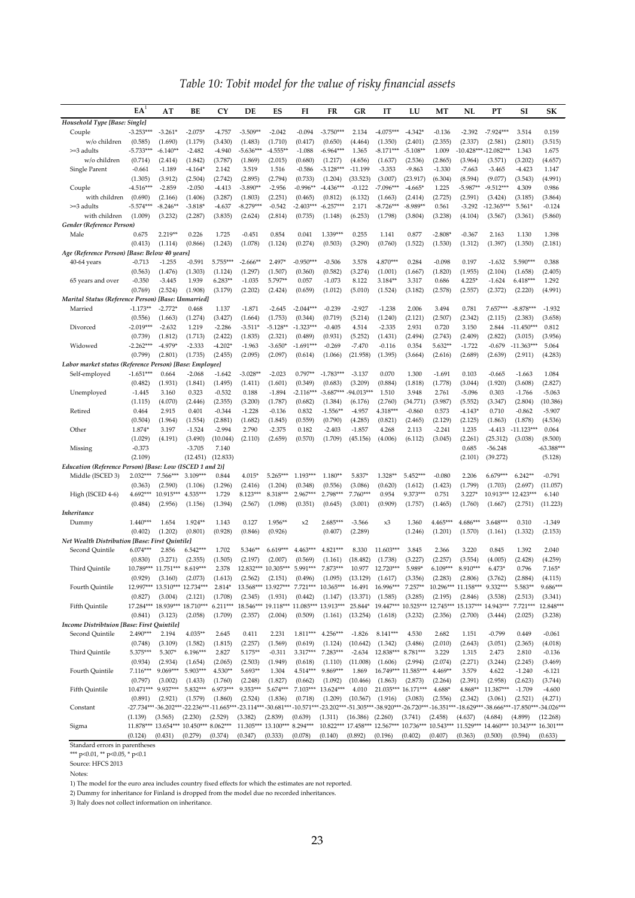*Table 10: Tobit model for the value of risky financial assets*

|                                                               | EA <sup>1</sup>     | AT         | BE                                     | CY                | DE                                                                                                                                                                             | ES                  | FI               | FR                                      | GR                   | IT                                      | LU                  | MТ               | NL                           | PT                                                | SI               | SK                     |
|---------------------------------------------------------------|---------------------|------------|----------------------------------------|-------------------|--------------------------------------------------------------------------------------------------------------------------------------------------------------------------------|---------------------|------------------|-----------------------------------------|----------------------|-----------------------------------------|---------------------|------------------|------------------------------|---------------------------------------------------|------------------|------------------------|
| Household Type [Base: Single]                                 |                     |            |                                        |                   |                                                                                                                                                                                |                     |                  |                                         |                      |                                         |                     |                  |                              |                                                   |                  |                        |
| Couple                                                        | $-3.253***$         | $-3.261*$  | $-2.075*$                              | $-4.757$          | $-3.509**$                                                                                                                                                                     | $-2.042$            | $-0.094$         | $-3.750***$                             | 2.134                | $-4.075***$                             | $-4.342*$           | $-0.136$         | $-2.392$                     | $-7.924***$                                       | 3.514            | 0.159                  |
| w/o children                                                  | (0.585)             | (1.690)    | (1.179)                                | (3.430)           | (1.483)                                                                                                                                                                        | (1.710)             | (0.417)          | (0.650)                                 | (4.464)              | (1.350)                                 | (2.401)             | (2.355)          | (2.337)                      | (2.581)                                           | (2.801)          | (3.515)                |
| >=3 adults                                                    | $-5.733***$         | $-6.140**$ | $-2.482$                               | $-4.940$          | $-5.636***$                                                                                                                                                                    | $-4.555**$          | $-1.088$         | $-6.964***$                             | 1.365                | $-8.171***$                             | $-5.108**$          | 1.009            |                              | $-10.428***-12.082***$                            | 1.343            | 1.675                  |
| w/o children                                                  | (0.714)             | (2.414)    | (1.842)                                | (3.787)           | (1.869)                                                                                                                                                                        | (2.015)             | (0.680)          | (1.217)                                 | (4.656)              | (1.637)                                 | (2.536)             | (2.865)          | (3.964)                      | (3.571)                                           | (3.202)          | (4.657)                |
| Single Parent                                                 | $-0.661$            | $-1.189$   | $-4.164*$                              | 2.142             | 3.519                                                                                                                                                                          | 1.516               | $-0.586$         | $-3.128***$                             | $-11.199$            | $-3.353$                                | $-9.863$            | $-1.330$         | $-7.663$                     | $-3.465$                                          | $-4.423$         | 1.147                  |
|                                                               | (1.305)             | (3.912)    | (2.504)                                | (2.742)           | (2.895)                                                                                                                                                                        | (2.794)             | (0.733)          | (1.204)                                 | (33.523)             | (3.007)                                 | (23.917)            | (6.304)          | (8.594)                      | (9.077)                                           | (3.543)          | (4.991)                |
| Couple                                                        | $-4.516***$         | $-2.859$   | $-2.050$                               | $-4.413$          | $-3.890**$                                                                                                                                                                     | $-2.956$            | $-0.996**$       | $-4.436***$                             | $-0.122$             | $-7.096***$                             | $-4.665*$           | 1.225            | $-5.987**$                   | $-9.512***$                                       | 4.309            | 0.986                  |
| with children                                                 | (0.690)             | (2.166)    | (1.406)                                | (3.287)           | (1.803)                                                                                                                                                                        | (2.251)             | (0.465)          | (0.812)                                 | (6.132)              | (1.663)                                 | (2.414)             | (2.725)          | (2.591)                      | (3.424)                                           | (3.185)          | (3.864)                |
| >=3 adults                                                    | $-5.574***$         | $-8.246**$ | $-3.818*$                              | $-4.637$          | $-8.279***$                                                                                                                                                                    | $-0.542$            | $-2.403***$      | $-6.257***$                             | 2.171                | $-8.726***$                             | $-8.989**$          | 0.561            | $-3.292$                     | $-12.365***$                                      | 5.561*           | $-0.124$               |
| with children                                                 | (1.009)             | (3.232)    | (2.287)                                | (3.835)           | (2.624)                                                                                                                                                                        | (2.814)             | (0.735)          | (1.148)                                 | (6.253)              | (1.798)                                 | (3.804)             | (3.238)          | (4.104)                      | (3.567)                                           | (3.361)          | (5.860)                |
| Gender (Reference Person)<br>Male                             | 0.675               | $2.219**$  | 0.226                                  | 1.725             | $-0.451$                                                                                                                                                                       | 0.854               | 0.041            | 1.339***                                | 0.255                | 1.141                                   | 0.877               | $-2.808*$        | $-0.367$                     | 2.163                                             | 1.130            | 1.398                  |
|                                                               | (0.413)             | (1.114)    | (0.866)                                | (1.243)           | (1.078)                                                                                                                                                                        | (1.124)             | (0.274)          | (0.503)                                 | (3.290)              | (0.760)                                 | (1.522)             | (1.530)          | (1.312)                      | (1.397)                                           | (1.350)          | (2.181)                |
| Age (Reference Person) [Base: Below 40 years]                 |                     |            |                                        |                   |                                                                                                                                                                                |                     |                  |                                         |                      |                                         |                     |                  |                              |                                                   |                  |                        |
| 40-64 years                                                   | $-0.713$            | $-1.255$   | $-0.591$                               | 5.755***          | $-2.666**$                                                                                                                                                                     | 2.497*              | $-0.950***$      | $-0.506$                                | 3.578                | 4.870***                                | 0.284               | $-0.098$         | 0.197                        | $-1.632$                                          | 5.590***         | 0.388                  |
|                                                               | (0.563)             | (1.476)    | (1.303)                                | (1.124)           | (1.297)                                                                                                                                                                        | (1.507)             | (0.360)          | (0.582)                                 | (3.274)              | (1.001)                                 | (1.667)             | (1.820)          | (1.955)                      | (2.104)                                           | (1.658)          | (2.405)                |
| 65 years and over                                             | $-0.350$            | $-3.445$   | 1.939                                  | $6.283**$         | $-1.035$                                                                                                                                                                       | 5.797**             | 0.057            | $-1.073$                                | 8.122                | 3.184**                                 | 3.317               | 0.686            | $4.225*$                     | $-1.624$                                          | $6.418***$       | 1.292                  |
|                                                               | (0.769)             | (2.524)    | (1.908)                                | (3.179)           | (2.202)                                                                                                                                                                        | (2.424)             | (0.659)          | (1.012)                                 | (5.010)              | (1.524)                                 | (3.182)             | (2.578)          | (2.557)                      | (2.372)                                           | (2.220)          | (4.991)                |
| Marital Status (Reference Person) [Base: Unmarried]           |                     |            |                                        |                   |                                                                                                                                                                                |                     |                  |                                         |                      |                                         |                     |                  |                              |                                                   |                  |                        |
| Married                                                       | $-1.173**$          | $-2.772*$  | 0.468                                  | 1.137             | $-1.871$                                                                                                                                                                       | $-2.645$            | $-2.044***$      | $-0.239$                                | $-2.927$             | $-1.238$                                | 2.006               | 3.494            | 0.781                        | 7.657***                                          | $-8.878***$      | $-1.932$               |
|                                                               | (0.556)             | (1.663)    | (1.274)                                | (3.427)           | (1.664)                                                                                                                                                                        | (1.753)             | (0.344)          | (0.719)                                 | (5.214)              | (1.240)                                 | (2.121)             | (2.507)          | (2.342)                      | (2.115)                                           | (2.383)          | (3.658)                |
| Divorced                                                      | $-2.019***$         | $-2.632$   | 1.219                                  | $-2.286$          | $-3.511*$                                                                                                                                                                      | $-5.128**$          | $-1.323***$      | $-0.405$                                | 4.514                | $-2.335$                                | 2.931               | 0.720            | 3.150                        | 2.844                                             | $-11.450***$     | 0.812                  |
|                                                               | (0.739)             | (1.812)    | (1.713)                                | (2.422)           | (1.835)                                                                                                                                                                        | (2.321)             | (0.489)          | (0.931)                                 | (5.252)              | (1.431)                                 | (2.494)             | (2.743)          | (2.409)                      | (2.822)                                           | (3.015)          | (3.956)                |
| Widowed                                                       | $-2.262***$         | $-4.979*$  | $-2.333$                               | $-4.202*$         | $-1.963$                                                                                                                                                                       | $-3.650*$           | $-1.691***$      | $-0.269$                                | $-7.470$             | $-0.116$                                | 0.354               | 5.632**          | $-1.722$                     | $-0.679$                                          | $-11.363***$     | 5.064                  |
|                                                               | (0.799)             | (2.801)    | (1.735)                                | (2.455)           | (2.095)                                                                                                                                                                        | (2.097)             | (0.614)          | (1.066)                                 | (21.958)             | (1.395)                                 | (3.664)             | (2.616)          | (2.689)                      | (2.639)                                           | (2.911)          | (4.283)                |
| Labor market status (Reference Person) [Base: Employee]       |                     |            |                                        |                   |                                                                                                                                                                                |                     |                  |                                         |                      |                                         |                     |                  |                              |                                                   |                  |                        |
| Self-employed                                                 | $-1.651***$         | 0.664      | $-2.068$                               | $-1.642$          | $-3.028**$                                                                                                                                                                     | $-2.023$            | $0.797**$        | $-1.783***$                             | $-3.137$             | 0.070                                   | 1.300               | $-1.691$         | 0.103                        | $-0.665$                                          | $-1.663$         | 1.084                  |
|                                                               | (0.482)             | (1.931)    | (1.841)                                | (1.495)           | (1.411)                                                                                                                                                                        | (1.601)             | (0.349)          | (0.683)                                 | (3.209)              | (0.884)                                 | (1.818)             | (1.778)          | (3.044)                      | (1.920)                                           | (3.608)          | (2.827)                |
| Unemployed                                                    | $-1.445$            | 3.160      | 0.323                                  | $-0.532$          | 0.188                                                                                                                                                                          | $-1.894$            | $-2.116***$      | $-3.687***$                             | $-94.013***$         | 1.510                                   | 3.948               | 2.761            | $-5.096$                     | 0.303                                             | $-1.766$         | $-5.063$               |
|                                                               | (1.115)             | (4.070)    | (2.446)                                | (2.355)           | (3.200)                                                                                                                                                                        | (1.787)             | (0.682)          | (1.384)                                 | (6.176)              | (2.760)                                 | (34.771)            | (3.987)          | (5.552)                      | (3.347)                                           | (2.804)          | (10.386)               |
| Retired                                                       | 0.464               | 2.915      | 0.401                                  | $-0.344$          | $-1.228$                                                                                                                                                                       | $-0.136$            | 0.832            | $-1.556**$                              | $-4.957$             | 4.318***                                | $-0.860$            | 0.573            | $-4.143*$                    | 0.710                                             | $-0.862$         | $-5.907$               |
|                                                               | (0.504)             | (1.964)    | (1.554)                                | (2.881)           | (1.682)                                                                                                                                                                        | (1.845)             | (0.559)          | (0.790)                                 | (4.285)              | (0.821)                                 | (2.465)             | (2.129)          | (2.125)                      | (1.863)                                           | (1.878)          | (4.536)                |
| Other                                                         | 1.874*              | 3.197      | $-1.524$                               | $-2.994$          | 2.790                                                                                                                                                                          | $-2.375$<br>(2.659) | 0.182<br>(0.570) | $-2.403$<br>(1.709)                     | $-1.857$             | 4.268                                   | 2.113               | $-2.241$         | 1.235                        | $-4.413$<br>(25.312)                              | $-11.123***$     | 0.064                  |
| Missing                                                       | (1.029)<br>$-0.373$ | (4.191)    | (3.490)<br>$-3.705$                    | (10.044)<br>7.140 | (2.110)                                                                                                                                                                        |                     |                  |                                         | (45.156)             | (4.006)                                 | (6.112)             | (3.045)          | (2.261)<br>0.685             | $-56.248$                                         | (3.038)          | (8.500)<br>$-63.388**$ |
|                                                               | (2.109)             |            | (12.451)                               | (12.833)          |                                                                                                                                                                                |                     |                  |                                         |                      |                                         |                     |                  | (2.101)                      | (39.272)                                          |                  | (5.128)                |
| Education (Reference Person) [Base: Low (ISCED 1 and 2)]      |                     |            |                                        |                   |                                                                                                                                                                                |                     |                  |                                         |                      |                                         |                     |                  |                              |                                                   |                  |                        |
| Middle (ISCED 3)                                              | 2.032***            | 7.566***   | $3.109***$                             | 0.844             | $4.015*$                                                                                                                                                                       | 5.265***            | $1.193***$       | $1.180**$                               | 5.837*               | 1.328**                                 | 5.452***            | $-0.080$         | 2.206                        | 6.679***                                          | $6.242**$        | $-0.791$               |
|                                                               | (0.363)             | (2.590)    | (1.106)                                | (1.296)           | (2.416)                                                                                                                                                                        | (1.204)             | (0.348)          | (0.556)                                 | (3.086)              | (0.620)                                 | (1.612)             | (1.423)          | (1.799)                      | (1.703)                                           | (2.697)          | (11.057)               |
| High (ISCED 4-6)                                              | 4.692***            | 10.915***  | 4.535***                               | 1.729             | 8.123***                                                                                                                                                                       | 8.318***            | 2.967***         | 2.798***                                | 7.760***             | 0.954                                   | 9.373***            | 0.751            | $3.227*$                     | 10.913***                                         | 12.423***        | 6.140                  |
|                                                               | (0.484)             | (2.956)    | (1.156)                                | (1.394)           | (2.567)                                                                                                                                                                        | (1.098)             | (0.351)          | (0.645)                                 | (3.001)              | (0.909)                                 | (1.757)             | (1.465)          | (1.760)                      | (1.667)                                           | (2.751)          | (11.223)               |
| Inheritance                                                   |                     |            |                                        |                   |                                                                                                                                                                                |                     |                  |                                         |                      |                                         |                     |                  |                              |                                                   |                  |                        |
| Dummy                                                         | $1.440***$          | 1.654      | 1.924**                                | 1.143             | 0.127                                                                                                                                                                          | 1.956**             | x2               | 2.685***                                | $-3.566$             | x3                                      | 1.360               | $4.465***$       | 4.686***                     | $3.648***$                                        | 0.310            | $-1.349$               |
|                                                               | (0.402)             | (1.202)    | (0.801)                                | (0.928)           | (0.846)                                                                                                                                                                        | (0.926)             |                  | (0.407)                                 | (2.289)              |                                         | (1.246)             | (1.201)          | (1.570)                      | (1.161)                                           | (1.332)          | (2.153)                |
| Net Wealth Distribution [Base: First Quintile]                |                     |            |                                        |                   |                                                                                                                                                                                |                     |                  |                                         |                      |                                         |                     |                  |                              |                                                   |                  |                        |
| Second Quintile                                               | $6.074***$          | 2.856      | 6.542***                               | 1.702             | 5.346**                                                                                                                                                                        | $6.619***$          | $4.463***$       | $4.821***$                              | 8.330                | $11.603***$                             | 3.845               | 2.366            | 3.220                        | 0.845                                             | 1.392            | 2.040                  |
|                                                               | (0.830)             | (3.271)    | (2.355)                                | (1.505)           | (2.197)                                                                                                                                                                        | (2.007)             | (0.569)          | (1.161)                                 | (18.482)             | (1.738)                                 | (3.227)             | (2.257)          | (3.554)                      | (4.005)                                           | (2.428)          | (4.259)                |
| Third Quintile                                                | 10.789***           | 11.751***  | $8.619***$                             | 2.378             | 12.832***                                                                                                                                                                      | 10.305***           | 5.991***         | 7.873***                                | 10.977               | 12.720***                               | 5.989*              | $6.109***$       | 8.910***                     | 6.473*                                            | 0.796            | $7.165*$               |
|                                                               | (0.929)             | (3.160)    | (2.073)                                | (1.613)           | (2.562)                                                                                                                                                                        | (2.151)             | (0.496)          | (1.095)                                 | (13.129)             | (1.617)                                 | (3.356)             | (2.283)          | (2.806)                      | (3.762)                                           | (2.884)          | (4.115)                |
| Fourth Quintile                                               |                     |            | 12.997*** 13.510*** 12.734***          | $2.814*$          |                                                                                                                                                                                | 13.568*** 13.927*** |                  | 7.721*** 10.365***                      |                      | 16.491 16.996***                        | $7.257**$           |                  | 10.296*** 11.158*** 9.332*** |                                                   | 5.583**          | 9.686***               |
|                                                               | (0.827)             | (3.004)    | (2.121)                                | (1.708)           | (2.345)                                                                                                                                                                        | (1.931)             | (0.442)          | (1.147)                                 | (13.371)             | (1.585)                                 | (3.285)             | (2.195)          | (2.846)                      | (3.538)                                           | (2.513)          | (3.341)                |
| Fifth Quintile                                                |                     |            | 17.284*** 18.939*** 18.710***          | $6.211***$        |                                                                                                                                                                                |                     |                  | 18.546*** 19.118*** 11.085*** 13.913*** | 25.844*              | 19.447***                               | 10.525***           |                  |                              | 12.745*** 15.137*** 14.943***                     | $7.721***$       | 12.848***              |
|                                                               | (0.841)             | (3.123)    | (2.058)                                | (1.709)           | (2.357)                                                                                                                                                                        | (2.004)             | (0.509)          | (1.161)                                 | (13.254)             | (1.618)                                 | (3.232)             | (2.356)          | (2.700)                      | (3.444)                                           | (2.025)          | (3.238)                |
| Income Distribtuion [Base: First Quintile]<br>Second Quintile | 2.490***            | 2.194      | $4.035**$                              |                   | 0.411                                                                                                                                                                          |                     | 1.811***         | $4.256***$                              |                      | $8.141***$                              |                     |                  |                              |                                                   |                  |                        |
|                                                               | (0.748)             | (3.109)    | (1.582)                                | 2.645<br>(1.815)  |                                                                                                                                                                                | 2.231<br>(1.569)    | (0.619)          |                                         | $-1.826$<br>(10.642) | (1.342)                                 | 4.530<br>(3.486)    | 2.682<br>(2.010) | 1.151<br>(2.643)             | $-0.799$<br>(3.051)                               | 0.449<br>(2.365) | $-0.061$<br>(4.018)    |
| Third Quintile                                                | 5.375***            | 5.307*     | 6.196***                               | 2.827             | (2.257)<br>5.175**                                                                                                                                                             | $-0.311$            | 3.317***         | (1.124)<br>7.283***                     | $-2.634$             | 12.838***                               | 8.781***            | 3.229            | 1.315                        | 2.473                                             | 2.810            | $-0.136$               |
|                                                               | (0.934)             | (2.934)    | (1.654)                                | (2.065)           | (2.503)                                                                                                                                                                        | (1.949)             | (0.618)          | (1.110)                                 | (11.008)             | (1.606)                                 | (2.994)             | (2.074)          | (2.271)                      | (3.244)                                           | (2.245)          | (3.469)                |
| Fourth Quintile                                               | 7.116***            | 9.069***   | 5.903***                               | 4.530**           | 5.693**                                                                                                                                                                        | 1.304               | $4.514***$       | 9.869***                                | 1.869                |                                         | 16.749*** 11.585*** | $4.469**$        | 3.579                        | 4.622                                             | $-1.240$         | $-6.121$               |
|                                                               | (0.797)             | (3.002)    | (1.433)                                | (1.760)           | (2.248)                                                                                                                                                                        | (1.827)             | (0.662)          | (1.092)                                 | (10.466)             | (1.863)                                 | (2.873)             | (2.264)          | (2.391)                      | (2.958)                                           | (2.623)          | (3.744)                |
| Fifth Quintile                                                | $10.471***$         | 9.937***   | 5.832***                               | 6.973***          | 9.353***                                                                                                                                                                       | $5.674***$          | $7.103***$       | 13.624***                               | 4.010                |                                         | 21.035*** 16.171*** | 4.688*           | 4.868**                      | 11.387***                                         | $-1.709$         | $-4.600$               |
|                                                               | (0.891)             | (2.921)    | (1.579)                                | (1.860)           | (2.524)                                                                                                                                                                        | (1.836)             | (0.718)          | (1.209)                                 | (10.567)             | (1.916)                                 | (3.083)             | (2.556)          | (2.342)                      | (3.061)                                           | (2.521)          | (4.271)                |
| Constant                                                      |                     |            |                                        |                   | -27.734*** -36.202*** -22.236*** -11.665*** -23.114*** -30.681*** -10.571*** -23.202*** -51.305*** -38.920*** -26.720*** -16.351*** -18.629*** -38.666*** -17.850*** -34.026** |                     |                  |                                         |                      |                                         |                     |                  |                              |                                                   |                  |                        |
|                                                               | (1.139)             | (3.565)    | (2.230)                                | (2.529)           | (3.382)                                                                                                                                                                        | (2.839)             | (0.639)          | (1.311)                                 | $(16.386)$ $(2.260)$ |                                         | (3.741)             | (2.458)          | (4.637)                      | (4.684)                                           | (4.899)          | (12.268)               |
| Sigma                                                         |                     |            | 11.878*** 13.654*** 10.450*** 8.062*** |                   | 11.305*** 13.100*** 8.294***                                                                                                                                                   |                     |                  |                                         |                      | 10.822*** 17.458*** 12.567*** 10.736*** |                     |                  |                              | 10.543*** 11.529*** 14.460*** 10.343*** 16.301*** |                  |                        |
|                                                               | (0.124)             | (0.431)    | (0.279)                                | (0.374)           | (0.347)                                                                                                                                                                        | (0.333)             | (0.078)          | (0.140)                                 | (0.892)              | (0.196)                                 | (0.402)             | (0.407)          | (0.363)                      | (0.500)                                           | (0.594)          | (0.633)                |
| Standard errors in parentheses                                |                     |            |                                        |                   |                                                                                                                                                                                |                     |                  |                                         |                      |                                         |                     |                  |                              |                                                   |                  |                        |

23

\*\*\* p<0.01, \*\* p<0.05, \* p<0.1

Source: HFCS 2013

Notes:

1) The model for the euro area includes country fixed effects for which the estimates are not reported.

2) Dummy for inheritance for Finland is dropped from the model due no recorded inheritances.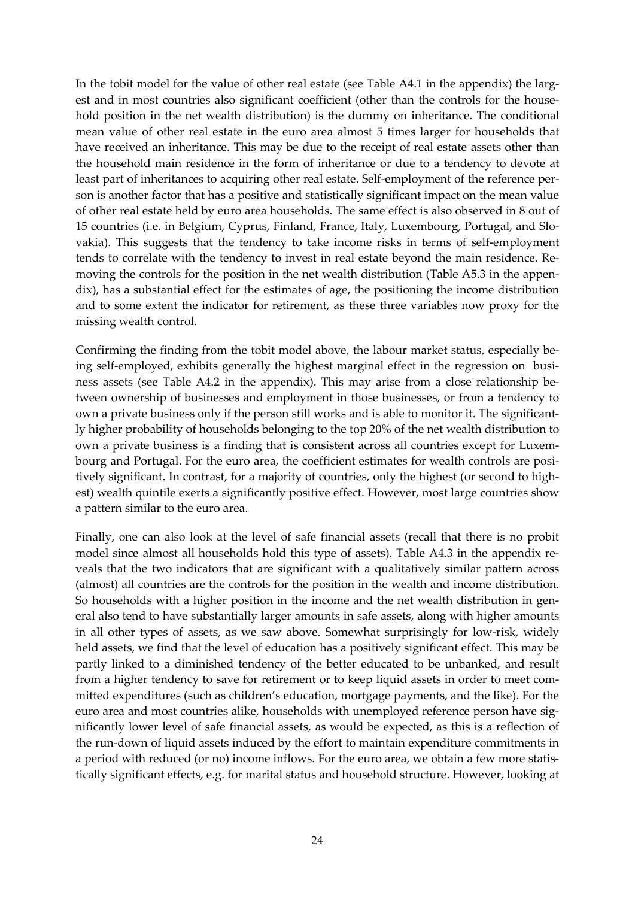In the tobit model for the value of other real estate (see Table A4.1 in the appendix) the largest and in most countries also significant coefficient (other than the controls for the household position in the net wealth distribution) is the dummy on inheritance. The conditional mean value of other real estate in the euro area almost 5 times larger for households that have received an inheritance. This may be due to the receipt of real estate assets other than the household main residence in the form of inheritance or due to a tendency to devote at least part of inheritances to acquiring other real estate. Self-employment of the reference person is another factor that has a positive and statistically significant impact on the mean value of other real estate held by euro area households. The same effect is also observed in 8 out of 15 countries (i.e. in Belgium, Cyprus, Finland, France, Italy, Luxembourg, Portugal, and Slovakia). This suggests that the tendency to take income risks in terms of self-employment tends to correlate with the tendency to invest in real estate beyond the main residence. Removing the controls for the position in the net wealth distribution (Table A5.3 in the appendix), has a substantial effect for the estimates of age, the positioning the income distribution and to some extent the indicator for retirement, as these three variables now proxy for the missing wealth control.

Confirming the finding from the tobit model above, the labour market status, especially being self-employed, exhibits generally the highest marginal effect in the regression on business assets (see Table A4.2 in the appendix). This may arise from a close relationship between ownership of businesses and employment in those businesses, or from a tendency to own a private business only if the person still works and is able to monitor it. The significantly higher probability of households belonging to the top 20% of the net wealth distribution to own a private business is a finding that is consistent across all countries except for Luxembourg and Portugal. For the euro area, the coefficient estimates for wealth controls are positively significant. In contrast, for a majority of countries, only the highest (or second to highest) wealth quintile exerts a significantly positive effect. However, most large countries show a pattern similar to the euro area.

Finally, one can also look at the level of safe financial assets (recall that there is no probit model since almost all households hold this type of assets). Table A4.3 in the appendix reveals that the two indicators that are significant with a qualitatively similar pattern across (almost) all countries are the controls for the position in the wealth and income distribution. So households with a higher position in the income and the net wealth distribution in general also tend to have substantially larger amounts in safe assets, along with higher amounts in all other types of assets, as we saw above. Somewhat surprisingly for low-risk, widely held assets, we find that the level of education has a positively significant effect. This may be partly linked to a diminished tendency of the better educated to be unbanked, and result from a higher tendency to save for retirement or to keep liquid assets in order to meet committed expenditures (such as children's education, mortgage payments, and the like). For the euro area and most countries alike, households with unemployed reference person have significantly lower level of safe financial assets, as would be expected, as this is a reflection of the run-down of liquid assets induced by the effort to maintain expenditure commitments in a period with reduced (or no) income inflows. For the euro area, we obtain a few more statistically significant effects, e.g. for marital status and household structure. However, looking at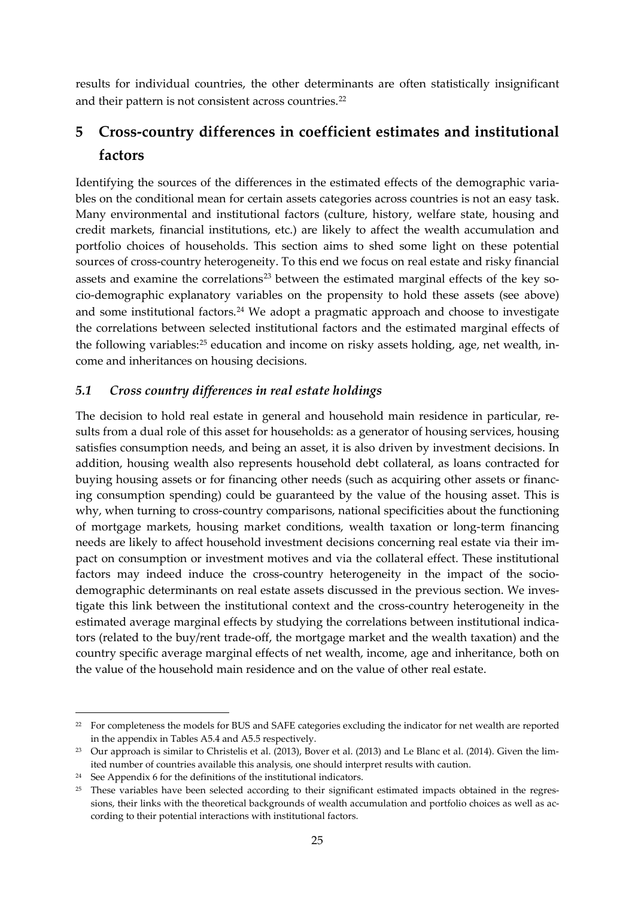results for individual countries, the other determinants are often statistically insignificant and their pattern is not consistent across countries.<sup>[22](#page-26-0)</sup>

# **5 Cross-country differences in coefficient estimates and institutional factors**

Identifying the sources of the differences in the estimated effects of the demographic variables on the conditional mean for certain assets categories across countries is not an easy task. Many environmental and institutional factors (culture, history, welfare state, housing and credit markets, financial institutions, etc.) are likely to affect the wealth accumulation and portfolio choices of households. This section aims to shed some light on these potential sources of cross-country heterogeneity. To this end we focus on real estate and risky financial assets and examine the correlations<sup>[23](#page-26-1)</sup> between the estimated marginal effects of the key socio-demographic explanatory variables on the propensity to hold these assets (see above) and some institutional factors.<sup>[24](#page-26-2)</sup> We adopt a pragmatic approach and choose to investigate the correlations between selected institutional factors and the estimated marginal effects of the following variables:<sup>[25](#page-26-3)</sup> education and income on risky assets holding, age, net wealth, income and inheritances on housing decisions.

#### *5.1 Cross country differences in real estate holdings*

The decision to hold real estate in general and household main residence in particular, results from a dual role of this asset for households: as a generator of housing services, housing satisfies consumption needs, and being an asset, it is also driven by investment decisions. In addition, housing wealth also represents household debt collateral, as loans contracted for buying housing assets or for financing other needs (such as acquiring other assets or financing consumption spending) could be guaranteed by the value of the housing asset. This is why, when turning to cross-country comparisons, national specificities about the functioning of mortgage markets, housing market conditions, wealth taxation or long-term financing needs are likely to affect household investment decisions concerning real estate via their impact on consumption or investment motives and via the collateral effect. These institutional factors may indeed induce the cross-country heterogeneity in the impact of the sociodemographic determinants on real estate assets discussed in the previous section. We investigate this link between the institutional context and the cross-country heterogeneity in the estimated average marginal effects by studying the correlations between institutional indicators (related to the buy/rent trade-off, the mortgage market and the wealth taxation) and the country specific average marginal effects of net wealth, income, age and inheritance, both on the value of the household main residence and on the value of other real estate.

**.** 

<span id="page-26-0"></span><sup>&</sup>lt;sup>22</sup> For completeness the models for BUS and SAFE categories excluding the indicator for net wealth are reported in the appendix in Tables A5.4 and A5.5 respectively.

<span id="page-26-1"></span><sup>&</sup>lt;sup>23</sup> Our approach is similar to Christelis et al. (2013), Bover et al. (2013) and Le Blanc et al. (2014). Given the limited number of countries available this analysis, one should interpret results with caution.

<span id="page-26-2"></span><sup>24</sup> See Appendix 6 for the definitions of the institutional indicators.

<span id="page-26-3"></span><sup>&</sup>lt;sup>25</sup> These variables have been selected according to their significant estimated impacts obtained in the regressions, their links with the theoretical backgrounds of wealth accumulation and portfolio choices as well as according to their potential interactions with institutional factors.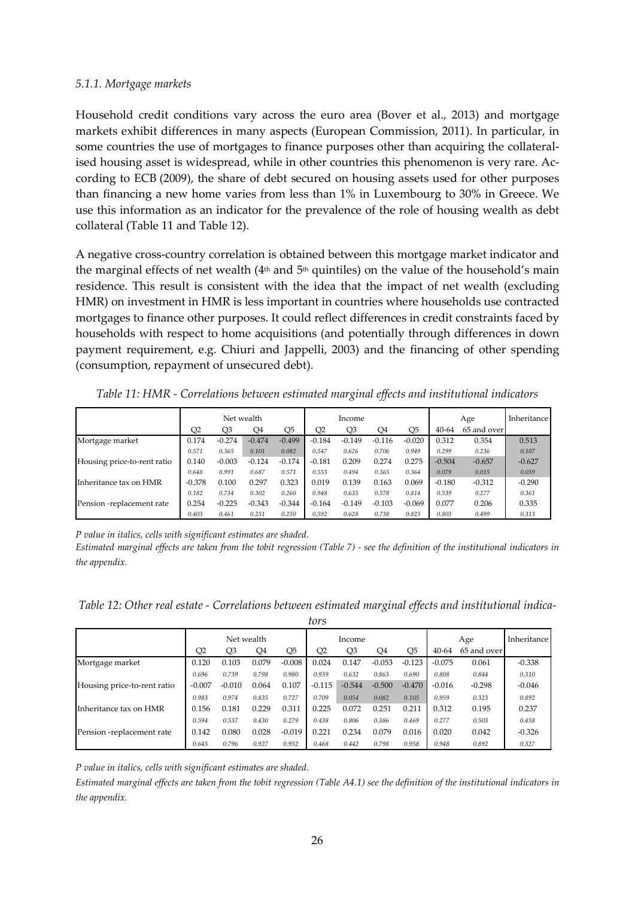#### *5.1.1. Mortgage markets*

Household credit conditions vary across the euro area (Bover et al., 2013) and mortgage markets exhibit differences in many aspects (European Commission, 2011). In particular, in some countries the use of mortgages to finance purposes other than acquiring the collateralised housing asset is widespread, while in other countries this phenomenon is very rare. According to ECB (2009), the share of debt secured on housing assets used for other purposes than financing a new home varies from less than 1% in Luxembourg to 30% in Greece. We use this information as an indicator for the prevalence of the role of housing wealth as debt collateral (Table 11 and Table 12).

A negative cross-country correlation is obtained between this mortgage market indicator and the marginal effects of net wealth ( $4<sup>th</sup>$  and  $5<sup>th</sup>$  quintiles) on the value of the household's main residence. This result is consistent with the idea that the impact of net wealth (excluding HMR) on investment in HMR is less important in countries where households use contracted mortgages to finance other purposes. It could reflect differences in credit constraints faced by households with respect to home acquisitions (and potentially through differences in down payment requirement, e.g. Chiuri and Jappelli, 2003) and the financing of other spending (consumption, repayment of unsecured debt).

|                             |          |          | Net wealth |          |                | Income   |          |          |           | Age         | Inheritance |
|-----------------------------|----------|----------|------------|----------|----------------|----------|----------|----------|-----------|-------------|-------------|
|                             | Q2       | Q3       | Q4         | Q5       | Q <sub>2</sub> | Q3       | Q4       | Q5       | $40 - 64$ | 65 and over |             |
| Mortgage market             | 0.174    | $-0.274$ | $-0.474$   | $-0.499$ | $-0.184$       | $-0.149$ | $-0.116$ | $-0.020$ | 0.312     | 0.354       | 0.513       |
|                             | 0.571    | 0.365    | 0.101      | 0.082    | 0.547          | 0.626    | 0.706    | 0.949    | 0.299     | 0.236       | 0.107       |
| Housing price-to-rent ratio | 0.140    | $-0.003$ | $-0.124$   | $-0.174$ | $-0.181$       | 0.209    | 0.274    | 0.275    | $-0.504$  | $-0.657$    | $-0.627$    |
|                             | 0.648    | 0.991    | 0.687      | 0.571    | 0.553          | 0.494    | 0.365    | 0.364    | 0.079     | 0.015       | 0.039       |
| Inheritance tax on HMR      | $-0.378$ | 0.100    | 0.297      | 0.323    | 0.019          | 0.139    | 0.163    | 0.069    | $-0.180$  | $-0.312$    | $-0.290$    |
|                             | 0.182    | 0.734    | 0.302      | 0.260    | 0.948          | 0.635    | 0.578    | 0.814    | 0.539     | 0.277       | 0.361       |
| Pension -replacement rate   | 0.254    | $-0.225$ | $-0.343$   | $-0.344$ | $-0.164$       | $-0.149$ | $-0.103$ | $-0.069$ | 0.077     | 0.206       | 0.335       |
|                             | 0.403    | 0.461    | 0.251      | 0.250    | 0.592          | 0.628    | 0.738    | 0.823    | 0.803     | 0.499       | 0.313       |

*Table 11: HMR - Correlations between estimated marginal effects and institutional indicators* 

*P value in italics, cells with significant estimates are shaded.*

*Estimated marginal effects are taken from the tobit regression (Table 7) - see the definition of the institutional indicators in the appendix.*

*Table 12: Other real estate - Correlations between estimated marginal effects and institutional indica-*

|                             |          |            |       |          | wrs            |          |          |                |           |             |             |
|-----------------------------|----------|------------|-------|----------|----------------|----------|----------|----------------|-----------|-------------|-------------|
|                             |          | Net wealth |       |          |                | Income   |          |                |           | Age         | Inheritance |
|                             | Q2       | Q3         | Q4    | Q5       | Q <sub>2</sub> | Q3       | Q4       | O <sub>5</sub> | $40 - 64$ | 65 and over |             |
| Mortgage market             | 0.120    | 0.103      | 0.079 | $-0.008$ | 0.024          | 0.147    | $-0.053$ | $-0.123$       | $-0.075$  | 0.061       | $-0.338$    |
|                             | 0.696    | 0.739      | 0.798 | 0.980    | 0.939          | 0.632    | 0.863    | 0.690          | 0.808     | 0.844       | 0.310       |
| Housing price-to-rent ratio | $-0.007$ | $-0.010$   | 0.064 | 0.107    | $-0.115$       | $-0.544$ | $-0.500$ | $-0.470$       | $-0.016$  | $-0.298$    | $-0.046$    |
|                             | 0.983    | 0.974      | 0.835 | 0.727    | 0.709          | 0.054    | 0.082    | 0.105          | 0.959     | 0.323       | 0.892       |
| Inheritance tax on HMR      | 0.156    | 0.181      | 0.229 | 0.311    | 0.225          | 0.072    | 0.251    | 0.211          | 0.312     | 0.195       | 0.237       |
|                             | 0.594    | 0.537      | 0.430 | 0.279    | 0.438          | 0.806    | 0.386    | 0.469          | 0.277     | 0.503       | 0.458       |
| Pension -replacement rate   | 0.142    | 0.080      | 0.028 | $-0.019$ | 0.221          | 0.234    | 0.079    | 0.016          | 0.020     | 0.042       | $-0.326$    |
|                             | 0.645    | 0.796      | 0.927 | 0.952    | 0.468          | 0.442    | 0.798    | 0.958          | 0.948     | 0.892       | 0.327       |

*tors* 

*P value in italics, cells with significant estimates are shaded.*

*Estimated marginal effects are taken from the tobit regression (Table A4.1) see the definition of the institutional indicators in the appendix.*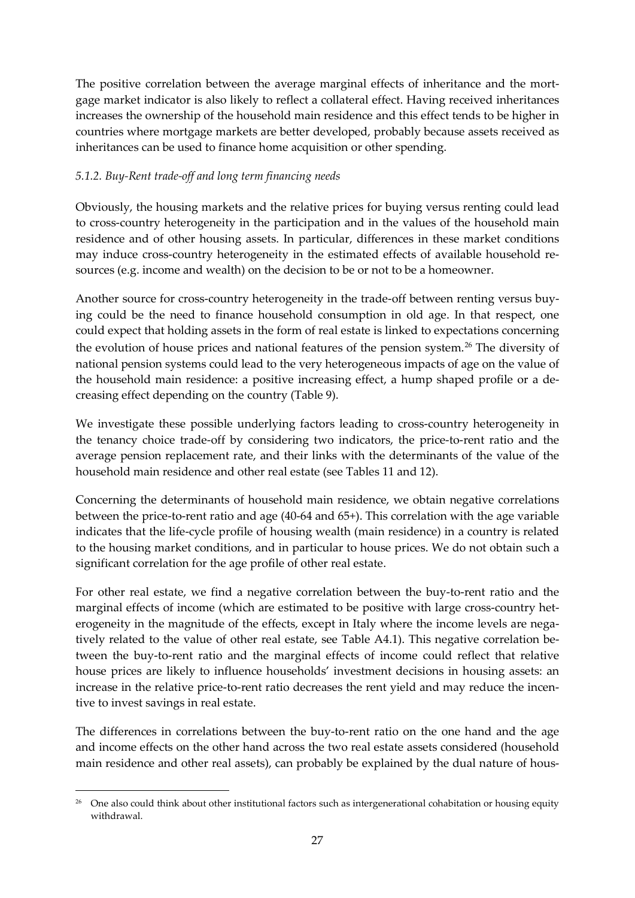The positive correlation between the average marginal effects of inheritance and the mortgage market indicator is also likely to reflect a collateral effect. Having received inheritances increases the ownership of the household main residence and this effect tends to be higher in countries where mortgage markets are better developed, probably because assets received as inheritances can be used to finance home acquisition or other spending.

#### *5.1.2. Buy-Rent trade-off and long term financing needs*

Obviously, the housing markets and the relative prices for buying versus renting could lead to cross-country heterogeneity in the participation and in the values of the household main residence and of other housing assets. In particular, differences in these market conditions may induce cross-country heterogeneity in the estimated effects of available household resources (e.g. income and wealth) on the decision to be or not to be a homeowner.

Another source for cross-country heterogeneity in the trade-off between renting versus buying could be the need to finance household consumption in old age. In that respect, one could expect that holding assets in the form of real estate is linked to expectations concerning the evolution of house prices and national features of the pension system.<sup>[26](#page-28-0)</sup> The diversity of national pension systems could lead to the very heterogeneous impacts of age on the value of the household main residence: a positive increasing effect, a hump shaped profile or a decreasing effect depending on the country (Table 9).

We investigate these possible underlying factors leading to cross-country heterogeneity in the tenancy choice trade-off by considering two indicators, the price-to-rent ratio and the average pension replacement rate, and their links with the determinants of the value of the household main residence and other real estate (see Tables 11 and 12).

Concerning the determinants of household main residence, we obtain negative correlations between the price-to-rent ratio and age (40-64 and 65+). This correlation with the age variable indicates that the life-cycle profile of housing wealth (main residence) in a country is related to the housing market conditions, and in particular to house prices. We do not obtain such a significant correlation for the age profile of other real estate.

For other real estate, we find a negative correlation between the buy-to-rent ratio and the marginal effects of income (which are estimated to be positive with large cross-country heterogeneity in the magnitude of the effects, except in Italy where the income levels are negatively related to the value of other real estate, see Table A4.1). This negative correlation between the buy-to-rent ratio and the marginal effects of income could reflect that relative house prices are likely to influence households' investment decisions in housing assets: an increase in the relative price-to-rent ratio decreases the rent yield and may reduce the incentive to invest savings in real estate.

The differences in correlations between the buy-to-rent ratio on the one hand and the age and income effects on the other hand across the two real estate assets considered (household main residence and other real assets), can probably be explained by the dual nature of hous-

**.** 

<span id="page-28-0"></span><sup>&</sup>lt;sup>26</sup> One also could think about other institutional factors such as intergenerational cohabitation or housing equity withdrawal.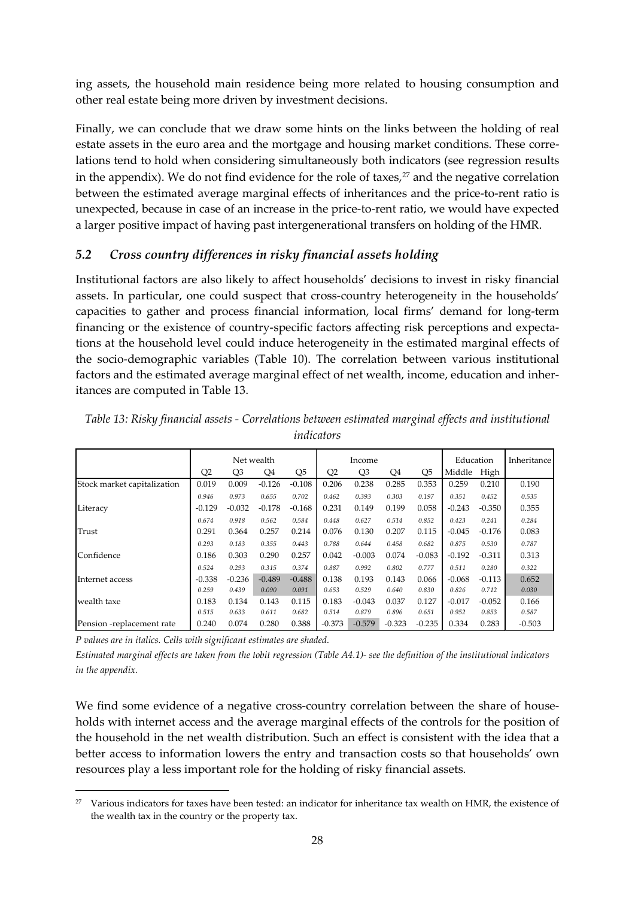ing assets, the household main residence being more related to housing consumption and other real estate being more driven by investment decisions.

Finally, we can conclude that we draw some hints on the links between the holding of real estate assets in the euro area and the mortgage and housing market conditions. These correlations tend to hold when considering simultaneously both indicators (see regression results in the appendix). We do not find evidence for the role of taxes, $27$  and the negative correlation between the estimated average marginal effects of inheritances and the price-to-rent ratio is unexpected, because in case of an increase in the price-to-rent ratio, we would have expected a larger positive impact of having past intergenerational transfers on holding of the HMR.

#### *5.2 Cross country differences in risky financial assets holding*

Institutional factors are also likely to affect households' decisions to invest in risky financial assets. In particular, one could suspect that cross-country heterogeneity in the households' capacities to gather and process financial information, local firms' demand for long-term financing or the existence of country-specific factors affecting risk perceptions and expectations at the household level could induce heterogeneity in the estimated marginal effects of the socio-demographic variables (Table 10). The correlation between various institutional factors and the estimated average marginal effect of net wealth, income, education and inheritances are computed in Table 13.

|                             |          |          | Net wealth |          |          | Income   |          |          | Education |          | Inheritance |
|-----------------------------|----------|----------|------------|----------|----------|----------|----------|----------|-----------|----------|-------------|
|                             | Q2       | Q3       | Q4         | Q5       | Q2       | Q3       | Q4       | Q5       | Middle    | High     |             |
| Stock market capitalization | 0.019    | 0.009    | $-0.126$   | $-0.108$ | 0.206    | 0.238    | 0.285    | 0.353    | 0.259     | 0.210    | 0.190       |
|                             | 0.946    | 0.973    | 0.655      | 0.702    | 0.462    | 0.393    | 0.303    | 0.197    | 0.351     | 0.452    | 0.535       |
| Literacy                    | $-0.129$ | $-0.032$ | $-0.178$   | $-0.168$ | 0.231    | 0.149    | 0.199    | 0.058    | $-0.243$  | $-0.350$ | 0.355       |
|                             | 0.674    | 0.918    | 0.562      | 0.584    | 0.448    | 0.627    | 0.514    | 0.852    | 0.423     | 0.241    | 0.284       |
| Trust                       | 0.291    | 0.364    | 0.257      | 0.214    | 0.076    | 0.130    | 0.207    | 0.115    | $-0.045$  | $-0.176$ | 0.083       |
|                             | 0.293    | 0.183    | 0.355      | 0.443    | 0.788    | 0.644    | 0.458    | 0.682    | 0.875     | 0.530    | 0.787       |
| Confidence                  | 0.186    | 0.303    | 0.290      | 0.257    | 0.042    | $-0.003$ | 0.074    | $-0.083$ | $-0.192$  | $-0.311$ | 0.313       |
|                             | 0.524    | 0.293    | 0.315      | 0.374    | 0.887    | 0.992    | 0.802    | 0.777    | 0.511     | 0.280    | 0.322       |
| Internet access             | $-0.338$ | $-0.236$ | $-0.489$   | $-0.488$ | 0.138    | 0.193    | 0.143    | 0.066    | $-0.068$  | $-0.113$ | 0.652       |
|                             | 0.259    | 0.439    | 0.090      | 0.091    | 0.653    | 0.529    | 0.640    | 0.830    | 0.826     | 0.712    | 0.030       |
| wealth taxe                 | 0.183    | 0.134    | 0.143      | 0.115    | 0.183    | $-0.043$ | 0.037    | 0.127    | $-0.017$  | $-0.052$ | 0.166       |
|                             | 0.515    | 0.633    | 0.611      | 0.682    | 0.514    | 0.879    | 0.896    | 0.651    | 0.952     | 0.853    | 0.587       |
| Pension -replacement rate   | 0.240    | 0.074    | 0.280      | 0.388    | $-0.373$ | $-0.579$ | $-0.323$ | $-0.235$ | 0.334     | 0.283    | $-0.503$    |

*Table 13: Risky financial assets - Correlations between estimated marginal effects and institutional indicators*

*P values are in italics. Cells with significant estimates are shaded.*

**.** 

*Estimated marginal effects are taken from the tobit regression (Table A4.1)- see the definition of the institutional indicators in the appendix.*

We find some evidence of a negative cross-country correlation between the share of households with internet access and the average marginal effects of the controls for the position of the household in the net wealth distribution. Such an effect is consistent with the idea that a better access to information lowers the entry and transaction costs so that households' own resources play a less important role for the holding of risky financial assets.

<span id="page-29-0"></span><sup>&</sup>lt;sup>27</sup> Various indicators for taxes have been tested: an indicator for inheritance tax wealth on HMR, the existence of the wealth tax in the country or the property tax.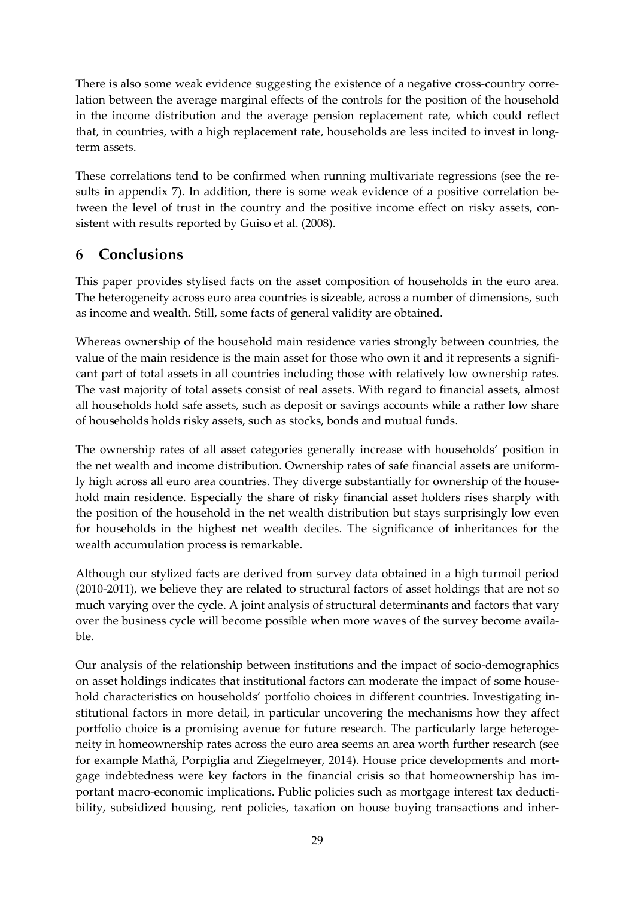There is also some weak evidence suggesting the existence of a negative cross-country correlation between the average marginal effects of the controls for the position of the household in the income distribution and the average pension replacement rate, which could reflect that, in countries, with a high replacement rate, households are less incited to invest in longterm assets.

These correlations tend to be confirmed when running multivariate regressions (see the results in appendix 7). In addition, there is some weak evidence of a positive correlation between the level of trust in the country and the positive income effect on risky assets, consistent with results reported by Guiso et al. (2008).

# **6 Conclusions**

This paper provides stylised facts on the asset composition of households in the euro area. The heterogeneity across euro area countries is sizeable, across a number of dimensions, such as income and wealth. Still, some facts of general validity are obtained.

Whereas ownership of the household main residence varies strongly between countries, the value of the main residence is the main asset for those who own it and it represents a significant part of total assets in all countries including those with relatively low ownership rates. The vast majority of total assets consist of real assets. With regard to financial assets, almost all households hold safe assets, such as deposit or savings accounts while a rather low share of households holds risky assets, such as stocks, bonds and mutual funds.

The ownership rates of all asset categories generally increase with households' position in the net wealth and income distribution. Ownership rates of safe financial assets are uniformly high across all euro area countries. They diverge substantially for ownership of the household main residence. Especially the share of risky financial asset holders rises sharply with the position of the household in the net wealth distribution but stays surprisingly low even for households in the highest net wealth deciles. The significance of inheritances for the wealth accumulation process is remarkable.

Although our stylized facts are derived from survey data obtained in a high turmoil period (2010-2011), we believe they are related to structural factors of asset holdings that are not so much varying over the cycle. A joint analysis of structural determinants and factors that vary over the business cycle will become possible when more waves of the survey become available.

Our analysis of the relationship between institutions and the impact of socio-demographics on asset holdings indicates that institutional factors can moderate the impact of some household characteristics on households' portfolio choices in different countries. Investigating institutional factors in more detail, in particular uncovering the mechanisms how they affect portfolio choice is a promising avenue for future research. The particularly large heterogeneity in homeownership rates across the euro area seems an area worth further research (see for example Mathä, Porpiglia and Ziegelmeyer, 2014). House price developments and mortgage indebtedness were key factors in the financial crisis so that homeownership has important macro-economic implications. Public policies such as mortgage interest tax deductibility, subsidized housing, rent policies, taxation on house buying transactions and inher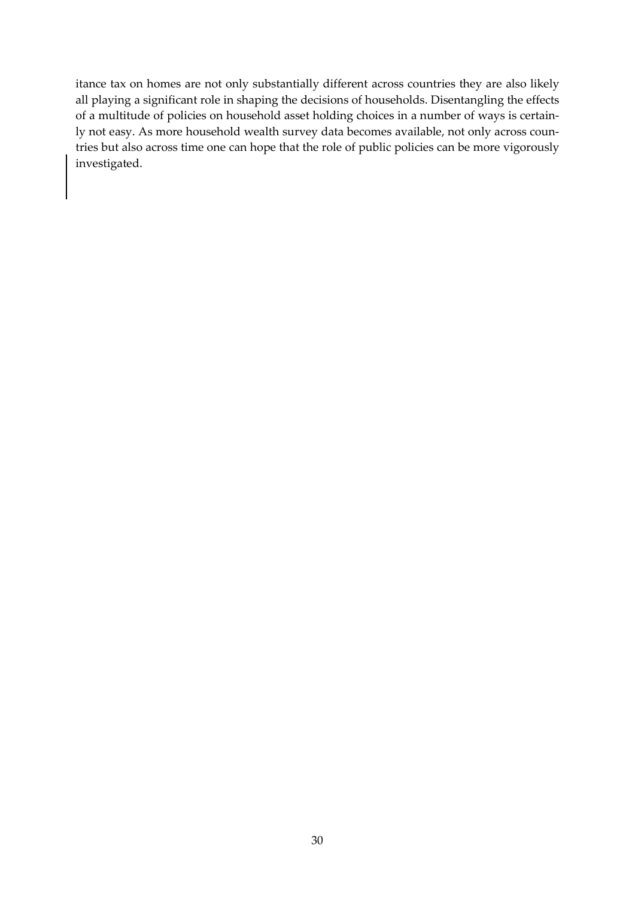itance tax on homes are not only substantially different across countries they are also likely all playing a significant role in shaping the decisions of households. Disentangling the effects of a multitude of policies on household asset holding choices in a number of ways is certainly not easy. As more household wealth survey data becomes available, not only across countries but also across time one can hope that the role of public policies can be more vigorously investigated.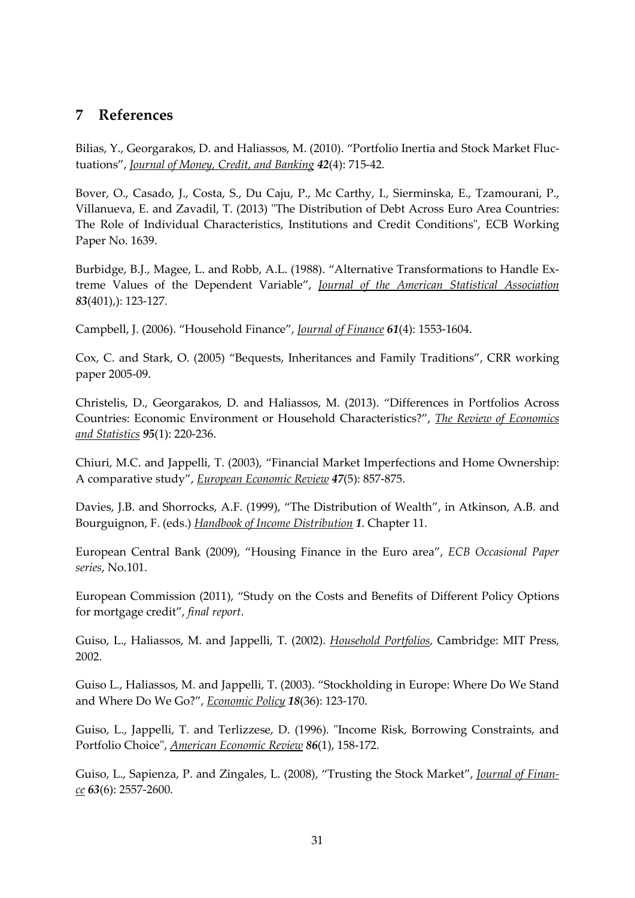# **7 References**

Bilias, Y., Georgarakos, D. and Haliassos, M. (2010). "Portfolio Inertia and Stock Market Fluctuations", *Journal of Money, Credit, and Banking 42*(4): 715-42*.*

Bover, O., Casado, J., Costa, S., Du Caju, P., Mc Carthy, I., Sierminska, E., Tzamourani, P., Villanueva, E. and Zavadil, T. (2013) "The Distribution of Debt Across Euro Area Countries: The Role of Individual Characteristics, Institutions and Credit Conditions", ECB Working Paper No. 1639.

Burbidge, B.J., Magee, L. and Robb, A.L. (1988). ["Alternative](http://ideas.repec.org/a/bla/jfinan/v61y2006i4p1553-1604.html) Transformations to Handle Extreme Values of the Dependent Variable", *[Journal of the](http://ideas.repec.org/s/bla/jfinan.html) American Statistical Association 83*(401),): 123-127.

Campbell, J. (2006). ["Household Finance"](http://ideas.repec.org/a/bla/jfinan/v61y2006i4p1553-1604.html), *[Journal of Finance](http://ideas.repec.org/s/bla/jfinan.html) 61*(4): 1553-1604.

Cox, C. and Stark, O. (2005) "Bequests, Inheritances and Family Traditions", CRR working paper 2005-09.

Christelis, D., Georgarakos, D. and Haliassos, M. (2013). "Differences in Portfolios Across Countries: Economic Environment or Household Characteristics?", *The Review of Economics and Statistics 95*(1): 220-236.

Chiuri, M.C. and Jappelli, T. (2003), "Financial Market Imperfections and Home Ownership: A comparative study", *European Economic Review 47*(5): 857-875.

Davies, J.B. and Shorrocks, A.F. (1999), "The Distribution of Wealth", in Atkinson, A.B. and Bourguignon, F. (eds.) *Handbook of Income Distribution 1*. Chapter 11.

European Central Bank (2009), "Housing Finance in the Euro area", *ECB Occasional Paper series*, No.101.

European Commission (2011), "Study on the Costs and Benefits of Different Policy Options for mortgage credit", *final report*.

Guiso, L., Haliassos, M. and Jappelli, T. (2002). *Household Portfolios*, Cambridge: MIT Press, 2002.

Guiso L., Haliassos, M. and Jappelli, T. (2003). "Stockholding in Europe: Where Do We Stand and Where Do We Go?", *Economic Policy 18*(36): 123-170.

Guiso, L., Jappelli, T. and Terlizzese, D. (1996). "Income Risk, Borrowing Constraints, and Portfolio Choice", *American Economic Review 86*(1), 158-172.

Guiso, L., Sapienza, P. and Zingales, L. (2008), "Trusting the Stock Market", *Journal of Finance 63*(6): 2557-2600.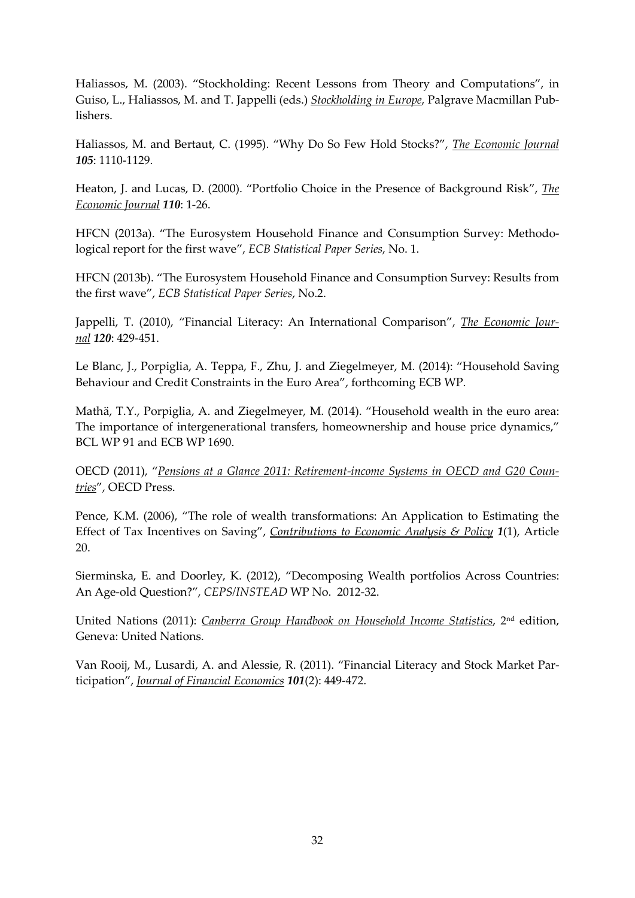Haliassos, M. (2003). "Stockholding: Recent Lessons from Theory and Computations", in Guiso, L., Haliassos, M. and T. Jappelli (eds.) *Stockholding in Europe*, Palgrave Macmillan Publishers.

Haliassos, M. and Bertaut, C. (1995). "Why Do So Few Hold Stocks?", *The Economic Journal 105*: 1110-1129.

Heaton, J. and Lucas, D. (2000). "Portfolio Choice in the Presence of Background Risk", *The Economic Journal 110*: 1-26.

HFCN (2013a). "The Eurosystem Household Finance and Consumption Survey: Methodological report for the first wave", *ECB Statistical Paper Series*, No. 1.

HFCN (2013b). "The Eurosystem Household Finance and Consumption Survey: Results from the first wave", *ECB Statistical Paper Series*, No.2.

Jappelli, T. (2010), "Financial Literacy: An International Comparison", *The Economic Journal 120*: 429-451.

Le Blanc, J., Porpiglia, A. Teppa, F., Zhu, J. and Ziegelmeyer, M. (2014): "Household Saving Behaviour and Credit Constraints in the Euro Area", forthcoming ECB WP.

Mathä, T.Y., Porpiglia, A. and Ziegelmeyer, M. (2014). "Household wealth in the euro area: The importance of intergenerational transfers, homeownership and house price dynamics," BCL WP 91 and ECB WP 1690.

OECD (2011), "*Pensions at a Glance 2011: Retirement-income Systems in OECD and G20 Countries*", OECD Press.

Pence, K.M. (2006), "The role of wealth transformations: An Application to Estimating the Effect of Tax Incentives on Saving", *[Contributions to Economic Analysis & Policy](http://ideas.repec.org/s/bla/jfinan.html) 1*(1), Article 20.

Sierminska, E. and Doorley, K. (2012), "Decomposing Wealth portfolios Across Countries: An Age-old Question?", *CEPS/INSTEAD* WP No. 2012-32.

United Nations (2011): *Canberra Group Handbook on Household Income Statistics*, 2nd edition, Geneva: United Nations.

Van Rooij, M., Lusardi, A. and Alessie, R. (2011). ["Financial Literacy and Stock Market Par](http://ideas.repec.org/a/eee/jfinec/v101y2011i2p449-472.html)[ticipation"](http://ideas.repec.org/a/eee/jfinec/v101y2011i2p449-472.html), *[Journal of Financial Economics](http://ideas.repec.org/s/eee/jfinec.html) 101*(2): 449-472.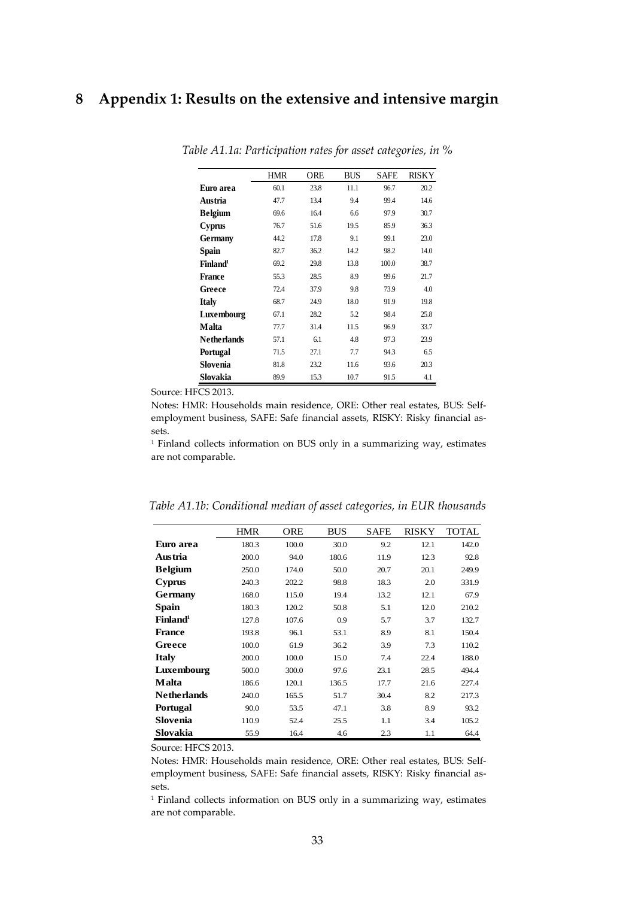# **8 Appendix 1: Results on the extensive and intensive margin**

|                      | <b>HMR</b> | ORE  | <b>BUS</b> | SAFE  | <b>RISKY</b> |
|----------------------|------------|------|------------|-------|--------------|
| Euro area            | 60.1       | 23.8 | 11.1       | 96.7  | 20.2         |
| Austria              | 47.7       | 13.4 | 9.4        | 99.4  | 14.6         |
| <b>Belgium</b>       | 69.6       | 16.4 | 6.6        | 97.9  | 30.7         |
| Cyprus               | 76.7       | 51.6 | 19.5       | 85.9  | 36.3         |
| Germany              | 44.2       | 17.8 | 9.1        | 99.1  | 23.0         |
| Spain                | 82.7       | 36.2 | 14.2       | 98.2  | 14.0         |
| Finland <sup>1</sup> | 69.2       | 29.8 | 13.8       | 100.0 | 38.7         |
| <b>France</b>        | 55.3       | 28.5 | 8.9        | 99.6  | 21.7         |
| Greece               | 72.4       | 37.9 | 9.8        | 73.9  | 4.0          |
| Italy                | 68.7       | 24.9 | 18.0       | 91.9  | 19.8         |
| Luxembourg           | 67.1       | 28.2 | 5.2        | 98.4  | 25.8         |
| Malta                | 77.7       | 31.4 | 11.5       | 96.9  | 33.7         |
| <b>Netherlands</b>   | 57.1       | 6.1  | 4.8        | 97.3  | 23.9         |
| Portugal             | 71.5       | 27.1 | 7.7        | 94.3  | 6.5          |
| Slovenia             | 81.8       | 23.2 | 11.6       | 93.6  | 20.3         |
| Slovakia             | 89.9       | 15.3 | 10.7       | 91.5  | 4.1          |

*Table A1.1a: Participation rates for asset categories, in %*

Source: HFCS 2013.

Notes: HMR: Households main residence, ORE: Other real estates, BUS: Selfemployment business, SAFE: Safe financial assets, RISKY: Risky financial assets.

<sup>1</sup> Finland collects information on BUS only in a summarizing way, estimates are not comparable.

*Table A1.1b: Conditional median of asset categories, in EUR thousands*

|                      | HMR   | ORE   | <b>BUS</b> | SAFE | <b>RISKY</b> | TOTAL |
|----------------------|-------|-------|------------|------|--------------|-------|
| Euro area            | 180.3 | 100.0 | 30.0       | 9.2  | 12.1         | 142.0 |
| Austria              | 200.0 | 94.0  | 180.6      | 11.9 | 12.3         | 92.8  |
| <b>Belgium</b>       | 250.0 | 174.0 | 50.0       | 20.7 | 20.1         | 249.9 |
| <b>Cyprus</b>        | 240.3 | 202.2 | 98.8       | 18.3 | 2.0          | 331.9 |
| Germany              | 168.0 | 115.0 | 19.4       | 13.2 | 12.1         | 67.9  |
| <b>Spain</b>         | 180.3 | 120.2 | 50.8       | 5.1  | 12.0         | 210.2 |
| Finland <sup>1</sup> | 127.8 | 107.6 | 0.9        | 5.7  | 3.7          | 132.7 |
| <b>France</b>        | 193.8 | 96.1  | 53.1       | 8.9  | 8.1          | 150.4 |
| Greece               | 100.0 | 61.9  | 36.2       | 3.9  | 7.3          | 110.2 |
| <b>Italy</b>         | 200.0 | 100.0 | 15.0       | 7.4  | 22.4         | 188.0 |
| Luxembourg           | 500.0 | 300.0 | 97.6       | 23.1 | 28.5         | 494.4 |
| Malta                | 186.6 | 120.1 | 136.5      | 17.7 | 21.6         | 227.4 |
| <b>Netherlands</b>   | 240.0 | 165.5 | 51.7       | 30.4 | 8.2          | 217.3 |
| Portugal             | 90.0  | 53.5  | 47.1       | 3.8  | 8.9          | 93.2  |
| Slovenia             | 110.9 | 52.4  | 25.5       | 1.1  | 3.4          | 105.2 |
| Slovakia             | 55.9  | 16.4  | 4.6        | 2.3  | 1.1          | 64.4  |

Source: HFCS 2013.

Notes: HMR: Households main residence, ORE: Other real estates, BUS: Selfemployment business, SAFE: Safe financial assets, RISKY: Risky financial assets.

<sup>1</sup> Finland collects information on BUS only in a summarizing way, estimates are not comparable.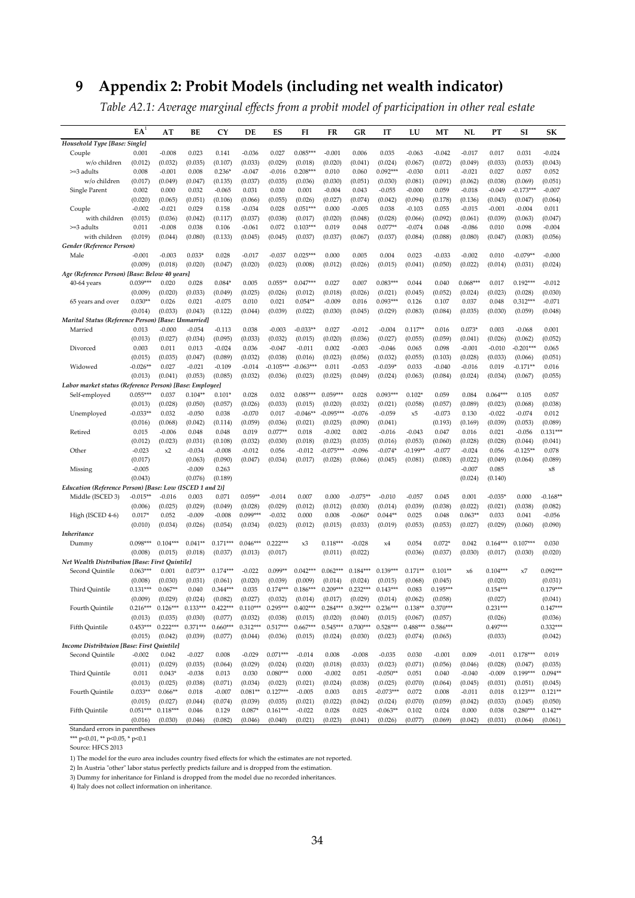# **9 Appendix 2: Probit Models (including net wealth indicator)**

*Table A2.1: Average marginal effects from a probit model of participation in other real estate*

|                                                          | $EA$ <sup>1</sup>   | AT         | BE                  | <b>CY</b>           | DE                  | ES               | FI                  | FR                     | GR                  | IT                   | LU                    | МT                  | NL                  | PT               | SI                    | SК               |
|----------------------------------------------------------|---------------------|------------|---------------------|---------------------|---------------------|------------------|---------------------|------------------------|---------------------|----------------------|-----------------------|---------------------|---------------------|------------------|-----------------------|------------------|
| Household Type [Base: Single]                            |                     |            |                     |                     |                     |                  |                     |                        |                     |                      |                       |                     |                     |                  |                       |                  |
|                                                          | 0.001               | $-0.008$   | 0.023               | 0.141               | $-0.036$            | 0.027            | $0.085***$          | $-0.001$               | 0.006               | 0.035                | $-0.063$              | $-0.042$            | $-0.017$            | 0.017            | 0.031                 | $-0.024$         |
| Couple<br>w/o children                                   | (0.012)             | (0.032)    | (0.035)             | (0.107)             | (0.033)             | (0.029)          | (0.018)             | (0.020)                | (0.041)             | (0.024)              | (0.067)               | (0.072)             | (0.049)             | (0.033)          | (0.053)               | (0.043)          |
| >=3 adults                                               | 0.008               | $-0.001$   | 0.008               | $0.236*$            | $-0.047$            | $-0.016$         | $0.208***$          | 0.010                  | 0.060               | $0.092***$           | $-0.030$              | 0.011               | $-0.021$            | 0.027            | 0.057                 | 0.052            |
| w/o children                                             | (0.017)             | (0.049)    | (0.047)             | (0.135)             | (0.037)             | (0.035)          | (0.036)             | (0.030)                | (0.051)             | (0.030)              | (0.081)               | (0.091)             | (0.062)             | (0.038)          | (0.069)               | (0.051)          |
| Single Parent                                            | 0.002               | 0.000      | 0.032               | $-0.065$            | 0.031               | 0.030            | 0.001               | $-0.004$               | 0.043               | $-0.055$             | $-0.000$              | 0.059               | $-0.018$            | $-0.049$         | $-0.173***$           | $-0.007$         |
|                                                          | (0.020)             | (0.065)    | (0.051)             | (0.106)             | (0.066)             | (0.055)          | (0.026)             | (0.027)                | (0.074)             | (0.042)              | (0.094)               | (0.178)             | (0.136)             | (0.043)          | (0.047)               | (0.064)          |
| Couple                                                   | $-0.002$            | $-0.021$   | 0.029               | 0.158               | $-0.034$            | 0.028            | $0.051***$          | 0.000                  | $-0.005$            | 0.038                | $-0.103$              | 0.055               | $-0.015$            | $-0.001$         | $-0.004$              | 0.011            |
| with children                                            | (0.015)             | (0.036)    | (0.042)             | (0.117)             | (0.037)             | (0.038)          | (0.017)             | (0.020)                | (0.048)             | (0.028)              | (0.066)               | (0.092)             | (0.061)             | (0.039)          | (0.063)               | (0.047)          |
| >=3 adults                                               | 0.011               | $-0.008$   | 0.038               | 0.106               | $-0.061$            | 0.072            | $0.103***$          | 0.019                  | 0.048               | $0.077**$            | $-0.074$              | 0.048               | $-0.086$            | 0.010            | 0.098                 | $-0.004$         |
| with children                                            | (0.019)             | (0.044)    | (0.080)             | (0.133)             | (0.045)             | (0.045)          | (0.037)             | (0.037)                | (0.067)             | (0.037)              | (0.084)               | (0.088)             | (0.080)             | (0.047)          | (0.083)               | (0.056)          |
| Gender (Reference Person)                                |                     |            |                     |                     |                     |                  |                     |                        |                     |                      |                       |                     |                     |                  |                       |                  |
| Male                                                     | $-0.001$            | $-0.003$   | $0.033*$            | 0.028               | $-0.017$            | $-0.037$         | $0.025***$          | 0.000                  | 0.005               | 0.004                | 0.023                 | $-0.033$            | $-0.002$            | 0.010            | $-0.079**$            | $-0.000$         |
|                                                          | (0.009)             | (0.018)    | (0.020)             | (0.047)             | (0.020)             | (0.023)          | (0.008)             | (0.012)                | (0.026)             | (0.015)              | (0.041)               | (0.050)             | (0.022)             | (0.014)          | (0.031)               | (0.024)          |
| Age (Reference Person) [Base: Below 40 years]            |                     |            |                     |                     |                     |                  |                     |                        |                     |                      |                       |                     |                     |                  |                       |                  |
| $40-64$ years                                            | $0.039***$          | 0.020      | 0.028               | $0.084*$            | 0.005               | $0.055**$        | $0.047***$          | 0.027                  | 0.007               | $0.083***$           | 0.044                 | 0.040               | $0.068***$          | 0.017            | $0.192***$            | $-0.012$         |
|                                                          | (0.009)             | (0.020)    | (0.033)             | (0.049)             | (0.025)             | (0.026)          | (0.012)             | (0.018)                | (0.026)             | (0.021)              | (0.045)               | (0.052)             | (0.024)             | (0.023)          | (0.028)               | (0.030)          |
| 65 years and over                                        | $0.030**$           | 0.026      | 0.021               | $-0.075$            | 0.010               | 0.021            | $0.054**$           | $-0.009$               | 0.016               | $0.093***$           | 0.126                 | 0.107               | 0.037               | 0.048            | $0.312***$            | $-0.071$         |
|                                                          | (0.014)             | (0.033)    | (0.043)             | (0.122)             | (0.044)             | (0.039)          | (0.022)             | (0.030)                | (0.045)             | (0.029)              | (0.083)               | (0.084)             | (0.035)             | (0.030)          | (0.059)               | (0.048)          |
| Marital Status (Reference Person)                        |                     |            | [Base: Unmarried]   |                     |                     |                  |                     |                        |                     |                      |                       |                     |                     |                  |                       |                  |
| Married                                                  | 0.013               | $-0.000$   | $-0.054$            | $-0.113$            | 0.038               | $-0.003$         | $-0.033**$          | 0.027                  | $-0.012$            | $-0.004$             | $0.117**$             | 0.016               | $0.073*$            | 0.003            | $-0.068$              | 0.001            |
|                                                          | (0.013)             | (0.027)    | (0.034)             | (0.095)             | (0.033)             | (0.032)          | (0.015)             | (0.020)                | (0.036)             | (0.027)              | (0.055)               | (0.059)             | (0.041)             | (0.026)          | (0.062)               | (0.052)          |
| Divorced                                                 | 0.003               | 0.011      | 0.013               | $-0.024$            | 0.036               | $-0.047$         | $-0.011$            | 0.002                  | $-0.003$            | $-0.046$             | 0.065                 | 0.098               | $-0.001$            | $-0.010$         | $-0.201***$           | 0.065            |
|                                                          | (0.015)             | (0.035)    | (0.047)             | (0.089)             | (0.032)             | (0.038)          | (0.016)             | (0.023)                | (0.056)             | (0.032)              | (0.055)               | (0.103)             | (0.028)             | (0.033)          | (0.066)               | (0.051)          |
| Widowed                                                  | $-0.026**$          | 0.027      | $-0.021$            | $-0.109$            | $-0.014$            | $-0.105***$      | $-0.063***$         | 0.011                  | $-0.053$            | $-0.039*$            | 0.033                 | $-0.040$            | $-0.016$            | 0.019            | $-0.171**$            | 0.016            |
|                                                          | (0.013)             | (0.041)    | (0.053)             | (0.085)             | (0.032)             | (0.036)          | (0.023)             | (0.025)                | (0.049)             | (0.024)              | (0.063)               | (0.084)             | (0.024)             | (0.034)          | (0.067)               | (0.055)          |
| Labor market status (Reference Person) [Base: Employee]  |                     |            |                     |                     |                     |                  |                     |                        |                     |                      |                       |                     |                     |                  |                       |                  |
| Self-employed                                            | $0.055***$          | 0.037      | $0.104**$           | $0.101*$            | 0.028               | 0.032            | $0.085***$          | $0.059***$             | 0.028               | $0.093***$           | $0.102*$              | 0.059               | 0.084               | $0.064***$       | 0.105                 | 0.057            |
|                                                          | (0.013)             | (0.028)    | (0.050)             | (0.057)             | (0.026)             | (0.033)          | (0.015)             | (0.020)                | (0.032)             | (0.021)              | (0.058)               | (0.057)             | (0.089)             | (0.023)          | (0.068)               | (0.038)          |
| Unemployed                                               | $-0.033**$          | 0.032      | $-0.050$            | 0.038               | $-0.070$            | 0.017            | $-0.046**$          | $-0.095***$            | $-0.076$            | $-0.059$             | x5                    | $-0.073$            | 0.130               | $-0.022$         | $-0.074$              | 0.012            |
|                                                          | (0.016)             | (0.068)    | (0.042)             | (0.114)             | (0.059)             | (0.036)          | (0.021)             | (0.025)                | (0.090)             | (0.041)              |                       | (0.193)             | (0.169)             | (0.039)          | (0.053)               | (0.089)          |
| Retired                                                  | 0.015               | $-0.006$   | 0.048               | 0.048               | 0.019               | $0.077**$        | 0.018               | $-0.002$               | 0.002               | $-0.016$             | $-0.043$              | 0.047               | 0.016               | 0.021            | $-0.056$              | $0.131***$       |
| Other                                                    | (0.012)<br>$-0.023$ | (0.023)    | (0.031)<br>$-0.034$ | (0.108)<br>$-0.008$ | (0.032)<br>$-0.012$ | (0.030)<br>0.056 | (0.018)<br>$-0.012$ | (0.023)<br>$-0.075***$ | (0.035)<br>$-0.096$ | (0.016)<br>$-0.074*$ | (0.053)<br>$-0.199**$ | (0.060)<br>$-0.077$ | (0.028)<br>$-0.024$ | (0.028)<br>0.056 | (0.044)<br>$-0.125**$ | (0.041)<br>0.078 |
|                                                          |                     | x2         |                     |                     | (0.047)             | (0.034)          | (0.017)             | (0.028)                | (0.066)             | (0.045)              | (0.081)               | (0.083)             | (0.022)             | (0.049)          | (0.064)               |                  |
|                                                          | (0.017)             |            | (0.063)<br>$-0.009$ | (0.090)             |                     |                  |                     |                        |                     |                      |                       |                     | $-0.007$            |                  |                       | (0.089)          |
| Missing                                                  | $-0.005$            |            | (0.076)             | 0.263               |                     |                  |                     |                        |                     |                      |                       |                     | (0.024)             | 0.085            |                       | x8               |
| Education (Reference Person) [Base: Low (ISCED 1 and 2)] | (0.043)             |            |                     | (0.189)             |                     |                  |                     |                        |                     |                      |                       |                     |                     | (0.140)          |                       |                  |
| Middle (ISCED 3)                                         | $-0.015**$          | $-0.016$   | 0.003               | 0.071               | $0.059**$           | $-0.014$         | 0.007               | 0.000                  | $-0.075**$          | $-0.010$             | $-0.057$              | 0.045               | 0.001               | $-0.035*$        | 0.000                 | $-0.168**$       |
|                                                          | (0.006)             | (0.025)    | (0.029)             | (0.049)             | (0.028)             | (0.029)          | (0.012)             | (0.012)                | (0.030)             | (0.014)              | (0.039)               | (0.038)             | (0.022)             | (0.021)          | (0.038)               | (0.082)          |
| High (ISCED 4-6)                                         | $0.017*$            | 0.052      | $-0.009$            | $-0.008$            | $0.099***$          | $-0.032$         | 0.000               | 0.008                  | $-0.060*$           | $0.044**$            | 0.025                 | 0.048               | $0.063**$           | 0.033            | 0.041                 | $-0.056$         |
|                                                          | (0.010)             | (0.034)    | (0.026)             | (0.054)             | (0.034)             | (0.023)          | (0.012)             | (0.015)                | (0.033)             | (0.019)              | (0.053)               | (0.053)             | (0.027)             | (0.029)          | (0.060)               | (0.090)          |
| Inheritance                                              |                     |            |                     |                     |                     |                  |                     |                        |                     |                      |                       |                     |                     |                  |                       |                  |
| Dummy                                                    | $0.098***$          | $0.104***$ | $0.041**$           | $0.171***$          | $0.046***$          | $0.222***$       | x3                  | $0.118***$             | $-0.028$            | x4                   | 0.054                 | $0.072*$            | 0.042               | $0.164***$       | $0.107***$            | 0.030            |
|                                                          | (0.008)             | (0.015)    | (0.018)             | (0.037)             | (0.013)             | (0.017)          |                     | (0.011)                | (0.022)             |                      | (0.036)               | (0.037)             | (0.030)             | (0.017)          | (0.030)               | (0.020)          |
| Net Wealth Distribution [Base: First Quintile]           |                     |            |                     |                     |                     |                  |                     |                        |                     |                      |                       |                     |                     |                  |                       |                  |
| Second Quintile                                          | $0.063***$          | 0.001      | $0.073**$           | $0.174***$          | $-0.022$            | $0.099**$        | $0.042***$          | $0.062***$             | $0.184***$          | $0.139***$           | $0.171**$             | $0.101**$           | x6                  | $0.104***$       | x7                    | $0.092***$       |
|                                                          | (0.008)             | (0.030)    | (0.031)             | (0.061)             | (0.020)             | (0.039)          | (0.009)             | (0.014)                | (0.024)             | (0.015)              | (0.068)               | (0.045)             |                     | (0.020)          |                       | (0.031)          |
| Third Quintile                                           | $0.131***$          | $0.067**$  | 0.040               | $0.344***$          | 0.035               | $0.174***$       | $0.186***$          | $0.209***$             | $0.232***$          | $0.143***$           | 0.083                 | $0.195***$          |                     | $0.154***$       |                       | $0.179***$       |
|                                                          | (0.009)             | (0.029)    | (0.024)             | (0.082)             | (0.027)             | (0.032)          | (0.014)             | (0.017)                | (0.029)             | (0.014)              | (0.062)               | (0.058)             |                     | (0.027)          |                       | (0.041)          |
| Fourth Quintile                                          | $0.216***$          | $0.126***$ | $0.133***$          | $0.422***$          | $0.110***$          | $0.295***$       | $0.402***$          | $0.284***$             | $0.392***$          | $0.236***$           | $0.138**$             | $0.370***$          |                     | $0.231***$       |                       | $0.147***$       |
|                                                          | (0.013)             | (0.035)    | (0.030)             | (0.077)             | (0.032)             | (0.038)          | (0.015)             | (0.020)                | (0.040)             | (0.015)              | (0.067)               | (0.057)             |                     | (0.026)          |                       | (0.036)          |
| Fifth Quintile                                           | $0.453***$          | $0.222***$ | $0.371***$          | $0.660***$          | $0.312***$          | $0.517***$       | $0.667***$          | $0.545***$             | $0.700***$          | $0.528***$           | $0.488***$            | $0.586***$          |                     | $0.497***$       |                       | $0.332***$       |
|                                                          | (0.015)             | (0.042)    | (0.039)             | (0.077)             | (0.044)             | (0.036)          | (0.015)             | (0.024)                | (0.030)             | (0.023)              | (0.074)               | (0.065)             |                     | (0.033)          |                       | (0.042)          |
| Income Distribtuion [Base: First Quintile]               |                     |            |                     |                     |                     |                  |                     |                        |                     |                      |                       |                     |                     |                  |                       |                  |
| Second Quintile                                          | $-0.002$            | 0.042      | $-0.027$            | 0.008               | $-0.029$            | $0.071***$       | $-0.014$            | 0.008                  | $-0.008$            | $-0.035$             | 0.030                 | $-0.001$            | 0.009               | $-0.011$         | $0.178***$            | 0.019            |
|                                                          | (0.011)             | (0.029)    | (0.035)             | (0.064)             | (0.029)             | (0.024)          | (0.020)             | (0.018)                | (0.033)             | (0.023)              | (0.071)               | (0.056)             | (0.046)             | (0.028)          | (0.047)               | (0.035)          |
| Third Quintile                                           | 0.011               | $0.043*$   | $-0.038$            | 0.013               | 0.030               | $0.080***$       | 0.000               | $-0.002$               | 0.051               | $-0.050**$           | 0.051                 | 0.040               | $-0.040$            | $-0.009$         | $0.199***$            | $0.094**$        |
|                                                          | (0.013)             | (0.025)    | (0.038)             | (0.071)             | (0.034)             | (0.023)          | (0.021)             | (0.024)                | (0.038)             | (0.025)              | (0.070)               | (0.064)             | (0.045)             | (0.031)          | (0.051)               | (0.045)          |
| Fourth Quintile                                          | $0.033**$           | $0.066**$  | 0.018               | $-0.007$            | $0.081**$           | $0.127***$       | $-0.005$            | 0.003                  | 0.015               | $-0.073***$          | 0.072                 | 0.008               | $-0.011$            | 0.018            | $0.123***$            | $0.121**$        |
|                                                          | (0.015)             | (0.027)    | (0.044)             | (0.074)             | (0.039)             | (0.035)          | (0.021)             | (0.022)                | (0.042)             | (0.024)              | (0.070)               | (0.059)             | (0.042)             | (0.033)          | (0.045)               | (0.050)          |
| Fifth Quintile                                           | $0.051***$          | $0.118***$ | 0.046               | 0.129               | $0.087*$            | $0.161***$       | $-0.022$            | 0.028                  | 0.025               | $-0.063**$           | 0.102                 | 0.024               | 0.000               | 0.038            | $0.280***$            | $0.142**$        |
|                                                          | (0.016)             | (0.030)    | (0.046)             | (0.082)             | (0.046)             | (0.040)          | (0.021)             | (0.023)                | (0.041)             | (0.026)              | (0.077)               | (0.069)             | (0.042)             | (0.031)          | (0.064)               | (0.061)          |

Standard errors in parentheses

\*\*\* p<0.01, \*\* p<0.05, \* p<0.1

Source: HFCS 2013

1) The model for the euro area includes country fixed effects for which the estimates are not reported.

2) In Austria "other" labor status perfectly predicts failure and is dropped from the estimation.

3) Dummy for inheritance for Finland is dropped from the model due no recorded inheritances.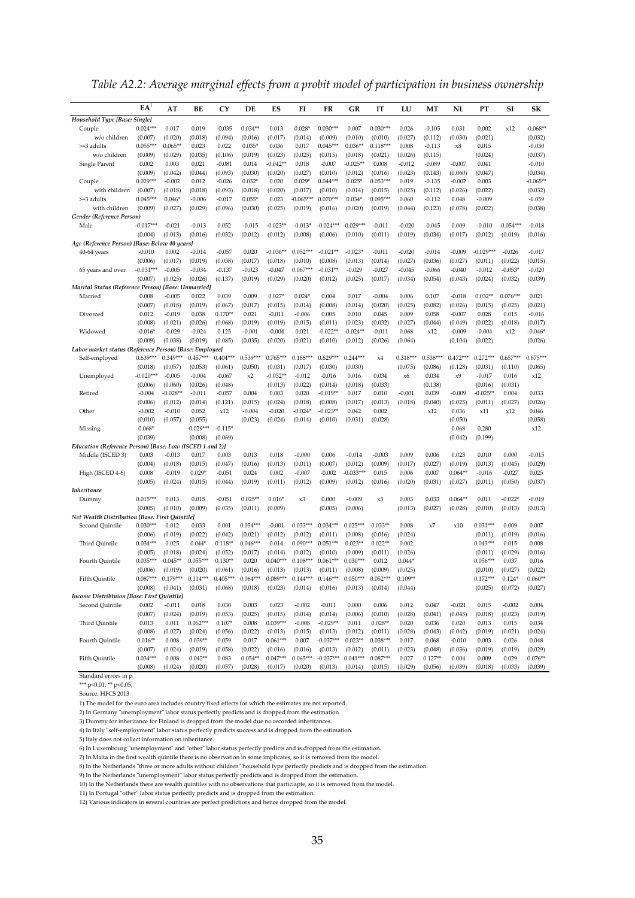*Table A2.2: Average marginal effects from a probit model of participation in business ownership*

|                                                          | EA          | AT         | ВE                | CY         | DE         | ES         | FI          | FR          | GR          | IT         | LU         | MТ         | NL         | PT          | SI          | SК         |
|----------------------------------------------------------|-------------|------------|-------------------|------------|------------|------------|-------------|-------------|-------------|------------|------------|------------|------------|-------------|-------------|------------|
| Household Type [Base: Single]                            |             |            |                   |            |            |            |             |             |             |            |            |            |            |             |             |            |
| Couple                                                   | $0.024***$  | 0.017      | 0.019             | $-0.035$   | $0.034**$  | 0.013      | $0.028*$    | $0.030***$  | 0.007       | $0.030***$ | 0.026      | $-0.105$   | 0.031      | 0.002       | x12         | $-0.068**$ |
| w/o children                                             | (0.007)     | (0.020)    | (0.018)           | (0.094)    | (0.016)    | (0.017)    | (0.014)     | (0.009)     | (0.010)     | (0.010)    | (0.027)    | (0.112)    | (0.030)    | (0.021)     |             | (0.032)    |
| >=3 adults                                               | $0.055***$  | $0.065**$  | 0.023             | 0.022      | $0.035*$   | 0.036      | 0.017       | $0.045***$  | $0.036**$   | $0.118***$ | 0.008      | $-0.113$   | x8         | 0.015       |             | $-0.030$   |
| w/o children                                             | (0.009)     | (0.029)    | (0.035)           | (0.106)    | (0.019)    | (0.023)    | (0.025)     | (0.015)     | (0.018)     | (0.021)    | (0.026)    | (0.115)    |            | (0.024)     |             | (0.037)    |
| Single Parent                                            | 0.002       | 0.003      | 0.021             | $-0.081$   | 0.014      | $-0.042**$ | 0.018       | $-0.007$    | $-0.025**$  | 0.008      | $-0.012$   | $-0.089$   | $-0.007$   | 0.041       |             | $-0.010$   |
|                                                          | (0.009)     | (0.042)    | (0.044)           | (0.093)    | (0.030)    | (0.020)    | (0.027)     | (0.010)     | (0.012)     | (0.016)    | (0.023)    | (0.143)    | (0.060)    | (0.047)     |             | (0.034)    |
| Couple                                                   | $0.029***$  | $-0.002$   | 0.012             | $-0.026$   | $0.032*$   | 0.020      | $0.029*$    | $0.044***$  | $0.025*$    | $0.053***$ | 0.019      | $-0.135$   | $-0.002$   | 0.003       |             | $-0.065**$ |
| with children                                            | (0.007)     | (0.018)    | (0.018)           | (0.093)    | (0.018)    | (0.020)    | (0.017)     | (0.010)     | (0.014)     | (0.015)    | (0.025)    | (0.112)    | (0.026)    | (0.022)     |             | (0.032)    |
| >=3 adults                                               | $0.045***$  | $0.046*$   | $-0.006$          | $-0.017$   | $0.055*$   | 0.023      | $-0.065***$ | $0.070***$  | $0.034*$    | $0.095***$ | 0.060      | $-0.112$   | 0.048      | $-0.009$    |             | $-0.059$   |
| with children                                            | (0.009)     | (0.027)    | (0.029)           | (0.096)    | (0.030)    | (0.025)    | (0.019)     | (0.016)     | (0.020)     | (0.019)    | (0.044)    | (0.123)    | (0.078)    | (0.022)     |             | (0.038)    |
| Gender (Reference Person)                                |             |            |                   |            |            |            |             |             |             |            |            |            |            |             |             |            |
| Male                                                     | $-0.017***$ | $-0.021$   | $-0.013$          | 0.052      | $-0.015$   | $-0.023**$ | $-0.013*$   | $-0.024***$ | $-0.029***$ | $-0.011$   | $-0.020$   | $-0.045$   | 0.009      | $-0.010$    | $-0.054***$ | $-0.018$   |
|                                                          | (0.004)     | (0.013)    | (0.016)           | (0.032)    | (0.012)    | (0.012)    | (0.008)     | (0.006)     | (0.010)     | (0.011)    | (0.019)    | (0.034)    | (0.017)    | (0.012)     | (0.019)     | (0.016)    |
| Age (Reference Person) [Base: Below 40 years]            |             |            |                   |            |            |            |             |             |             |            |            |            |            |             |             |            |
| $40-64$ years                                            | $-0.010$    | 0.002      | $-0.014$          | $-0.057$   | 0.020      | $-0.036**$ | $0.052***$  | $-0.021**$  | $-0.023*$   | $-0.011$   | $-0.020$   | $-0.014$   | $-0.009$   | $-0.029***$ | $-0.026$    | $-0.017$   |
|                                                          | (0.006)     | (0.017)    | (0.019)           | (0.038)    | (0.017)    | (0.018)    | (0.010)     | (0.008)     | (0.013)     | (0.014)    | (0.027)    | (0.036)    | (0.027)    | (0.011)     | (0.022)     | (0.015)    |
| 65 years and over                                        | $-0.031***$ | $-0.005$   | $-0.034$          | $-0.137$   | $-0.023$   | $-0.047$   | $0.067***$  | $-0.031**$  | $-0.029$    | $-0.027$   | $-0.045$   | $-0.066$   | $-0.040$   | $-0.012$    | $-0.053*$   | $-0.020$   |
|                                                          | (0.007)     | (0.025)    | (0.026)           | (0.137)    | (0.019)    | (0.029)    | (0.020)     | (0.012)     | (0.025)     | (0.017)    | (0.034)    | (0.054)    | (0.043)    | (0.024)     | (0.032)     | (0.039)    |
| Marital Status (Reference Person)                        |             |            | [Base: Unmarried] |            |            |            |             |             |             |            |            |            |            |             |             |            |
| Married                                                  | 0.008       | $-0.005$   | 0.022             | 0.039      | 0.009      | $0.027*$   | $0.024*$    | 0.004       | 0.017       | $-0.004$   | 0.006      | 0.107      | $-0.018$   | $0.032**$   | $0.076***$  | 0.021      |
|                                                          | (0.007)     | (0.018)    | (0.019)           | (0.067)    | (0.017)    | (0.015)    | (0.014)     | (0.008)     | (0.014)     | (0.020)    | (0.025)    | (0.082)    | (0.026)    | (0.015)     | (0.025)     | (0.021)    |
| Divorced                                                 | 0.012       | $-0.019$   | 0.038             | $0.170**$  | 0.021      | $-0.011$   | $-0.006$    | 0.005       | 0.010       | 0.045      | 0.009      | 0.058      | $-0.007$   | 0.028       | 0.015       | $-0.016$   |
|                                                          | (0.008)     | (0.021)    | (0.026)           | (0.068)    | (0.019)    | (0.019)    | (0.015)     | (0.011)     | (0.023)     | (0.032)    | (0.027)    | (0.044)    | (0.049)    | (0.022)     | (0.018)     | (0.017)    |
| Widowed                                                  | $-0.016*$   | $-0.029$   | $-0.024$          | 0.125      | $-0.001$   | $-0.004$   | 0.021       | $-0.022**$  | $-0.024**$  | $-0.011$   | 0.068      | x12        | $-0.009$   | $-0.004$    | x12         | $-0.046*$  |
|                                                          | (0.009)     | (0.038)    | (0.019)           | (0.085)    | (0.035)    | (0.020)    | (0.021)     | (0.010)     | (0.012)     | (0.026)    | (0.064)    |            | (0.104)    | (0.022)     |             | (0.026)    |
| Labor market status (Reference Person) [Base: Employee]  |             |            |                   |            |            |            |             |             |             |            |            |            |            |             |             |            |
| Self-employed                                            | $0.639***$  | $0.349***$ | $0.457***$        | $0.404***$ | $0.539***$ | $0.765***$ | $0.168***$  | $0.629***$  | $0.244***$  | x4         | $0.318***$ | $0.538***$ | $0.472***$ | $0.272***$  | $0.657***$  | $0.675***$ |
|                                                          | (0.018)     | (0.057)    | (0.053)           | (0.061)    | (0.050)    | (0.031)    | (0.017)     | (0.030)     | (0.030)     |            | (0.075)    | (0.086)    | (0.128)    | (0.031)     | (0.110)     | (0.065)    |
| Unemployed                                               | $-0.020***$ | $-0.005$   | $-0.004$          | $-0.067$   | x2         | $-0.032**$ | $-0.012$    | $-0.016$    | 0.016       | 0.034      | x6         | 0.034      | x9         | $-0.017$    | 0.016       | x12        |
|                                                          | (0.006)     | (0.060)    | (0.026)           | (0.048)    |            | (0.013)    | (0.022)     | (0.014)     | (0.018)     | (0.033)    |            | (0.138)    |            | (0.016)     | (0.031)     |            |
| Retired                                                  | $-0.004$    | $-0.028**$ | $-0.011$          | $-0.057$   | 0.004      | 0.003      | 0.020       | $-0.019**$  | 0.017       | 0.010      | $-0.001$   | 0.039      | $-0.009$   | $-0.025**$  | 0.004       | 0.033      |
|                                                          | (0.006)     | (0.012)    | (0.014)           | (0.121)    | (0.015)    | (0.024)    | (0.018)     | (0.008)     | (0.017)     | (0.013)    | (0.018)    | (0.040)    | (0.025)    | (0.011)     | (0.027)     | (0.026)    |
| Other                                                    | $-0.002$    | $-0.010$   | 0.052             | x12        | $-0.004$   | $-0.020$   | $-0.024*$   | $-0.023**$  | 0.042       | 0.002      |            | x12        | 0.036      | x11         | x12         | 0.046      |
|                                                          | (0.010)     | (0.057)    | (0.055)           |            | (0.023)    | (0.024)    | (0.014)     | (0.010)     | (0.031)     | (0.028)    |            |            | (0.050)    |             |             | (0.058)    |
| Missing                                                  | $0.068*$    |            | $-0.029***$       | $-0.115*$  |            |            |             |             |             |            |            |            | 0.068      | 0.280       |             | x12        |
|                                                          | (0.039)     |            | (0.008)           | (0.069)    |            |            |             |             |             |            |            |            | (0.042)    | (0.199)     |             |            |
| Education (Reference Person) [Base: Low (ISCED 1 and 2)] |             |            |                   |            |            |            |             |             |             |            |            |            |            |             |             |            |
| Middle (ISCED 3)                                         | 0.003       | $-0.013$   | 0.017             | 0.003      | 0.013      | 0.018      | $-0.000$    | 0.006       | $-0.014$    | $-0.003$   | 0.009      | 0.006      | 0.023      | 0.010       | 0.000       | $-0.015$   |
|                                                          | (0.004)     | (0.018)    | (0.015)           | (0.047)    | (0.016)    | (0.013)    | (0.011)     | (0.007)     | (0.012)     | (0.009)    | (0.017)    | (0.027)    | (0.019)    | (0.013)     | (0.045)     | (0.029)    |
| High (ISCED 4-6)                                         | 0.008       | $-0.019$   | $0.029*$          | $-0.051$   | 0.024      | 0.002      | $-0.007$    | $-0.002$    | $-0.033***$ | 0.015      | 0.006      | 0.007      | $0.064**$  | $-0.016$    | $-0.027$    | 0.025      |
|                                                          | (0.005)     | (0.024)    | (0.015)           | (0.044)    | (0.019)    | (0.011)    | (0.012)     | (0.009)     | (0.012)     | (0.016)    | (0.020)    | (0.031)    | (0.027)    | (0.011)     | (0.050)     | (0.037)    |
| Inheritance<br>Dummy                                     | $0.015***$  | 0.013      | 0.015             | $-0.051$   | $0.025**$  | $0.016*$   | x3          | 0.000       | $-0.009$    | x5         | 0.003      | 0.033      | $0.064**$  | 0.011       | $-0.022*$   | $-0.019$   |
|                                                          | (0.005)     | (0.010)    | (0.009)           | (0.035)    | (0.011)    | (0.009)    |             | (0.005)     | (0.006)     |            | (0.013)    | (0.027)    | (0.028)    | (0.010)     | (0.013)     | (0.013)    |
| Net Wealth Distribution [Base: First Quintile]           |             |            |                   |            |            |            |             |             |             |            |            |            |            |             |             |            |
| Second Quintile                                          | $0.030***$  | 0.012      | 0.033             | 0.001      | $0.054***$ | $-0.001$   | $0.033***$  | $0.034***$  | $0.025***$  | $0.033**$  | 0.008      | x7         | x10        | $0.031***$  | 0.009       | 0.007      |
|                                                          | (0.006)     | (0.019)    | (0.022)           | (0.042)    | (0.021)    | (0.012)    | (0.012)     | (0.011)     | (0.008)     | (0.016)    | (0.024)    |            |            | (0.011)     | (0.019)     | (0.016)    |
| Third Quintile                                           | $0.034***$  | 0.025      | $0.044*$          | $0.118**$  | $0.046***$ | 0.014      | $0.090***$  | $0.051***$  | $0.023**$   | $0.022**$  | 0.002      |            |            | $0.043***$  | 0.015       | 0.008      |
|                                                          | (0.005)     | (0.018)    | (0.024)           | (0.052)    | (0.017)    | (0.014)    | (0.012)     | (0.010)     | (0.009)     | (0.011)    | (0.026)    |            |            | (0.011)     | (0.029)     | (0.016)    |
| Fourth Quintile                                          | $0.035***$  | $0.045**$  | $0.055***$        | $0.130**$  | 0.020      | $0.040***$ | $0.108***$  | $0.061***$  | $0.030***$  | 0.012      | $0.044*$   |            |            | $0.056***$  | 0.037       | 0.016      |
|                                                          | (0.006)     | (0.019)    | (0.020)           | (0.061)    | (0.016)    | (0.013)    | (0.013)     | (0.011)     | (0.008)     | (0.009)    | (0.025)    |            |            | (0.010)     | (0.027)     | (0.022)    |
| Fifth Quintile                                           | $0.087***$  | $0.179***$ | $0.114***$        | $0.405***$ | $0.064***$ | $0.089***$ | $0.144***$  | $0.146***$  | $0.050***$  | $0.052***$ | $0.109**$  |            |            | $0.172***$  | 0.124       | $0.060**$  |
|                                                          | (0.008)     | (0.041)    | (0.031)           | (0.068)    | (0.018)    | (0.023)    | (0.014)     | (0.016)     | (0.013)     | (0.014)    | (0.044)    |            |            | (0.025)     | (0.072)     | (0.027)    |
| Income Distribtuion [Base: First Quintile]               |             |            |                   |            |            |            |             |             |             |            |            |            |            |             |             |            |
| Second Quintile                                          | 0.002       | $-0.011$   | 0.018             | 0.030      | 0.003      | 0.023      | $-0.002$    | $-0.011$    | 0.000       | 0.006      | 0.012      | 0.047      | $-0.021$   | 0.015       | $-0.002$    | 0.004      |
|                                                          | (0.007)     | (0.024)    | (0.019)           | (0.053)    | (0.025)    | (0.015)    | (0.014)     | (0.014)     | (0.006)     | (0.010)    | (0.028)    | (0.041)    | (0.045)    | (0.018)     | (0.023)     | (0.019)    |
| Third Quintile                                           | 0.013       | 0.011      | $0.062***$        | $0.107*$   | 0.008      | $0.039***$ | $-0.008$    | $-0.029**$  | 0.011       | $0.028**$  | 0.020      | 0.036      | 0.020      | 0.013       | 0.015       | 0.034      |
|                                                          | (0.008)     | (0.027)    | (0.024)           | (0.056)    | (0.022)    | (0.013)    | (0.015)     | (0.013)     | (0.012)     | (0.011)    | (0.028)    | (0.043)    | (0.042)    | (0.019)     | (0.021)     | (0.024)    |
| Fourth Quintile                                          | $0.016**$   | 0.008      | $0.039**$         | 0.059      | 0.017      | $0.061***$ | 0.007       | $-0.037***$ | $0.023**$   | $0.038***$ | 0.017      | 0.068      | $-0.010$   | 0.003       | 0.026       | 0.048      |
|                                                          | (0.007)     | (0.024)    | (0.019)           | (0.058)    | (0.022)    | (0.016)    | (0.016)     | (0.013)     | (0.012)     | (0.011)    | (0.023)    | (0.048)    | (0.036)    | (0.019)     | (0.019)     | (0.029)    |
| Fifth Quintile                                           | $0.034***$  | 0.008      | $0.042**$         | 0.083      | $0.054**$  | $0.047***$ | $0.065***$  | $-0.037***$ | $0.041***$  | $0.087***$ | 0.027      | $0.127**$  | 0.004      | 0.009       | 0.029       | $0.076**$  |
|                                                          | (0.008)     | (0.024)    | (0.020)           | (0.057)    | (0.028)    | (0.017)    | (0.020)     | (0.013)     | (0.014)     | (0.015)    | (0.029)    | (0.056)    | (0.039)    | (0.018)     | (0.033)     | (0.039)    |
|                                                          |             |            |                   |            |            |            |             |             |             |            |            |            |            |             |             |            |

ard errors in pa

\*\*\* p<0.01, \*\* p<0.05,

Source: HFCS 2013

1) The model for the euro area includes country fixed effects for which the estimates are not reported.

2) In Germany "unemployment" labor status perfectly predicts and is dropped from the estimation

3) Dummy for inheritance for Finland is dropped from the model due no recorded inheritances.

4) In Italy "self-employment" labor status perfectly predicts success and is dropped from the estimation.

5) Italy does not collect information on inheritance.

6) In Luxembourg "unemployment" and "other" labor status perfectly predicts and is dropped from the estimation.

7) In Malta in the first wealth quintile there is no observation in some implicates, so it is removed from the model.

8) In the Netherlands "three or more adults without children" household type perfectly predicts and is dropped from the estimation.

9) In the Netherlands "unemployment" labor status perfectly predicts and is dropped from the estimation.

10) In the Netherlands there are wealth quintiles with no observations that particiapte, so it is removed from the model.

11) In Portugal "other" labor status perfectly predicts and is dropped from the estimation.

12) Various indicators in several countries are perfect predictiors and hence dropped from the model.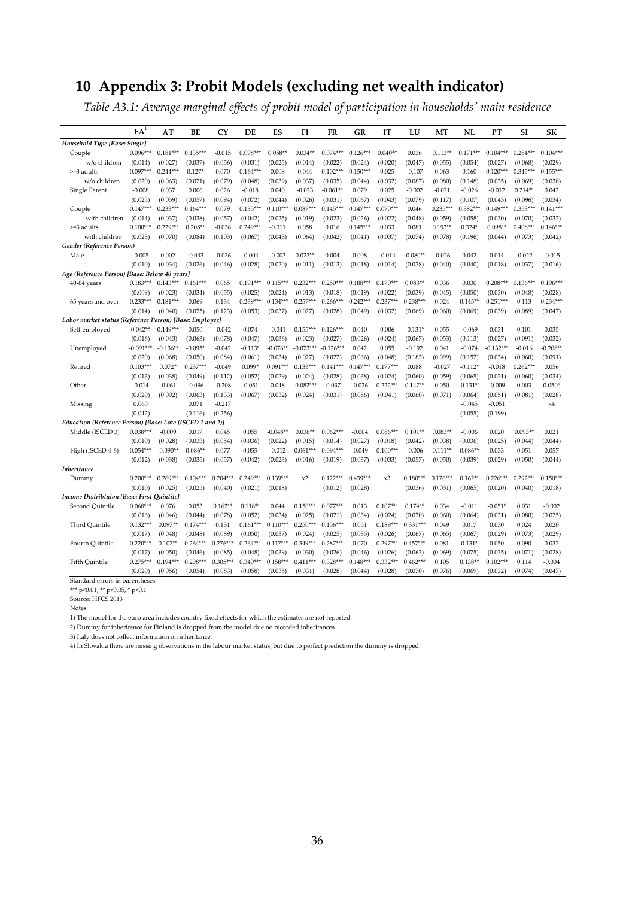# **10 Appendix 3: Probit Models (excluding net wealth indicator)**

*Table A3.1: Average marginal effects of probit model of participation in households' main residence*

|                                                          | EA <sup>1</sup> | AT         | <b>BE</b>  | <b>CY</b>  | DF.        | ES         | FI          | <b>FR</b>   | GR         | IT         | LU         | MT         | <b>NL</b>  | PT          | SI         | <b>SK</b>  |
|----------------------------------------------------------|-----------------|------------|------------|------------|------------|------------|-------------|-------------|------------|------------|------------|------------|------------|-------------|------------|------------|
| Household Type [Base: Single]                            |                 |            |            |            |            |            |             |             |            |            |            |            |            |             |            |            |
| Couple                                                   | $0.096***$      | $0.181***$ | $0.135***$ | $-0.015$   | $0.098***$ | $0.058**$  | $0.034**$   | $0.074***$  | $0.126***$ | $0.040**$  | 0.036      | $0.113**$  | $0.171***$ | $0.104***$  | $0.284***$ | $0.104***$ |
| w/o children                                             | (0.014)         | (0.027)    | (0.037)    | (0.056)    | (0.031)    | (0.025)    | (0.014)     | (0.022)     | (0.024)    | (0.020)    | (0.047)    | (0.055)    | (0.054)    | (0.027)     | (0.068)    | (0.029)    |
| >=3 adults                                               | $0.097***$      | $0.244***$ | $0.127*$   | 0.070      | $0.164***$ | 0.008      | 0.044       | $0.102***$  | $0.150***$ | 0.025      | $-0.107$   | 0.063      | 0.160      | $0.120***$  | $0.345***$ | $0.155***$ |
| w/o children                                             | (0.020)         | (0.063)    | (0.071)    | (0.079)    | (0.048)    | (0.039)    | (0.037)     | (0.035)     | (0.044)    | (0.032)    | (0.087)    | (0.080)    | (0.148)    | (0.035)     | (0.069)    | (0.038)    |
| Single Parent                                            | $-0.008$        | 0.037      | 0.006      | 0.026      | $-0.018$   | 0.040      | $-0.023$    | $-0.061**$  | 0.079      | 0.025      | $-0.002$   | $-0.021$   | $-0.026$   | $-0.012$    | $0.214**$  | 0.042      |
|                                                          | (0.025)         | (0.059)    | (0.057)    | (0.094)    | (0.072)    | (0.044)    | (0.026)     | (0.031)     | (0.067)    | (0.043)    | (0.079)    | (0.117)    | (0.107)    | (0.043)     | (0.096)    | (0.034)    |
| Couple                                                   | $0.147***$      | $0.233***$ | $0.164***$ | 0.079      | $0.135***$ | $0.110***$ | $0.087***$  | $0.145***$  | $0.147***$ | $0.070***$ | 0.046      | $0.235***$ | $0.382***$ | $0.149***$  | $0.353***$ | $0.141***$ |
| with children                                            | (0.014)         | (0.037)    | (0.038)    | (0.057)    | (0.042)    | (0.025)    | (0.019)     | (0.023)     | (0.026)    | (0.022)    | (0.048)    | (0.059)    | (0.058)    | (0.030)     | (0.070)    | (0.032)    |
| >=3 adults                                               | $0.100***$      | $0.229***$ | $0.208**$  | $-0.038$   | $0.249***$ | $-0.011$   | 0.058       | 0.016       | $0.145***$ | 0.033      | 0.081      | $0.193**$  | $0.324*$   | $0.098**$   | $0.408***$ | $0.146***$ |
| with children                                            | (0.023)         | (0.070)    | (0.084)    | (0.103)    | (0.067)    | (0.043)    | (0.064)     | (0.042)     | (0.041)    | (0.037)    | (0.074)    | (0.078)    | (0.196)    | (0.044)     | (0.073)    | (0.042)    |
| Gender (Reference Person)                                |                 |            |            |            |            |            |             |             |            |            |            |            |            |             |            |            |
| Male                                                     | $-0.005$        | 0.002      | $-0.043$   | $-0.036$   | $-0.004$   | $-0.003$   | $0.023**$   | 0.004       | 0.008      | $-0.014$   | $-0.080**$ | $-0.026$   | 0.042      | 0.014       | $-0.022$   | $-0.015$   |
|                                                          | (0.010)         | (0.034)    | (0.026)    | (0.046)    | (0.028)    | (0.020)    | (0.011)     | (0.013)     | (0.018)    | (0.014)    | (0.038)    | (0.040)    | (0.040)    | (0.018)     | (0.037)    | (0.016)    |
| Age (Reference Person) [Base: Below 40 years]            |                 |            |            |            |            |            |             |             |            |            |            |            |            |             |            |            |
| $40-64$ years                                            | $0.183***$      | $0.143***$ | $0.161***$ | 0.065      | $0.191***$ | $0.115***$ | $0.232***$  | $0.250***$  | $0.188***$ | $0.170***$ | $0.083**$  | 0.036      | 0.030      | $0.208***$  | $0.136***$ | $0.196***$ |
|                                                          | (0.009)         | (0.023)    | (0.034)    | (0.055)    | (0.025)    | (0.024)    | (0.013)     | (0.018)     | (0.019)    | (0.022)    | (0.039)    | (0.045)    | (0.050)    | (0.030)     | (0.048)    | (0.028)    |
| 65 years and over                                        | $0.233***$      | $0.181***$ | 0.069      | 0.134      | $0.239***$ | $0.134***$ | $0.257***$  | $0.266***$  | $0.242***$ | $0.237***$ | $0.238***$ | 0.024      | $0.145**$  | $0.251***$  | 0.113      | $0.234***$ |
|                                                          | (0.014)         | (0.040)    | (0.075)    | (0.123)    | (0.053)    | (0.037)    | (0.027)     | (0.028)     | (0.049)    | (0.032)    | (0.069)    | (0.060)    | (0.069)    | (0.039)     | (0.089)    | (0.047)    |
| Labor market status (Reference Person) [Base: Employee]  |                 |            |            |            |            |            |             |             |            |            |            |            |            |             |            |            |
| Self-employed                                            | $0.042**$       | $0.149***$ | 0.050      | $-0.042$   | 0.074      | $-0.041$   | $0.155***$  | $0.126***$  | 0.040      | 0.006      | $-0.131*$  | 0.055      | $-0.069$   | 0.031       | 0.101      | 0.035      |
|                                                          | (0.016)         | (0.043)    | (0.063)    | (0.078)    | (0.047)    | (0.036)    | (0.023)     | (0.027)     | (0.026)    | (0.024)    | (0.067)    | (0.053)    | (0.113)    | (0.027)     | (0.091)    | (0.032)    |
| Unemployed                                               | $-0.091***$     | $-0.136**$ | $-0.095*$  | $-0.042$   | $-0.113*$  | $-0.076**$ | $-0.073***$ | $-0.126***$ | 0.042      | 0.055      | $-0.192$   | 0.041      | $-0.074$   | $-0.132***$ | $-0.016$   | $-0.208**$ |
|                                                          | (0.020)         | (0.068)    | (0.050)    | (0.084)    | (0.061)    | (0.034)    | (0.027)     | (0.027)     | (0.066)    | (0.048)    | (0.183)    | (0.099)    | (0.157)    | (0.034)     | (0.060)    | (0.091)    |
| Retired                                                  | $0.103***$      | $0.072*$   | $0.237***$ | $-0.049$   | $0.099*$   | $0.091***$ | $0.133***$  | $0.141***$  | $0.147***$ | $0.177***$ | 0.088      | $-0.027$   | $-0.112*$  | $-0.018$    | $0.262***$ | 0.056      |
|                                                          | (0.013)         | (0.038)    | (0.049)    | (0.112)    | (0.052)    | (0.029)    | (0.024)     | (0.028)     | (0.038)    | (0.024)    | (0.060)    | (0.059)    | (0.065)    | (0.031)     | (0.060)    | (0.034)    |
| Other                                                    | $-0.014$        | $-0.061$   | $-0.096$   | $-0.208$   | $-0.051$   | 0.048      | $-0.082***$ | $-0.037$    | $-0.026$   | $0.222***$ | $0.147**$  | 0.050      | $-0.131**$ | $-0.009$    | 0.003      | $0.050*$   |
|                                                          | (0.020)         | (0.092)    | (0.063)    | (0.133)    | (0.067)    | (0.032)    | (0.024)     | (0.031)     | (0.056)    | (0.041)    | (0.060)    | (0.071)    | (0.064)    | (0.051)     | (0.081)    | (0.028)    |
| Missing                                                  | 0.060           |            | 0.071      | $-0.217$   |            |            |             |             |            |            |            |            | $-0.045$   | $-0.051$    |            | x4         |
|                                                          | (0.042)         |            | (0.116)    | (0.256)    |            |            |             |             |            |            |            |            | (0.055)    | (0.199)     |            |            |
| Education (Reference Person) [Base: Low (ISCED 1 and 2)] |                 |            |            |            |            |            |             |             |            |            |            |            |            |             |            |            |
| Middle (ISCED 3)                                         | $0.038***$      | $-0.009$   | 0.017      | 0.045      | 0.055      | $-0.048**$ | $0.036**$   | $0.062***$  | $-0.004$   | $0.086***$ | $0.101**$  | $0.083**$  | $-0.006$   | 0.020       | $0.093**$  | 0.021      |
|                                                          | (0.010)         | (0.028)    | (0.033)    | (0.054)    | (0.036)    | (0.022)    | (0.015)     | (0.014)     | (0.027)    | (0.018)    | (0.042)    | (0.038)    | (0.036)    | (0.025)     | (0.044)    | (0.044)    |
| High (ISCED 4-6)                                         | $0.054***$      | $-0.090**$ | $0.086**$  | 0.077      | 0.055      | $-0.012$   | $0.061***$  | $0.094***$  | $-0.049$   | $0.100***$ | $-0.006$   | $0.111**$  | $0.086**$  | 0.033       | 0.051      | 0.057      |
|                                                          | (0.012)         | (0.038)    | (0.035)    | (0.057)    | (0.042)    | (0.023)    | (0.016)     | (0.019)     | (0.037)    | (0.033)    | (0.057)    | (0.050)    | (0.039)    | (0.029)     | (0.050)    | (0.044)    |
| <b>Inheritance</b>                                       |                 |            |            |            |            |            |             |             |            |            |            |            |            |             |            |            |
| Dummy                                                    | $0.200***$      | $0.269***$ | $0.104***$ | $0.204***$ | $0.249***$ | $0.139***$ | x2          | $0.122***$  | $0.439***$ | x3         | $0.180***$ | $0.176***$ | $0.162**$  | $0.226***$  | $0.292***$ | $0.150***$ |
|                                                          | (0.010)         | (0.025)    | (0.025)    | (0.040)    | (0.021)    | (0.018)    |             | (0.012)     | (0.028)    |            | (0.036)    | (0.031)    | (0.065)    | (0.020)     | (0.040)    | (0.018)    |
| Income Distribtuion [Base: First Quintile]               |                 |            |            |            |            |            |             |             |            |            |            |            |            |             |            |            |
| Second Quintile                                          | $0.068***$      | 0.076      | 0.053      | $0.162**$  | $0.118**$  | 0.044      | $0.150***$  | $0.077***$  | 0.013      | $0.107***$ | $0.174**$  | 0.034      | $-0.011$   | $-0.051*$   | 0.031      | $-0.002$   |
|                                                          | (0.016)         | (0.046)    | (0.044)    | (0.078)    | (0.052)    | (0.034)    | (0.025)     | (0.021)     | (0.034)    | (0.024)    | (0.070)    | (0.060)    | (0.064)    | (0.031)     | (0.080)    | (0.025)    |
| Third Quintile                                           | $0.132***$      | $0.097**$  | $0.174***$ | 0.131      | $0.161***$ | $0.110***$ | $0.250***$  | $0.156***$  | 0.051      | $0.189***$ | $0.331***$ | 0.049      | 0.017      | 0.030       | 0.024      | 0.020      |
|                                                          | (0.017)         | (0.048)    | (0.048)    | (0.089)    | (0.050)    | (0.037)    | (0.024)     | (0.025)     | (0.035)    | (0.026)    | (0.067)    | (0.065)    | (0.067)    | (0.029)     | (0.073)    | (0.029)    |
| Fourth Quintile                                          | $0.220***$      | $0.102**$  | $0.264***$ | $0.276***$ | $0.264***$ | $0.117***$ | $0.349***$  | $0.287***$  | 0.070      | $0.297***$ | $0.457***$ | 0.081      | $0.131*$   | 0.050       | 0.090      | 0.032      |
|                                                          | (0.017)         | (0.050)    | (0.046)    | (0.085)    | (0.048)    | (0.039)    | (0.030)     | (0.026)     | (0.046)    | (0.026)    | (0.063)    | (0.069)    | (0.075)    | (0.035)     | (0.071)    | (0.028)    |
| Fifth Quintile                                           | $0.275***$      | $0.194***$ | $0.298***$ | $0.305***$ | $0.340***$ | $0.158***$ | $0.411***$  | $0.328***$  | $0.148***$ | $0.332***$ | $0.462***$ | 0.105      | $0.138**$  | $0.102***$  | 0.114      | $-0.004$   |
|                                                          | (0.020)         | (0.056)    | (0.054)    | (0.083)    | (0.058)    | (0.035)    | (0.031)     | (0.028)     | (0.044)    | (0.028)    | (0.070)    | (0.076)    | (0.069)    | (0.032)     | (0.074)    | (0.047)    |
| Standard errors in parentheses                           |                 |            |            |            |            |            |             |             |            |            |            |            |            |             |            |            |

\*\*\* p<0.01, \*\* p<0.05, \* p<0.1 Source: HFCS 2013

1) The model for the euro area includes country fixed effects for which the estimates are not reported.

2) Dummy for inheritance for Finland is dropped from the model due no recorded inheritances.

3) Italy does not collect information on inheritance.

4) In Slovakia there are missing observations in the labour market status, but due to perfect prediction the dummy is dropped.

Notes: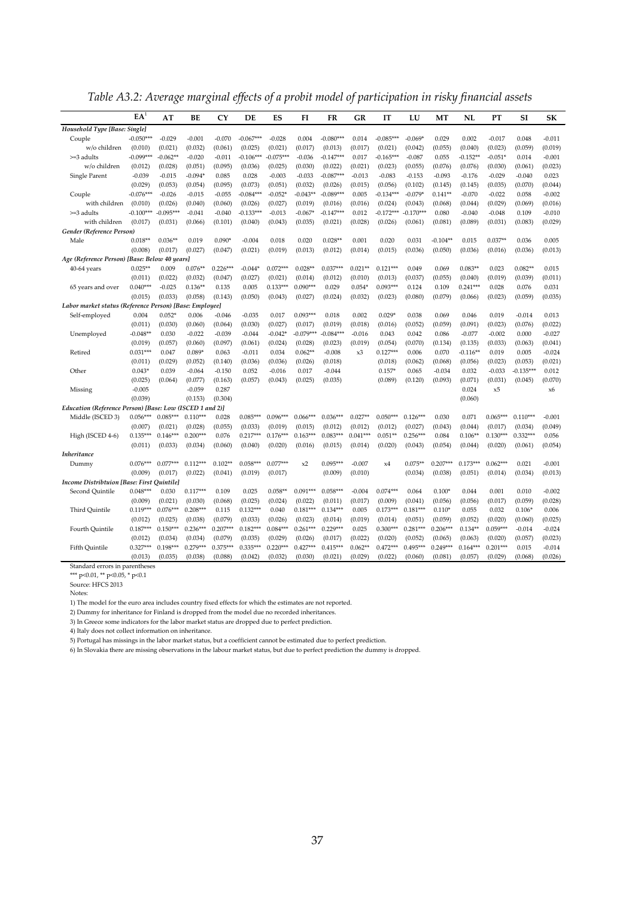| Table A3.2: Average marginal effects of a probit model of participation in risky financial assets |  |  |  |  |
|---------------------------------------------------------------------------------------------------|--|--|--|--|
|                                                                                                   |  |  |  |  |

|                                                          | EA <sup>1</sup> | AT          | BE         | CY         | DE          | ES          | FI          | FR          | GR         | IT          | LU          | МT         | NL         | PT         | SI          | SK       |
|----------------------------------------------------------|-----------------|-------------|------------|------------|-------------|-------------|-------------|-------------|------------|-------------|-------------|------------|------------|------------|-------------|----------|
| Household Type [Base: Single]                            |                 |             |            |            |             |             |             |             |            |             |             |            |            |            |             |          |
| Couple                                                   | $-0.050***$     | $-0.029$    | $-0.001$   | $-0.070$   | $-0.067***$ | $-0.028$    | 0.004       | $-0.080***$ | 0.014      | $-0.085***$ | $-0.069*$   | 0.029      | 0.002      | $-0.017$   | 0.048       | $-0.011$ |
| w/o children                                             | (0.010)         | (0.021)     | (0.032)    | (0.061)    | (0.025)     | (0.021)     | (0.017)     | (0.013)     | (0.017)    | (0.021)     | (0.042)     | (0.055)    | (0.040)    | (0.023)    | (0.059)     | (0.019)  |
| $>=$ 3 adults                                            | $-0.099***$     | $-0.062**$  | $-0.020$   | $-0.011$   | $-0.106***$ | $-0.075***$ | $-0.036$    | $-0.147***$ | 0.017      | $-0.165***$ | $-0.087$    | 0.055      | $-0.152**$ | $-0.051*$  | 0.014       | $-0.001$ |
| w/o children                                             | (0.012)         | (0.028)     | (0.051)    | (0.095)    | (0.036)     | (0.025)     | (0.030)     | (0.022)     | (0.021)    | (0.023)     | (0.055)     | (0.076)    | (0.076)    | (0.030)    | (0.061)     | (0.023)  |
| Single Parent                                            | $-0.039$        | $-0.015$    | $-0.094*$  | 0.085      | 0.028       | $-0.003$    | $-0.033$    | $-0.087***$ | $-0.013$   | $-0.083$    | $-0.153$    | $-0.093$   | $-0.176$   | $-0.029$   | $-0.040$    | 0.023    |
|                                                          | (0.029)         | (0.053)     | (0.054)    | (0.095)    | (0.073)     | (0.051)     | (0.032)     | (0.026)     | (0.015)    | (0.056)     | (0.102)     | (0.145)    | (0.145)    | (0.035)    | (0.070)     | (0.044)  |
| Couple                                                   | $-0.076***$     | $-0.026$    | $-0.015$   | $-0.055$   | $-0.084***$ | $-0.052*$   | $-0.043**$  | $-0.089***$ | 0.005      | $-0.134***$ | $-0.079*$   | $0.141**$  | $-0.070$   | $-0.022$   | 0.058       | $-0.002$ |
| with children                                            | (0.010)         | (0.026)     | (0.040)    | (0.060)    | (0.026)     | (0.027)     | (0.019)     | (0.016)     | (0.016)    | (0.024)     | (0.043)     | (0.068)    | (0.044)    | (0.029)    | (0.069)     | (0.016)  |
| >=3 adults                                               | $-0.100***$     | $-0.095***$ | $-0.041$   | $-0.040$   | $-0.133***$ | $-0.013$    | $-0.067*$   | $-0.147***$ | 0.012      | $-0.172***$ | $-0.170***$ | 0.080      | $-0.040$   | $-0.048$   | 0.109       | $-0.010$ |
| with children                                            | (0.017)         | (0.031)     | (0.066)    | (0.101)    | (0.040)     | (0.043)     | (0.035)     | (0.021)     | (0.028)    | (0.026)     | (0.061)     | (0.081)    | (0.089)    | (0.031)    | (0.083)     | (0.029)  |
| Gender (Reference Person)                                |                 |             |            |            |             |             |             |             |            |             |             |            |            |            |             |          |
| Male                                                     | $0.018**$       | $0.036**$   | 0.019      | $0.090*$   | $-0.004$    | 0.018       | 0.020       | $0.028**$   | 0.001      | 0.020       | 0.031       | $-0.104**$ | 0.015      | $0.037**$  | 0.036       | 0.005    |
|                                                          | (0.008)         | (0.017)     | (0.027)    | (0.047)    | (0.021)     | (0.019)     | (0.013)     | (0.012)     | (0.014)    | (0.015)     | (0.036)     | (0.050)    | (0.036)    | (0.016)    | (0.036)     | (0.013)  |
| Age (Reference Person) [Base: Below 40 years]            |                 |             |            |            |             |             |             |             |            |             |             |            |            |            |             |          |
| $40-64$ years                                            | $0.025**$       | 0.009       | $0.076**$  | $0.226***$ | $-0.044*$   | $0.072***$  | $0.028**$   | $0.037***$  | $0.021**$  | $0.121***$  | 0.049       | 0.069      | $0.083**$  | 0.023      | $0.082**$   | 0.015    |
|                                                          | (0.011)         | (0.022)     | (0.032)    | (0.047)    | (0.027)     | (0.021)     | (0.014)     | (0.012)     | (0.010)    | (0.013)     | (0.037)     | (0.055)    | (0.040)    | (0.019)    | (0.039)     | (0.011)  |
| 65 years and over                                        | $0.040***$      | $-0.025$    | $0.136**$  | 0.135      | 0.005       | $0.133***$  | $0.090***$  | 0.029       | $0.054*$   | $0.093***$  | 0.124       | 0.109      | $0.241***$ | 0.028      | 0.076       | 0.031    |
|                                                          | (0.015)         | (0.033)     | (0.058)    | (0.143)    | (0.050)     | (0.043)     | (0.027)     | (0.024)     | (0.032)    | (0.023)     | (0.080)     | (0.079)    | (0.066)    | (0.023)    | (0.059)     | (0.035)  |
| Labor market status (Reference Person) [Base: Employee]  |                 |             |            |            |             |             |             |             |            |             |             |            |            |            |             |          |
| Self-employed                                            | 0.004           | $0.052*$    | 0.006      | $-0.046$   | $-0.035$    | 0.017       | $0.093***$  | 0.018       | 0.002      | $0.029*$    | 0.038       | 0.069      | 0.046      | 0.019      | $-0.014$    | 0.013    |
|                                                          | (0.011)         | (0.030)     | (0.060)    | (0.064)    | (0.030)     | (0.027)     | (0.017)     | (0.019)     | (0.018)    | (0.016)     | (0.052)     | (0.059)    | (0.091)    | (0.023)    | (0.076)     | (0.022)  |
| Unemployed                                               | $-0.048**$      | 0.030       | $-0.022$   | $-0.039$   | $-0.044$    | $-0.042*$   | $-0.079***$ | $-0.084***$ | $-0.016$   | 0.043       | 0.042       | 0.086      | $-0.077$   | $-0.002$   | 0.000       | $-0.027$ |
|                                                          | (0.019)         | (0.057)     | (0.060)    | (0.097)    | (0.061)     | (0.024)     | (0.028)     | (0.023)     | (0.019)    | (0.054)     | (0.070)     | (0.134)    | (0.135)    | (0.033)    | (0.063)     | (0.041)  |
| Retired                                                  | $0.031***$      | 0.047       | $0.089*$   | 0.063      | $-0.011$    | 0.034       | $0.062**$   | $-0.008$    | x3         | $0.127***$  | 0.006       | 0.070      | $-0.116**$ | 0.019      | 0.005       | $-0.024$ |
|                                                          | (0.011)         | (0.029)     | (0.052)    | (0.140)    | (0.036)     | (0.036)     | (0.026)     | (0.018)     |            | (0.018)     | (0.062)     | (0.068)    | (0.056)    | (0.023)    | (0.053)     | (0.021)  |
| Other                                                    | $0.043*$        | 0.039       | $-0.064$   | $-0.150$   | 0.052       | $-0.016$    | 0.017       | $-0.044$    |            | $0.157*$    | 0.065       | $-0.034$   | 0.032      | $-0.033$   | $-0.135***$ | 0.012    |
|                                                          | (0.025)         | (0.064)     | (0.077)    | (0.163)    | (0.057)     | (0.043)     | (0.025)     | (0.035)     |            | (0.089)     | (0.120)     | (0.093)    | (0.071)    | (0.031)    | (0.045)     | (0.070)  |
| Missing                                                  | $-0.005$        |             | $-0.059$   | 0.287      |             |             |             |             |            |             |             |            | 0.024      | x5         |             | x6       |
|                                                          | (0.039)         |             | (0.153)    | (0.304)    |             |             |             |             |            |             |             |            | (0.060)    |            |             |          |
| Education (Reference Person) [Base: Low (ISCED 1 and 2)] |                 |             |            |            |             |             |             |             |            |             |             |            |            |            |             |          |
| Middle (ISCED 3)                                         | $0.056***$      | $0.085***$  | $0.110***$ | 0.028      | $0.085***$  | $0.096***$  | $0.066***$  | $0.036***$  | $0.027**$  | $0.050***$  | $0.126***$  | 0.030      | 0.071      | $0.065***$ | $0.110***$  | $-0.001$ |
|                                                          | (0.007)         | (0.021)     | (0.028)    | (0.055)    | (0.033)     | (0.019)     | (0.015)     | (0.012)     | (0.012)    | (0.012)     | (0.027)     | (0.043)    | (0.044)    | (0.017)    | (0.034)     | (0.049)  |
| High (ISCED 4-6)                                         | $0.135***$      | $0.146***$  | $0.200***$ | 0.076      | $0.217***$  | $0.176***$  | $0.163***$  | $0.083***$  | $0.041***$ | $0.051**$   | $0.256***$  | 0.084      | $0.106**$  | $0.130***$ | $0.332***$  | 0.056    |
|                                                          | (0.011)         | (0.033)     | (0.034)    | (0.060)    | (0.040)     | (0.020)     | (0.016)     | (0.015)     | (0.014)    | (0.020)     | (0.043)     | (0.054)    | (0.044)    | (0.020)    | (0.061)     | (0.054)  |
| Inheritance                                              |                 |             |            |            |             |             |             |             |            |             |             |            |            |            |             |          |
| Dummy                                                    | $0.076***$      | $0.077***$  | $0.112***$ | $0.102**$  | $0.058***$  | $0.077***$  | x2          | $0.095***$  | $-0.007$   | x4          | $0.075**$   | $0.207***$ | $0.173***$ | $0.062***$ | 0.021       | $-0.001$ |
|                                                          | (0.009)         | (0.017)     | (0.022)    | (0.041)    | (0.019)     | (0.017)     |             | (0.009)     | (0.010)    |             | (0.034)     | (0.038)    | (0.051)    | (0.014)    | (0.034)     | (0.013)  |
| Income Distribtuion [Base: First Quintile]               |                 |             |            |            |             |             |             |             |            |             |             |            |            |            |             |          |
| Second Quintile                                          | $0.048***$      | 0.030       | $0.117***$ | 0.109      | 0.025       | $0.058**$   | $0.091***$  | $0.058***$  | $-0.004$   | $0.074***$  | 0.064       | $0.100*$   | 0.044      | 0.001      | 0.010       | $-0.002$ |
|                                                          | (0.009)         | (0.021)     | (0.030)    | (0.068)    | (0.025)     | (0.024)     | (0.022)     | (0.011)     | (0.017)    | (0.009)     | (0.041)     | (0.056)    | (0.056)    | (0.017)    | (0.059)     | (0.028)  |
| Third Quintile                                           | $0.119***$      | $0.076***$  | $0.208***$ | 0.115      | $0.132***$  | 0.040       | $0.181***$  | $0.134***$  | 0.005      | $0.173***$  | $0.181***$  | $0.110*$   | 0.055      | 0.032      | $0.106*$    | 0.006    |
|                                                          | (0.012)         | (0.025)     | (0.038)    | (0.079)    | (0.033)     | (0.026)     | (0.023)     | (0.014)     | (0.019)    | (0.014)     | (0.051)     | (0.059)    | (0.052)    | (0.020)    | (0.060)     | (0.025)  |
| Fourth Quintile                                          | $0.187***$      | $0.150***$  | $0.236***$ | $0.207***$ | $0.182***$  | $0.084***$  | $0.261***$  | $0.229***$  | 0.025      | $0.300***$  | $0.281***$  | $0.206***$ | $0.134**$  | $0.059***$ | $-0.014$    | $-0.024$ |
|                                                          | (0.012)         | (0.034)     | (0.034)    | (0.079)    | (0.035)     | (0.029)     | (0.026)     | (0.017)     | (0.022)    | (0.020)     | (0.052)     | (0.065)    | (0.063)    | (0.020)    | (0.057)     | (0.023)  |
| Fifth Quintile                                           | $0.327***$      | $0.198***$  | $0.279***$ | $0.375***$ | $0.335***$  | $0.220***$  | $0.427***$  | $0.415***$  | $0.062**$  | $0.472***$  | $0.495***$  | $0.249***$ | $0.164***$ | $0.201***$ | 0.015       | $-0.014$ |
|                                                          | (0.013)         | (0.035)     | (0.038)    | (0.088)    | (0.042)     | (0.032)     | (0.030)     | (0.021)     | (0.029)    | (0.022)     | (0.060)     | (0.081)    | (0.057)    | (0.029)    | (0.068)     | (0.026)  |
| Standard errors in parentheses                           |                 |             |            |            |             |             |             |             |            |             |             |            |            |            |             |          |

\*\*\* p<0.01, \*\* p<0.05, \* p<0.1

Source: HFCS 2013

Notes:

1) The model for the euro area includes country fixed effects for which the estimates are not reported.

2) Dummy for inheritance for Finland is dropped from the model due no recorded inheritances.

3) In Greece some indicators for the labor market status are dropped due to perfect prediction.

4) Italy does not collect information on inheritance.

5) Portugal has missings in the labor market status, but a coefficient cannot be estimated due to perfect prediction.

6) In Slovakia there are missing observations in the labour market status, but due to perfect prediction the dummy is dropped.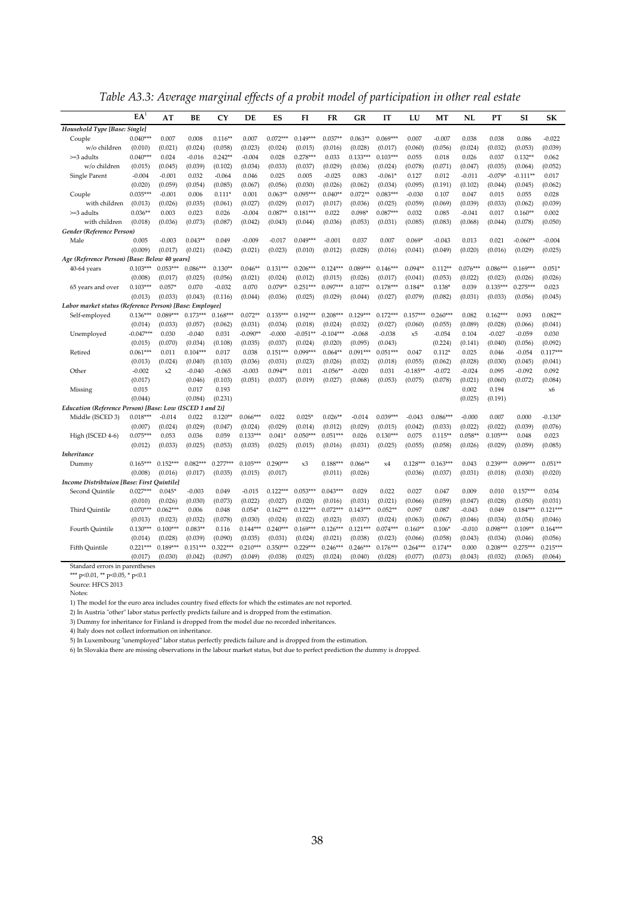*Table A3.3: Average marginal effects of a probit model of participation in other real estate*

|                                                          | EA <sup>1</sup> | AT         | BE         | <b>CY</b>  | DE         | ES         | FI             | FR          | GR         | IT         | LU         | MT         | NL         | PT         | SI         | SK         |
|----------------------------------------------------------|-----------------|------------|------------|------------|------------|------------|----------------|-------------|------------|------------|------------|------------|------------|------------|------------|------------|
| Household Type [Base: Single]                            |                 |            |            |            |            |            |                |             |            |            |            |            |            |            |            |            |
| Couple                                                   | $0.040***$      | 0.007      | 0.008      | $0.116**$  | 0.007      | $0.072***$ | $0.149***$     | $0.037**$   | $0.063**$  | $0.069***$ | 0.007      | $-0.007$   | 0.038      | 0.038      | 0.086      | $-0.022$   |
| w/o children                                             | (0.010)         | (0.021)    | (0.024)    | (0.058)    | (0.023)    | (0.024)    | (0.015)        | (0.016)     | (0.028)    | (0.017)    | (0.060)    | (0.056)    | (0.024)    | (0.032)    | (0.053)    | (0.039)    |
| $>=3$ adults                                             | $0.040***$      | 0.024      | $-0.016$   | $0.242**$  | $-0.004$   | 0.028      | $0.278***$     | 0.033       | $0.133***$ | $0.103***$ | 0.055      | 0.018      | 0.026      | 0.037      | $0.132**$  | 0.062      |
| w/o children                                             | (0.015)         | (0.045)    | (0.039)    | (0.102)    | (0.034)    | (0.033)    | (0.037)        | (0.029)     | (0.036)    | (0.024)    | (0.078)    | (0.071)    | (0.047)    | (0.035)    | (0.064)    | (0.052)    |
| Single Parent                                            | $-0.004$        | $-0.001$   | 0.032      | $-0.064$   | 0.046      | 0.025      | 0.005          | $-0.025$    | 0.083      | $-0.061*$  | 0.127      | 0.012      | $-0.011$   | $-0.079*$  | $-0.111**$ | 0.017      |
|                                                          | (0.020)         | (0.059)    | (0.054)    | (0.085)    | (0.067)    | (0.056)    | (0.030)        | (0.026)     | (0.062)    | (0.034)    | (0.095)    | (0.191)    | (0.102)    | (0.044)    | (0.045)    | (0.062)    |
| Couple                                                   | $0.035***$      | $-0.001$   | 0.006      | $0.111*$   | 0.001      | $0.063**$  | $0.095***$     | $0.040**$   | $0.072**$  | $0.083***$ | $-0.030$   | 0.107      | 0.047      | 0.015      | 0.055      | 0.028      |
| with children                                            | (0.013)         | (0.026)    | (0.035)    | (0.061)    | (0.027)    | (0.029)    | (0.017)        | (0.017)     | (0.036)    | (0.025)    | (0.059)    | (0.069)    | (0.039)    | (0.033)    | (0.062)    | (0.039)    |
| >=3 adults                                               | $0.036**$       | 0.003      | 0.023      | 0.026      | $-0.004$   | $0.087**$  | $0.181***$     | 0.022       | $0.098*$   | $0.087***$ | 0.032      | 0.085      | $-0.041$   | 0.017      | $0.160**$  | 0.002      |
| with children                                            | (0.018)         | (0.036)    | (0.073)    | (0.087)    | (0.042)    | (0.043)    | (0.044)        | (0.036)     | (0.053)    | (0.031)    | (0.085)    | (0.083)    | (0.068)    | (0.044)    | (0.078)    | (0.050)    |
| Gender (Reference Person)                                |                 |            |            |            |            |            |                |             |            |            |            |            |            |            |            |            |
| Male                                                     | 0.005           | $-0.003$   | $0.043**$  | 0.049      | $-0.009$   | $-0.017$   | $0.049***$     | $-0.001$    | 0.037      | 0.007      | $0.069*$   | $-0.043$   | 0.013      | 0.021      | $-0.060**$ | $-0.004$   |
|                                                          | (0.009)         | (0.017)    | (0.021)    | (0.042)    | (0.021)    | (0.023)    | (0.010)        | (0.012)     | (0.028)    | (0.016)    | (0.041)    | (0.049)    | (0.020)    | (0.016)    | (0.029)    | (0.025)    |
| Age (Reference Person) [Base: Below 40 years]            |                 |            |            |            |            |            |                |             |            |            |            |            |            |            |            |            |
| 40-64 years                                              | $0.103***$      | $0.053***$ | $0.086***$ | $0.130**$  | $0.046**$  | $0.131***$ | $0.206***$     | $0.124***$  | $0.089***$ | $0.146***$ | $0.094**$  | $0.112**$  | $0.076***$ | $0.086***$ | $0.169***$ | $0.051*$   |
|                                                          | (0.008)         | (0.017)    | (0.025)    | (0.056)    | (0.021)    | (0.024)    | (0.012)        | (0.015)     | (0.026)    | (0.017)    | (0.041)    | (0.053)    | (0.022)    | (0.023)    | (0.026)    | (0.026)    |
| 65 years and over                                        | $0.103***$      | $0.057*$   | 0.070      | $-0.032$   | 0.070      | $0.079**$  | $0.251***$     | $0.097***$  | $0.107**$  | $0.178***$ | $0.184**$  | $0.138*$   | 0.039      | $0.135***$ | $0.275***$ | 0.023      |
|                                                          | (0.013)         | (0.033)    | (0.043)    | (0.116)    | (0.044)    | (0.036)    | (0.025)        | (0.029)     | (0.044)    | (0.027)    | (0.079)    | (0.082)    | (0.031)    | (0.033)    | (0.056)    | (0.045)    |
| Labor market status (Reference Person) [Base: Employee]  |                 |            |            |            |            |            |                |             |            |            |            |            |            |            |            |            |
| Self-employed                                            | $0.136***$      | $0.089***$ | $0.173***$ | $0.168***$ | $0.072**$  | $0.135***$ | $0.192***$     | $0.208***$  | $0.129***$ | $0.172***$ | $0.157***$ | $0.260***$ | 0.082      | $0.162***$ | 0.093      | $0.082**$  |
|                                                          | (0.014)         | (0.033)    | (0.057)    | (0.062)    | (0.031)    | (0.034)    | (0.018)        | (0.024)     | (0.032)    | (0.027)    | (0.060)    | (0.055)    | (0.089)    | (0.028)    | (0.066)    | (0.041)    |
| Unemployed                                               | $-0.047***$     | 0.030      | $-0.040$   | 0.031      | $-0.090**$ | $-0.000$   | $-0.051**$     | $-0.104***$ | $-0.068$   | $-0.038$   | x5         | $-0.054$   | 0.104      | $-0.027$   | $-0.059$   | 0.030      |
|                                                          | (0.015)         | (0.070)    | (0.034)    | (0.108)    | (0.035)    | (0.037)    | (0.024)        | (0.020)     | (0.095)    | (0.043)    |            | (0.224)    | (0.141)    | (0.040)    | (0.056)    | (0.092)    |
| Retired                                                  | $0.061***$      | 0.011      | $0.104***$ | 0.017      | 0.038      | $0.151***$ | $0.099***$     | $0.064**$   | $0.091***$ | $0.051***$ | 0.047      | $0.112*$   | 0.025      | 0.046      | $-0.054$   | $0.117***$ |
|                                                          | (0.013)         | (0.024)    | (0.040)    | (0.103)    | (0.036)    | (0.031)    | (0.023)        | (0.026)     | (0.032)    | (0.018)    | (0.055)    | (0.062)    | (0.028)    | (0.030)    | (0.045)    | (0.041)    |
| Other                                                    | $-0.002$        | x2         | $-0.040$   | $-0.065$   | $-0.003$   | $0.094**$  | 0.011          | $-0.056**$  | $-0.020$   | 0.031      | $-0.185**$ | $-0.072$   | $-0.024$   | 0.095      | $-0.092$   | 0.092      |
|                                                          | (0.017)         |            | (0.046)    | (0.103)    | (0.051)    | (0.037)    | (0.019)        | (0.027)     | (0.068)    | (0.053)    | (0.075)    | (0.078)    | (0.021)    | (0.060)    | (0.072)    | (0.084)    |
| Missing                                                  | 0.015           |            | 0.017      | 0.193      |            |            |                |             |            |            |            |            | 0.002      | 0.194      |            | x6         |
|                                                          | (0.044)         |            | (0.084)    | (0.231)    |            |            |                |             |            |            |            |            | (0.025)    | (0.191)    |            |            |
| Education (Reference Person) [Base: Low (ISCED 1 and 2)] |                 |            |            |            |            |            |                |             |            |            |            |            |            |            |            |            |
| Middle (ISCED 3)                                         | $0.018***$      | $-0.014$   | 0.022      | $0.120**$  | $0.066***$ | 0.022      | $0.025*$       | $0.026**$   | $-0.014$   | $0.039***$ | $-0.043$   | $0.086***$ | $-0.000$   | 0.007      | 0.000      | $-0.130*$  |
|                                                          | (0.007)         | (0.024)    | (0.029)    | (0.047)    | (0.024)    | (0.029)    | (0.014)        | (0.012)     | (0.029)    | (0.015)    | (0.042)    | (0.033)    | (0.022)    | (0.022)    | (0.039)    | (0.076)    |
| High (ISCED 4-6)                                         | $0.075***$      | 0.053      | 0.036      | 0.059      | $0.133***$ | $0.041*$   | $0.050***$     | $0.051***$  | 0.026      | $0.130***$ | 0.075      | $0.115**$  | $0.058**$  | $0.105***$ | 0.048      | 0.023      |
|                                                          | (0.012)         | (0.033)    | (0.025)    | (0.053)    | (0.035)    | (0.025)    | (0.015)        | (0.016)     | (0.031)    | (0.025)    | (0.055)    | (0.058)    | (0.026)    | (0.029)    | (0.059)    | (0.085)    |
| Inheritance                                              |                 |            |            |            |            |            |                |             |            |            |            |            |            |            |            |            |
| Dummy                                                    | $0.165***$      | $0.152***$ | $0.082***$ | $0.277***$ | $0.105***$ | $0.290***$ | x <sub>3</sub> | $0.188***$  | $0.066**$  | x4         | $0.128***$ | $0.163***$ | 0.043      | $0.239***$ | $0.099***$ | $0.051**$  |
|                                                          | (0.008)         | (0.016)    | (0.017)    | (0.035)    | (0.015)    | (0.017)    |                | (0.011)     | (0.026)    |            | (0.036)    | (0.037)    | (0.031)    | (0.018)    | (0.030)    | (0.020)    |
| Income Distribtuion [Base: First Quintile]               |                 |            |            |            |            |            |                |             |            |            |            |            |            |            |            |            |
| Second Quintile                                          | $0.027***$      | $0.045*$   | $-0.003$   | 0.049      | $-0.015$   | $0.122***$ | $0.053***$     | $0.043***$  | 0.029      | 0.022      | 0.027      | 0.047      | 0.009      | 0.010      | $0.157***$ | 0.034      |
|                                                          | (0.010)         | (0.026)    | (0.030)    | (0.073)    | (0.022)    | (0.027)    | (0.020)        | (0.016)     | (0.031)    | (0.021)    | (0.066)    | (0.059)    | (0.047)    | (0.028)    | (0.050)    | (0.031)    |
| Third Quintile                                           | $0.070***$      | $0.062***$ | 0.006      | 0.048      | $0.054*$   | $0.162***$ | $0.122***$     | $0.072***$  | $0.143***$ | $0.052**$  | 0.097      | 0.087      | $-0.043$   | 0.049      | $0.184***$ | $0.121***$ |
|                                                          | (0.013)         | (0.023)    | (0.032)    | (0.078)    | (0.030)    | (0.024)    | (0.022)        | (0.023)     | (0.037)    | (0.024)    | (0.063)    | (0.067)    | (0.046)    | (0.034)    | (0.054)    | (0.046)    |
| Fourth Quintile                                          | $0.130***$      | $0.100***$ | $0.083**$  | 0.116      | $0.144***$ | $0.240***$ | $0.169***$     | $0.126***$  | $0.121***$ | $0.074***$ | $0.160**$  | $0.106*$   | $-0.010$   | $0.098***$ | $0.109**$  | $0.164***$ |
|                                                          | (0.014)         | (0.028)    | (0.039)    | (0.090)    | (0.035)    | (0.031)    | (0.024)        | (0.021)     | (0.038)    | (0.023)    | (0.066)    | (0.058)    | (0.043)    | (0.034)    | (0.046)    | (0.056)    |
| Fifth Quintile                                           | $0.221***$      | $0.189***$ | $0.151***$ | $0.322***$ | $0.210***$ | $0.350***$ | $0.229***$     | $0.246***$  | $0.246***$ | $0.176***$ | $0.264***$ | $0.174**$  | 0.000      | $0.208***$ | $0.275***$ | $0.215***$ |
|                                                          | (0.017)         | (0.030)    | (0.042)    | (0.097)    | (0.049)    | (0.038)    | (0.025)        | (0.024)     | (0.040)    | (0.028)    | (0.077)    | (0.073)    | (0.043)    | (0.032)    | (0.065)    | (0.064)    |
| Standard errors in parentheses                           |                 |            |            |            |            |            |                |             |            |            |            |            |            |            |            |            |

\*\*\* p<0.01, \*\* p<0.05, \* p<0.1

Source: HFCS 2013

Notes:

1) The model for the euro area includes country fixed effects for which the estimates are not reported.

2) In Austria "other" labor status perfectly predicts failure and is dropped from the estimation.

3) Dummy for inheritance for Finland is dropped from the model due no recorded inheritances.

4) Italy does not collect information on inheritance.

5) In Luxembourg "unemployed" labor status perfectly predicts failure and is dropped from the estimation.

6) In Slovakia there are missing observations in the labour market status, but due to perfect prediction the dummy is dropped.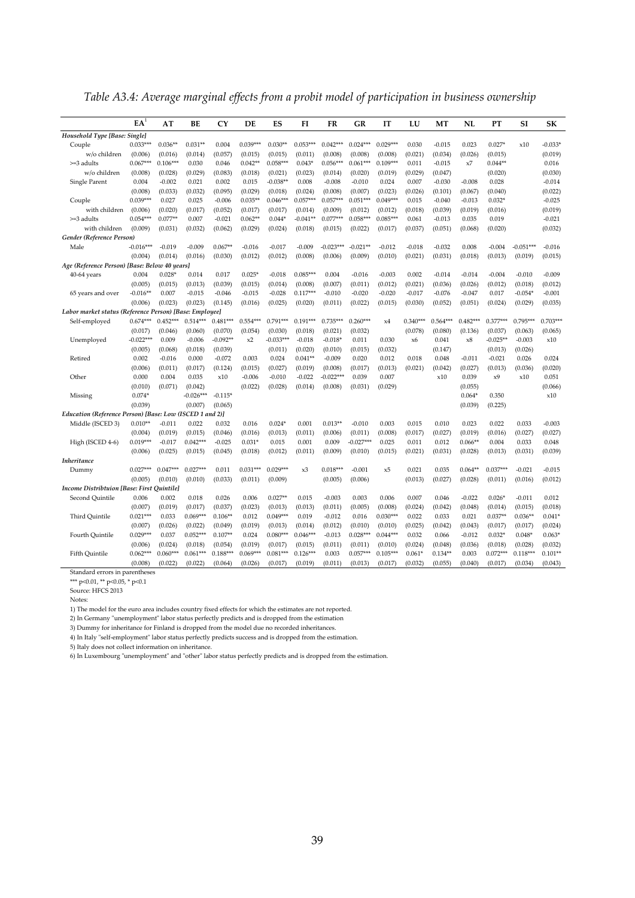*Table A3.4: Average marginal effects from a probit model of participation in business ownership*

|                                                          | $EA$ <sup>1</sup> | AT         | BE          | CY         | DE         | ES          | FI             | FR          | GR          | IT         | LU         | мт         | NL         | PT             | <b>SI</b>   | SК         |
|----------------------------------------------------------|-------------------|------------|-------------|------------|------------|-------------|----------------|-------------|-------------|------------|------------|------------|------------|----------------|-------------|------------|
| Household Type [Base: Single]                            |                   |            |             |            |            |             |                |             |             |            |            |            |            |                |             |            |
| Couple                                                   | $0.033***$        | $0.036**$  | $0.031**$   | 0.004      | $0.039***$ | $0.030**$   | $0.053***$     | $0.042***$  | $0.024***$  | $0.029***$ | 0.030      | $-0.015$   | 0.023      | $0.027*$       | x10         | $-0.033*$  |
| w/o children                                             | (0.006)           | (0.016)    | (0.014)     | (0.057)    | (0.015)    | (0.015)     | (0.011)        | (0.008)     | (0.008)     | (0.008)    | (0.021)    | (0.034)    | (0.026)    | (0.015)        |             | (0.019)    |
| >=3 adults                                               | $0.067***$        | $0.106***$ | 0.030       | 0.046      | $0.042**$  | $0.058***$  | $0.043*$       | $0.056***$  | $0.061***$  | $0.109***$ | 0.011      | $-0.015$   | x7         | $0.044**$      |             | 0.016      |
| w/o children                                             | (0.008)           | (0.028)    | (0.029)     | (0.083)    | (0.018)    | (0.021)     | (0.023)        | (0.014)     | (0.020)     | (0.019)    | (0.029)    | (0.047)    |            | (0.020)        |             | (0.030)    |
| Single Parent                                            | 0.004             | $-0.002$   | 0.021       | 0.002      | 0.015      | $-0.038**$  | 0.008          | $-0.008$    | $-0.010$    | 0.024      | 0.007      | $-0.030$   | $-0.008$   | 0.028          |             | $-0.014$   |
|                                                          | (0.008)           | (0.033)    | (0.032)     | (0.095)    | (0.029)    | (0.018)     | (0.024)        | (0.008)     | (0.007)     | (0.023)    | (0.026)    | (0.101)    | (0.067)    | (0.040)        |             | (0.022)    |
| Couple                                                   | $0.039***$        | 0.027      | 0.025       | $-0.006$   | $0.035**$  | $0.046***$  | $0.057***$     | $0.057***$  | $0.051***$  | $0.049***$ | 0.015      | $-0.040$   | $-0.013$   | $0.032*$       |             | $-0.025$   |
| with children                                            | (0.006)           | (0.020)    | (0.017)     | (0.052)    | (0.017)    | (0.017)     | (0.014)        | (0.009)     | (0.012)     | (0.012)    | (0.018)    | (0.039)    | (0.019)    | (0.016)        |             | (0.019)    |
| >=3 adults                                               | $0.054***$        | $0.077**$  | 0.007       | $-0.021$   | $0.062**$  | $0.044*$    | $-0.041**$     | $0.077***$  | $0.058***$  | $0.085***$ | 0.061      | $-0.013$   | 0.035      | 0.019          |             | $-0.021$   |
| with children                                            | (0.009)           | (0.031)    | (0.032)     | (0.062)    | (0.029)    | (0.024)     | (0.018)        | (0.015)     | (0.022)     | (0.017)    | (0.037)    | (0.051)    | (0.068)    | (0.020)        |             | (0.032)    |
| Gender (Reference Person)                                |                   |            |             |            |            |             |                |             |             |            |            |            |            |                |             |            |
| Male                                                     | $-0.016***$       | $-0.019$   | $-0.009$    | $0.067**$  | $-0.016$   | $-0.017$    | $-0.009$       | $-0.023***$ | $-0.021**$  | $-0.012$   | $-0.018$   | $-0.032$   | 0.008      | $-0.004$       | $-0.051***$ | $-0.016$   |
|                                                          | (0.004)           | (0.014)    | (0.016)     | (0.030)    | (0.012)    | (0.012)     | (0.008)        | (0.006)     | (0.009)     | (0.010)    | (0.021)    | (0.031)    | (0.018)    | (0.013)        | (0.019)     | (0.015)    |
| Age (Reference Person) [Base: Below 40 years]            |                   |            |             |            |            |             |                |             |             |            |            |            |            |                |             |            |
| 40-64 years                                              | 0.004             | $0.028*$   | 0.014       | 0.017      | $0.025*$   | $-0.018$    | $0.085***$     | 0.004       | $-0.016$    | $-0.003$   | 0.002      | $-0.014$   | $-0.014$   | $-0.004$       | $-0.010$    | $-0.009$   |
|                                                          | (0.005)           | (0.015)    | (0.013)     | (0.039)    | (0.015)    | (0.014)     | (0.008)        | (0.007)     | (0.011)     | (0.012)    | (0.021)    | (0.036)    | (0.026)    | (0.012)        | (0.018)     | (0.012)    |
| 65 years and over                                        | $-0.016**$        | 0.007      | $-0.015$    | $-0.046$   | $-0.015$   | $-0.028$    | $0.117***$     | $-0.010$    | $-0.020$    | $-0.020$   | $-0.017$   | $-0.076$   | $-0.047$   | 0.017          | $-0.054*$   | $-0.001$   |
|                                                          | (0.006)           | (0.023)    | (0.023)     | (0.145)    | (0.016)    | (0.025)     | (0.020)        | (0.011)     | (0.022)     | (0.015)    | (0.030)    | (0.052)    | (0.051)    | (0.024)        | (0.029)     | (0.035)    |
| Labor market status (Reference Person) [Base: Employee]  |                   |            |             |            |            |             |                |             |             |            |            |            |            |                |             |            |
| Self-employed                                            | $0.674***$        | $0.452***$ | $0.514***$  | $0.481***$ | $0.554***$ | $0.791***$  | $0.191***$     | $0.735***$  | $0.260***$  | x4         | $0.340***$ | $0.564***$ | $0.482***$ | $0.377***$     | $0.795***$  | $0.703***$ |
|                                                          | (0.017)           | (0.046)    | (0.060)     | (0.070)    | (0.054)    | (0.030)     | (0.018)        | (0.021)     | (0.032)     |            | (0.078)    | (0.080)    | (0.136)    | (0.037)        | (0.063)     | (0.065)    |
| Unemployed                                               | $-0.022***$       | 0.009      | $-0.006$    | $-0.092**$ | x2         | $-0.033***$ | $-0.018$       | $-0.018*$   | 0.011       | 0.030      | x6         | 0.041      | x8         | $-0.025**$     | $-0.003$    | x10        |
|                                                          | (0.005)           | (0.068)    | (0.018)     | (0.039)    |            | (0.011)     | (0.020)        | (0.010)     | (0.015)     | (0.032)    |            | (0.147)    |            | (0.013)        | (0.026)     |            |
| Retired                                                  | 0.002             | $-0.016$   | 0.000       | $-0.072$   | 0.003      | 0.024       | $0.041**$      | $-0.009$    | 0.020       | 0.012      | 0.018      | 0.048      | $-0.011$   | $-0.021$       | 0.026       | 0.024      |
|                                                          | (0.006)           | (0.011)    | (0.017)     | (0.124)    | (0.015)    | (0.027)     | (0.019)        | (0.008)     | (0.017)     | (0.013)    | (0.021)    | (0.042)    | (0.027)    | (0.013)        | (0.036)     | (0.020)    |
| Other                                                    | 0.000             | 0.004      | 0.035       | x10        | $-0.006$   | $-0.010$    | $-0.022$       | $-0.022***$ | 0.039       | 0.007      |            | x10        | 0.039      | x <sup>9</sup> | x10         | 0.051      |
|                                                          | (0.010)           | (0.071)    | (0.042)     |            | (0.022)    | (0.028)     | (0.014)        | (0.008)     | (0.031)     | (0.029)    |            |            | (0.055)    |                |             | (0.066)    |
| Missing                                                  | $0.074*$          |            | $-0.026***$ | $-0.115*$  |            |             |                |             |             |            |            |            | $0.064*$   | 0.350          |             | x10        |
|                                                          | (0.039)           |            | (0.007)     | (0.065)    |            |             |                |             |             |            |            |            | (0.039)    | (0.225)        |             |            |
| Education (Reference Person) [Base: Low (ISCED 1 and 2)] |                   |            |             |            |            |             |                |             |             |            |            |            |            |                |             |            |
| Middle (ISCED 3)                                         | $0.010**$         | $-0.011$   | 0.022       | 0.032      | 0.016      | $0.024*$    | 0.001          | $0.013**$   | $-0.010$    | 0.003      | 0.015      | 0.010      | 0.023      | 0.022          | 0.033       | $-0.003$   |
|                                                          | (0.004)           | (0.019)    | (0.015)     | (0.046)    | (0.016)    | (0.013)     | (0.011)        | (0.006)     | (0.011)     | (0.008)    | (0.017)    | (0.027)    | (0.019)    | (0.016)        | (0.027)     | (0.027)    |
| High (ISCED 4-6)                                         | $0.019***$        | $-0.017$   | $0.042***$  | $-0.025$   | $0.031*$   | 0.015       | 0.001          | 0.009       | $-0.027***$ | 0.025      | 0.011      | 0.012      | $0.066**$  | 0.004          | 0.033       | 0.048      |
|                                                          | (0.006)           | (0.025)    | (0.015)     | (0.045)    | (0.018)    | (0.012)     | (0.011)        | (0.009)     | (0.010)     | (0.015)    | (0.021)    | (0.031)    | (0.028)    | (0.013)        | (0.031)     | (0.039)    |
| Inheritance                                              |                   |            |             |            |            |             |                |             |             |            |            |            |            |                |             |            |
| Dummy                                                    | $0.027***$        | $0.047***$ | $0.027***$  | 0.011      | $0.031***$ | $0.029***$  | x <sub>3</sub> | $0.018***$  | $-0.001$    | x5         | 0.021      | 0.035      | $0.064**$  | $0.037***$     | $-0.021$    | $-0.015$   |
|                                                          | (0.005)           | (0.010)    | (0.010)     | (0.033)    | (0.011)    | (0.009)     |                | (0.005)     | (0.006)     |            | (0.013)    | (0.027)    | (0.028)    | (0.011)        | (0.016)     | (0.012)    |
| Income Distribtuion [Base: First Quintile]               |                   |            |             |            |            |             |                |             |             |            |            |            |            |                |             |            |
| Second Quintile                                          | 0.006             | 0.002      | 0.018       | 0.026      | 0.006      | $0.027**$   | 0.015          | $-0.003$    | 0.003       | 0.006      | 0.007      | 0.046      | $-0.022$   | $0.026*$       | $-0.011$    | 0.012      |
|                                                          | (0.007)           | (0.019)    | (0.017)     | (0.037)    | (0.023)    | (0.013)     | (0.013)        | (0.011)     | (0.005)     | (0.008)    | (0.024)    | (0.042)    | (0.048)    | (0.014)        | (0.015)     | (0.018)    |
| Third Quintile                                           | $0.021***$        | 0.033      | $0.069***$  | $0.106**$  | 0.012      | $0.049***$  | 0.019          | $-0.012$    | 0.016       | $0.030***$ | 0.022      | 0.033      | 0.021      | $0.037**$      | $0.036**$   | $0.041*$   |
|                                                          | (0.007)           | (0.026)    | (0.022)     | (0.049)    | (0.019)    | (0.013)     | (0.014)        | (0.012)     | (0.010)     | (0.010)    | (0.025)    | (0.042)    | (0.043)    | (0.017)        | (0.017)     | (0.024)    |
| Fourth Quintile                                          | $0.029***$        | 0.037      | $0.052***$  | $0.107**$  | 0.024      | $0.080***$  | $0.046***$     | $-0.013$    | $0.028***$  | $0.044***$ | 0.032      | 0.066      | $-0.012$   | $0.032*$       | $0.048*$    | $0.063*$   |
|                                                          | (0.006)           | (0.024)    | (0.018)     | (0.054)    | (0.019)    | (0.017)     | (0.015)        | (0.011)     | (0.011)     | (0.010)    | (0.024)    | (0.048)    | (0.036)    | (0.018)        | (0.028)     | (0.032)    |
| Fifth Quintile                                           | $0.062***$        | $0.060***$ | $0.061***$  | $0.188***$ | $0.069***$ | $0.081***$  | $0.126***$     | 0.003       | $0.057***$  | $0.105***$ | $0.061*$   | $0.134**$  | 0.003      | $0.072***$     | $0.118***$  | $0.101**$  |
|                                                          | (0.008)           | (0.022)    | (0.022)     | (0.064)    | (0.026)    | (0.017)     | (0.019)        | (0.011)     | (0.013)     | (0.017)    | (0.032)    | (0.055)    | (0.040)    | (0.017)        | (0.034)     | (0.043)    |
| Standard errors in parentheses                           |                   |            |             |            |            |             |                |             |             |            |            |            |            |                |             |            |

Standard errors in parentheses

\*\*\* p<0.01, \*\* p<0.05, \* p<0.1

Source: HFCS 2013

Notes:

1) The model for the euro area includes country fixed effects for which the estimates are not reported.

2) In Germany "unemployment" labor status perfectly predicts and is dropped from the estimation

3) Dummy for inheritance for Finland is dropped from the model due no recorded inheritances.

4) In Italy "self-employment" labor status perfectly predicts success and is dropped from the estimation.

5) Italy does not collect information on inheritance.

6) In Luxembourg "unemployment" and "other" labor status perfectly predicts and is dropped from the estimation.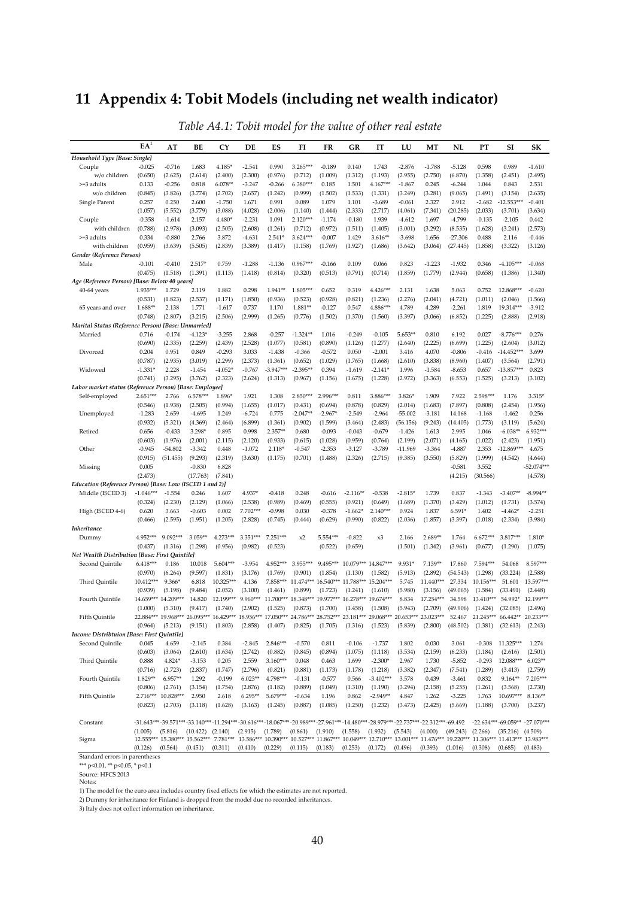# **11 Appendix 4: Tobit Models (including net wealth indicator)**

|                                                                | EA <sup>1</sup>      | AT                   | ВE                   | CY                                                                                                                              | DE                   | ES                   | FI                    | FR                   | GR                   | IT                                                          | LU                   | MТ                   | NL                            | PT                   | SI                            | SК                             |
|----------------------------------------------------------------|----------------------|----------------------|----------------------|---------------------------------------------------------------------------------------------------------------------------------|----------------------|----------------------|-----------------------|----------------------|----------------------|-------------------------------------------------------------|----------------------|----------------------|-------------------------------|----------------------|-------------------------------|--------------------------------|
| Household Type [Base: Single]                                  |                      |                      |                      |                                                                                                                                 |                      |                      |                       |                      |                      |                                                             |                      |                      |                               |                      |                               |                                |
| Couple                                                         | $-0.025$             | $-0.716$             | 1.683                | 4.185*                                                                                                                          | $-2.541$             | 0.990                | 3.265***              | $-0.189$             | 0.140                | 1.743                                                       | $-2.876$             | $-1.788$             | $-5.128$                      | 0.598                | 0.989                         | $-1.610$                       |
| w/o children                                                   | (0.650)              | (2.625)              | (2.614)              | (2.400)                                                                                                                         | (2.300)              | (0.976)              | (0.712)               | (1.009)              | (1.312)              | (1.193)                                                     | (2.955)              | (2.750)              | (6.870)                       | (1.358)              | (2.451)                       | (2.495)                        |
| >=3 adults                                                     | 0.133                | $-0.256$             | 0.818                | $6.078**$                                                                                                                       | $-3.247$             | $-0.266$             | 6.380***              | 0.185                | 1.501                | 4.167***                                                    | $-1.867$             | 0.245                | $-6.244$                      | 1.044                | 0.843                         | 2.531                          |
| w/o children                                                   | (0.845)              | (3.826)              | (3.774)              | (2.702)                                                                                                                         | (2.657)              | (1.242)              | (0.999)               | (1.502)              | (1.533)              | (1.331)                                                     | (3.249)              | (3.281)              | (9.065)                       | (1.491)              | (3.154)                       | (2.635)                        |
| Single Parent                                                  | 0.257                | 0.250                | 2.600                | $-1.750$                                                                                                                        | 1.671                | 0.991                | 0.089                 | 1.079                | 1.101                | $-3.689$                                                    | $-0.061$             | 2.327                | 2.912                         | $-2.682$             | $-12.553***$                  | $-0.401$                       |
|                                                                | (1.057)              | (5.552)              | (3.779)              | (3.088)                                                                                                                         | (4.028)              | (2.006)              | (1.140)               | (1.444)              | (2.333)              | (2.717)                                                     | (4.061)              | (7.341)              | (20.285)                      | (2.033)              | (3.701)                       | (3.634)                        |
| Couple                                                         | $-0.358$<br>(0.788)  | $-1.614$<br>(2.978)  | 2.157<br>(3.093)     | 4.480*                                                                                                                          | $-2.231$             | 1.091<br>(1.261)     | $2.120***$            | $-1.174$<br>(0.972)  | $-0.180$<br>(1.511)  | 1.939<br>(1.405)                                            | $-4.612$<br>(3.001)  | 1.697<br>(3.292)     | $-4.799$<br>(8.535)           | $-0.135$             | $-2.105$<br>(3.241)           | 0.442<br>(2.573)               |
| with children<br>>=3 adults                                    | 0.334                | $-0.880$             | 2.766                | (2.505)<br>3.872                                                                                                                | (2.608)<br>$-4.631$  | 2.541*               | (0.712)<br>$3.624***$ | $-0.007$             | 1.429                | $3.616**$                                                   | $-3.698$             | 1.656                | $-27.306$                     | (1.628)<br>0.488     | 2.116                         | $-0.446$                       |
| with children                                                  | (0.959)              | (3.639)              | (5.505)              | (2.839)                                                                                                                         | (3.389)              | (1.417)              | (1.158)               | (1.769)              | (1.927)              | (1.686)                                                     | (3.642)              | (3.064)              | (27.445)                      | (1.858)              | (3.322)                       | (3.126)                        |
| Gender (Reference Person)                                      |                      |                      |                      |                                                                                                                                 |                      |                      |                       |                      |                      |                                                             |                      |                      |                               |                      |                               |                                |
| Male                                                           | $-0.101$             | $-0.410$             | 2.517*               | 0.759                                                                                                                           | $-1.288$             | $-1.136$             | $0.967***$            | $-0.166$             | 0.109                | 0.066                                                       | 0.823                | $-1.223$             | $-1.932$                      | 0.346                | $-4.105***$                   | $-0.068$                       |
|                                                                | (0.475)              | (1.518)              | (1.391)              | (1.113)                                                                                                                         | (1.418)              | (0.814)              | (0.320)               | (0.513)              | (0.791)              | (0.714)                                                     | (1.859)              | (1.779)              | (2.944)                       | (0.658)              | (1.386)                       | (1.340)                        |
| Age (Reference Person) [Base: Below 40 years]                  |                      |                      |                      |                                                                                                                                 |                      |                      |                       |                      |                      |                                                             |                      |                      |                               |                      |                               |                                |
| $40-64$ years                                                  | 1.935***             | 1.729                | 2.119                | 1.882                                                                                                                           | 0.298                | 1.941**              | 1.805***              | 0.652                | 0.319                | 4.426***                                                    | 2.131                | 1.638                | 5.063                         | 0.752                | 12.868***                     | $-0.620$                       |
|                                                                | (0.531)              | (1.823)              | (2.537)              | (1.171)                                                                                                                         | (1.850)              | (0.936)              | (0.523)               | (0.928)              | (0.821)              | (1.236)                                                     | (2.276)              | (2.041)              | (4.721)                       | (1.011)              | (2.046)                       | (1.566)                        |
| 65 years and over                                              | 1.688**              | 2.138                | 1.771                | $-1.617$                                                                                                                        | 0.737                | 1.170                | 1.881**               | $-0.127$             | 0.547                | 4.886***                                                    | 4.789                | 4.289                | $-2.261$                      | 1.819                | 19.314***                     | $-3.912$                       |
|                                                                | (0.748)              | (2.807)              | (3.215)              | (2.506)                                                                                                                         | (2.999)              | (1.265)              | (0.776)               | (1.502)              | (1.370)              | (1.560)                                                     | (3.397)              | (3.066)              | (6.852)                       | (1.225)              | (2.888)                       | (2.918)                        |
| Marital Status (Reference Person) [Base: Unmarried]<br>Married | 0.716                | $-0.174$             | $-4.123*$            | $-3.255$                                                                                                                        | 2.868                | $-0.257$             | $-1.324**$            | 1.016                | $-0.249$             | $-0.105$                                                    | 5.653**              | 0.810                | 6.192                         | 0.027                | $-8.776***$                   | 0.276                          |
|                                                                | (0.690)              | (2.335)              | (2.259)              | (2.439)                                                                                                                         | (2.528)              | (1.077)              | (0.581)               | (0.890)              | (1.126)              | (1.277)                                                     | (2.640)              | (2.225)              | (6.699)                       | (1.225)              | (2.604)                       | (3.012)                        |
| Divorced                                                       | 0.204                | 0.951                | 0.849                | $-0.293$                                                                                                                        | 3.033                | $-1.438$             | $-0.366$              | $-0.572$             | 0.050                | $-2.001$                                                    | 3.416                | 4.070                | $-0.806$                      | $-0.416$             | $-14.452***$                  | 3.699                          |
|                                                                | (0.787)              | (2.935)              | (3.019)              | (2.299)                                                                                                                         | (2.373)              | (1.361)              | (0.652)               | (1.029)              | (1.765)              | (1.668)                                                     | (2.610)              | (3.838)              | (8.960)                       | (1.407)              | (3.564)                       | (2.791)                        |
| Widowed                                                        | $-1.331*$            | 2.228                | $-1.454$             | $-4.052*$                                                                                                                       | $-0.767$             | 3.947***             | $-2.395**$            | 0.394                | $-1.619$             | $-2.141*$                                                   | 1.996                | $-1.584$             | $-8.653$                      | 0.657                | $-13.857***$                  | 0.823                          |
|                                                                | (0.741)              | (3.295)              | (3.762)              | (2.323)                                                                                                                         | (2.624)              | (1.313)              | (0.967)               | (1.156)              | (1.675)              | (1.228)                                                     | (2.972)              | (3.363)              | (6.553)                       | (1.525)              | (3.213)                       | (3.102)                        |
| Labor market status (Reference Person) [Base: Employee]        |                      |                      |                      |                                                                                                                                 |                      |                      |                       |                      |                      |                                                             |                      |                      |                               |                      |                               |                                |
| Self-employed                                                  | $2.651***$           | 2.766                | 6.578***             | 1.896*                                                                                                                          | 1.921                | 1.308                | 2.850***              | 2.996***             | 0.811                | 3.886***                                                    | $3.826*$             | 1.909                | 7.922                         | 2.598***             | 1.176                         | 3.315*                         |
|                                                                | (0.546)              | (1.938)              | (2.505)              | (0.994)                                                                                                                         | (1.655)              | (1.017)              | (0.431)               | (0.694)              | (0.878)              | (0.829)                                                     | (2.014)              | (1.683)              | (7.897)                       | (0.808)              | (2.454)                       | (1.956)                        |
| Unemployed                                                     | $-1.283$             | 2.659                | $-4.695$             | 1.249                                                                                                                           | $-6.724$             | 0.775                | $-2.047**$            | $-2.967*$            | $-2.549$             | $-2.964$                                                    | $-55.002$            | $-3.181$             | 14.168                        | $-1.168$             | $-1.462$                      | 0.256                          |
| Retired                                                        | (0.932)<br>0.656     | (5.321)<br>$-0.433$  | (4.369)<br>3.298*    | (2.464)<br>0.895                                                                                                                | (6.899)<br>0.998     | (1.361)<br>2.357**   | (0.902)<br>0.680      | (1.599)<br>$-0.093$  | (3.464)<br>$-0.043$  | (2.483)<br>$-0.679$                                         | (56.156)<br>$-1.426$ | (9.243)<br>1.613     | (14.405)<br>2.995             | (1.773)<br>1.046     | (3.119)<br>$-6.038**$         | (5.624)<br>6.932***            |
|                                                                | (0.603)              | (1.976)              | (2.001)              | (2.115)                                                                                                                         | (2.120)              | (0.933)              | (0.615)               | (1.028)              | (0.959)              | (0.764)                                                     | (2.199)              | (2.071)              | (4.165)                       | (1.022)              | (2.423)                       | (1.951)                        |
| Other                                                          | $-0.945$             | $-54.802$            | $-3.342$             | 0.448                                                                                                                           | $-1.072$             | 2.118*               | $-0.547$              | $-2.353$             | $-3.127$             | $-3.789$                                                    | $-11.969$            | $-3.364$             | $-4.887$                      | 2.353                | $-12.869***$                  | 4.675                          |
|                                                                | (0.915)              | (51.455)             | (9.293)              | (2.319)                                                                                                                         | (3.630)              | (1.175)              | (0.701)               | (1.488)              | (2.326)              | (2.715)                                                     | (9.385)              | (3.550)              | (5.829)                       | (1.999)              | (4.542)                       | (4.644)                        |
| Missing                                                        | 0.005                |                      | $-0.830$             | 6.828                                                                                                                           |                      |                      |                       |                      |                      |                                                             |                      |                      | $-0.581$                      | 3.552                |                               | $-52.074**$                    |
|                                                                | (2.473)              |                      | (17.763)             | (7.841)                                                                                                                         |                      |                      |                       |                      |                      |                                                             |                      |                      | (4.215)                       | (30.566)             |                               | (4.578)                        |
| Education (Reference Person) [Base: Low (ISCED 1 and 2)]       |                      |                      |                      |                                                                                                                                 |                      |                      |                       |                      |                      |                                                             |                      |                      |                               |                      |                               |                                |
| Middle (ISCED 3)                                               | $-1.046***$          | $-1.554$             | 0.246                | 1.607                                                                                                                           | 4.937*               | $-0.418$             | 0.248                 | $-0.616$             | $-2.116**$           | $-0.538$                                                    | $-2.815*$            | 1.739                | 0.837                         | $-1.343$             | $-3.407**$                    | $-8.994**$                     |
|                                                                | (0.324)              | (2.230)              | (2.129)              | (1.066)                                                                                                                         | (2.538)              | (0.989)              | (0.469)               | (0.555)              | (0.921)              | (0.649)                                                     | (1.689)              | (1.370)              | (3.429)                       | (1.012)              | (1.731)                       | (3.574)                        |
| High (ISCED 4-6)                                               | 0.620                | 3.663                | $-0.603$             | 0.002                                                                                                                           | 7.702***<br>(2.828)  | $-0.998$             | 0.030                 | $-0.378$             | $-1.662*$<br>(0.990) | $2.140***$                                                  | 0.924                | 1.837                | $6.591*$                      | 1.402                | $-4.462*$                     | $-2.251$<br>(3.984)            |
| Inheritance                                                    | (0.466)              | (2.595)              | (1.951)              | (1.205)                                                                                                                         |                      | (0.745)              | (0.444)               | (0.629)              |                      | (0.822)                                                     | (2.036)              | (1.857)              | (3.397)                       | (1.018)              | (2.334)                       |                                |
| Dummy                                                          | 4.952***             | 9.092***             | 3.059**              | 4.273***                                                                                                                        | $3.351***$           | 7.251***             | x2                    | 5.554***             | $-0.822$             | x3                                                          | 2.166                | 2.689**              | 1.764                         | $6.672***$           | 3.817***                      | 1.810*                         |
|                                                                | (0.437)              | (1.316)              | (1.298)              | (0.956)                                                                                                                         | (0.982)              | (0.523)              |                       | (0.522)              | (0.659)              |                                                             | (1.501)              | (1.342)              | (3.961)                       | (0.677)              | (1.290)                       | (1.075)                        |
| Net Wealth Distribution [Base: First Quintile]                 |                      |                      |                      |                                                                                                                                 |                      |                      |                       |                      |                      |                                                             |                      |                      |                               |                      |                               |                                |
| Second Quintile                                                | 6.418***             | 0.186                | 10.018               | 5.604***                                                                                                                        | $-3.954$             | 4.952***             | 3.955***              | 9.495***             |                      | 10.079*** 14.847***                                         | 9.931*               | 7.139**              | 17.860                        | 7.594***             | 54.068                        | 8.597***                       |
|                                                                | (0.970)              | (6.264)              | (9.597)              | (1.831)                                                                                                                         | (3.176)              | (1.769)              | (0.901)               | (1.854)              | (1.130)              | (1.582)                                                     | (5.913)              | (2.892)              | (54.543)                      | (1.298)              | (33.224)                      | (2.588)                        |
| Third Quintile                                                 | 10.412***            | 9.366*               | 6.818                | 10.325***                                                                                                                       | 4.136                | 7.858***             | 11.474***             | 16.540***            | 11.788***            | 15.204***                                                   | 5.745                | 11.440***            | 27.334                        | 10.156***            | 51.601                        | 13.597***                      |
|                                                                | (0.939)              | (5.198)              | (9.484)              | (2.052)                                                                                                                         | (3.100)              | (1.461)              | (0.899)               | (1.723)              | (1.241)              | (1.610)                                                     | (5.980)              | (3.156)              | (49.065)                      | (1.584)              | (33.491)                      | (2.448)                        |
| Fourth Quintile                                                | 14.659***            | 14.209***            | 14.820               | 12.199***                                                                                                                       | 9.960***             | 11.700***            | 18.348***             | 19.977***            | 16.278***            | 19.674***                                                   | 8.834                | 17.254***            | 34.598                        | 13.410***            | 54.992*                       | 12.199***                      |
|                                                                | (1.000)<br>22.884*** | (5.310)<br>19.968*** | (9.417)              | (1.740)<br>16.429***                                                                                                            | (2.902)<br>18.956*** | (1.525)              | (0.873)               | (1.700)<br>28.752*** | (1.458)<br>23.181*** | (1.508)                                                     | (5.943)<br>20.653*** | (2.709)<br>23.023*** | (49.906)<br>52.467            | (1.424)<br>21.245*** | (32.085)<br>66.442**          | (2.496)<br>$20.23$ **          |
| Fifth Quintile                                                 | (0.964)              | (5.213)              | 26.095***<br>(9.151) | (1.803)                                                                                                                         | (2.858)              | 17.050***<br>(1.407) | 24.786***<br>(0.825)  | (1.705)              | (1.316)              | 29.068***<br>(1.523)                                        | (5.839)              | (2.800)              | (48.502)                      | (1.381)              | (32.613)                      | (2.243)                        |
| Income Distribtuion [Base: First Quintile]                     |                      |                      |                      |                                                                                                                                 |                      |                      |                       |                      |                      |                                                             |                      |                      |                               |                      |                               |                                |
| Second Quintile                                                | 0.045                | 4.659                | $-2.145$             | 0.384                                                                                                                           | $-2.845$             | 2.846***             | $-0.570$              | 0.811                | $-0.106$             | $-1.737$                                                    | 1.802                | 0.030                | 3.061                         | $-0.308$             | 11.325***                     | 1.274                          |
|                                                                | (0.603)              | (3.064)              | (2.610)              | (1.634)                                                                                                                         | (2.742)              | (0.882)              | (0.845)               | (0.894)              | (1.075)              | (1.118)                                                     | (3.534)              | (2.159)              | (6.233)                       | (1.184)              | (2.616)                       | (2.501)                        |
| Third Quintile                                                 | 0.888                | 4.824*               | $-3.153$             | 0.205                                                                                                                           | 2.559                | 3.160***             | 0.048                 | 0.463                | 1.699                | $-2.300*$                                                   | 2.967                | 1.730                | $-5.852$                      | $-0.293$             | 12.088***                     | $6.023**$                      |
|                                                                | (0.716)              | (2.723)              | (2.837)              | (1.747)                                                                                                                         | (2.796)              | (0.821)              | (0.881)               | (1.173)              | (1.178)              | (1.218)                                                     | (3.382)              | (2.347)              | (7.541)                       | (1.289)              | (3.413)                       | (2.759)                        |
| Fourth Quintile                                                | 1.829**              | 6.957**              | 1.292                | $-0.199$                                                                                                                        | $6.023**$            | 4.798***             | $-0.131$              | $-0.577$             | 0.566                | $-3.402***$                                                 | 3.578                | 0.439                | $-3.461$                      | 0.832                | 9.164**                       | 7.205***                       |
|                                                                | (0.806)              | (2.761)              | (3.154)              | (1.754)                                                                                                                         | (2.876)              | (1.182)              | (0.889)               | (1.049)              | (1.310)              | (1.190)                                                     | (3.294)              | (2.158)              | (5.255)                       | (1.261)              | (3.568)                       | (2.730)                        |
| Fifth Quintile                                                 |                      | 2.716*** 10.828***   | 2.950                | 2.618                                                                                                                           | $6.295**$            | 5.679***             | $-0.634$              | 1.196                | 0.862                | $-2.949**$                                                  | 4.847                | 1.262                | $-3.225$                      | 1.763                | 10.697***                     | 8.136**                        |
|                                                                | (0.823)              | (2.703)              | (3.118)              | (1.628)                                                                                                                         | (3.163)              | (1.245)              | (0.887)               | (1.085)              | (1.250)              | (1.232)                                                     | (3.473)              | (2.425)              | (5.669)                       | (1.188)              | (3.700)                       | (3.237)                        |
|                                                                |                      |                      |                      | -31.643***-39.571***-33.140***-11.294***-30.616***-18.067***-20.989***-27.961***-14.480***-28.979***-22.737***-22.312***-69.492 |                      |                      |                       |                      |                      |                                                             |                      |                      |                               |                      |                               | -22.634***-69.059** -27.070*** |
| Constant                                                       | (1.005)              | (5.816)              | $(10.422)$ $(2.140)$ |                                                                                                                                 | (2.915)              | (1.789)              | (0.861)               | (1.910)              | (1.558)              | (1.932)                                                     | (5.543)              | (4.000)              | (49.243)                      | (2.266)              | $(35.216)$ $(4.509)$          |                                |
| Sigma                                                          |                      |                      |                      | 12.555*** 15.380*** 15.562*** 7.781***                                                                                          |                      |                      |                       |                      |                      | 13.586*** 10.390*** 10.527*** 11.867*** 10.049*** 12.710*** |                      |                      | 13.001*** 11.476*** 19.220*** |                      | 11.306*** 11.413*** 13.983*** |                                |
|                                                                | (0.126)              | (0.564)              | (0.451)              | (0.311)                                                                                                                         | (0.410)              | (0.229)              | (0.115)               | (0.183)              | (0.253)              | (0.172)                                                     | (0.496)              | (0.393)              | (1.016)                       | (0.308)              | (0.685)                       | (0.483)                        |
| Standard errors in parentheses                                 |                      |                      |                      |                                                                                                                                 |                      |                      |                       |                      |                      |                                                             |                      |                      |                               |                      |                               |                                |

#### *Table A4.1: Tobit model for the value of other real estate*

\*\*\* p<0.01, \*\* p<0.05, \* p<0.1

Source: HFCS 2013 Notes:

1) The model for the euro area includes country fixed effects for which the estimates are not reported.

2) Dummy for inheritance for Finland is dropped from the model due no recorded inheritances.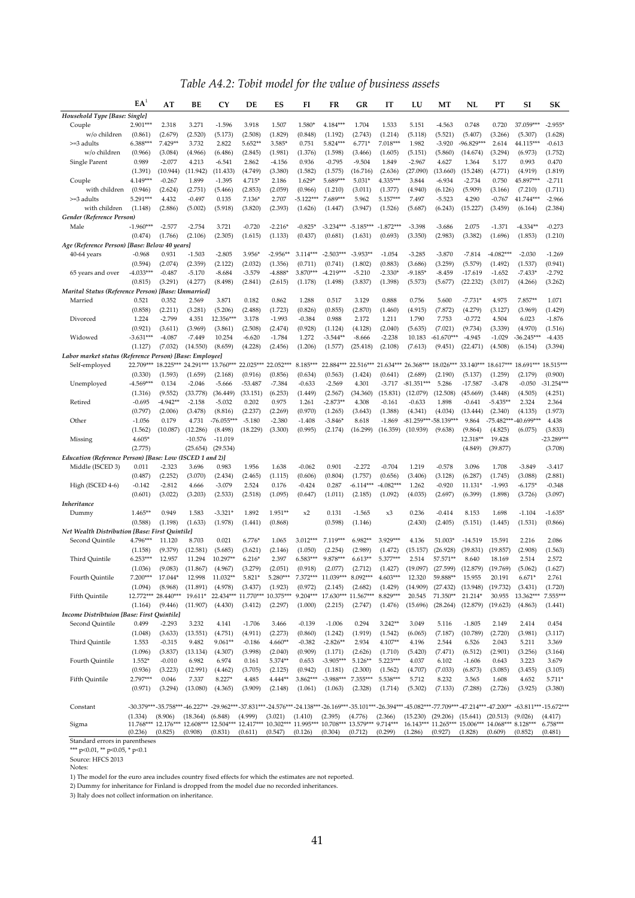*Table A4.2: Tobit model for the value of business assets*

|                                                          | EA                     | AT                   | BE                   | CY                   | DE                    | ES                  | FI                  | FR                                                                                                            | GR                   | IT                   | LU                      | MТ                                                                                                                                                              | NL                    | PT                    | SI                   | SK                      |
|----------------------------------------------------------|------------------------|----------------------|----------------------|----------------------|-----------------------|---------------------|---------------------|---------------------------------------------------------------------------------------------------------------|----------------------|----------------------|-------------------------|-----------------------------------------------------------------------------------------------------------------------------------------------------------------|-----------------------|-----------------------|----------------------|-------------------------|
| Household Type [Base: Single]                            |                        |                      |                      |                      |                       |                     |                     |                                                                                                               |                      |                      |                         |                                                                                                                                                                 |                       |                       |                      |                         |
| Couple                                                   | 2.901***               | 2.318                | 3.271                | $-1.596$             | 3.918                 | 1.507               | 1.580*              | 4.184***                                                                                                      | 1.704                | 1.533                | 5.151                   | -4.563                                                                                                                                                          | 0.748                 | 0.720                 | 37.059***            | $-2.955*$               |
| w/o children                                             | (0.861)                | (2.679)              | (2.520)              | (5.173)              | (2.508)               | (1.829)             | (0.848)             | (1.192)                                                                                                       | (2.743)              | (1.214)              | (5.118)                 | (5.521)                                                                                                                                                         | (5.407)               | (3.266)               | (5.307)              | (1.628)                 |
| >=3 adults                                               | $6.388***$             | 7.429**              | 3.732                | 2.822                | 5.652**               | 3.585*              | 0.751               | 5.824***                                                                                                      | $6.771*$             | 7.018***             | 1.982                   | $-3.920$                                                                                                                                                        | $-96.829***$          | 2.614                 | 44.115***            | $-0.613$                |
| w/o children                                             | (0.966)                | (3.084)              | (4.966)              | (6.486)              | (2.845)               | (1.981)             | (1.376)             | (1.598)                                                                                                       | (3.466)              | (1.605)              | (5.151)                 | (5.860)                                                                                                                                                         | (14.674)              | (3.294)               | (6.973)              | (1.752)                 |
| Single Parent                                            | 0.989<br>(1.391)       | $-2.077$<br>(10.944) | 4.213<br>(11.942)    | $-6.541$<br>(11.433) | 2.862<br>(4.749)      | $-4.156$<br>(3.380) | 0.936<br>(1.582)    | $-0.795$<br>(1.575)                                                                                           | $-9.504$<br>(16.716) | 1.849                | $-2.967$<br>(27.090)    | 4.627<br>(13.660)                                                                                                                                               | 1.364                 | 5.177<br>(4.771)      | 0.993                | 0.470                   |
| Couple                                                   | 4.149***               | $-0.267$             | 1.899                | $-1.395$             | 4.715*                | 2.186               | 1.629*              | 5.689***                                                                                                      | $5.031*$             | (2.636)<br>4.335***  | 3.844                   | $-6.934$                                                                                                                                                        | (15.248)<br>$-2.734$  | 0.750                 | (4.919)<br>45.897*** | (1.819)<br>$-2.711$     |
| with children                                            | (0.946)                | (2.624)              | (2.751)              | (5.466)              | (2.853)               | (2.059)             | (0.966)             | (1.210)                                                                                                       | (3.011)              | (1.377)              | (4.940)                 | (6.126)                                                                                                                                                         | (5.909)               | (3.166)               | (7.210)              | (1.711)                 |
| >=3 adults                                               | 5.291***               | 4.432                | $-0.497$             | 0.135                | $7.136*$              | 2.707               | $-5.122***$         | 7.689***                                                                                                      | 5.962                | 5.157***             | 7.497                   | $-5.523$                                                                                                                                                        | 4.290                 | $-0.767$              | 41.744***            | $-2.966$                |
| with children                                            | (1.148)                | (2.886)              | (5.002)              | (5.918)              | (3.820)               | (2.393)             | (1.626)             | (1.447)                                                                                                       | (3.947)              | (1.526)              | (5.687)                 | (6.243)                                                                                                                                                         | (15.227)              | (3.459)               | (6.164)              | (2.384)                 |
| Gender (Reference Person)                                |                        |                      |                      |                      |                       |                     |                     |                                                                                                               |                      |                      |                         |                                                                                                                                                                 |                       |                       |                      |                         |
| Male                                                     | $-1.960***$            | $-2.577$             | $-2.754$             | 3.721                | $-0.720$              | $-2.216*$           | $-0.825*$           | $-3.234***$                                                                                                   | $-5.185***$          | $-1.872***$          | $-3.398$                | $-3.686$                                                                                                                                                        | 2.075                 | $-1.371$              | $-4.334**$           | $-0.273$                |
|                                                          | (0.474)                | (1.766)              | (2.106)              | (2.305)              | (1.615)               | (1.133)             | (0.437)             | (0.681)                                                                                                       | (1.631)              | (0.693)              | (3.350)                 | (2.983)                                                                                                                                                         | (3.382)               | (1.696)               | (1.853)              | (1.210)                 |
| Age (Reference Person) [Base: Below 40 years]            |                        |                      |                      |                      |                       |                     |                     |                                                                                                               |                      |                      |                         |                                                                                                                                                                 |                       |                       |                      |                         |
| $40-64$ years                                            | $-0.968$               | 0.931                | $-1.503$             | $-2.805$             | 3.956*                | $-2.956**$          | $3.114***$          | $-2.503***$                                                                                                   | $-3.953**$           | $-1.054$             | $-3.285$                | $-3.870$                                                                                                                                                        | $-7.814$              | $-4.082***$           | $-2.030$             | $-1.269$                |
|                                                          | (0.594)                | (2.074)              | (2.359)              | (2.122)              | (2.032)               | (1.356)             | (0.711)             | (0.741)                                                                                                       | (1.802)              | (0.883)              | (3.686)                 | (3.259)                                                                                                                                                         | (5.579)               | (1.492)               | (1.537)              | (0.941)                 |
| 65 years and over                                        | $-4.033***$            | $-0.487$<br>(3.291)  | $-5.170$<br>(4.277)  | $-8.684$<br>(8.498)  | $-3.579$<br>(2.841)   | $-4.888*$           | 3.870***            | $-4.219***$                                                                                                   | $-5.210$<br>(3.837)  | $-2.330*$            | $-9.185*$               | $-8.459$                                                                                                                                                        | $-17.619$<br>(22.232) | $-1.652$<br>(3.017)   | $-7.433*$            | $-2.792$                |
| Marital Status (Reference Person) [Base: Unmarried]      | (0.815)                |                      |                      |                      |                       | (2.615)             | (1.178)             | (1.498)                                                                                                       |                      | (1.398)              | (5.573)                 | (5.677)                                                                                                                                                         |                       |                       | (4.266)              | (3.262)                 |
| Married                                                  | 0.521                  | 0.352                | 2.569                | 3.871                | 0.182                 | 0.862               | 1.288               | 0.517                                                                                                         | 3.129                | 0.888                | 0.756                   | 5.600                                                                                                                                                           | $-7.731*$             | 4.975                 | 7.857**              | 1.071                   |
|                                                          | (0.858)                | (2.211)              | (3.281)              | (5.206)              | (2.488)               | (1.723)             | (0.826)             | (0.855)                                                                                                       | (2.870)              | (1.460)              | (4.915)                 | (7.872)                                                                                                                                                         | (4.279)               | (3.127)               | (3.969)              | (1.429)                 |
| Divorced                                                 | 1.224                  | $-2.799$             | 4.351                | 12.356***            | 3.178                 | $-1.993$            | $-0.384$            | 0.988                                                                                                         | 2.172                | 1.211                | 1.790                   | 7.753                                                                                                                                                           | $-0.772$              | 4.504                 | 6.023                | $-1.876$                |
|                                                          | (0.921)                | (3.611)              | (3.969)              | (3.861)              | (2.508)               | (2.474)             | (0.928)             | (1.124)                                                                                                       | (4.128)              | (2.040)              | (5.635)                 | (7.021)                                                                                                                                                         | (9.734)               | (3.339)               | (4.970)              | (1.516)                 |
| Widowed                                                  | $-3.631***$            | $-4.087$             | $-7.449$             | 10.254               | $-6.620$              | $-1.784$            | 1.272               | $-3.544**$                                                                                                    | $-8.666$             | $-2.238$             | 10.183                  | $-61.670***$                                                                                                                                                    | $-4.945$              | $-1.029$              | $-36.245***$         | $-4.435$                |
|                                                          | (1.127)                | (7.032)              | (14.550)             | (8.659)              | (4.228)               | (2.456)             | (1.206)             | (1.577)                                                                                                       | (25.418)             | (2.108)              | (7.613)                 | (9.451)                                                                                                                                                         | (22.471)              | (4.508)               | (6.154)              | (3.394)                 |
| Labor market status (Reference Person) [Base: Employee]  |                        |                      |                      |                      |                       |                     |                     |                                                                                                               |                      |                      |                         |                                                                                                                                                                 |                       |                       |                      |                         |
| Self-employed                                            | 22.709***              | 18.225***            | 24.291***            |                      | 13.760*** 22.025***   | 22.052***           | 8.185***            | 22.884***                                                                                                     | 22.516***            | 21.634***            | 26.368***               | 18.026***                                                                                                                                                       | 33.140***             | 18.617***             | 18.691***            | 18.515***               |
|                                                          | (0.330)<br>$-4.569***$ | (1.593)              | (1.659)              | (2.168)              | (0.916)               | (0.856)             | (0.634)             | (0.563)                                                                                                       | (1.424)<br>4.301     | (0.641)              | (2.689)<br>$-81.351***$ | (2.190)                                                                                                                                                         | (5.137)               | (1.259)               | (2.179)              | (0.900)                 |
| Unemployed                                               | (1.316)                | 0.134<br>(9.552)     | $-2.046$<br>(33.778) | $-5.666$<br>(36.449) | $-53.487$<br>(33.151) | $-7.384$<br>(6.253) | $-0.633$<br>(1.449) | $-2.569$<br>(2.567)                                                                                           | (34.360)             | $-3.717$<br>(15.831) | (12.079)                | 5.286<br>(12.508)                                                                                                                                               | $-17.587$<br>(45.669) | $-3.478$<br>(3.448)   | $-0.050$<br>(4.505)  | $-31.254***$<br>(4.251) |
| Retired                                                  | $-0.695$               | $-4.942**$           | $-2.158$             | $-5.032$             | 0.202                 | 0.975               | 1.261               | $-2.873**$                                                                                                    | 4.308                | $-0.161$             | $-0.633$                | 1.898                                                                                                                                                           | $-0.641$              | $-5.435**$            | 2.324                | 2.364                   |
|                                                          | (0.797)                | (2.006)              | (3.478)              | (8.816)              | (2.237)               | (2.269)             | (0.970)             | (1.265)                                                                                                       | (3.643)              | (1.388)              | (4.341)                 | (4.034)                                                                                                                                                         | (13.444)              | (2.340)               | (4.135)              | (1.973)                 |
| Other                                                    | $-1.056$               | 0.179                | 4.731                | $-76.055***$         | $-5.180$              | $-2.380$            | $-1.408$            | $-3.846*$                                                                                                     | 8.618                | $-1.869$             |                         | -81.259***-58.139***                                                                                                                                            | 9.864                 |                       | -75.482***-40.699*** | 4.438                   |
|                                                          | (1.562)                | (10.087)             | (12.286)             | (8.498)              | (18.229)              | (3.300)             | (0.995)             | (2.174)                                                                                                       | (16.299)             | (16.359)             | (10.939)                | (9.638)                                                                                                                                                         | (9.864)               | (4.825)               | (6.075)              | (3.833)                 |
| Missing                                                  | $4.605*$               |                      | $-10.576$            | $-11.019$            |                       |                     |                     |                                                                                                               |                      |                      |                         |                                                                                                                                                                 | 12.318**              | 19.428                |                      | $-23.289***$            |
|                                                          | (2.775)                |                      | (25.654)             | (29.534)             |                       |                     |                     |                                                                                                               |                      |                      |                         |                                                                                                                                                                 | (4.849)               | (39.877)              |                      | (3.708)                 |
| Education (Reference Person) [Base: Low (ISCED 1 and 2)] |                        |                      |                      |                      |                       |                     |                     |                                                                                                               |                      |                      |                         |                                                                                                                                                                 |                       |                       |                      |                         |
| Middle (ISCED 3)                                         | 0.011                  | $-2.323$             | 3.696                | 0.983                | 1.956                 | 1.638               | $-0.062$            | 0.901                                                                                                         | $-2.272$             | $-0.704$             | 1.219                   | $-0.578$                                                                                                                                                        | 3.096                 | 1.708                 | $-3.849$             | $-3.417$                |
|                                                          | (0.487)                | (2.252)              | (3.070)              | (2.434)              | (2.465)               | (1.115)             | (0.606)             | (0.804)                                                                                                       | (1.757)              | (0.656)              | (3.406)                 | (3.128)                                                                                                                                                         | (6.287)               | (1.745)               | (3.088)              | (2.881)                 |
| High (ISCED 4-6)                                         | $-0.142$<br>(0.601)    | $-2.812$<br>(3.022)  | 4.666<br>(3.203)     | $-3.079$             | 2.524                 | 0.176<br>(1.095)    | $-0.424$            | 0.287<br>(1.011)                                                                                              | $-6.114***$          | $-4.082***$          | 1.262<br>(4.035)        | $-0.920$                                                                                                                                                        | 11.131*               | $-1.993$<br>(1.898)   | $-6.175*$            | $-0.348$<br>(3.097)     |
| Inheritance                                              |                        |                      |                      | (2.533)              | (2.518)               |                     | (0.647)             |                                                                                                               | (2.185)              | (1.092)              |                         | (2.697)                                                                                                                                                         | (6.399)               |                       | (3.726)              |                         |
| Dummy                                                    | $1.465**$              | 0.949                | 1.583                | $-3.321*$            | 1.892                 | 1.951**             | x2                  | 0.131                                                                                                         | $-1.565$             | x3                   | 0.236                   | $-0.414$                                                                                                                                                        | 8.153                 | 1.698                 | $-1.104$             | $-1.635*$               |
|                                                          | (0.588)                | (1.198)              | (1.633)              | (1.978)              | (1.441)               | (0.868)             |                     | (0.598)                                                                                                       | (1.146)              |                      | (2.430)                 | (2.405)                                                                                                                                                         | (5.151)               | (1.445)               | (1.531)              | (0.866)                 |
| Net Wealth Distribution [Base: First Quintile]           |                        |                      |                      |                      |                       |                     |                     |                                                                                                               |                      |                      |                         |                                                                                                                                                                 |                       |                       |                      |                         |
| Second Quintile                                          | 4.796***               | 11.120               | 8.703                | 0.021                | 6.776*                | 1.065               | 3.012***            | 7.119***                                                                                                      | $6.982**$            | 3.929***             | 4.136                   | 51.003*                                                                                                                                                         | $-14.519$             | 15.591                | 2.216                | 2.086                   |
|                                                          | (1.158)                | (9.379)              | (12.581)             | (5.685)              | (3.621)               | (2.146)             | (1.050)             | (2.254)                                                                                                       | (2.989)              | (1.472)              | (15.157)                | (26.928)                                                                                                                                                        | (39.831)              | (19.857)              | (2.908)              | (1.563)                 |
| Third Quintile                                           | $6.253***$             | 12.957               | 11.294               | 10.297**             | $6.216*$              | 2.397               | $6.583***$          | 9.878***                                                                                                      | $6.613**$            | 5.377***             | 2.514                   | 57.571**                                                                                                                                                        | 8.640                 | 18.169                | 2.514                | 2.572                   |
|                                                          | (1.036)                | (9.083)              | (11.867)             | (4.967)              | (3.279)               | (2.051)             | (0.918)             | (2.077)                                                                                                       | (2.712)              | (1.427)              | (19.097)                | (27.599)                                                                                                                                                        |                       | $(12.879)$ $(19.769)$ | (5.062)              | (1.627)                 |
| Fourth Quintile                                          | 7.200***               | 17.044*              | 12.998               | 11.032**             | $5.821*$              | 5.280***            | 7.372***            | 11.039***                                                                                                     | 8.092***             | $4.603***$           | 12.320                  | 59.888**                                                                                                                                                        | 15.955                | 20.191                | $6.671*$             | 2.761                   |
|                                                          | (1.094)                | (8.968)              | (11.891)             | (4.978)              | (3.437)               | (1.923)             | (0.972)             | (2.145)                                                                                                       | (2.682)              | (1.429)              | (14.909)                | (27.432)                                                                                                                                                        | (13.948)              | (19.732)              | (3.431)              | (1.720)                 |
| Fifth Quintile                                           |                        | 12.772*** 28.440***  | 19.611*              |                      | 22.434*** 11.770***   | 10.375***           | $9.204***$          |                                                                                                               | 17.630*** 11.567***  | 8.829***             | 20.545                  | 71.350**                                                                                                                                                        | 21.214*               | 30.955                | 13.362***            | 7.555***                |
| Income Distribtuion [Base: First Quintile]               | (1.164)                | (9.446)              | (11.907)             | (4.430)              | (3.412)               | (2.297)             | (1.000)             | (2.215)                                                                                                       | (2.747)              | (1.476)              | (15.696)                | (28.264)                                                                                                                                                        |                       | $(12.879)$ $(19.623)$ | (4.863)              | (1.441)                 |
| Second Quintile                                          | 0.499                  | -2.293               | 3.232                | 4.141                | $-1.706$              | 3.466               | $-0.139$            | $-1.006$                                                                                                      | 0.294                | $3.242**$            | 3.049                   | 5.116                                                                                                                                                           | $-1.805$              | 2.149                 | 2.414                | 0.454                   |
|                                                          | (1.048)                | (3.633)              | (13.551)             | (4.751)              | (4.911)               | (2.273)             | (0.860)             | (1.242)                                                                                                       | (1.919)              | (1.542)              | (6.065)                 | (7.187)                                                                                                                                                         | (10.789)              | (2.720)               | (3.981)              | (3.117)                 |
| Third Quintile                                           | 1.553                  | $-0.315$             | 9.482                | 9.061**              | $-0.186$              | 4.660**             | $-0.382$            | $-2.826**$                                                                                                    | 2.934                | 4.107**              | 4.196                   | 2.544                                                                                                                                                           | 6.526                 | 2.043                 | 5.211                | 3.369                   |
|                                                          | (1.096)                | (3.837)              | (13.134)             | (4.307)              | (3.998)               | (2.040)             | (0.909)             | (1.171)                                                                                                       | (2.626)              | (1.710)              | (5.420)                 | (7.471)                                                                                                                                                         | (6.512)               | (2.901)               | (3.256)              | (3.164)                 |
| Fourth Quintile                                          | $1.552*$               | $-0.010$             | 6.982                | 6.974                | 0.161                 | 5.374**             | 0.653               | $-3.905***$                                                                                                   | $5.126**$            | 5.223***             | 4.037                   | 6.102                                                                                                                                                           | $-1.606$              | 0.643                 | 3.223                | 3.679                   |
|                                                          | (0.936)                | (3.223)              | (12.991)             | (4.462)              | (3.705)               | (2.125)             | (0.942)             | (1.181)                                                                                                       | (2.300)              | (1.562)              | (4.707)                 | (7.033)                                                                                                                                                         | (6.873)               | (3.085)               | (3.455)              | (3.105)                 |
| Fifth Quintile                                           | 2.797***               | 0.046                | 7.337                | 8.227*               | 4.485                 | 4.444**             | 3.862***            | $-3.988***$                                                                                                   | 7.355***             | 5.538***             | 5.712                   | 8.232                                                                                                                                                           | 3.565                 | 1.608                 | 4.652                | 5.711*                  |
|                                                          | (0.971)                | (3.294)              | (13.080)             | (4.365)              | (3.909)               | (2.148)             | (1.061)             | (1.063)                                                                                                       | (2.328)              | (1.714)              | (5.302)                 | (7.133)                                                                                                                                                         | (7.288)               | (2.726)               | (3.925)              | (3.380)                 |
|                                                          |                        |                      |                      |                      |                       |                     |                     |                                                                                                               |                      |                      |                         |                                                                                                                                                                 |                       |                       |                      |                         |
| Constant                                                 |                        |                      |                      |                      |                       |                     |                     |                                                                                                               |                      |                      |                         | -30.379***-35.758***-46.227** -29.962***-37.831***-24.576***-24.138***-26.169***-35.101***-26.394***-45.082***-77.709***-47.214***-47.200** -63.811***-15.672** |                       |                       |                      |                         |
| Sigma                                                    | (1.334)                | (8.906)              | $(18.364)$ $(6.848)$ |                      | (4.999)               | (3.021)             | (1.410)             | (2.395)<br>11.768*** 12.176*** 12.608*** 12.504*** 12.417*** 10.302*** 11.995*** 10.708*** 13.579*** 9.714*** | (4.776)              | (2.366)              |                         | $(15.230)$ $(29.206)$ $(15.641)$ $(20.513)$ $(9.026)$<br>16.143*** 11.265*** 15.006*** 14.068*** 8.128***                                                       |                       |                       |                      | (4.417)<br>6.758***     |
|                                                          | (0.236)                | (0.825)              | (0.908)              | (0.831)              | (0.611)               | (0.547)             | (0.126)             | (0.304)                                                                                                       | (0.712)              | (0.299)              | (1.286)                 | (0.927)                                                                                                                                                         | (1.828)               | (0.609)               | (0.852)              | (0.481)                 |
| Standard errors in parentheses                           |                        |                      |                      |                      |                       |                     |                     |                                                                                                               |                      |                      |                         |                                                                                                                                                                 |                       |                       |                      |                         |

\*\*\* p<0.01, \*\* p<0.05, \* p<0.1

Source: HFCS 2013 Notes:

1) The model for the euro area includes country fixed effects for which the estimates are not reported.

3) Italy does not collect information on inheritance.

2) Dummy for inheritance for Finland is dropped from the model due no recorded inheritances.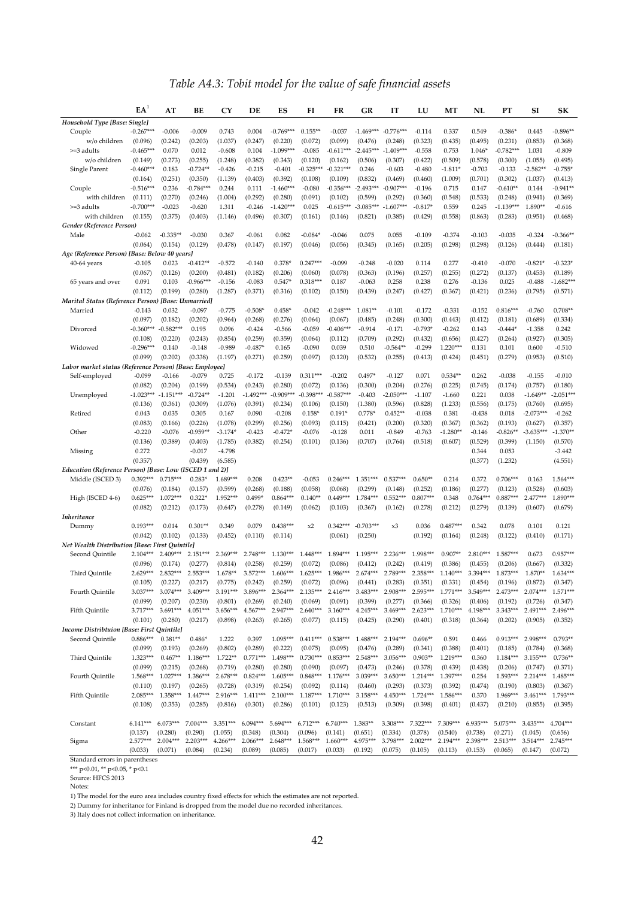| Table A4.3: Tobit model for the value of safe financial assets |  |
|----------------------------------------------------------------|--|
|----------------------------------------------------------------|--|

|                                                          | EA                    | AT                    | BЕ                  | CY                  | DE                  | ES                  | FI                  | FR                    | GR                  | IT          | LU                    | МT                  | NL                  | PТ                  | SI                  | SК                  |
|----------------------------------------------------------|-----------------------|-----------------------|---------------------|---------------------|---------------------|---------------------|---------------------|-----------------------|---------------------|-------------|-----------------------|---------------------|---------------------|---------------------|---------------------|---------------------|
| Household Type [Base: Single]                            |                       |                       |                     |                     |                     |                     |                     |                       |                     |             |                       |                     |                     |                     |                     |                     |
| Couple                                                   | $-0.267***$           | $-0.006$              | $-0.009$            | 0.743               | 0.004               | $-0.769***$         | $0.155**$           | $-0.037$              | $-1.469***$         | $-0.776***$ | $-0.114$              | 0.337               | 0.549               | $-0.386*$           | 0.445               | $-0.896**$          |
| w/o children                                             | (0.096)               | (0.242)               | (0.203)             | (1.037)             | (0.247)             | (0.220)             | (0.072)             | (0.099)               | (0.476)             | (0.248)     | (0.323)               | (0.435)             | (0.495)             | (0.231)             | (0.853)             | (0.368)             |
| >=3 adults                                               | $-0.465***$           | 0.070                 | 0.012               | $-0.608$            | 0.104               | $-1.099***$         | $-0.085$            | $-0.611***$           | $-2.445***$         | $-1.409***$ | $-0.558$              | 0.753               | 1.046*              | $-0.782***$         | 1.031               | $-0.809$            |
| w/o children                                             | (0.149)               | (0.273)               | (0.255)             | (1.248)             | (0.382)             | (0.343)             | (0.120)             | (0.162)               | (0.506)             | (0.307)     | (0.422)               | (0.509)             | (0.578)             | (0.300)             | (1.055)             | (0.495)             |
| Single Parent                                            | $-0.460***$           | 0.183                 | $-0.724**$          | $-0.426$            | $-0.215$            | $-0.401$            | $-0.325***$         | $-0.321***$           | 0.246               | $-0.603$    | $-0.480$              | $-1.811*$           | $-0.703$            | $-0.133$            | $-2.582**$          | $-0.755*$           |
|                                                          | (0.164)               | (0.251)               | (0.350)             | (1.139)             | (0.403)             | (0.392)             | (0.108)             | (0.109)               | (0.832)             | (0.469)     | (0.460)               | (1.009)             | (0.701)             | (0.302)             | (1.037)             | (0.413)             |
| Couple                                                   | $-0.516***$           | 0.236                 | $-0.784***$         | 0.244               | 0.111               | $-1.460***$         | $-0.080$            | $-0.356***$           | $-2.493***$         | $-0.907***$ | $-0.196$              | 0.715               | 0.147               | $-0.610**$          | 0.144               | $-0.941**$          |
| with children                                            | (0.111)               | (0.270)               | (0.246)             | (1.004)             | (0.292)             | (0.280)             | (0.091)             | (0.102)               | (0.599)             | (0.292)     | (0.360)               | (0.548)             | (0.533)             | (0.248)             | (0.941)             | (0.369)             |
| >=3 adults                                               | $-0.700***$           | $-0.023$              | $-0.620$            | 1.311               | $-0.246$            | $-1.420***$         | 0.025               | $-0.615***$           | $-3.085***$         | $-1.607***$ | $-0.817*$             | 0.559               | 0.245               | $-1.139***$         | 1.890**             | $-0.616$            |
| with children                                            | (0.155)               | (0.375)               | (0.403)             | (1.146)             | (0.496)             | (0.307)             | (0.161)             | (0.146)               | (0.821)             | (0.385)     | (0.429)               | (0.558)             | (0.863)             | (0.283)             | (0.951)             | (0.468)             |
| Gender (Reference Person)                                |                       |                       |                     |                     |                     |                     |                     |                       |                     |             |                       |                     |                     |                     |                     |                     |
| Male                                                     | $-0.062$              | $-0.335**$            | $-0.030$            | 0.367               | $-0.061$            | 0.082               | $-0.084*$           | $-0.046$              | 0.075               | 0.055       | $-0.109$              | $-0.374$            | $-0.103$            | $-0.035$            | $-0.324$            | $-0.366**$          |
|                                                          | (0.064)               | (0.154)               | (0.129)             | (0.478)             | (0.147)             | (0.197)             | (0.046)             | (0.056)               | (0.345)             | (0.165)     | (0.205)               | (0.298)             | (0.298)             | (0.126)             | (0.444)             | (0.181)             |
| Age (Reference Person) [Base: Below 40 years]            |                       |                       |                     |                     |                     |                     |                     |                       |                     |             |                       |                     |                     |                     |                     |                     |
| 40-64 years                                              | $-0.105$              | 0.023                 | $-0.412**$          | $-0.572$            | $-0.140$            | $0.378*$            | $0.247***$          | $-0.099$              | $-0.248$            | $-0.020$    | 0.114                 | 0.277               | $-0.410$            | $-0.070$            | $-0.821*$           | $-0.323*$           |
|                                                          | (0.067)               | (0.126)               | (0.200)             | (0.481)             | (0.182)             | (0.206)             | (0.060)             | (0.078)               | (0.363)             | (0.196)     | (0.257)               | (0.255)             | (0.272)             | (0.137)             | (0.453)             | (0.189)             |
| 65 years and over                                        | 0.091                 | 0.103                 | $-0.966***$         | $-0.156$            | $-0.083$            | $0.547*$            | $0.318***$          | 0.187                 | $-0.063$            | 0.258       | 0.238                 | 0.276               | $-0.136$            | 0.025               | $-0.488$            | $-1.682***$         |
|                                                          | (0.112)               | (0.199)               | (0.280)             | (1.287)             | (0.371)             | (0.316)             | (0.102)             | (0.150)               | (0.439)             | (0.247)     | (0.427)               | (0.367)             | (0.421)             | (0.236)             | (0.795)             | (0.571)             |
| Marital Status (Reference Person) [Base: Unmarried]      |                       |                       |                     |                     |                     |                     |                     |                       |                     |             |                       |                     |                     |                     |                     |                     |
| Married                                                  | $-0.143$              | 0.032                 | $-0.097$            | $-0.775$            | $-0.508*$           | $0.458*$            | $-0.042$            | $-0.248***$           | $1.081**$           | $-0.101$    | $-0.172$              | $-0.331$            | $-0.152$            | $0.816***$          | $-0.760$            | $0.708**$           |
|                                                          | (0.097)               | (0.182)               | (0.202)             | (0.964)             | (0.268)             | (0.276)             | (0.064)             | (0.067)               | (0.485)             | (0.248)     | (0.300)               | (0.443)             | (0.412)             | (0.181)             | (0.689)             | (0.334)             |
| Divorced                                                 | $-0.360***$           | $-0.582***$           | 0.195               | 0.096               | $-0.424$            | $-0.566$            | $-0.059$            | $-0.406***$           | $-0.914$            | $-0.171$    | $-0.793*$             | $-0.262$            | 0.143               | $-0.444*$           | $-1.358$            | 0.242               |
|                                                          | (0.108)               | (0.220)               | (0.243)             | (0.854)             | (0.259)             | (0.359)             | (0.064)             | (0.112)               | (0.709)             | (0.292)     | (0.432)               | (0.656)             | (0.427)             | (0.264)             | (0.927)             | (0.305)             |
| Widowed                                                  | $-0.296***$           | 0.140                 | $-0.148$            | $-0.989$            | $-0.487*$           | 0.165               | $-0.090$            | 0.039                 | 0.510               | $-0.564**$  | $-0.299$              | $1.220***$          | 0.131               | 0.101               | 0.600               | $-0.510$            |
|                                                          | (0.099)               | (0.202)               | (0.338)             | (1.197)             | (0.271)             | (0.259)             | (0.097)             | (0.120)               | (0.532)             | (0.255)     | (0.413)               | (0.424)             | (0.451)             | (0.279)             | (0.953)             | (0.510)             |
| Labor market status (Reference Person) [Base: Employee]  |                       |                       |                     |                     |                     |                     |                     |                       |                     |             |                       |                     |                     |                     |                     |                     |
| Self-employed                                            | $-0.099$              | $-0.166$              | $-0.079$            | 0.725               | $-0.172$            | $-0.139$            | $0.311***$          | $-0.202$              | $0.497*$            | $-0.127$    | 0.071                 | $0.534**$           | 0.262               | $-0.038$            | $-0.155$            | $-0.010$            |
|                                                          | (0.082)               | (0.204)               | (0.199)             | (0.534)             | (0.243)             | (0.280)             | (0.072)             | (0.136)               | (0.300)             | (0.204)     | (0.276)               | (0.225)             | (0.745)             | (0.174)             | (0.757)             | (0.180)             |
| Unemployed                                               | $-1.023***$           | $-1.151***$           | $-0.724**$          | $-1.201$            | $-1.492***$         | $-0.909***$         | $-0.398***$         | $-0.587***$           | $-0.403$            | $-2.050***$ | $-1.107$              | $-1.660$            | 0.221               | 0.038               | $-1.649**$          | $-2.051***$         |
|                                                          | (0.136)               | (0.361)               | (0.309)             | (1.076)             | (0.391)             | (0.234)             | (0.106)             | (0.150)               | (1.380)             | (0.596)     | (0.828)               | (1.233)             | (0.556)             | (0.175)             | (0.760)             | (0.695)             |
| Retired                                                  | 0.043                 | 0.035                 | 0.305               | 0.167               | 0.090               | $-0.208$            | $0.158*$            | $0.191*$              | $0.778*$            | $0.452**$   | $-0.038$              | 0.381               | $-0.438$            | 0.018               | $-2.073***$         | $-0.262$            |
|                                                          | (0.083)               | (0.166)               | (0.226)             | (1.078)             | (0.299)             | (0.256)             | (0.093)             | (0.115)               | (0.421)             | (0.200)     | (0.320)               | (0.367)             | (0.362)             | (0.193)             | (0.627)             | (0.357)             |
| Other                                                    | $-0.220$              | $-0.076$              | $-0.959**$          | $-3.174*$           | $-0.423$            | $-0.472*$           | $-0.076$            | $-0.128$              | 0.011               | $-0.849$    | $-0.763$              | $-1.280**$          | $-0.146$            | $-0.826**$          | $-3.635***$         | $-1.370**$          |
|                                                          | (0.136)               | (0.389)               | (0.403)             | (1.785)             | (0.382)             | (0.254)             | (0.101)             | (0.136)               | (0.707)             | (0.764)     | (0.518)               | (0.607)             | (0.529)             | (0.399)             | (1.150)             | (0.570)             |
| Missing                                                  | 0.272                 |                       | $-0.017$            | $-4.798$            |                     |                     |                     |                       |                     |             |                       |                     | 0.344               | 0.053               |                     | $-3.442$            |
|                                                          | (0.357)               |                       | (0.439)             | (6.585)             |                     |                     |                     |                       |                     |             |                       |                     | (0.377)             | (1.232)             |                     | (4.551)             |
| Education (Reference Person) [Base: Low (ISCED 1 and 2)] |                       |                       |                     |                     |                     |                     |                     |                       |                     |             |                       |                     |                     |                     |                     |                     |
| Middle (ISCED 3)                                         | $0.392***$            | $0.715***$            | $0.283*$            | $1.689***$          | 0.208               | $0.423**$           | $-0.053$            | $0.246***$            | $1.351***$          | $0.537***$  | $0.650**$             | 0.214               | 0.372               | $0.706***$          | 0.163               | $1.564***$          |
|                                                          | (0.076)               | (0.184)               | (0.157)             | (0.599)             | (0.268)             | (0.188)             | (0.058)             | (0.068)               | (0.299)             | (0.148)     | (0.252)               | (0.186)             | (0.277)             | (0.123)             | (0.528)             | (0.603)             |
| High (ISCED 4-6)                                         | $0.625***$            | $1.072***$            | $0.322*$            | 1.952***            | $0.499*$            | $0.864***$          | $0.140**$           | $0.449***$            | 1.784***            | $0.552***$  | $0.807***$            | 0.348               | $0.764***$          | $0.887***$          | 2.477***            | 1.890***            |
|                                                          | (0.082)               | (0.212)               | (0.173)             | (0.647)             | (0.278)             | (0.149)             | (0.062)             | (0.103)               | (0.367)             | (0.162)     | (0.278)               | (0.212)             | (0.279)             | (0.139)             | (0.607)             | (0.679)             |
| Inheritance                                              |                       |                       |                     |                     |                     |                     |                     |                       |                     |             |                       |                     |                     |                     |                     |                     |
| Dummy                                                    | $0.193***$            | 0.014                 | $0.301**$           | 0.349               | 0.079               | $0.438***$          | x2                  | $0.342***$            | $-0.703***$         | x3          | 0.036                 | $0.487***$          | 0.342               | 0.078               | 0.101               | 0.121               |
|                                                          | (0.042)               | (0.102)               | (0.133)             | (0.452)             | (0.110)             | (0.114)             |                     | (0.061)               | (0.250)             |             | (0.192)               | (0.164)             | (0.248)             | (0.122)             | (0.410)             | (0.171)             |
| Net Wealth Distribution [Base: First Quintile]           |                       |                       |                     |                     |                     |                     |                     |                       |                     |             |                       |                     |                     |                     |                     |                     |
| Second Quintile                                          | $2.104***$            | $2.409***$            | $2.151***$          | 2.369***            | 2.748***            | $1.130***$          | $1.448***$          | 1.894***              | 1.195***            | 2.236***    | 1.998***              | $0.907**$           | 2.810***            | 1.587***            | 0.673               | $0.957***$          |
|                                                          | (0.096)               | (0.174)               | (0.277)             | (0.814)             | (0.258)             | (0.259)             | (0.072)             | (0.086)               | (0.412)             | (0.242)     | (0.419)               | (0.386)             | (0.455)             | (0.206)             | (0.667)             | (0.332)             |
| Third Quintile                                           | 2.629***              | 2.832***              | 2.553***            | $1.678**$           | 3.572***            | $1.606***$          | $1.625***$          | 1.986***              | 2.674***            | 2.789***    | 2.358***              | $1.140***$          | 3.394***            | 1.873***            | 1.870**             | $1.634***$          |
|                                                          | (0.105)               | (0.227)               | (0.217)             | (0.775)             | (0.242)             | (0.259)             | (0.072)             | (0.096)               | (0.441)             | (0.283)     | (0.351)               | (0.331)             | (0.454)             | (0.196)             | (0.872)             | (0.347)             |
| Fourth Quintile                                          | 3.037***              | $3.074***$            | $3.409***$          | $3.191***$          | 3.896***            | 2.364***            | $2.135***$          | $2.416***$            | $3.483***$          | 2.908***    | 2.595***              | 1.771***            | 3.549***            | 2.473***            | $2.074***$          | $1.571***$          |
|                                                          |                       |                       |                     |                     |                     | (0.240)             | (0.069)             | (0.091)               | (0.399)             | (0.277)     |                       |                     |                     |                     |                     | (0.347)             |
| Fifth Quintile                                           | (0.099)<br>$3.717***$ | (0.207)<br>$3.691***$ | (0.230)<br>4.051*** | (0.801)<br>3.656*** | (0.269)<br>4.567*** | 2.947***            | $2.640***$          | $3.160***$            | 4.245***            | 3.469***    | (0.366)<br>$2.623***$ | (0.326)<br>1.710*** | (0.406)<br>4.198*** | (0.192)<br>3.343*** | (0.726)<br>2.491*** | 2.496***            |
|                                                          |                       |                       |                     |                     |                     |                     |                     |                       |                     |             |                       |                     |                     |                     |                     |                     |
|                                                          | (0.101)               | (0.280)               | (0.217)             | (0.898)             | (0.263)             | (0.265)             | (0.077)             | (0.115)               | (0.425)             | (0.290)     | (0.401)               | (0.318)             | (0.364)             | (0.202)             | (0.905)             | (0.352)             |
| Income Distribtuion [Base: First Quintile]               | $0.886***$            | $0.381**$             |                     | 1.222               |                     | 1.095***            | $0.411***$          | $0.538***$            | 1.488***            | $2.194***$  | $0.696**$             |                     |                     |                     | 2.998***            | $0.793**$           |
| Second Quintile                                          |                       |                       | $0.486*$            |                     | 0.397               |                     |                     |                       |                     |             |                       | 0.591               | 0.466               | $0.913***$          |                     |                     |
|                                                          | (0.099)               | (0.193)               | (0.269)             | (0.802)             | (0.289)             | (0.222)             | (0.075)             | (0.095)               | (0.476)             | (0.289)     | (0.341)               | (0.388)             | (0.401)             | (0.185)             | (0.784)             | (0.368)             |
| Third Quintile                                           | 1.323***              | $0.467**$             | 1.186***            | $1.722**$           | $0.771***$          | 1.498***            | $0.730***$          | $0.853***$            | $2.548***$          | $3.056***$  | $0.903**$             | 1.219***            | 0.360               | $1.184***$          | $3.155***$          | $0.736**$           |
|                                                          | (0.099)               | (0.215)               | (0.268)             | (0.719)             | (0.280)             | (0.280)             | (0.090)             | (0.097)               | (0.473)             | (0.246)     | (0.378)               | (0.439)             | (0.438)             | (0.206)             | (0.747)             | (0.371)             |
| Fourth Quintile                                          | $1.568***$            | $1.027***$            | 1.386***            | 2.678***            | $0.824***$          | $1.605***$          | $0.848***$          | $1.176***$            | 3.039***            | $3.650***$  | 1.214***              | 1.397***            | 0.254               | $1.593***$          | $2.214***$          | 1.485***            |
|                                                          | (0.110)               | (0.197)               | (0.265)             | (0.728)             | (0.319)             | (0.254)             | (0.092)             | (0.114)               | (0.460)             | (0.293)     | (0.373)               | (0.392)             | (0.474)             | (0.190)             | (0.803)             | (0.367)             |
| Fifth Quintile                                           | 2.085***              | 1.358***              | $1.447***$          | $2.916***$          | $1.411***$          | $2.100***$          | $1.187***$          | $1.710***$            | 3.158***            | 4.450***    | 1.724***              | 1.586***            | 0.370               | 1.969***            | $3.461***$          | 1.793***            |
|                                                          | (0.108)               | (0.353)               | (0.285)             | (0.816)             | (0.301)             | (0.286)             | (0.101)             | (0.123)               | (0.513)             | (0.309)     | (0.398)               | (0.401)             | (0.437)             | (0.210)             | (0.855)             | (0.395)             |
| Constant                                                 | $6.141***$            | $6.073***$            | 7.004***            | $3.351***$          | $6.094***$          | $5.694***$          | $6.712***$          | $6.740***$            | $1.383**$           | 3.308***    | 7.322***              | 7.309***            | 6.935***            | 5.075***            | $3.435***$          | $4.704***$          |
|                                                          |                       | (0.280)               | (0.290)             | (1.055)             |                     |                     |                     |                       |                     | (0.334)     |                       |                     | (0.738)             | (0.271)             | (1.045)             |                     |
| Sigma                                                    | (0.137)<br>$2.577***$ | $2.004***$            | $2.203***$          | 4.266***            | (0.348)<br>2.066*** | (0.304)<br>2.648*** | (0.096)<br>1.568*** | (0.141)<br>$1.660***$ | (0.651)<br>4.975*** | 3.798***    | (0.378)<br>$2.002***$ | (0.540)<br>2.194*** | 2.398***            | $2.513***$          | $3.514***$          | (0.656)<br>2.745*** |
|                                                          | (0.033)               | (0.071)               | (0.084)             | (0.234)             | (0.089)             | (0.085)             | (0.017)             | (0.033)               | (0.192)             | (0.075)     | (0.105)               | (0.113)             | (0.153)             | (0.065)             | (0.147)             | (0.072)             |
| Standard errors in parentheses                           |                       |                       |                     |                     |                     |                     |                     |                       |                     |             |                       |                     |                     |                     |                     |                     |

\*\*\* p<0.01, \*\* p<0.05, \* p<0.1

Source: HFCS 2013 Notes:

1) The model for the euro area includes country fixed effects for which the estimates are not reported.

2) Dummy for inheritance for Finland is dropped from the model due no recorded inheritances.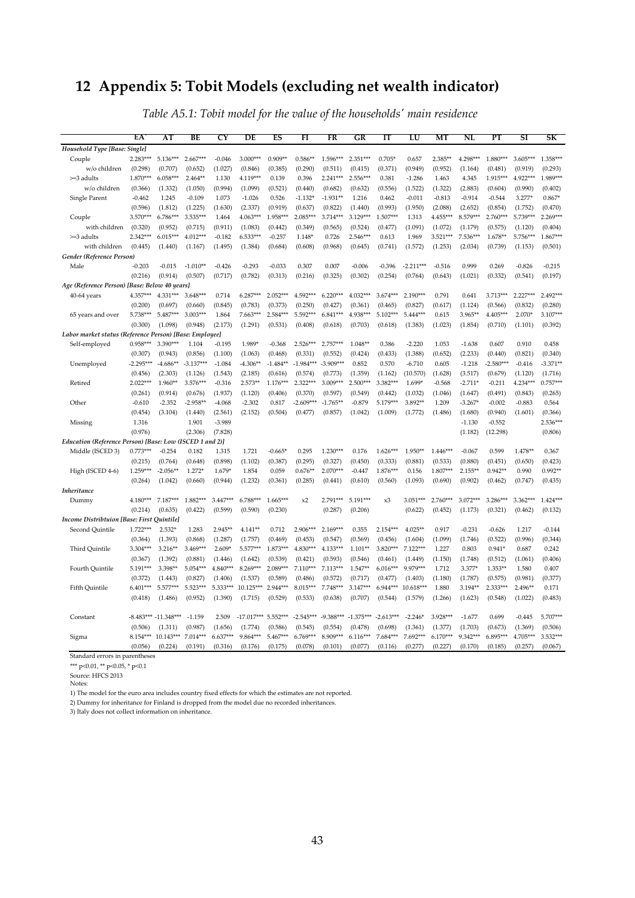# **12 Appendix 5: Tobit Models (excluding net wealth indicator)**

|--|

|                                                          | EA          | AT                       | BE          | CY       | $\overline{\rm DE}$ | ES         | $_{\rm FI}$ | FR          | $G_{R}$     | īΤ          | LU          | M          | N <sub>L</sub> | PT          | $\overline{\text{SI}}$ | SK         |
|----------------------------------------------------------|-------------|--------------------------|-------------|----------|---------------------|------------|-------------|-------------|-------------|-------------|-------------|------------|----------------|-------------|------------------------|------------|
| Household Type [Base: Single]                            |             |                          |             |          |                     |            |             |             |             |             |             |            |                |             |                        |            |
| Couple                                                   | 2.283***    | 5.136***                 | $2.667***$  | $-0.046$ | 3.000***            | $0.909**$  | $0.586**$   | 1.596***    | $2.351***$  | $0.705*$    | 0.657       | 2.385**    | 4.298***       | 1.880***    | $3.605***$             | $1.358***$ |
| w/o children                                             | (0.298)     | (0.707)                  | (0.652)     | (1.027)  | (0.846)             | (0.385)    | (0.290)     | (0.511)     | (0.415)     | (0.371)     | (0.949)     | (0.952)    | (1.164)        | (0.481)     | (0.919)                | (0.293)    |
| >=3 adults                                               | 1.870***    | $6.058***$               | 2.464**     | 1.130    | 4.119***            | 0.139      | 0.396       | 2.241***    | 2.556***    | 0.381       | $-1.286$    | 1.463      | 4.345          | 1.915***    | 4.922***               | 1.989***   |
| w/o children                                             | (0.366)     | (1.332)                  | (1.050)     | (0.994)  | (1.099)             | (0.521)    | (0.440)     | (0.682)     | (0.632)     | (0.556)     | (1.522)     | (1.322)    | (2.883)        | (0.604)     | (0.990)                | (0.402)    |
| Single Parent                                            | $-0.462$    | 1.245                    | $-0.109$    | 1.073    | $-1.026$            | 0.526      | $-1.132*$   | $-1.931**$  | 1.216       | 0.462       | $-0.011$    | $-0.813$   | $-0.914$       | $-0.544$    | $3.277*$               | $0.867*$   |
|                                                          | (0.596)     | (1.812)                  | (1.225)     | (1.630)  | (2.337)             | (0.919)    | (0.637)     | (0.822)     | (1.440)     | (0.993)     | (1.950)     | (2.088)    | (2.652)        | (0.854)     | (1.752)                | (0.470)    |
| Couple                                                   | 3.570***    | 6.786***                 | 3.535***    | 1.464    | 4.063***            | 1.958***   | 2.085***    | 3.714***    | 3.129***    | 1.507***    | 1.313       | 4.455***   | 8.579***       | 2.760***    | 5.739***               | 2.269***   |
| with children                                            | (0.320)     | (0.952)                  | (0.715)     | (0.911)  | (1.083)             | (0.442)    | (0.349)     | (0.565)     | (0.524)     | (0.477)     | (1.091)     | (1.072)    | (1.179)        | (0.575)     | (1.120)                | (0.404)    |
| >=3 adults                                               | 2.342***    | $6.015***$               | $4.012***$  | $-0.182$ | 6.533***            | $-0.257$   | 1.148*      | 0.726       | $2.546***$  | 0.613       | 1.969       | $3.521***$ | 7.536***       | $1.678**$   | 5.756***               | $1.867***$ |
| with children                                            | (0.445)     | (1.440)                  | (1.167)     | (1.495)  | (1.384)             | (0.684)    | (0.608)     | (0.968)     | (0.645)     | (0.741)     | (1.572)     | (1.253)    | (2.034)        | (0.739)     | (1.153)                | (0.501)    |
| Gender (Reference Person)                                |             |                          |             |          |                     |            |             |             |             |             |             |            |                |             |                        |            |
| Male                                                     | $-0.203$    | $-0.015$                 | $-1.010**$  | $-0.426$ | $-0.293$            | $-0.033$   | 0.307       | 0.007       | $-0.006$    | $-0.396$    | $-2.211***$ | $-0.516$   | 0.999          | 0.269       | $-0.826$               | $-0.215$   |
|                                                          | (0.216)     | (0.914)                  | (0.507)     | (0.717)  | (0.782)             | (0.313)    | (0.216)     | (0.325)     | (0.302)     | (0.254)     | (0.764)     | (0.643)    | (1.021)        | (0.332)     | (0.541)                | (0.197)    |
| Age (Reference Person) [Base: Below 40 years]            |             |                          |             |          |                     |            |             |             |             |             |             |            |                |             |                        |            |
| $40-64$ years                                            | 4.357***    | 4.331***                 | $3.648***$  | 0.714    | 6.287***            | 2.052***   | 4.592***    | $6.220***$  | 4.032***    | $3.674***$  | $2.190***$  | 0.791      | 0.641          | 3.713***    | 2.227***               | 2.492***   |
|                                                          | (0.200)     | (0.697)                  | (0.660)     | (0.845)  | (0.783)             | (0.373)    | (0.250)     | (0.427)     | (0.361)     | (0.465)     | (0.827)     | (0.617)    | (1.124)        | (0.566)     | (0.832)                | (0.280)    |
| 65 years and over                                        | 5.738***    | 5.487***                 | $3.003***$  | 1.864    | $7.663***$          | 2.584***   | 5.592***    | $6.841***$  | 4.938***    | 5.102***    | 5.444***    | 0.615      | 3.965**        | 4.405***    | 2.070*                 | 3.107***   |
|                                                          | (0.300)     | (1.098)                  | (0.948)     | (2.173)  | (1.291)             | (0.531)    | (0.408)     | (0.618)     | (0.703)     | (0.618)     | (1.383)     | (1.023)    | (1.854)        | (0.710)     | (1.101)                | (0.392)    |
| Labor market status (Reference Person) [Base: Employee]  |             |                          |             |          |                     |            |             |             |             |             |             |            |                |             |                        |            |
| Self-employed                                            | $0.958***$  | 3.390***                 | 1.104       | $-0.195$ | 1.989*              | $-0.368$   | $2.526***$  | 2.757***    | $1.048**$   | 0.386       | $-2.220$    | 1.053      | $-1.638$       | 0.607       | 0.910                  | 0.458      |
|                                                          | (0.307)     | (0.943)                  | (0.856)     | (1.100)  | (1.063)             | (0.468)    | (0.331)     | (0.552)     | (0.424)     | (0.433)     | (1.388)     | (0.652)    | (2.233)        | (0.440)     | (0.821)                | (0.340)    |
| Unemployed                                               | $-2.295***$ | $-4.686**$               | $-3.137***$ | $-1.084$ | $-4.306**$          | $-1.484**$ | $-1.984***$ | $-3.909***$ | 0.852       | 0.570       | $-6.710$    | 0.605      | $-1.218$       | $-2.580***$ | $-0.416$               | $-3.371**$ |
|                                                          | (0.456)     | (2.303)                  | (1.126)     | (1.543)  | (2.185)             | (0.616)    | (0.574)     | (0.773)     | (1.359)     | (1.162)     | (10.570)    | (1.628)    | (3.517)        | (0.679)     | (1.120)                | (1.716)    |
| Retired                                                  | 2.022***    | 1.960**                  | 3.576***    | $-0.316$ | $2.573**$           | 1.176***   | 2.322***    | 3.009***    | 2.500***    | 3.382***    | 1.699*      | $-0.568$   | $-2.711*$      | $-0.211$    | 4.234***               | $0.757***$ |
|                                                          | (0.261)     | (0.914)                  | (0.676)     | (1.937)  | (1.120)             | (0.406)    | (0.370)     | (0.597)     | (0.549)     | (0.442)     | (1.032)     | (1.046)    | (1.647)        | (0.491)     | (0.843)                | (0.265)    |
| Other                                                    | $-0.610$    | $-2.352$                 | $-2.958**$  | $-4.068$ | $-2.302$            | 0.817      | $-2.609***$ | $-1.765**$  | $-0.879$    | 5.179***    | 3.892**     | 1.209      | $-3.267*$      | $-0.002$    | $-0.883$               | 0.564      |
|                                                          | (0.454)     | (3.104)                  | (1.440)     | (2.561)  | (2.152)             | (0.504)    | (0.477)     | (0.857)     | (1.042)     | (1.009)     | (1.772)     | (1.486)    | (1.680)        | (0.940)     | (1.601)                | (0.366)    |
| Missing                                                  | 1.316       |                          | 1.901       | $-3.989$ |                     |            |             |             |             |             |             |            | $-1.130$       | $-0.552$    |                        | 2.536***   |
|                                                          | (0.976)     |                          | (2.306)     | (7.828)  |                     |            |             |             |             |             |             |            | (1.182)        | (12.298)    |                        | (0.806)    |
| Education (Reference Person) [Base: Low (ISCED 1 and 2)] |             |                          |             |          |                     |            |             |             |             |             |             |            |                |             |                        |            |
| Middle (ISCED 3)                                         | $0.773***$  | $-0.254$                 | 0.182       | 1.315    | 1.721               | $-0.665*$  | 0.295       | $1.230***$  | 0.176       | $1.626***$  | $1.950**$   | $1.446***$ | $-0.067$       | 0.599       | 1.478**                | 0.367      |
|                                                          | (0.215)     | (0.764)                  | (0.648)     | (0.898)  | (1.102)             | (0.387)    | (0.295)     | (0.327)     | (0.450)     | (0.333)     | (0.881)     | (0.533)    | (0.880)        | (0.451)     | (0.650)                | (0.423)    |
| High (ISCED 4-6)                                         | 1.259***    | $-2.056**$               | $1.272*$    | $1.679*$ | 1.854               | 0.059      | $0.676**$   | 2.070***    | $-0.447$    | 1.876***    | 0.156       | 1.807***   | $2.155**$      | $0.942**$   | 0.990                  | $0.992**$  |
|                                                          | (0.264)     | (1.042)                  | (0.660)     | (0.944)  | (1.232)             | (0.361)    | (0.285)     | (0.441)     | (0.610)     | (0.560)     | (1.093)     | (0.690)    | (0.902)        | (0.462)     | (0.747)                | (0.435)    |
| Inheritance                                              |             |                          |             |          |                     |            |             |             |             |             |             |            |                |             |                        |            |
| Dummy                                                    | 4.180***    | $7.187***$               | $1.882***$  | 3.447*** | 6.788***            | 1.665***   | x2          | 2.791***    | 5.191***    | x3          | $3.051***$  | $2.760***$ | 3.072***       | $3.286***$  | 3.362***               | $1.424***$ |
|                                                          | (0.214)     | (0.635)                  | (0.422)     | (0.599)  | (0.590)             | (0.230)    |             | (0.287)     | (0.206)     |             | (0.622)     | (0.452)    | (1.173)        | (0.321)     | (0.462)                | (0.132)    |
| Income Distribtuion [Base: First Quintile]               |             |                          |             |          |                     |            |             |             |             |             |             |            |                |             |                        |            |
| Second Quintile                                          | 1.722***    | 2.532*                   | 1.283       | 2.945**  | $4.141**$           | 0.712      | 2.906***    | $2.169***$  | 0.355       | $2.154***$  | $4.025**$   | 0.917      | $-0.231$       | $-0.626$    | 1.217                  | $-0.144$   |
|                                                          | (0.364)     | (1.393)                  | (0.868)     | (1.287)  | (1.757)             | (0.469)    | (0.453)     | (0.547)     | (0.569)     | (0.456)     | (1.604)     | (1.099)    | (1.746)        | (0.522)     | (0.996)                | (0.344)    |
| Third Quintile                                           | 3.304***    | $3.216**$                | $3.469***$  | $2.609*$ | 5.577***            | $1.873***$ | 4.830***    | 4.133***    | $1.101**$   | $3.820***$  | $7.122***$  | 1.227      | 0.803          | $0.941*$    | 0.687                  | 0.242      |
|                                                          | (0.367)     | (1.392)                  | (0.881)     | (1.446)  | (1.642)             | (0.539)    | (0.421)     | (0.593)     | (0.546)     | (0.461)     | (1.449)     | (1.150)    | (1.748)        | (0.512)     | (1.061)                | (0.406)    |
| Fourth Quintile                                          | 5.191***    | 3.398**                  | 5.054***    | 4.840*** | 8.269***            | 2.089***   | 7.110***    | 7.113***    | 1.547**     | $6.016***$  | 9.979***    | 1.712      | 3.377*         | $1.353**$   | 1.580                  | 0.407      |
|                                                          | (0.372)     | (1.443)                  | (0.827)     | (1.406)  | (1.537)             | (0.589)    | (0.486)     | (0.572)     | (0.717)     | (0.477)     | (1.403)     | (1.180)    | (1.787)        | (0.575)     | (0.981)                | (0.377)    |
| Fifth Quintile                                           | $6.401***$  | 5.577***                 | 5.523***    | 5.333*** | 10.125***           | 2.944***   | 8.015***    | 7.748***    | $3.147***$  | 6.944***    | 10.618***   | 1.880      | 3.194**        | 2.333***    | 2.496**                | 0.171      |
|                                                          | (0.418)     | (1.486)                  | (0.952)     | (1.390)  | (1.715)             | (0.529)    | (0.533)     | (0.638)     | (0.707)     | (0.544)     | (1.579)     | (1.266)    | (1.623)        | (0.548)     | (1.022)                | (0.483)    |
|                                                          |             |                          |             |          |                     |            |             |             |             |             |             |            |                |             |                        |            |
| Constant                                                 |             | $-8.483***$ $-11.348***$ | $-1.159$    | 2.509    | $-17.017***$        | 5.552***   | $-2.545***$ | $-9.388***$ | $-1.375***$ | $-2.613***$ | $-2.246*$   | $3.928***$ | $-1.677$       | 0.699       | $-0.445$               | 5.707***   |
|                                                          | (0.506)     | (1.311)                  | (0.987)     | (1.656)  | (1.774)             | (0.586)    | (0.545)     | (0.554)     | (0.478)     | (0.698)     | (1.361)     | (1.377)    | (1.703)        | (0.673)     | (1.369)                | (0.506)    |
|                                                          | $8.154***$  | $10.143***$              | $7.014***$  | 6.637*** | 9.864***            | 5.467***   | 6.769***    | 8.909***    | $6.116***$  | 7.684***    | 7.692***    | $6.170***$ | 9.342***       | 6.895***    | 4.705***               | 3.532***   |
| Sigma                                                    |             |                          |             |          |                     |            |             |             |             |             |             |            |                |             |                        |            |
|                                                          | (0.056)     | (0.224)                  | (0.191)     | (0.316)  | (0.176)             | (0.175)    | (0.078)     | (0.101)     | (0.077)     | (0.116)     | (0.277)     | (0.227)    | (0.170)        | (0.185)     | (0.257)                | (0.067)    |

Standard errors in parentheses

\*\*\* p<0.01, \*\* p<0.05, \* p<0.1

Source: HFCS 2013 Notes:

1) The model for the euro area includes country fixed effects for which the estimates are not reported.

2) Dummy for inheritance for Finland is dropped from the model due no recorded inheritances. 3) Italy does not collect information on inheritance.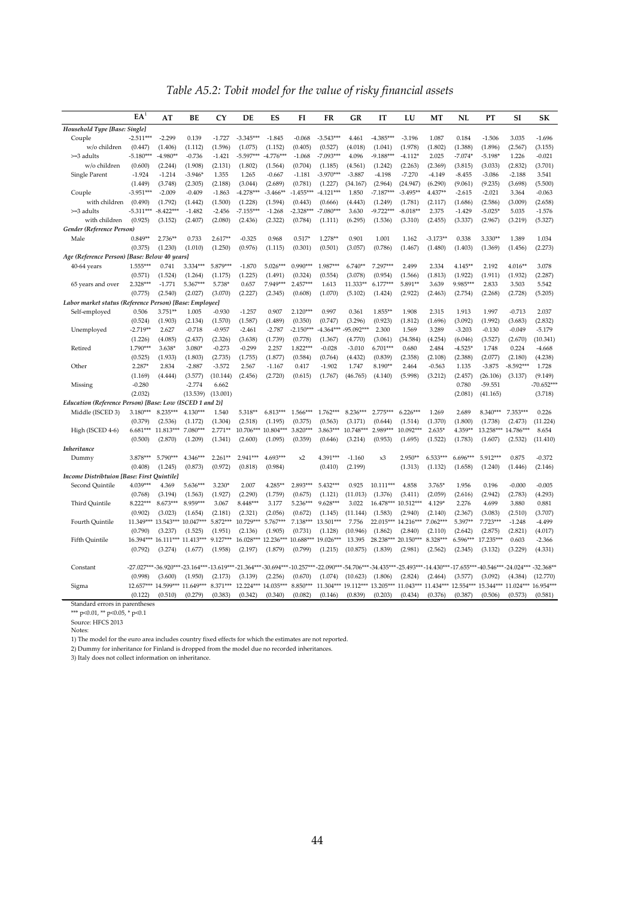*Table A5.2: Tobit model for the value of risky financial assets*

|                                                          | EA <sup>1</sup> | AT          | BE          | <b>CY</b>  | DE          | ES          | F1          | FR          | GR                  | IT                                                                                                                                                  | LU         | MT         | NL        | PT        | SI                  | SK          |
|----------------------------------------------------------|-----------------|-------------|-------------|------------|-------------|-------------|-------------|-------------|---------------------|-----------------------------------------------------------------------------------------------------------------------------------------------------|------------|------------|-----------|-----------|---------------------|-------------|
| Household Type [Base: Single]                            |                 |             |             |            |             |             |             |             |                     |                                                                                                                                                     |            |            |           |           |                     |             |
| Couple                                                   | $-2.511***$     | $-2.299$    | 0.139       | $-1.727$   | $-3.345***$ | $-1.845$    | $-0.068$    | $-3.543***$ | 4.461               | $-4.385***$                                                                                                                                         | $-3.196$   | 1.087      | 0.184     | $-1.506$  | 3.035               | $-1.696$    |
| w/o children                                             | (0.447)         | (1.406)     | (1.112)     | (1.596)    | (1.075)     | (1.152)     | (0.405)     | (0.527)     | (4.018)             | (1.041)                                                                                                                                             | (1.978)    | (1.802)    | (1.388)   | (1.896)   | (2.567)             | (3.155)     |
| >=3 adults                                               | $-5.180***$     | $-4.980**$  | $-0.736$    | $-1.421$   | $-5.597***$ | $-4.776***$ | $-1.068$    | $-7.093***$ | 4.096               | $-9.188***$                                                                                                                                         | $-4.112*$  | 2.025      | $-7.074*$ | $-5.198*$ | 1.226               | $-0.021$    |
| w/o children                                             | (0.600)         | (2.244)     | (1.908)     | (2.131)    | (1.802)     | (1.564)     | (0.704)     | (1.185)     | (4.561)             | (1.242)                                                                                                                                             | (2.263)    | (2.369)    | (3.815)   | (3.033)   | (2.832)             | (3.701)     |
| Single Parent                                            | $-1.924$        | $-1.214$    | $-3.946*$   | 1.355      | 1.265       | $-0.667$    | $-1.181$    | $-3.970***$ | $-3.887$            | $-4.198$                                                                                                                                            | $-7.270$   | $-4.149$   | $-8.455$  | $-3.086$  | $-2.188$            | 3.541       |
|                                                          | (1.449)         | (3.748)     | (2.305)     | (2.188)    | (3.044)     | (2.689)     | (0.781)     | (1.227)     | (34.167)            | (2.964)                                                                                                                                             | (24.947)   | (6.290)    | (9.061)   | (9.235)   | (3.698)             | (5.500)     |
| Couple                                                   | $-3.951***$     | $-2.009$    | $-0.409$    | $-1.863$   | $-4.278***$ | $-3.466**$  | $-1.455***$ | $-4.121***$ | 1.850               | $-7.187***$                                                                                                                                         | $-3.495**$ | 4.437**    | $-2.615$  | $-2.021$  | 3.364               | $-0.063$    |
| with children                                            | (0.490)         | (1.792)     | (1.442)     | (1.500)    | (1.228)     | (1.594)     | (0.443)     | (0.666)     | (4.443)             | (1.249)                                                                                                                                             | (1.781)    | (2.117)    | (1.686)   | (2.586)   | (3.009)             | (2.658)     |
| >=3 adults                                               | $-5.311***$     | $-8.422***$ | $-1.482$    | $-2.456$   | $-7.155***$ | $-1.268$    | $-2.328***$ | $-7.080***$ | 3.630               | $-9.722***$                                                                                                                                         | $-8.018**$ | 2.375      | $-1.429$  | $-5.025*$ | 5.035               | $-1.576$    |
| with children                                            | (0.925)         | (3.152)     | (2.407)     | (2.080)    | (2.436)     | (2.322)     | (0.784)     | (1.111)     | (6.295)             | (1.536)                                                                                                                                             | (3.310)    | (2.455)    | (3.337)   | (2.967)   | (3.219)             | (5.327)     |
| Gender (Reference Person)                                |                 |             |             |            |             |             |             |             |                     |                                                                                                                                                     |            |            |           |           |                     |             |
| Male                                                     | $0.849**$       | 2.736**     | 0.733       | $2.617**$  | $-0.325$    | 0.968       | $0.517*$    | $1.278**$   | 0.901               | 1.001                                                                                                                                               | 1.162      | $-3.173**$ | 0.338     | $3.330**$ | 1.389               | 1.034       |
|                                                          | (0.375)         | (1.230)     | (1.010)     | (1.250)    | (0.976)     | (1.115)     | (0.301)     | (0.501)     | (3.057)             | (0.786)                                                                                                                                             | (1.467)    | (1.480)    | (1.403)   | (1.369)   | (1.456)             | (2.273)     |
| Age (Reference Person) [Base: Below 40 years]            |                 |             |             |            |             |             |             |             |                     |                                                                                                                                                     |            |            |           |           |                     |             |
|                                                          | 1.555***        | 0.741       | 3.334***    | 5.879***   | $-1.870$    | 5.026***    | $0.990***$  | 1.987***    | $6.740**$           | 7.297***                                                                                                                                            | 2.499      | 2.334      | $4.145**$ | 2.192     | 4.016**             | 3.078       |
| 40-64 years                                              | (0.571)         | (1.524)     | (1.264)     | (1.175)    | (1.225)     | (1.491)     | (0.324)     | (0.554)     |                     | (0.954)                                                                                                                                             | (1.566)    | (1.813)    | (1.922)   | (1.911)   | (1.932)             | (2.287)     |
|                                                          | 2.328***        | $-1.771$    | 5.367***    | 5.738      | 0.657       | 7.949***    | 2.457***    |             | (3.078)<br>11.333** | $6.177***$                                                                                                                                          | 5.891**    |            | 9.985***  | 2.833     |                     |             |
| 65 years and over                                        |                 |             |             |            |             |             |             | 1.613       |                     |                                                                                                                                                     |            | 3.639      |           |           | 3.503               | 5.542       |
|                                                          | (0.775)         | (2.540)     | (2.027)     | (3.070)    | (2.227)     | (2.345)     | (0.608)     | (1.070)     | (5.102)             | (1.424)                                                                                                                                             | (2.922)    | (2.463)    | (2.754)   | (2.268)   | (2.728)             | (5.205)     |
| Labor market status (Reference Person) [Base: Employee]  |                 |             |             |            |             |             |             | 0.997       |                     | 1.855**                                                                                                                                             |            |            |           |           |                     |             |
| Self-employed                                            | 0.506           | 3.751**     | 1.005       | $-0.930$   | $-1.257$    | 0.907       | $2.120***$  |             | 0.361               |                                                                                                                                                     | 1.908      | 2.315      | 1.913     | 1.997     | $-0.713$            | 2.037       |
|                                                          | (0.524)         | (1.903)     | (2.134)     | (1.570)    | (1.587)     | (1.489)     | (0.350)     | (0.747)     | (3.296)             | (0.923)                                                                                                                                             | (1.812)    | (1.696)    | (3.092)   | (1.992)   | (3.683)             | (2.832)     |
| Unemployed                                               | $-2.719**$      | 2.627       | $-0.718$    | $-0.957$   | $-2.461$    | $-2.787$    | $-2.150***$ | $-4.364***$ | $-95.092***$        | 2.300                                                                                                                                               | 1.569      | 3.289      | $-3.203$  | $-0.130$  | $-0.049$            | $-5.179$    |
|                                                          | (1.226)         | (4.085)     | (2.437)     | (2.326)    | (3.638)     | (1.739)     | (0.778)     | (1.367)     | (4.770)             | (3.061)                                                                                                                                             | (34.584)   | (4.254)    | (6.046)   | (3.527)   | (2.670)             | (10.341)    |
| Retired                                                  | 1.790***        | $3.638*$    | 3.080*      | $-0.273$   | $-0.299$    | 2.257       | $1.822***$  | $-0.028$    | $-3.010$            | 6.701***                                                                                                                                            | 0.680      | 2.484      | $-4.525*$ | 1.748     | 0.224               | $-4.668$    |
|                                                          | (0.525)         | (1.933)     | (1.803)     | (2.735)    | (1.755)     | (1.877)     | (0.584)     | (0.764)     | (4.432)             | (0.839)                                                                                                                                             | (2.358)    | (2.108)    | (2.388)   | (2.077)   | (2.180)             | (4.238)     |
| Other                                                    | 2.287*          | 2.834       | $-2.887$    | $-3.572$   | 2.567       | $-1.167$    | 0.417       | $-1.902$    | 1.747               | 8.190**                                                                                                                                             | 2.464      | $-0.563$   | 1.135     | $-3.875$  | $-8.592***$         | 1.728       |
|                                                          | (1.169)         | (4.444)     | (3.577)     | (10.144)   | (2.456)     | (2.720)     | (0.615)     | (1.767)     | (46.765)            | (4.140)                                                                                                                                             | (5.998)    | (3.212)    | (2.457)   | (26.106)  | (3.137)             | (9.149)     |
| Missing                                                  | $-0.280$        |             | $-2.774$    | 6.662      |             |             |             |             |                     |                                                                                                                                                     |            |            | 0.780     | $-59.551$ |                     | $-70.652**$ |
|                                                          | (2.032)         |             | (13.539)    | (13.001)   |             |             |             |             |                     |                                                                                                                                                     |            |            | (2.081)   | (41.165)  |                     | (3.718)     |
| Education (Reference Person) [Base: Low (ISCED 1 and 2)] |                 |             |             |            |             |             |             |             |                     |                                                                                                                                                     |            |            |           |           |                     |             |
| Middle (ISCED 3)                                         | 3.180***        | 8.235***    | $4.130***$  | 1.540      | 5.318**     | 6.813***    | 1.566***    | $1.762***$  | 8.236***            | $2.775***$                                                                                                                                          | $6.226***$ | 1.269      | 2.689     | 8.340***  | 7.353***            | 0.226       |
|                                                          | (0.379)         | (2.536)     | (1.172)     | (1.304)    | (2.518)     | (1.195)     | (0.375)     | (0.563)     | (3.171)             | (0.644)                                                                                                                                             | (1.514)    | (1.370)    | (1.800)   | (1.738)   | (2.473)             | (11.224)    |
| High (ISCED 4-6)                                         | $6.681***$      | 11.813***   | 7.080***    | $2.771**$  | 10.706***   | 10.804***   | 3.820***    | 3.863***    | 10.748***           | 2.989***                                                                                                                                            | 10.092***  | $2.635*$   | 4.359**   |           | 13.258*** 14.786*** | 8.654       |
|                                                          | (0.500)         | (2.870)     | (1.209)     | (1.341)    | (2.600)     | (1.095)     | (0.359)     | (0.646)     | (3.214)             | (0.953)                                                                                                                                             | (1.695)    | (1.522)    | (1.783)   | (1.607)   | (2.532)             | (11.410)    |
| <b>Inheritance</b>                                       |                 |             |             |            |             |             |             |             |                     |                                                                                                                                                     |            |            |           |           |                     |             |
| Dummy                                                    | 3.878***        | 5.790***    | 4.346***    | $2.261**$  | 2.941***    | 4.693***    | x2          | 4.391***    | $-1.160$            | x3                                                                                                                                                  | 2.950**    | $6.533***$ | 6.696***  | 5.912***  | 0.875               | $-0.372$    |
|                                                          | (0.408)         | (1.245)     | (0.873)     | (0.972)    | (0.818)     | (0.984)     |             | (0.410)     | (2.199)             |                                                                                                                                                     | (1.313)    | (1.132)    | (1.658)   | (1.240)   | (1.446)             | (2.146)     |
| Income Distribtuion [Base: First Quintile]               |                 |             |             |            |             |             |             |             |                     |                                                                                                                                                     |            |            |           |           |                     |             |
| Second Quintile                                          | 4.039***        | 4.369       | $5.636***$  | 3.230*     | 2.007       | 4.285**     | 2.893***    | 5.432***    | 0.925               | 10.111***                                                                                                                                           | 4.858      | 3.765*     | 1.956     | 0.196     | $-0.000$            | $-0.005$    |
|                                                          | (0.768)         | (3.194)     | (1.563)     | (1.927)    | (2.290)     | (1.759)     | (0.675)     | (1.121)     | (11.013)            | (1.376)                                                                                                                                             | (3.411)    | (2.059)    | (2.616)   | (2.942)   | (2.783)             | (4.293)     |
| Third Quintile                                           | 8.222***        | 8.673***    | 8.959***    | 3.067      | 8.448***    | 3.177       | 5.236***    | 9.628***    | 3.022               | 16.478***                                                                                                                                           | 10.512***  | 4.129*     | 2.276     | 4.699     | 3.880               | 0.881       |
|                                                          | (0.902)         | (3.023)     | (1.654)     | (2.181)    | (2.321)     | (2.056)     | (0.672)     | (1.145)     | (11.144)            | (1.583)                                                                                                                                             | (2.940)    | (2.140)    | (2.367)   | (3.083)   | (2.510)             | (3.707)     |
| Fourth Quintile                                          | 11.349***       | 13.543***   | $10.047***$ | 5.872***   | 10.729***   | 5.767***    | 7.138***    | 13.501***   | 7.756               | 22.015***                                                                                                                                           | 14.216***  | 7.062***   | 5.397**   | 7.723***  | $-1.248$            | $-4.499$    |
|                                                          | (0.790)         | (3.237)     | (1.525)     | (1.951)    | (2.136)     | (1.905)     | (0.731)     | (1.128)     | (10.946)            | (1.862)                                                                                                                                             | (2.840)    | (2.110)    | (2.642)   | (2.875)   | (2.821)             | (4.017)     |
| Fifth Quintile                                           | 16.394***       | 16.111***   | 11.413***   | $9.127***$ | 16.028***   | 12.236***   | 10.688***   | 19.026***   | 13.395              | 28.238***                                                                                                                                           | 20.150***  | 8.328***   | 6.596***  | 17.235*** | 0.603               | $-2.366$    |
|                                                          | (0.792)         | (3.274)     | (1.677)     | (1.958)    | (2.197)     | (1.879)     | (0.799)     | (1.215)     | (10.875)            | (1.839)                                                                                                                                             | (2.981)    | (2.562)    | (2.345)   | (3.132)   | (3.229)             | (4.331)     |
|                                                          |                 |             |             |            |             |             |             |             |                     |                                                                                                                                                     |            |            |           |           |                     |             |
| Constant                                                 |                 |             |             |            |             |             |             |             |                     | -27.027***-36.920***-23.164***-13.619***-21.364***-30.694***-10.257***-22.090***-54.706***-34.435***-25.493***-14.430***-17.655***-40.546***-24.024 |            |            |           |           |                     | $-32.368**$ |
|                                                          | (0.998)         | (3.600)     | (1.950)     | (2.173)    | (3.139)     | (2.256)     | (0.670)     | (1.074)     | (10.623)            | (1.806)                                                                                                                                             | (2.824)    | (2.464)    | (3.577)   | (3.092)   | (4.384)             | (12.770)    |
| Sigma                                                    | 12.657***       | 14.599***   | 11.649***   | 8.371***   | 12.224***   | 14.035***   | 8.850***    | 11.304***   | 19.112***           | 13.205***                                                                                                                                           | 11.043***  | 11.434***  | 12.554*** |           | 15.344*** 11.024*** | 16.954***   |
|                                                          | (0.122)         | (0.510)     | (0.279)     | (0.383)    | (0.342)     | (0.340)     | (0.082)     | (0.146)     | (0.839)             | (0.203)                                                                                                                                             | (0.434)    | (0.376)    | (0.387)   | (0.506)   | (0.573)             | (0.581)     |
| Standard errors in parentheses                           |                 |             |             |            |             |             |             |             |                     |                                                                                                                                                     |            |            |           |           |                     |             |
| $*** -0.01$ **<br>$\sim$ $\sim$                          |                 |             |             |            |             |             |             |             |                     |                                                                                                                                                     |            |            |           |           |                     |             |

\*\*\* p<0.01, \*\* p<0.05, \* p<0.1

Source: HFCS 2013 Notes:

1) The model for the euro area includes country fixed effects for which the estimates are not reported.

2) Dummy for inheritance for Finland is dropped from the model due no recorded inheritances.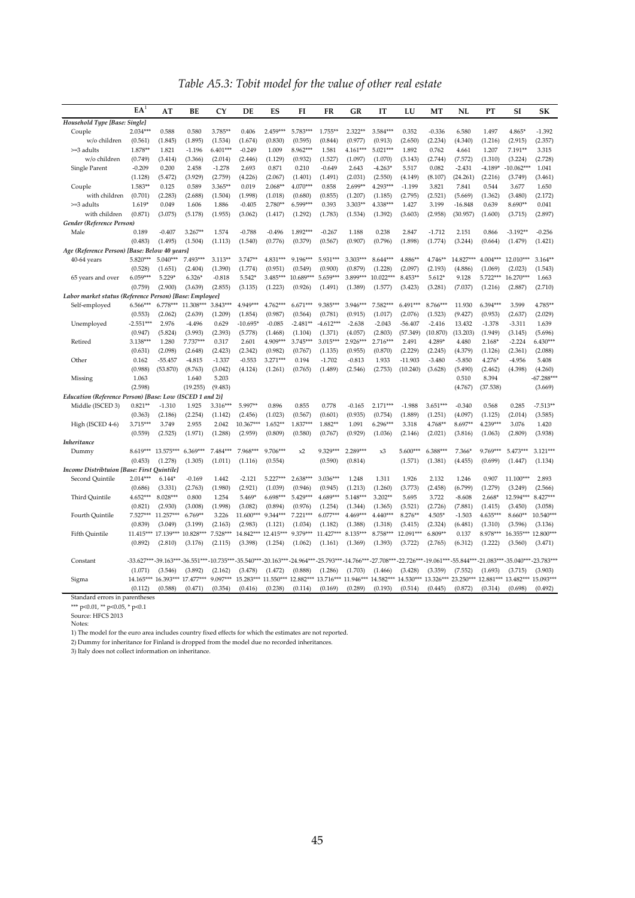*Table A5.3: Tobit model for the value of other real estate*

|                                                          | EA          | AT         | BE.        | <b>CY</b>  | DE         | ES         | FI         | <b>FR</b>   | GR         | IT         | LU         | МT         | NL                  | PТ         | <b>SI</b>                                                                                                                                                       | <b>SK</b>   |
|----------------------------------------------------------|-------------|------------|------------|------------|------------|------------|------------|-------------|------------|------------|------------|------------|---------------------|------------|-----------------------------------------------------------------------------------------------------------------------------------------------------------------|-------------|
| Household Type [Base: Single]                            |             |            |            |            |            |            |            |             |            |            |            |            |                     |            |                                                                                                                                                                 |             |
| Couple                                                   | 2.034***    | 0.588      | 0.580      | 3.785**    | 0.406      | 2.459***   | 5.783***   | 1.755**     | $2.322**$  | 3.584***   | 0.352      | $-0.336$   | 6.580               | 1.497      | 4.865*                                                                                                                                                          | $-1.392$    |
| w/o children                                             | (0.561)     | (1.845)    | (1.895)    | (1.534)    | (1.674)    | (0.830)    | (0.595)    | (0.844)     | (0.977)    | (0.913)    | (2.650)    | (2.234)    | (4.340)             | (1.216)    | (2.915)                                                                                                                                                         | (2.357)     |
| $>=$ 3 adults                                            | 1.878**     | 1.821      | $-1.196$   | $6.401***$ | $-0.249$   | 1.009      | 8.962***   | 1.581       | 4.161***   | $5.021***$ | 1.892      | 0.762      | 4.661               | 1.207      | 7.191**                                                                                                                                                         | 3.315       |
| w/o children                                             | (0.749)     | (3.414)    | (3.366)    | (2.014)    | (2.446)    | (1.129)    | (0.932)    | (1.527)     | (1.097)    | (1.070)    | (3.143)    | (2.744)    | (7.572)             | (1.310)    | (3.224)                                                                                                                                                         | (2.728)     |
| Single Parent                                            | $-0.209$    | 0.200      | 2.458      | $-1.278$   | 2.693      | 0.871      | 0.210      | $-0.649$    | 2.643      | $-4.263*$  | 5.517      | 0.082      | $-2.431$            | $-4.189*$  | $-10.062***$                                                                                                                                                    | 1.041       |
|                                                          | (1.128)     | (5.472)    | (3.929)    | (2.759)    | (4.226)    | (2.067)    | (1.401)    | (1.491)     | (2.031)    | (2.550)    | (4.149)    | (8.107)    | (24.261)            | (2.216)    | (3.749)                                                                                                                                                         | (3.461)     |
| Couple                                                   | 1.583**     | 0.125      | 0.589      | 3.365**    | 0.019      | 2.068**    | 4.070***   | 0.858       | 2.699**    | 4.293***   | $-1.199$   | 3.821      | 7.841               | 0.544      | 3.677                                                                                                                                                           | 1.650       |
| with children                                            | (0.701)     | (2.283)    | (2.688)    | (1.504)    | (1.998)    | (1.018)    | (0.680)    | (0.855)     | (1.207)    | (1.185)    | (2.795)    | (2.521)    | (5.669)             | (1.362)    | (3.480)                                                                                                                                                         | (2.172)     |
| >=3 adults                                               | 1.619*      | 0.049      | 1.606      | 1.886      | $-0.405$   | 2.780**    | 6.599***   | 0.393       | $3.303**$  | 4.338***   | 1.427      | 3.199      | $-16.848$           | 0.639      | 8.690**                                                                                                                                                         | 0.041       |
| with children                                            | (0.871)     | (3.075)    | (5.178)    | (1.955)    | (3.062)    | (1.417)    | (1.292)    | (1.783)     | (1.534)    | (1.392)    | (3.603)    | (2.958)    | (30.957)            | (1.600)    | (3.715)                                                                                                                                                         | (2.897)     |
| Gender (Reference Person)                                |             |            |            |            |            |            |            |             |            |            |            |            |                     |            |                                                                                                                                                                 |             |
| Male                                                     | 0.189       | $-0.407$   | $3.267**$  | 1.574      | $-0.788$   | $-0.496$   | 1.892***   | $-0.267$    | 1.188      | 0.238      | 2.847      | $-1.712$   | 2.151               | 0.866      | $-3.192**$                                                                                                                                                      | $-0.256$    |
|                                                          | (0.483)     |            |            |            |            |            |            |             | (0.907)    | (0.796)    |            |            | (3.244)             |            |                                                                                                                                                                 |             |
|                                                          |             | (1.495)    | (1.504)    | (1.113)    | (1.540)    | (0.776)    | (0.379)    | (0.567)     |            |            | (1.898)    | (1.774)    |                     | (0.664)    | (1.479)                                                                                                                                                         | (1.421)     |
| Age (Reference Person) [Base: Below 40 years]            | 5.820***    |            | 7.493***   |            |            |            |            |             |            |            |            |            |                     |            |                                                                                                                                                                 |             |
| 40-64 years                                              |             | $5.040***$ |            | $3.113**$  | $3.747**$  | 4.831***   | 9.196***   | 5.931***    | $3.303***$ | $8.644***$ | 4.886**    | $4.746**$  | 14.827***           | $4.004***$ | 12.010***                                                                                                                                                       | $3.164**$   |
|                                                          | (0.528)     | (1.651)    | (2.404)    | (1.390)    | (1.774)    | (0.951)    | (0.549)    | (0.900)     | (0.879)    | (1.228)    | (2.097)    | (2.193)    | (4.886)             | (1.069)    | (2.023)                                                                                                                                                         | (1.543)     |
| 65 years and over                                        | 6.059***    | 5.229*     | $6.326*$   | $-0.818$   | 5.542*     | 3.485***   | 10.689***  | $5.659***$  | 3.899***   | 10.022***  | 8.453**    | $5.612*$   | 9.128               | 5.722***   | 16.270***                                                                                                                                                       | 1.663       |
|                                                          | (0.759)     | (2.900)    | (3.639)    | (2.855)    | (3.135)    | (1.223)    | (0.926)    | (1.491)     | (1.389)    | (1.577)    | (3.423)    | (3.281)    | (7.037)             | (1.216)    | (2.887)                                                                                                                                                         | (2.710)     |
| Labor market status (Reference Person) [Base: Employee]  |             |            |            |            |            |            |            |             |            |            |            |            |                     |            |                                                                                                                                                                 |             |
| Self-employed                                            | 6.566***    | $6.778***$ | 11.308***  | $3.843***$ | 4.949***   | $4.762***$ | $6.671***$ | 9.385***    | $3.946***$ | 7.582***   | $6.491***$ | 8.766***   | 11.930              | $6.394***$ | 3.599                                                                                                                                                           | 4.785**     |
|                                                          | (0.553)     | (2.062)    | (2.639)    | (1.209)    | (1.854)    | (0.987)    | (0.564)    | (0.781)     | (0.915)    | (1.017)    | (2.076)    | (1.523)    | (9.427)             | (0.953)    | (2.637)                                                                                                                                                         | (2.029)     |
| Unemployed                                               | $-2.551***$ | 2.976      | $-4.496$   | 0.629      | $-10.695*$ | $-0.085$   | $-2.481**$ | $-4.612***$ | $-2.638$   | $-2.043$   | $-56.407$  | $-2.416$   | 13.432              | $-1.378$   | $-3.311$                                                                                                                                                        | 1.639       |
|                                                          | (0.947)     | (5.824)    | (3.993)    | (2.393)    | (5.778)    | (1.468)    | (1.104)    | (1.371)     | (4.057)    | (2.803)    | (57.349)   | (10.870)   | (13.203)            | (1.949)    | (3.145)                                                                                                                                                         | (5.696)     |
| Retired                                                  | 3.138***    | 1.280      | 7.737***   | 0.317      | 2.601      | 4.909***   | 3.745***   | 3.015***    | 2.926***   | 2.716***   | 2.491      | 4.289*     | 4.480               | $2.168*$   | $-2.224$                                                                                                                                                        | $6.430***$  |
|                                                          | (0.631)     | (2.098)    | (2.648)    | (2.423)    | (2.342)    | (0.982)    | (0.767)    | (1.135)     | (0.955)    | (0.870)    | (2.229)    | (2.245)    | (4.379)             | (1.126)    | (2.361)                                                                                                                                                         | (2.088)     |
| Other                                                    | 0.162       | $-55.457$  | $-4.815$   | $-1.337$   | $-0.553$   | 3.271***   | 0.194      | $-1.702$    | $-0.813$   | 1.933      | $-11.903$  | $-3.480$   | $-5.850$            | 4.276*     | $-4.956$                                                                                                                                                        | 5.408       |
|                                                          | (0.988)     | (53.870)   | (8.763)    | (3.042)    | (4.124)    | (1.261)    | (0.765)    | (1.489)     | (2.546)    | (2.753)    | (10.240)   | (3.628)    | (5.490)             | (2.462)    | (4.398)                                                                                                                                                         | (4.260)     |
| Missing                                                  | 1.063       |            | 1.640      | 5.203      |            |            |            |             |            |            |            |            | 0.510               | 8.394      |                                                                                                                                                                 | $-67.288**$ |
|                                                          | (2.598)     |            | (19.255)   | (9.483)    |            |            |            |             |            |            |            |            | (4.767)             | (37.538)   |                                                                                                                                                                 | (3.669)     |
| Education (Reference Person) [Base: Low (ISCED 1 and 2)] |             |            |            |            |            |            |            |             |            |            |            |            |                     |            |                                                                                                                                                                 |             |
| Middle (ISCED 3)                                         | $0.821**$   | $-1.310$   | 1.925      | $3.316***$ | 5.997**    | 0.896      | 0.855      | 0.778       | $-0.165$   | $2.171***$ | $-1.988$   | $3.651***$ | $-0.340$            | 0.568      | 0.285                                                                                                                                                           | $-7.513**$  |
|                                                          | (0.363)     | (2.186)    | (2.254)    | (1.142)    | (2.456)    | (1.023)    | (0.567)    | (0.601)     | (0.935)    | (0.754)    | (1.889)    | (1.251)    | (4.097)             | (1.125)    | (2.014)                                                                                                                                                         | (3.585)     |
| High (ISCED 4-6)                                         | 3.715***    | 3.749      | 2.955      | 2.042      | 10.367***  | $1.652**$  | 1.837***   | 1.882**     | 1.091      | 6.296***   | 3.318      | 4.768**    | 8.697**             | 4.239***   | 3.076                                                                                                                                                           | 1.420       |
|                                                          | (0.559)     | (2.525)    | (1.971)    | (1.288)    | (2.959)    | (0.809)    | (0.580)    | (0.767)     | (0.929)    | (1.036)    | (2.146)    | (2.021)    | (3.816)             | (1.063)    | (2.809)                                                                                                                                                         | (3.938)     |
| Inheritance                                              |             |            |            |            |            |            |            |             |            |            |            |            |                     |            |                                                                                                                                                                 |             |
| Dummy                                                    | 8.619***    | 13.575***  | $6.369***$ | 7.484***   | 7.968***   | 9.706***   | x2         | 9.329***    | 2.289***   | x3         | 5.600***   | 6.388***   | 7.366*              | 9.769***   | 5.473***                                                                                                                                                        | $3.121***$  |
|                                                          | (0.453)     | (1.278)    | (1.305)    | (1.011)    | (1.116)    | (0.554)    |            | (0.590)     | (0.814)    |            | (1.571)    | (1.381)    | (4.455)             | (0.699)    | (1.447)                                                                                                                                                         | (1.134)     |
| Income Distribtuion [Base: First Quintile]               |             |            |            |            |            |            |            |             |            |            |            |            |                     |            |                                                                                                                                                                 |             |
| Second Quintile                                          | $2.014***$  | $6.144*$   | $-0.169$   | 1.442      | $-2.121$   | 5.227***   | $2.638***$ | $3.036***$  | 1.248      | 1.311      | 1.926      | 2.132      | 1.246               | 0.907      | 11.100***                                                                                                                                                       | 2.893       |
|                                                          | (0.686)     | (3.331)    | (2.763)    | (1.980)    | (2.921)    | (1.039)    | (0.946)    | (0.945)     | (1.213)    | (1.260)    | (3.773)    | (2.458)    | (6.799)             | (1.279)    | (3.249)                                                                                                                                                         | (2.566)     |
| Third Quintile                                           | 4.652***    | 8.028***   | 0.800      | 1.254      | 5.469*     | 6.698***   | 5.429***   | 4.689***    | 5.148***   | $3.202**$  | 5.695      | 3.722      | $-8.608$            | $2.668*$   | 12.594***                                                                                                                                                       | 8.427***    |
|                                                          | (0.821)     | (2.930)    | (3.008)    | (1.998)    | (3.082)    | (0.894)    | (0.976)    | (1.254)     | (1.344)    | (1.365)    | (3.521)    | (2.726)    | (7.881)             | (1.415)    | (3.450)                                                                                                                                                         | (3.058)     |
| Fourth Quintile                                          | 7.527***    | 11.257***  | $6.769**$  | 3.226      | 11.600***  | 9.344***   | 7.221***   | $6.077***$  | 4.469***   | $4.440***$ | 8.276**    | 4.505*     | $-1.503$            | 4.635***   | 8.660**                                                                                                                                                         | $10.540**$  |
|                                                          | (0.839)     | (3.049)    | (3.199)    | (2.163)    | (2.983)    | (1.121)    | (1.034)    | (1.182)     | (1.388)    | (1.318)    | (3.415)    | (2.324)    | (6.481)             | (1.310)    | (3.596)                                                                                                                                                         | (3.136)     |
| Fifth Quintile                                           | 11.415***   | 17.139***  | 10.828***  | 7.528***   | 14.842***  | 12.415***  | 9.379***   | 11.427***   | 8.135***   | 8.758***   | 12.091***  | $6.809**$  | 0.137               | 8.978***   | 16.355*** 12.800***                                                                                                                                             |             |
|                                                          | (0.892)     | (2.810)    | (3.176)    | (2.115)    | (3.398)    | (1.254)    | (1.062)    | (1.161)     | (1.369)    | (1.393)    | (3.722)    | (2.765)    | (6.312)             | (1.222)    | (3.560)                                                                                                                                                         | (3.471)     |
|                                                          |             |            |            |            |            |            |            |             |            |            |            |            |                     |            |                                                                                                                                                                 |             |
| Constant                                                 |             |            |            |            |            |            |            |             |            |            |            |            |                     |            | -33.627***-39.163***-36.551***-10.735***-35.540***-20.163***-24.964***-25.793***-14.766***-27.708***-22.726***-19.061***-55.844***-21.083***-35.040***-23.783** |             |
|                                                          | (1.071)     | (3.546)    | (3.892)    | (2.162)    | (3.478)    | (1.472)    | (0.888)    | (1.286)     | (1.703)    | (1.466)    | (3.428)    | (3.359)    | (7.552)             | (1.693)    | (3.715)                                                                                                                                                         | (3.903)     |
| Sigma                                                    | 14.165***   | 16.393***  | 17.477***  | 9.097***   | 15.283***  | 11.550***  | 12.882***  | 13.716***   | 11.946***  | 14.582***  | 14.530***  | 13.326***  | 23.250*** 12.881*** |            | 13.482***                                                                                                                                                       | 15.093***   |
|                                                          | (0.112)     | (0.588)    | (0.471)    | (0.354)    | (0.416)    | (0.238)    | (0.114)    | (0.169)     | (0.289)    | (0.193)    | (0.514)    | (0.445)    | (0.872)             | (0.314)    | (0.698)                                                                                                                                                         | (0.492)     |
| Standard errors in parentheses                           |             |            |            |            |            |            |            |             |            |            |            |            |                     |            |                                                                                                                                                                 |             |

\*\*\* p<0.01, \*\* p<0.05, \* p<0.1

Source: HFCS 2013 Notes:

1) The model for the euro area includes country fixed effects for which the estimates are not reported.

2) Dummy for inheritance for Finland is dropped from the model due no recorded inheritances.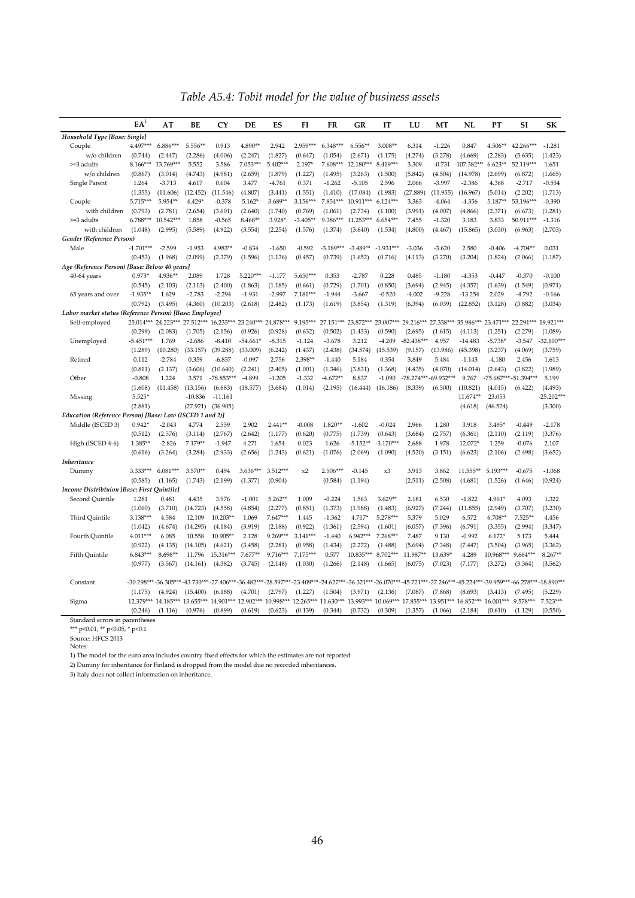*Table A5.4: Tobit model for the value of business assets*

|                                                          | EA <sup>1</sup> | AT                                                                     | BE        | <b>CY</b>    | DE         | ES         | F1         | <b>FR</b>   | GR          | IT          | LU           | МT           | NL                                                                             | PT        | <b>SI</b>            | SK            |
|----------------------------------------------------------|-----------------|------------------------------------------------------------------------|-----------|--------------|------------|------------|------------|-------------|-------------|-------------|--------------|--------------|--------------------------------------------------------------------------------|-----------|----------------------|---------------|
| Household Type [Base: Single]                            |                 |                                                                        |           |              |            |            |            |             |             |             |              |              |                                                                                |           |                      |               |
| Couple                                                   | 4.497***        | 6.886***                                                               | 5.556**   | 0.913        | 4.890**    | 2.942      | 2.959***   | $6.348***$  | 6.556**     | $3.008**$   | 6.314        | $-1.226$     | 0.847                                                                          | 4.506**   | 42.266***            | $-1.281$      |
| w/o children                                             | (0.744)         | (2.447)                                                                | (2.286)   | (4.006)      | (2.247)    | (1.827)    | (0.647)    | (1.054)     | (2.671)     | (1.175)     | (4.274)      | (3.278)      | (4.669)                                                                        | (2.283)   | (5.635)              | (1.423)       |
| >=3 adults                                               | 8.166***        | 13.769***                                                              | 5.552     | 3.586        | 7.053***   | $5.402***$ | 2.197*     | $7.608***$  | 12.180***   | 8.419***    | 3.309        | $-0.731$     | $-107.382**$                                                                   | $6.623**$ | 52.119***            | 1.651         |
| w/o children                                             | (0.867)         | (3.014)                                                                | (4.743)   | (4.981)      | (2.659)    | (1.879)    | (1.227)    | (1.495)     | (3.263)     | (1.500)     | (5.842)      | (4.504)      | (14.978)                                                                       | (2.699)   | (6.872)              | (1.665)       |
| Single Parent                                            | 1.264           | $-3.713$                                                               | 4.617     | 0.604        | 3.477      | $-4.761$   | 0.371      | $-1.262$    | $-5.105$    | 2.596       | 2.066        | $-3.997$     | $-2.386$                                                                       | 4.368     | $-2.717$             | $-0.554$      |
|                                                          | (1.355)         | (11.606)                                                               | (12.452)  | (11.546)     | (4.807)    | (3.441)    | (1.551)    | (1.410)     | (17.084)    | (1.983)     | (27.889)     | (11.955)     | (16.967)                                                                       | (5.014)   | (2.202)              | (1.713)       |
| Couple                                                   | 5.715***        | 5.954**                                                                | 4.429*    | $-0.378$     | $5.162*$   | 3.689**    | $3.156***$ | 7.854***    | 10.911***   | $6.124***$  | 3.363        | $-4.064$     | $-4.356$                                                                       | 5.187**   | 53.196***            | $-0.390$      |
| with children                                            | (0.793)         | (2.781)                                                                | (2.654)   | (3.601)      | (2.640)    | (1.740)    | (0.769)    | (1.061)     | (2.734)     | (1.100)     | (3.991)      | (4.007)      | (4.866)                                                                        | (2.371)   | (6.673)              | (1.281)       |
| >=3 adults                                               | 6.788***        | $10.542***$                                                            | 1.858     | $-0.565$     | 8.468**    | 3.928*     | $-3.405**$ | 9.386***    | $11.253***$ | 6.654***    | 7.455        | $-1.320$     | 3.183                                                                          | 3.833     | 50.911***            | $-1.316$      |
| with children                                            | (1.048)         | (2.995)                                                                | (5.589)   | (4.922)      | (3.554)    | (2.254)    | (1.576)    | (1.374)     | (3.640)     | (1.534)     | (4.800)      | (4.467)      | (15.865)                                                                       | (3.030)   | (6.963)              | (2.703)       |
| Gender (Reference Person)                                |                 |                                                                        |           |              |            |            |            |             |             |             |              |              |                                                                                |           |                      |               |
| Male                                                     | $-1.701***$     | $-2.599$                                                               | $-1.953$  | 4.983**      | $-0.834$   | $-1.650$   | $-0.592$   | $-3.189***$ | $-3.489**$  | $-1.931***$ | $-3.036$     | $-3.620$     | 2.580                                                                          | $-0.406$  | $-4.704**$           | 0.031         |
|                                                          | (0.453)         | (1.968)                                                                | (2.099)   | (2.379)      | (1.596)    | (1.136)    | (0.457)    | (0.739)     | (1.652)     | (0.716)     | (4.113)      | (3.270)      | (3.204)                                                                        | (1.824)   | (2.066)              | (1.187)       |
| Age (Reference Person) [Base: Below 40 years]            |                 |                                                                        |           |              |            |            |            |             |             |             |              |              |                                                                                |           |                      |               |
|                                                          | $0.973*$        | 4.936**                                                                | 2.089     | 1.728        | 5.220***   | $-1.177$   | $5.650***$ | 0.353       | $-2.787$    | 0.228       | 0.485        | $-1.180$     | $-4.353$                                                                       | $-0.447$  | $-0.370$             | $-0.100$      |
| 40-64 years                                              | (0.545)         | (2.103)                                                                | (2.113)   | (2.400)      | (1.863)    | (1.185)    | (0.661)    | (0.729)     | (1.701)     | (0.850)     | (3.694)      | (2.945)      | (4.357)                                                                        | (1.639)   | (1.549)              | (0.971)       |
|                                                          | $-1.935**$      | 1.629                                                                  | $-2.783$  | $-2.294$     | $-1.931$   | $-2.997$   | 7.181***   | $-1.944$    |             | $-0.520$    | $-4.002$     | $-9.228$     | $-13.254$                                                                      | 2.029     | $-4.792$             | $-0.166$      |
| 65 years and over                                        |                 |                                                                        |           |              |            |            |            |             | $-3.667$    |             |              |              |                                                                                |           |                      |               |
|                                                          | (0.792)         | (3.495)                                                                | (4.360)   | (10.203)     | (2.618)    | (2.482)    | (1.173)    | (1.619)     | (3.854)     | (1.319)     | (6.394)      | (6.039)      | (22.852)                                                                       | (3.128)   | (3.882)              | (3.034)       |
| Labor market status (Reference Person) [Base: Employee]  |                 |                                                                        |           |              | 23.240***  | 24.878***  | 9.195***   | 27.151***   | 23.872***   | 23.007***   | 29.216***    | 27.338*      | 35.986***                                                                      | 23.471**  | 22.291               | 19.921***     |
| Self-employed                                            | 25.014***       | 24.223***                                                              | 27.512*** | 16.233***    |            |            |            |             |             |             |              |              |                                                                                |           |                      |               |
|                                                          | (0.299)         | (2.083)                                                                | (1.705)   | (2.156)      | (0.926)    | (0.928)    | (0.632)    | (0.502)     | (1.433)     | (0.590)     | (2.695)      | (1.615)      | (4.113)                                                                        | (1.251)   | (2.279)              | (1.089)       |
| Unemployed                                               | $-5.451***$     | 1.769                                                                  | $-2.686$  | $-8.410$     | $-54.661*$ | $-8.315$   | $-1.124$   | $-3.678$    | 3.212       | $-4.209$    | $-82.438***$ | 4.957        | $-14.483$                                                                      | $-5.738*$ | $-3.547$             | $-32.100**$   |
|                                                          | (1.289)         | (10.280)                                                               | (33.157)  | (39.288)     | (33.009)   | (6.242)    | (1.437)    | (2.438)     | (34.574)    | (15.539)    | (9.157)      | (13.986)     | (45.398)                                                                       | (3.237)   | (4.069)              | (3.759)       |
| Retired                                                  | 0.112           | $-2.784$                                                               | 0.359     | $-6.837$     | $-0.097$   | 2.756      | 2.398**    | $-1.440$    | 5.184       | 0.354       | 3.849        | 5.484        | $-1.143$                                                                       | $-4.180$  | 2.456                | 1.613         |
|                                                          | (0.811)         | (2.137)                                                                | (3.606)   | (10.640)     | (2.241)    | (2.405)    | (1.001)    | (1.346)     | (3.831)     | (1.368)     | (4.435)      | (4.070)      | (14.014)                                                                       | (2.643)   | (3.822)              | (1.989)       |
| Other                                                    | $-0.808$        | 1.224                                                                  | 3.571     | $-78.853***$ | $-4.899$   | $-1.205$   | $-1.332$   | $-4.672**$  | 8.837       | $-1.090$    | $-78.274***$ | $-69.932***$ | 9.767                                                                          |           | -75.687***-51.394*** | 5.199         |
|                                                          | (1.608)         | (11.458)                                                               | (13.156)  | (6.683)      | (18.577)   | (3.684)    | (1.014)    | (2.195)     | (16.444)    | (16.186)    | (8.339)      | (6.500)      | (10.821)                                                                       | (4.015)   | (6.422)              | (4.493)       |
| Missing                                                  | $5.525*$        |                                                                        | $-10.836$ | $-11.161$    |            |            |            |             |             |             |              |              | 11.674**                                                                       | 23.053    |                      | $-25.202***$  |
|                                                          | (2.881)         |                                                                        | (27.921)  | (36.905)     |            |            |            |             |             |             |              |              | (4.618)                                                                        | (46.524)  |                      | (3.300)       |
| Education (Reference Person) [Base: Low (ISCED 1 and 2)] |                 |                                                                        |           |              |            |            |            |             |             |             |              |              |                                                                                |           |                      |               |
| Middle (ISCED 3)                                         | $0.942*$        | $-2.043$                                                               | 4.774     | 2.559        | 2.902      | $2.441**$  | $-0.008$   | $1.820**$   | $-1.602$    | $-0.024$    | 2.966        | 1.280        | 3.918                                                                          | 3.495*    | $-0.449$             | $-2.178$      |
|                                                          | (0.512)         | (2.576)                                                                | (3.114)   | (2.767)      | (2.642)    | (1.177)    | (0.620)    | (0.775)     | (1.739)     | (0.643)     | (3.684)      | (2.757)      | (6.361)                                                                        | (2.110)   | (2.119)              | (3.376)       |
| High (ISCED 4-6)                                         | 1.385**         | $-2.826$                                                               | 7.179**   | $-1.947$     | 4.271      | 1.654      | 0.023      | 1.626       | $-5.152**$  | $-3.170***$ | 2.688        | 1.978        | 12.072*                                                                        | 1.259     | $-0.076$             | 2.107         |
|                                                          | (0.616)         | (3.264)                                                                | (3.284)   | (2.933)      | (2.656)    | (1.243)    | (0.621)    | (1.076)     | (2.069)     | (1.090)     | (4.520)      | (3.151)      | (6.623)                                                                        | (2.106)   | (2.498)              | (3.652)       |
| <b>Inheritance</b>                                       |                 |                                                                        |           |              |            |            |            |             |             |             |              |              |                                                                                |           |                      |               |
| Dummy                                                    | 3.333***        | $6.081***$                                                             | $3.570**$ | 0.494        | 3.636***   | $3.512***$ | x2         | $2.506***$  | $-0.145$    | x3          | 3.913        | 3.862        | 11.555**                                                                       | 5.193***  | $-0.675$             | $-1.068$      |
|                                                          | (0.585)         | (1.165)                                                                | (1.743)   | (2.199)      | (1.377)    | (0.904)    |            | (0.584)     | (1.194)     |             | (2.511)      | (2.508)      | (4.681)                                                                        | (1.526)   | (1.646)              | (0.924)       |
| Income Distribtuion [Base: First Quintile]               |                 |                                                                        |           |              |            |            |            |             |             |             |              |              |                                                                                |           |                      |               |
| Second Quintile                                          | 1.281           | 0.481                                                                  | 4.435     | 3.976        | $-1.001$   | $5.262**$  | 1.009      | $-0.224$    | 1.563       | $3.629**$   | 2.181        | 6.530        | $-1.822$                                                                       | 4.961*    | 4.093                | 1.322         |
|                                                          | (1.060)         | (3.710)                                                                | (14.723)  | (4.558)      | (4.854)    | (2.277)    | (0.851)    | (1.373)     | (1.988)     | (1.483)     | (6.927)      | (7.244)      | (11.855)                                                                       | (2.949)   | (3.707)              | (3.230)       |
| Third Quintile                                           | 3.138***        | 4.584                                                                  | 12.109    | 10.203**     | 1.069      | 7.647***   | 1.445      | $-1.362$    | 4.717*      | 5.278***    | 5.379        | 5.029        | 6.572                                                                          | 6.708**   | 7.525**              | 4.456         |
|                                                          | (1.042)         | (4.674)                                                                | (14.295)  | (4.184)      | (3.919)    | (2.188)    | (0.922)    | (1.361)     | (2.594)     | (1.601)     | (6.057)      | (7.396)      | (6.791)                                                                        | (3.355)   | (2.994)              | (3.347)       |
| Fourth Quintile                                          | 4.011***        | 6.085                                                                  | 10.558    | 10.905**     | 2.128      | 9.269***   | $3.141***$ | $-1.440$    | 6.942***    | 7.268***    | 7.487        | 9.130        | $-0.992$                                                                       | $6.172*$  | 5.173                | 5.444         |
|                                                          | (0.922)         | (4.135)                                                                | (14.105)  | (4.621)      | (3.458)    | (2.281)    | (0.958)    | (1.434)     | (2.272)     | (1.488)     | (5.694)      | (7.348)      | (7.447)                                                                        | (3.504)   | (3.965)              | (3.362)       |
| Fifth Quintile                                           | 6.843***        | 8.698**                                                                | 11.796    | 15.316***    | 7.677**    | 9.716***   | 7.175***   | 0.577       | 10.835***   | 8.702***    | 11.987**     | 13.639*      | 4.289                                                                          | 10.968*** | $9.664***$           | $8.267**$     |
|                                                          | (0.977)         | (3.567)                                                                | (14.161)  | (4.382)      | (3.745)    | (2.148)    | (1.030)    | (1.266)     | (2.148)     | (1.665)     | (6.075)      | (7.023)      | (7.177)                                                                        | (3.272)   | (3.364)              | (3.562)       |
| Constant                                                 |                 | -30.298***-36.305***-43.730***-27.406***-36.482***-28.597***-23.409*** |           |              |            |            |            |             |             |             |              |              | -24.627***-36.321***-26.070***-45.721***-27.246***-45.224***-39.959***-66.278* |           |                      | $**-18.890**$ |
|                                                          | (1.175)         | (4.924)                                                                | (15.400)  | (6.188)      | (4.701)    | (2.797)    | (1.227)    | (1.504)     | (3.971)     | (2.136)     | (7.087)      | (7.868)      | (8.693)                                                                        | (3.413)   | (7.495)              | (5.229)       |
| Sigma                                                    |                 | 12.379*** 14.185*** 13.655***                                          |           | 14.901***    | 12.902***  | 10.998***  | 12.265***  | 11.630***   | 13.993***   | 10.069***   | 17.855***    | 13.951***    | 16.852***                                                                      | 16.001*** | 9.578***             | 7.523***      |
|                                                          | (0.246)         | (1.116)                                                                | (0.976)   | (0.899)      | (0.619)    | (0.623)    | (0.139)    | (0.344)     | (0.732)     | (0.309)     | (1.357)      | (1.066)      | (2.184)                                                                        | (0.610)   | (1.129)              | (0.550)       |
| Standard errors in parentheses                           |                 |                                                                        |           |              |            |            |            |             |             |             |              |              |                                                                                |           |                      |               |
| *** p<0.01, ** p<0.05, * p<0.1                           |                 |                                                                        |           |              |            |            |            |             |             |             |              |              |                                                                                |           |                      |               |

Source: HFCS 2013 Notes:

1) The model for the euro area includes country fixed effects for which the estimates are not reported.

2) Dummy for inheritance for Finland is dropped from the model due no recorded inheritances.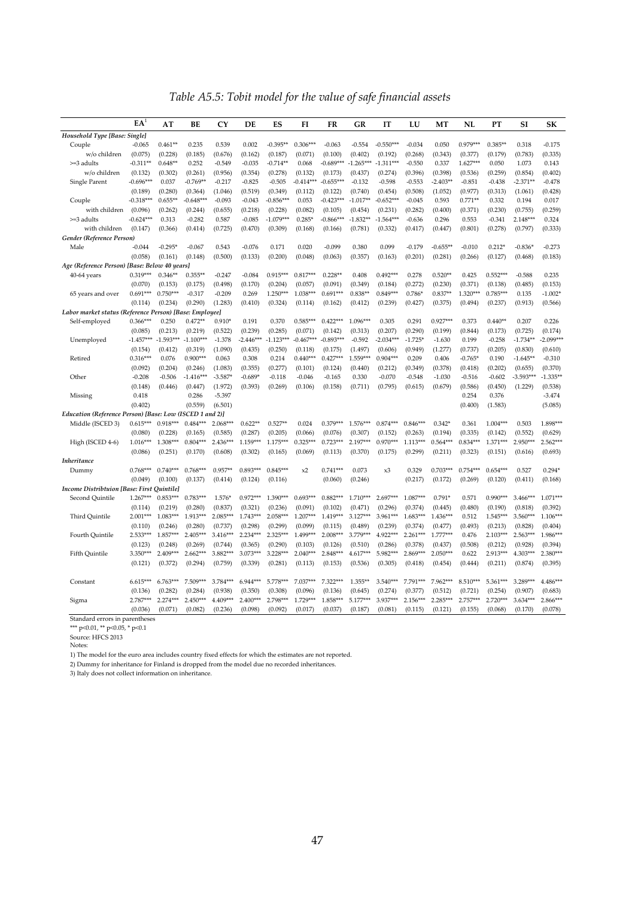*Table A5.5: Tobit model for the value of safe financial assets*

|                                                          | EA <sup>1</sup>     | AT                    | BF.                   | CY                  | DE                    | ES                  | FI                  | FR                  | GR                    | IT                  | LU                    | МT                  | NL                    | PT                    | SI                    | SК                  |
|----------------------------------------------------------|---------------------|-----------------------|-----------------------|---------------------|-----------------------|---------------------|---------------------|---------------------|-----------------------|---------------------|-----------------------|---------------------|-----------------------|-----------------------|-----------------------|---------------------|
| Household Type [Base: Single]                            |                     |                       |                       |                     |                       |                     |                     |                     |                       |                     |                       |                     |                       |                       |                       |                     |
| Couple                                                   | $-0.065$            | $0.461**$             | 0.235                 | 0.539               | 0.002                 | $-0.395**$          | $0.306***$          | $-0.063$            | $-0.554$              | $-0.550***$         | $-0.034$              | 0.050               | $0.979***$            | $0.385**$             | 0.318                 | $-0.175$            |
| w/o children                                             | (0.075)             | (0.228)               | (0.185)               | (0.676)             | (0.162)               | (0.187)             | (0.071)             | (0.100)             | (0.402)               | (0.192)             | (0.268)               | (0.343)             | (0.377)               | (0.179)               | (0.783)               | (0.335)             |
| >=3 adults                                               | $-0.311**$          | $0.648**$             | 0.252                 | $-0.549$            | $-0.035$              | $-0.714**$          | 0.068               | $-0.689***$         | $-1.265***$           | $-1.311***$         | $-0.550$              | 0.337               | $1.627***$            | 0.050                 | 1.073                 | 0.143               |
| w/o children                                             | (0.132)             | (0.302)               | (0.261)               | (0.956)             | (0.354)               | (0.278)             | (0.132)             | (0.173)             | (0.437)               | (0.274)             | (0.396)               | (0.398)             | (0.536)               | (0.259)               | (0.854)               | (0.402)             |
| Single Parent                                            | $-0.696***$         | 0.037                 | $-0.769**$            | $-0.217$            | $-0.825$              | $-0.505$            | $-0.414***$         | $-0.655***$         | $-0.132$              | $-0.598$            | $-0.553$              | $-2.403*$           | $-0.851$              | $-0.438$              | $-2.371**$            | $-0.478$            |
|                                                          | (0.189)             | (0.280)               | (0.364)               | (1.046)             | (0.519)               | (0.349)             | (0.112)             | (0.122)             | (0.740)               | (0.454)             | (0.508)               | (1.052)             | (0.977)               | (0.313)               | (1.061)               | (0.428)             |
| Couple                                                   | $-0.318***$         | $0.655**$             | $-0.648***$           | $-0.093$            | $-0.043$              | $-0.856***$         | 0.053               | $-0.423***$         | $-1.017**$            | $-0.652***$         | $-0.045$              | 0.593               | $0.771**$             | 0.332                 | 0.194                 | 0.017               |
| with children                                            | (0.096)             | (0.262)               | (0.244)               | (0.655)             | (0.218)               | (0.228)             | (0.082)             | (0.105)             | (0.454)               | (0.231)             | (0.282)               | (0.400)             | (0.371)               | (0.230)               | (0.755)               | (0.259)             |
| >=3 adults                                               | $-0.624***$         | 0.313                 | $-0.282$              | 0.587               | $-0.085$              | $-1.079***$         | $0.285*$            | $-0.866***$         | $-1.832**$            | $-1.564***$         | $-0.636$              | 0.296               | 0.553                 | $-0.341$              | $2.148***$            | 0.324               |
| with children                                            | (0.147)             | (0.366)               | (0.414)               | (0.725)             | (0.470)               | (0.309)             | (0.168)             | (0.166)             | (0.781)               | (0.332)             | (0.417)               | (0.447)             | (0.801)               | (0.278)               | (0.797)               | (0.333)             |
| Gender (Reference Person)                                |                     |                       |                       |                     |                       |                     |                     |                     |                       |                     |                       |                     |                       |                       |                       |                     |
| Male                                                     | $-0.044$            | $-0.295*$             | $-0.067$              | 0.543               | $-0.076$              | 0.171               | 0.020               | $-0.099$            | 0.380                 | 0.099               | $-0.179$              | $-0.655*$           | $-0.010$              | $0.212*$              | $-0.836*$             | $-0.273$            |
|                                                          | (0.058)             | (0.161)               | (0.148)               | (0.500)             | (0.133)               | (0.200)             | (0.048)             | (0.063)             | (0.357)               | (0.163)             | (0.201)               | (0.281)             | (0.266)               | (0.127)               | (0.468)               | (0.183)             |
| Age (Reference Person) [Base: Below 40 years]            |                     |                       |                       |                     |                       |                     |                     |                     |                       |                     |                       |                     |                       |                       |                       |                     |
| $40-64$ years                                            | $0.319***$          | $0.346**$             | $0.355**$             | $-0.247$            | $-0.084$              | $0.915***$          | $0.817***$          | $0.228**$           | 0.408                 | $0.492***$          | 0.278                 | $0.520**$           | 0.425                 | $0.552***$            | $-0.588$              | 0.235               |
|                                                          | (0.070)             | (0.153)               | (0.175)               | (0.498)             | (0.170)               | (0.204)             | (0.057)             | (0.091)             | (0.349)               | (0.184)             | (0.272)               | (0.230)             | (0.371)               | (0.138)               | (0.485)               | (0.153)             |
| 65 years and over                                        | $0.691***$          | $0.750***$            | $-0.317$              | $-0.209$            | 0.269                 | $1.250***$          | $1.038***$          | $0.691***$          | $0.838**$             | $0.849***$          | $0.786*$              | $0.837**$           | $1.320***$            | $0.785***$            | 0.135                 | $-1.002*$           |
|                                                          | (0.114)             | (0.234)               | (0.290)               | (1.283)             | (0.410)               | (0.324)             | (0.114)             | (0.162)             | (0.412)               | (0.239)             | (0.427)               | (0.375)             | (0.494)               | (0.237)               | (0.913)               | (0.566)             |
| Labor market status (Reference Person) [Base: Employee]  |                     |                       |                       |                     |                       |                     |                     |                     |                       |                     |                       |                     |                       |                       |                       |                     |
| Self-employed                                            | $0.366***$          | 0.250                 | $0.472**$             | $0.910*$            | 0.191                 | 0.370               | $0.585***$          | $0.422***$          | $1.096***$            | 0.305               | 0.291                 | $0.927***$          | 0.373                 | $0.440**$             | 0.207                 | 0.226               |
|                                                          | (0.085)             | (0.213)               | (0.219)               | (0.522)             | (0.239)               | (0.285)             | (0.071)             | (0.142)             | (0.313)               | (0.207)             | (0.290)               | (0.199)             | (0.844)               | (0.173)               | (0.725)               | (0.174)             |
| Unemployed                                               | $-1.457***$         | $-1.593***$           | $-1.100***$           | $-1.378$            | $-2.446***$           | $-1.123***$         | $-0.467***$         | $-0.893***$         | $-0.592$              | $-2.034***$         | $-1.725*$             | $-1.630$            | 0.199                 | $-0.258$              | $-1.734**$            | $-2.099***$         |
|                                                          | (0.154)             | (0.412)               | (0.319)               | (1.090)             | (0.435)               | (0.250)             | (0.118)             | (0.175)             | (1.497)               | (0.606)             | (0.949)               | (1.277)             | (0.737)               | (0.205)               | (0.830)               | (0.610)             |
| Retired                                                  | $0.316***$          | 0.076                 | $0.900***$            | 0.063               | 0.308                 | 0.214               | $0.440***$          | $0.427***$          | 1.559***              | $0.904***$          | 0.209                 | 0.406               | $-0.765*$             | 0.190                 | $-1.645**$            | $-0.310$            |
|                                                          | (0.092)             | (0.204)               | (0.246)               | (1.083)             | (0.355)               | (0.277)             | (0.101)             | (0.124)             | (0.440)               | (0.212)             | (0.349)               | (0.378)             | (0.418)               | (0.202)               | (0.655)               | (0.370)             |
| Other                                                    | $-0.208$            | $-0.506$              | $-1.416***$           | $-3.587*$           | $-0.689$              | $-0.118$            | $-0.046$            | $-0.165$            | 0.330                 | $-0.070$            | $-0.548$              | $-1.030$            | $-0.516$              | $-0.602$              | $-3.593***$           | $-1.335**$          |
|                                                          | (0.148)             | (0.446)               | (0.447)               | (1.972)             | (0.393)               | (0.269)             | (0.106)             | (0.158)             | (0.711)               | (0.795)             | (0.615)               | (0.679)             | (0.586)               | (0.450)               | (1.229)               | (0.538)             |
| Missing                                                  | 0.418               |                       | 0.286                 | $-5.397$            |                       |                     |                     |                     |                       |                     |                       |                     | 0.254                 | 0.376                 |                       | $-3.474$            |
|                                                          | (0.402)             |                       | (0.559)               | (6.501)             |                       |                     |                     |                     |                       |                     |                       |                     | (0.400)               | (1.583)               |                       | (5.085)             |
| Education (Reference Person) [Base: Low (ISCED 1 and 2)] |                     |                       |                       |                     |                       |                     |                     |                     |                       |                     |                       |                     |                       |                       |                       |                     |
| Middle (ISCED 3)                                         | $0.615***$          | $0.918***$            | $0.484***$            | $2.068***$          | $0.622**$             | $0.527**$           | 0.024               | $0.379***$          | $1.576***$            | $0.874***$          | $0.846***$            | $0.342*$            | 0.361                 | $1.004***$            | 0.503                 | 1.898***            |
|                                                          | (0.080)             | (0.228)               | (0.165)               | (0.585)             | (0.287)               | (0.205)             | (0.066)             | (0.076)             | (0.307)               | (0.152)             | (0.263)               | (0.194)             | (0.335)               | (0.142)               | (0.552)               | (0.629)             |
| High (ISCED 4-6)                                         | $1.016***$          | 1.308***              | $0.804***$            | $2.436***$          | 1.159***              | 1.175***            | $0.325***$          | $0.723***$          | 2.197***              | $0.970***$          | $1.113***$            | $0.564***$          | $0.834***$            | $1.371***$            | 2.950***              | 2.562***            |
|                                                          | (0.086)             | (0.251)               | (0.170)               | (0.608)             | (0.302)               | (0.165)             | (0.069)             | (0.113)             | (0.370)               | (0.175)             | (0.299)               | (0.211)             | (0.323)               | (0.151)               | (0.616)               | (0.693)             |
| Inheritance                                              |                     |                       |                       |                     |                       |                     |                     |                     |                       |                     |                       |                     |                       |                       |                       |                     |
| Dummy                                                    | $0.768***$          | $0.740***$            | $0.768***$            | $0.957**$           | $0.893***$            | $0.845***$          | x2                  | $0.741***$          | 0.073                 | x3                  | 0.329                 | $0.703***$          | $0.754***$            | $0.654***$            | 0.527                 | $0.294*$            |
|                                                          | (0.049)             | (0.100)               | (0.137)               | (0.414)             | (0.124)               | (0.116)             |                     | (0.060)             | (0.246)               |                     | (0.217)               | (0.172)             | (0.269)               | (0.120)               | (0.411)               | (0.168)             |
| Income Distribtuion [Base: First Quintile]               |                     |                       |                       |                     |                       |                     |                     |                     |                       |                     |                       |                     |                       |                       |                       |                     |
| Second Quintile                                          | 1.267***            | $0.853***$            | $0.783***$            | 1.576*              | $0.972***$            | 1.390***            | $0.693***$          | $0.882***$          | $1.710***$            | 2.697***            | 1.087***              | $0.791*$            | 0.571                 | $0.990***$            | $3.466***$            | $1.071***$          |
|                                                          | (0.114)             | (0.219)               | (0.280)               | (0.837)             | (0.321)               | (0.236)             | (0.091)             | (0.102)             | (0.471)               | (0.296)             | (0.374)               | (0.445)             | (0.480)               | (0.190)               | (0.818)               | (0.392)             |
| Third Quintile                                           | $2.001***$          | $1.083***$            | $1.913***$            | $2.085***$          | $1.743***$            | $2.058***$          | $1.207***$          | $1.419***$          | $3.127***$            | $3.961***$          | $1.683***$            | $1.436***$          | 0.512                 | 1.545***              | 3.560***              | $1.106***$          |
|                                                          | (0.110)             | (0.246)               | (0.280)               | (0.737)             | (0.298)               | (0.299)             | (0.099)             | (0.115)             | (0.489)               | (0.239)             | (0.374)               | (0.477)             | (0.493)               | (0.213)               | (0.828)               | (0.404)             |
| Fourth Quintile                                          | 2.533***            | $1.857***$            | 2.405***              | $3.416***$          | 2.234***              | $2.325***$          | 1.499***            | 2.008***            | $3.779***$            | 4.922***            | $2.261***$            | 1.777***            | 0.476                 | $2.103***$            | $2.563***$            | 1.986***            |
|                                                          | (0.123)             | (0.248)               | (0.269)               | (0.744)             | (0.365)               | (0.290)             | (0.103)             | (0.126)             | (0.510)               | (0.286)             | (0.378)               | (0.437)             | (0.508)               | (0.212)               | (0.928)               | (0.394)             |
| Fifth Quintile                                           | 3.350***            | 2.409***              | $2.662***$            | 3.882***            | 3.073***              | $3.228***$          | $2.040***$          | 2.848***            | 4.617***              | 5.982***            | 2.869***              | $2.050***$          | 0.622                 | 2.913***              | 4.303***              | 2.380***            |
|                                                          | (0.121)             | (0.372)               | (0.294)               | (0.759)             | (0.339)               | (0.281)             | (0.113)             | (0.153)             | (0.536)               | (0.305)             | (0.418)               | (0.454)             | (0.444)               | (0.211)               | (0.874)               | (0.395)             |
| Constant                                                 | $6.615***$          | $6.763***$            | 7.509***              | 3.784***            | 6.944***              | 5.778***            | 7.037***            | 7.322***            | 1.355**               | 3.540***            | 7.791***              | 7.962***            | 8.510***              | 5.361***              | 3.289***              | 4.486***            |
|                                                          |                     |                       |                       |                     |                       |                     |                     |                     |                       |                     |                       |                     |                       |                       |                       |                     |
|                                                          | (0.136)<br>2.787*** | (0.282)<br>$2.274***$ | (0.284)<br>$2.450***$ | (0.938)<br>4.409*** | (0.350)<br>$2.400***$ | (0.308)<br>2.798*** | (0.096)<br>1.729*** | (0.136)<br>1.858*** | (0.645)<br>$5.177***$ | (0.274)<br>3.937*** | (0.377)<br>$2.156***$ | (0.512)<br>2.285*** | (0.721)<br>$2.757***$ | (0.254)<br>$2.720***$ | (0.907)<br>$3.634***$ | (0.683)<br>2.866*** |
| Sigma                                                    | (0.036)             | (0.071)               | (0.082)               | (0.236)             | (0.098)               | (0.092)             | (0.017)             | (0.037)             | (0.187)               | (0.081)             | (0.115)               | (0.121)             | (0.155)               | (0.068)               | (0.170)               | (0.078)             |
| Standard errors in parentheses                           |                     |                       |                       |                     |                       |                     |                     |                     |                       |                     |                       |                     |                       |                       |                       |                     |

\*\*\* p<0.01, \*\* p<0.05, \* p<0.1

Source: HFCS 2013 Notes:

1) The model for the euro area includes country fixed effects for which the estimates are not reported.

2) Dummy for inheritance for Finland is dropped from the model due no recorded inheritances.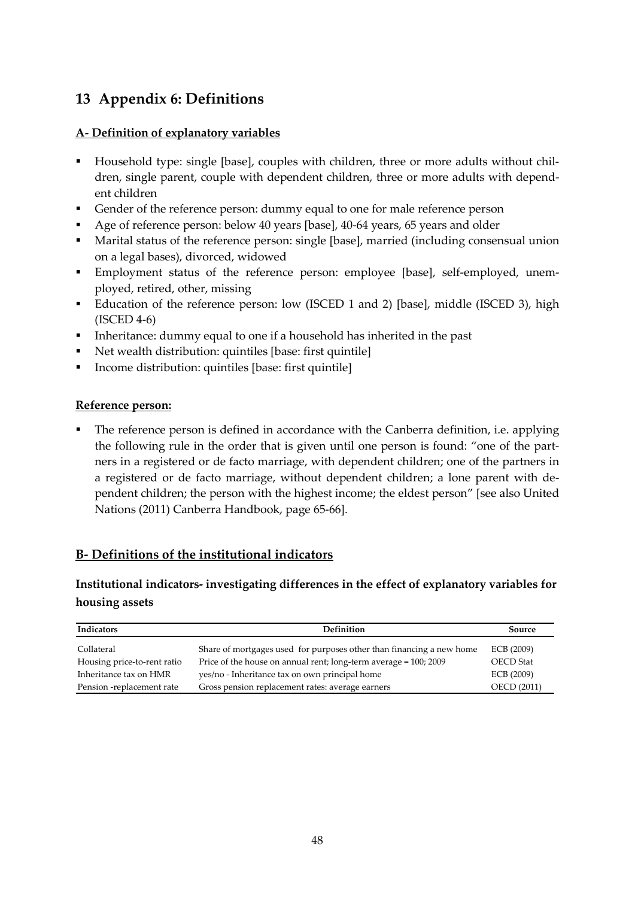# **13 Appendix 6: Definitions**

#### **A- Definition of explanatory variables**

- Household type: single [base], couples with children, three or more adults without children, single parent, couple with dependent children, three or more adults with dependent children
- Gender of the reference person: dummy equal to one for male reference person
- Age of reference person: below 40 years [base], 40-64 years, 65 years and older
- Marital status of the reference person: single [base], married (including consensual union on a legal bases), divorced, widowed
- Employment status of the reference person: employee [base], self-employed, unemployed, retired, other, missing
- Education of the reference person: low (ISCED 1 and 2) [base], middle (ISCED 3), high (ISCED 4-6)
- Inheritance: dummy equal to one if a household has inherited in the past
- Net wealth distribution: quintiles [base: first quintile]
- Income distribution: quintiles [base: first quintile]

#### **Reference person:**

 The reference person is defined in accordance with the Canberra definition, i.e. applying the following rule in the order that is given until one person is found: "one of the partners in a registered or de facto marriage, with dependent children; one of the partners in a registered or de facto marriage, without dependent children; a lone parent with dependent children; the person with the highest income; the eldest person" [see also United Nations (2011) Canberra Handbook, page 65-66].

## **B- Definitions of the institutional indicators**

**Institutional indicators- investigating differences in the effect of explanatory variables for housing assets**

| Indicators                  | <b>Definition</b>                                                    | Source             |
|-----------------------------|----------------------------------------------------------------------|--------------------|
| Collateral                  | Share of mortgages used for purposes other than financing a new home | ECB (2009)         |
| Housing price-to-rent ratio | Price of the house on annual rent; long-term average = 100; 2009     | <b>OECD</b> Stat   |
| Inheritance tax on HMR      | yes/no - Inheritance tax on own principal home                       | ECB (2009)         |
| Pension -replacement rate   | Gross pension replacement rates: average earners                     | <b>OECD</b> (2011) |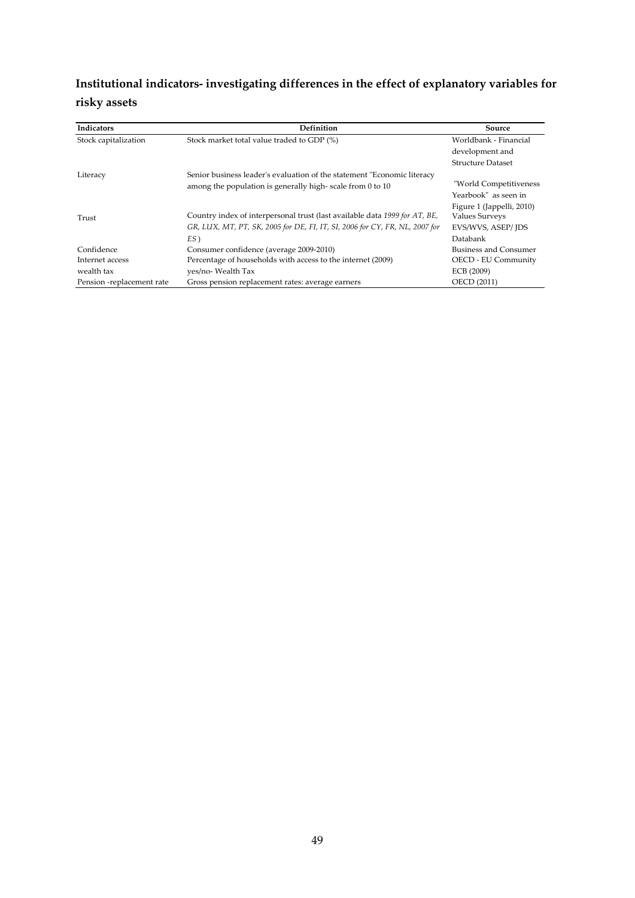**Institutional indicators- investigating differences in the effect of explanatory variables for risky assets**

| Indicators                | <b>Definition</b>                                                           | Source                                             |
|---------------------------|-----------------------------------------------------------------------------|----------------------------------------------------|
| Stock capitalization      | Stock market total value traded to GDP (%)                                  | Worldbank - Financial                              |
|                           |                                                                             | development and                                    |
|                           |                                                                             | <b>Structure Dataset</b>                           |
| Literacy                  | Senior business leader's evaluation of the statement "Economic literacy"    |                                                    |
|                           | among the population is generally high-scale from 0 to 10                   | "World Competitiveness                             |
|                           |                                                                             | Yearbook" as seen in                               |
| Trust                     | Country index of interpersonal trust (last available data 1999 for AT, BE,  | Figure 1 (Jappelli, 2010)<br><b>Values Surveys</b> |
|                           | GR, LUX, MT, PT, SK, 2005 for DE, FI, IT, SI, 2006 for CY, FR, NL, 2007 for | EVS/WVS, ASEP/JDS                                  |
|                           | ES)                                                                         | Databank                                           |
| Confidence                | Consumer confidence (average 2009-2010)                                     | <b>Business and Consumer</b>                       |
| Internet access           | Percentage of households with access to the internet (2009)                 | <b>OECD - EU Community</b>                         |
| wealth tax                | yes/no- Wealth Tax                                                          | ECB (2009)                                         |
| Pension -replacement rate | Gross pension replacement rates: average earners                            | <b>OECD</b> (2011)                                 |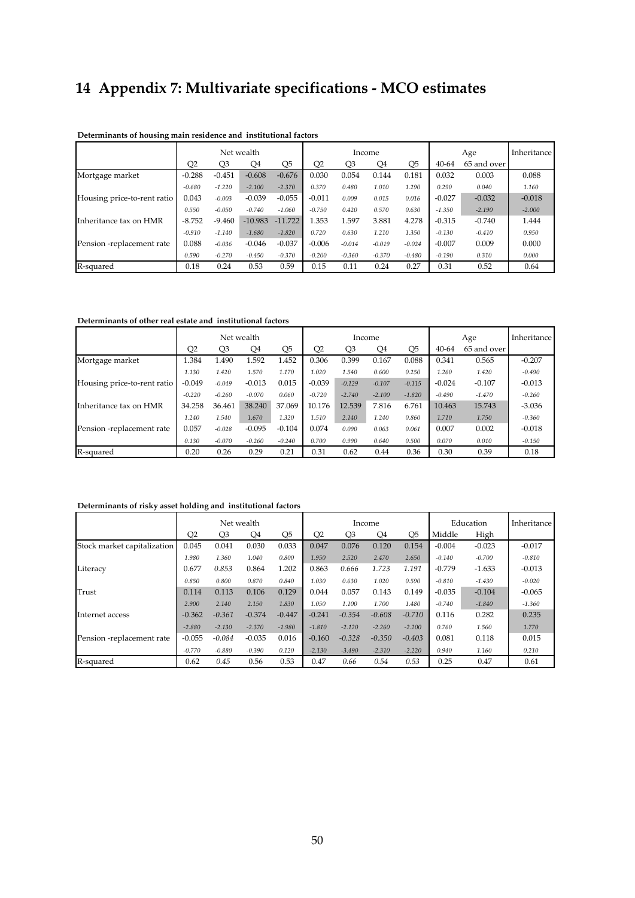# **14 Appendix 7: Multivariate specifications - MCO estimates**

|                             |          |          | Net wealth |           |                |                | Income   |                |           | Age         | Inheritance |
|-----------------------------|----------|----------|------------|-----------|----------------|----------------|----------|----------------|-----------|-------------|-------------|
|                             | Q2       | Q3       | Q4         | Q5        | Q <sub>2</sub> | Q <sub>3</sub> | Q4       | Q <sub>5</sub> | $40 - 64$ | 65 and over |             |
| Mortgage market             | $-0.288$ | $-0.451$ | $-0.608$   | $-0.676$  | 0.030          | 0.054          | 0.144    | 0.181          | 0.032     | 0.003       | 0.088       |
|                             | $-0.680$ | $-1.220$ | $-2.100$   | $-2.370$  | 0.370          | 0.480          | 1.010    | 1.290          | 0.290     | 0.040       | 1.160       |
| Housing price-to-rent ratio | 0.043    | $-0.003$ | $-0.039$   | $-0.055$  | $-0.011$       | 0.009          | 0.015    | 0.016          | $-0.027$  | $-0.032$    | $-0.018$    |
|                             | 0.550    | $-0.050$ | $-0.740$   | $-1.060$  | $-0.750$       | 0.420          | 0.570    | 0.630          | $-1.350$  | $-2.190$    | $-2.000$    |
| Inheritance tax on HMR      | $-8.752$ | $-9.460$ | $-10.983$  | $-11.722$ | 1.353          | 1.597          | 3.881    | 4.278          | $-0.315$  | $-0.740$    | 1.444       |
|                             | $-0.910$ | $-1.140$ | $-1.680$   | $-1.820$  | 0.720          | 0.630          | 1.210    | 1.350          | $-0.130$  | $-0.410$    | 0.950       |
| Pension -replacement rate   | 0.088    | $-0.036$ | $-0.046$   | $-0.037$  | $-0.006$       | $-0.014$       | $-0.019$ | $-0.024$       | $-0.007$  | 0.009       | 0.000       |
|                             | 0.590    | $-0.270$ | $-0.450$   | $-0.370$  | $-0.200$       | $-0.360$       | $-0.370$ | $-0.480$       | $-0.190$  | 0.310       | 0.000       |
| R-squared                   | 0.18     | 0.24     | 0.53       | 0.59      | 0.15           | 0.11           | 0.24     | 0.27           | 0.31      | 0.52        | 0.64        |

#### **Determinants of housing main residence and institutional factors**

#### **Determinants of other real estate and institutional factors**

|                             |          |                | Net wealth |          |                | Income         |          |                |           | Age         | Inheritance |
|-----------------------------|----------|----------------|------------|----------|----------------|----------------|----------|----------------|-----------|-------------|-------------|
|                             | Q2       | Q <sub>3</sub> | Q4         | Q5       | Q <sub>2</sub> | Q <sub>3</sub> | Q4       | Q <sub>5</sub> | $40 - 64$ | 65 and over |             |
| Mortgage market             | 1.384    | 1.490          | 1.592      | 1.452    | 0.306          | 0.399          | 0.167    | 0.088          | 0.341     | 0.565       | $-0.207$    |
|                             | 1.130    | 1.420          | 1.570      | 1.170    | 1.020          | 1.540          | 0.600    | 0.250          | 1.260     | 1.420       | $-0.490$    |
| Housing price-to-rent ratio | $-0.049$ | $-0.049$       | $-0.013$   | 0.015    | $-0.039$       | $-0.129$       | $-0.107$ | $-0.115$       | $-0.024$  | $-0.107$    | $-0.013$    |
|                             | $-0.220$ | $-0.260$       | $-0.070$   | 0.060    | $-0.720$       | $-2.740$       | $-2.100$ | $-1.820$       | $-0.490$  | $-1.470$    | $-0.260$    |
| Inheritance tax on HMR      | 34.258   | 36.461         | 38.240     | 37.069   | 10.176         | 12.539         | 7.816    | 6.761          | 10.463    | 15.743      | $-3.036$    |
|                             | 1.240    | 1.540          | 1.670      | 1.320    | 1.510          | 2.140          | 1.240    | 0.860          | 1.710     | 1.750       | $-0.360$    |
| Pension -replacement rate   | 0.057    | $-0.028$       | $-0.095$   | $-0.104$ | 0.074          | 0.090          | 0.063    | 0.061          | 0.007     | 0.002       | $-0.018$    |
|                             | 0.130    | $-0.070$       | $-0.260$   | $-0.240$ | 0.700          | 0.990          | 0.640    | 0.500          | 0.070     | 0.010       | $-0.150$    |
| R-squared                   | 0.20     | 0.26           | 0.29       | 0.21     | 0.31           | 0.62           | 0.44     | 0.36           | 0.30      | 0.39        | 0.18        |

#### **Determinants of risky asset holding and institutional factors**

|                             | Net wealth |          |          |          | Income   |          |          |                | Education |          | Inheritance |
|-----------------------------|------------|----------|----------|----------|----------|----------|----------|----------------|-----------|----------|-------------|
|                             | Q2         | Q3       | Q4       | Q5       | Q2       | Q3       | Q4       | O <sub>5</sub> | Middle    | High     |             |
| Stock market capitalization | 0.045      | 0.041    | 0.030    | 0.033    | 0.047    | 0.076    | 0.120    | 0.154          | $-0.004$  | $-0.023$ | $-0.017$    |
|                             | 1.980      | 1.360    | 1.040    | 0.800    | 1.950    | 2.520    | 2.470    | 2.650          | $-0.140$  | $-0.700$ | $-0.810$    |
| Literacy                    | 0.677      | 0.853    | 0.864    | 1.202    | 0.863    | 0.666    | 1.723    | 1.191          | $-0.779$  | $-1.633$ | $-0.013$    |
|                             | 0.850      | 0.800    | 0.870    | 0.840    | 1.030    | 0.630    | 1.020    | 0.590          | $-0.810$  | $-1.430$ | $-0.020$    |
| Trust                       | 0.114      | 0.113    | 0.106    | 0.129    | 0.044    | 0.057    | 0.143    | 0.149          | $-0.035$  | $-0.104$ | $-0.065$    |
|                             | 2.900      | 2.140    | 2.150    | 1.830    | 1.050    | 1.100    | 1.700    | 1.480          | $-0.740$  | $-1.840$ | $-1.360$    |
| Internet access             | $-0.362$   | $-0.361$ | $-0.374$ | $-0.447$ | $-0.241$ | $-0.354$ | $-0.608$ | $-0.710$       | 0.116     | 0.282    | 0.235       |
|                             | $-2.880$   | $-2.130$ | $-2.370$ | $-1.980$ | $-1.810$ | $-2.120$ | $-2.260$ | $-2.200$       | 0.760     | 1.560    | 1.770       |
| Pension -replacement rate   | $-0.055$   | $-0.084$ | $-0.035$ | 0.016    | $-0.160$ | $-0.328$ | $-0.350$ | $-0.403$       | 0.081     | 0.118    | 0.015       |
|                             | $-0.770$   | $-0.880$ | $-0.390$ | 0.120    | $-2.130$ | $-3.490$ | $-2.310$ | $-2.220$       | 0.940     | 1.160    | 0.210       |
| R-squared                   | 0.62       | 0.45     | 0.56     | 0.53     | 0.47     | 0.66     | 0.54     | 0.53           | 0.25      | 0.47     | 0.61        |